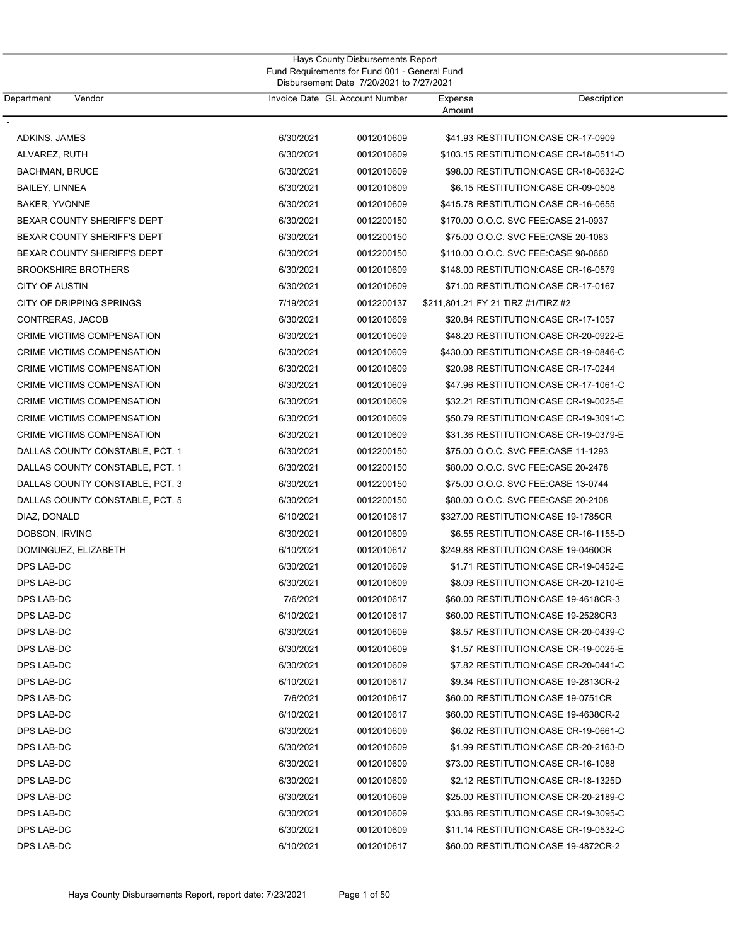| Department            | Vendor                            |           | Invoice Date GL Account Number | Expense<br>Amount | Description                             |
|-----------------------|-----------------------------------|-----------|--------------------------------|-------------------|-----------------------------------------|
| ADKINS, JAMES         |                                   | 6/30/2021 | 0012010609                     |                   | \$41.93 RESTITUTION: CASE CR-17-0909    |
| ALVAREZ, RUTH         |                                   | 6/30/2021 | 0012010609                     |                   | \$103.15 RESTITUTION: CASE CR-18-0511-D |
| <b>BACHMAN, BRUCE</b> |                                   | 6/30/2021 | 0012010609                     |                   | \$98.00 RESTITUTION: CASE CR-18-0632-C  |
| <b>BAILEY, LINNEA</b> |                                   | 6/30/2021 | 0012010609                     |                   | \$6.15 RESTITUTION: CASE CR-09-0508     |
| <b>BAKER, YVONNE</b>  |                                   | 6/30/2021 | 0012010609                     |                   | \$415.78 RESTITUTION:CASE CR-16-0655    |
|                       | BEXAR COUNTY SHERIFF'S DEPT       | 6/30/2021 | 0012200150                     |                   | \$170.00 O.O.C. SVC FEE:CASE 21-0937    |
|                       | BEXAR COUNTY SHERIFF'S DEPT       | 6/30/2021 | 0012200150                     |                   | \$75.00 O.O.C. SVC FEE:CASE 20-1083     |
|                       | BEXAR COUNTY SHERIFF'S DEPT       | 6/30/2021 | 0012200150                     |                   | \$110.00 O.O.C. SVC FEE:CASE 98-0660    |
|                       | <b>BROOKSHIRE BROTHERS</b>        | 6/30/2021 | 0012010609                     |                   | \$148.00 RESTITUTION: CASE CR-16-0579   |
| <b>CITY OF AUSTIN</b> |                                   | 6/30/2021 | 0012010609                     |                   | \$71.00 RESTITUTION:CASE CR-17-0167     |
|                       | CITY OF DRIPPING SPRINGS          | 7/19/2021 | 0012200137                     |                   | \$211,801.21 FY 21 TIRZ #1/TIRZ #2      |
| CONTRERAS, JACOB      |                                   | 6/30/2021 | 0012010609                     |                   | \$20.84 RESTITUTION: CASE CR-17-1057    |
|                       | CRIME VICTIMS COMPENSATION        | 6/30/2021 | 0012010609                     |                   | \$48.20 RESTITUTION:CASE CR-20-0922-E   |
|                       | CRIME VICTIMS COMPENSATION        | 6/30/2021 | 0012010609                     |                   | \$430.00 RESTITUTION:CASE CR-19-0846-C  |
|                       | CRIME VICTIMS COMPENSATION        | 6/30/2021 | 0012010609                     |                   | \$20.98 RESTITUTION:CASE CR-17-0244     |
|                       | CRIME VICTIMS COMPENSATION        | 6/30/2021 | 0012010609                     |                   | \$47.96 RESTITUTION: CASE CR-17-1061-C  |
|                       | CRIME VICTIMS COMPENSATION        | 6/30/2021 | 0012010609                     |                   | \$32.21 RESTITUTION: CASE CR-19-0025-E  |
|                       | CRIME VICTIMS COMPENSATION        | 6/30/2021 | 0012010609                     |                   | \$50.79 RESTITUTION: CASE CR-19-3091-C  |
|                       | <b>CRIME VICTIMS COMPENSATION</b> | 6/30/2021 | 0012010609                     |                   | \$31.36 RESTITUTION: CASE CR-19-0379-E  |
|                       | DALLAS COUNTY CONSTABLE, PCT. 1   | 6/30/2021 | 0012200150                     |                   | \$75.00 O.O.C. SVC FEE:CASE 11-1293     |
|                       | DALLAS COUNTY CONSTABLE, PCT. 1   | 6/30/2021 | 0012200150                     |                   | \$80.00 O.O.C. SVC FEE:CASE 20-2478     |
|                       | DALLAS COUNTY CONSTABLE, PCT. 3   | 6/30/2021 | 0012200150                     |                   | \$75.00 O.O.C. SVC FEE:CASE 13-0744     |
|                       | DALLAS COUNTY CONSTABLE, PCT. 5   | 6/30/2021 | 0012200150                     |                   | \$80.00 O.O.C. SVC FEE:CASE 20-2108     |
| DIAZ, DONALD          |                                   | 6/10/2021 | 0012010617                     |                   | \$327.00 RESTITUTION: CASE 19-1785CR    |
| DOBSON, IRVING        |                                   | 6/30/2021 | 0012010609                     |                   | \$6.55 RESTITUTION: CASE CR-16-1155-D   |
|                       | DOMINGUEZ, ELIZABETH              | 6/10/2021 | 0012010617                     |                   | \$249.88 RESTITUTION: CASE 19-0460CR    |
| DPS LAB-DC            |                                   | 6/30/2021 | 0012010609                     |                   | \$1.71 RESTITUTION: CASE CR-19-0452-E   |
| DPS LAB-DC            |                                   | 6/30/2021 | 0012010609                     |                   | \$8.09 RESTITUTION: CASE CR-20-1210-E   |
| DPS LAB-DC            |                                   | 7/6/2021  | 0012010617                     |                   | \$60.00 RESTITUTION: CASE 19-4618CR-3   |
| DPS LAB-DC            |                                   | 6/10/2021 | 0012010617                     |                   | \$60.00 RESTITUTION: CASE 19-2528 CR3   |
| DPS LAB-DC            |                                   | 6/30/2021 | 0012010609                     |                   | \$8.57 RESTITUTION: CASE CR-20-0439-C   |
| DPS LAB-DC            |                                   | 6/30/2021 | 0012010609                     |                   | \$1.57 RESTITUTION: CASE CR-19-0025-E   |
| DPS LAB-DC            |                                   | 6/30/2021 | 0012010609                     |                   | \$7.82 RESTITUTION: CASE CR-20-0441-C   |
| DPS LAB-DC            |                                   | 6/10/2021 | 0012010617                     |                   | \$9.34 RESTITUTION: CASE 19-2813 CR-2   |
| DPS LAB-DC            |                                   | 7/6/2021  | 0012010617                     |                   | \$60.00 RESTITUTION: CASE 19-0751 CR    |
| DPS LAB-DC            |                                   | 6/10/2021 | 0012010617                     |                   | \$60.00 RESTITUTION: CASE 19-4638CR-2   |
| DPS LAB-DC            |                                   | 6/30/2021 | 0012010609                     |                   | \$6.02 RESTITUTION:CASE CR-19-0661-C    |
| DPS LAB-DC            |                                   | 6/30/2021 | 0012010609                     |                   | \$1.99 RESTITUTION: CASE CR-20-2163-D   |
| DPS LAB-DC            |                                   | 6/30/2021 | 0012010609                     |                   | \$73.00 RESTITUTION: CASE CR-16-1088    |
| DPS LAB-DC            |                                   | 6/30/2021 | 0012010609                     |                   | \$2.12 RESTITUTION: CASE CR-18-1325D    |
| DPS LAB-DC            |                                   | 6/30/2021 | 0012010609                     |                   | \$25.00 RESTITUTION: CASE CR-20-2189-C  |
| DPS LAB-DC            |                                   | 6/30/2021 | 0012010609                     |                   | \$33.86 RESTITUTION: CASE CR-19-3095-C  |
| DPS LAB-DC            |                                   | 6/30/2021 | 0012010609                     |                   | \$11.14 RESTITUTION: CASE CR-19-0532-C  |
| DPS LAB-DC            |                                   | 6/10/2021 | 0012010617                     |                   | \$60.00 RESTITUTION: CASE 19-4872CR-2   |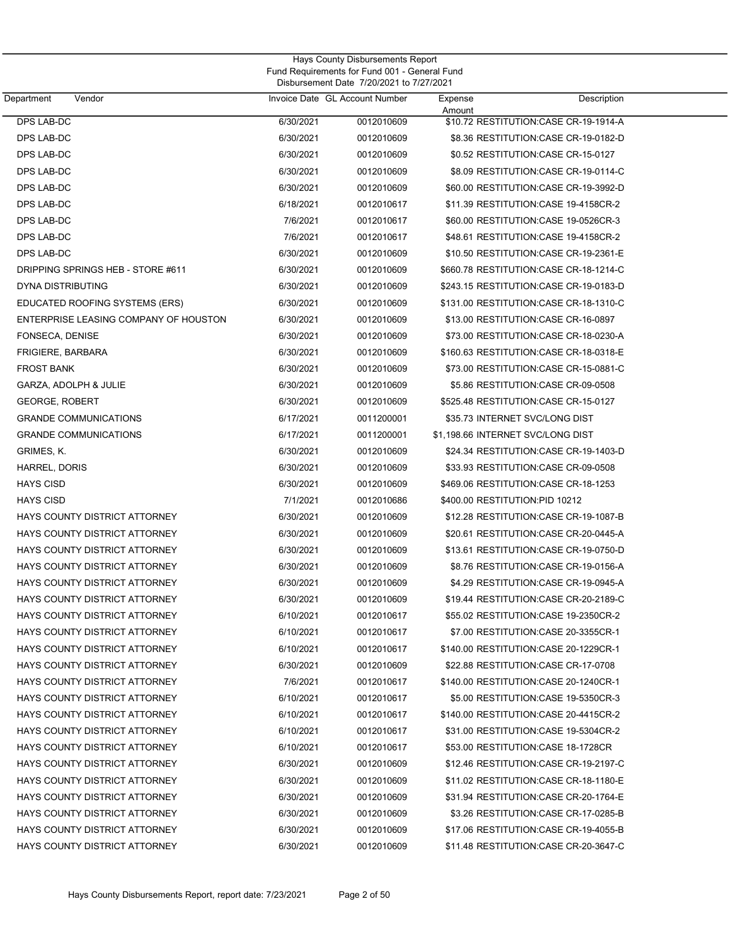| Department<br>Vendor                  |           | Invoice Date GL Account Number | Expense | Description                             |
|---------------------------------------|-----------|--------------------------------|---------|-----------------------------------------|
| DPS LAB-DC                            | 6/30/2021 | 0012010609                     | Amount  | \$10.72 RESTITUTION:CASE CR-19-1914-A   |
| <b>DPS LAB-DC</b>                     | 6/30/2021 | 0012010609                     |         | \$8.36 RESTITUTION: CASE CR-19-0182-D   |
| DPS LAB-DC                            | 6/30/2021 | 0012010609                     |         | \$0.52 RESTITUTION: CASE CR-15-0127     |
| DPS LAB-DC                            | 6/30/2021 | 0012010609                     |         | \$8.09 RESTITUTION: CASE CR-19-0114-C   |
| DPS LAB-DC                            | 6/30/2021 | 0012010609                     |         | \$60.00 RESTITUTION: CASE CR-19-3992-D  |
| DPS LAB-DC                            | 6/18/2021 | 0012010617                     |         | \$11.39 RESTITUTION:CASE 19-4158CR-2    |
| DPS LAB-DC                            | 7/6/2021  | 0012010617                     |         | \$60.00 RESTITUTION:CASE 19-0526CR-3    |
| DPS LAB-DC                            | 7/6/2021  | 0012010617                     |         | \$48.61 RESTITUTION:CASE 19-4158CR-2    |
| DPS LAB-DC                            | 6/30/2021 | 0012010609                     |         | \$10.50 RESTITUTION: CASE CR-19-2361-E  |
| DRIPPING SPRINGS HEB - STORE #611     | 6/30/2021 | 0012010609                     |         | \$660.78 RESTITUTION:CASE CR-18-1214-C  |
| DYNA DISTRIBUTING                     | 6/30/2021 | 0012010609                     |         | \$243.15 RESTITUTION:CASE CR-19-0183-D  |
| EDUCATED ROOFING SYSTEMS (ERS)        | 6/30/2021 | 0012010609                     |         | \$131.00 RESTITUTION:CASE CR-18-1310-C  |
| ENTERPRISE LEASING COMPANY OF HOUSTON | 6/30/2021 | 0012010609                     |         | \$13.00 RESTITUTION: CASE CR-16-0897    |
| FONSECA, DENISE                       | 6/30/2021 | 0012010609                     |         | \$73.00 RESTITUTION: CASE CR-18-0230-A  |
| FRIGIERE, BARBARA                     | 6/30/2021 | 0012010609                     |         |                                         |
| <b>FROST BANK</b>                     | 6/30/2021 | 0012010609                     |         | \$73.00 RESTITUTION: CASE CR-15-0881-C  |
| GARZA, ADOLPH & JULIE                 | 6/30/2021 | 0012010609                     |         | \$5.86 RESTITUTION:CASE CR-09-0508      |
| <b>GEORGE, ROBERT</b>                 | 6/30/2021 | 0012010609                     |         | \$525.48 RESTITUTION: CASE CR-15-0127   |
| <b>GRANDE COMMUNICATIONS</b>          | 6/17/2021 | 0011200001                     |         | \$35.73 INTERNET SVC/LONG DIST          |
| <b>GRANDE COMMUNICATIONS</b>          | 6/17/2021 | 0011200001                     |         | \$1,198.66 INTERNET SVC/LONG DIST       |
| GRIMES, K.                            | 6/30/2021 | 0012010609                     |         | \$24.34 RESTITUTION:CASE CR-19-1403-D   |
| HARREL, DORIS                         | 6/30/2021 | 0012010609                     |         | \$33.93 RESTITUTION:CASE CR-09-0508     |
| <b>HAYS CISD</b>                      | 6/30/2021 | 0012010609                     |         | \$469.06 RESTITUTION:CASE CR-18-1253    |
|                                       |           |                                |         |                                         |
| <b>HAYS CISD</b>                      | 7/1/2021  | 0012010686                     |         | \$400.00 RESTITUTION:PID 10212          |
| <b>HAYS COUNTY DISTRICT ATTORNEY</b>  | 6/30/2021 | 0012010609                     |         | \$12.28 RESTITUTION: CASE CR-19-1087-B  |
| <b>HAYS COUNTY DISTRICT ATTORNEY</b>  | 6/30/2021 | 0012010609                     |         | \$20.61 RESTITUTION:CASE CR-20-0445-A   |
| HAYS COUNTY DISTRICT ATTORNEY         | 6/30/2021 | 0012010609                     |         | \$13.61 RESTITUTION:CASE CR-19-0750-D   |
| HAYS COUNTY DISTRICT ATTORNEY         | 6/30/2021 | 0012010609                     |         | \$8.76 RESTITUTION:CASE CR-19-0156-A    |
| HAYS COUNTY DISTRICT ATTORNEY         | 6/30/2021 | 0012010609                     |         | \$4.29 RESTITUTION: CASE CR-19-0945-A   |
| HAYS COUNTY DISTRICT ATTORNEY         | 6/30/2021 | 0012010609                     |         | \$19.44 RESTITUTION: CASE CR-20-2189-C  |
| HAYS COUNTY DISTRICT ATTORNEY         | 6/10/2021 | 0012010617                     |         | \$55.02 RESTITUTION:CASE 19-2350CR-2    |
| HAYS COUNTY DISTRICT ATTORNEY         | 6/10/2021 | 0012010617                     |         | \$7.00 RESTITUTION:CASE 20-3355CR-1     |
| <b>HAYS COUNTY DISTRICT ATTORNEY</b>  | 6/10/2021 | 0012010617                     |         | \$140.00 RESTITUTION: CASE 20-1229 CR-1 |
| HAYS COUNTY DISTRICT ATTORNEY         | 6/30/2021 | 0012010609                     |         | \$22.88 RESTITUTION: CASE CR-17-0708    |
| <b>HAYS COUNTY DISTRICT ATTORNEY</b>  | 7/6/2021  | 0012010617                     |         | \$140.00 RESTITUTION: CASE 20-1240 CR-1 |
| HAYS COUNTY DISTRICT ATTORNEY         | 6/10/2021 | 0012010617                     |         | \$5.00 RESTITUTION: CASE 19-5350 CR-3   |
| <b>HAYS COUNTY DISTRICT ATTORNEY</b>  | 6/10/2021 | 0012010617                     |         | \$140.00 RESTITUTION: CASE 20-4415CR-2  |
| HAYS COUNTY DISTRICT ATTORNEY         | 6/10/2021 | 0012010617                     |         | \$31.00 RESTITUTION: CASE 19-5304 CR-2  |
| HAYS COUNTY DISTRICT ATTORNEY         | 6/10/2021 | 0012010617                     |         | \$53.00 RESTITUTION: CASE 18-1728CR     |
| HAYS COUNTY DISTRICT ATTORNEY         | 6/30/2021 | 0012010609                     |         | \$12.46 RESTITUTION: CASE CR-19-2197-C  |
| HAYS COUNTY DISTRICT ATTORNEY         | 6/30/2021 | 0012010609                     |         | \$11.02 RESTITUTION: CASE CR-18-1180-E  |
| HAYS COUNTY DISTRICT ATTORNEY         | 6/30/2021 | 0012010609                     |         | \$31.94 RESTITUTION: CASE CR-20-1764-E  |
| HAYS COUNTY DISTRICT ATTORNEY         | 6/30/2021 | 0012010609                     |         | \$3.26 RESTITUTION: CASE CR-17-0285-B   |
| HAYS COUNTY DISTRICT ATTORNEY         | 6/30/2021 | 0012010609                     |         | \$17.06 RESTITUTION: CASE CR-19-4055-B  |
| HAYS COUNTY DISTRICT ATTORNEY         | 6/30/2021 | 0012010609                     |         | \$11.48 RESTITUTION: CASE CR-20-3647-C  |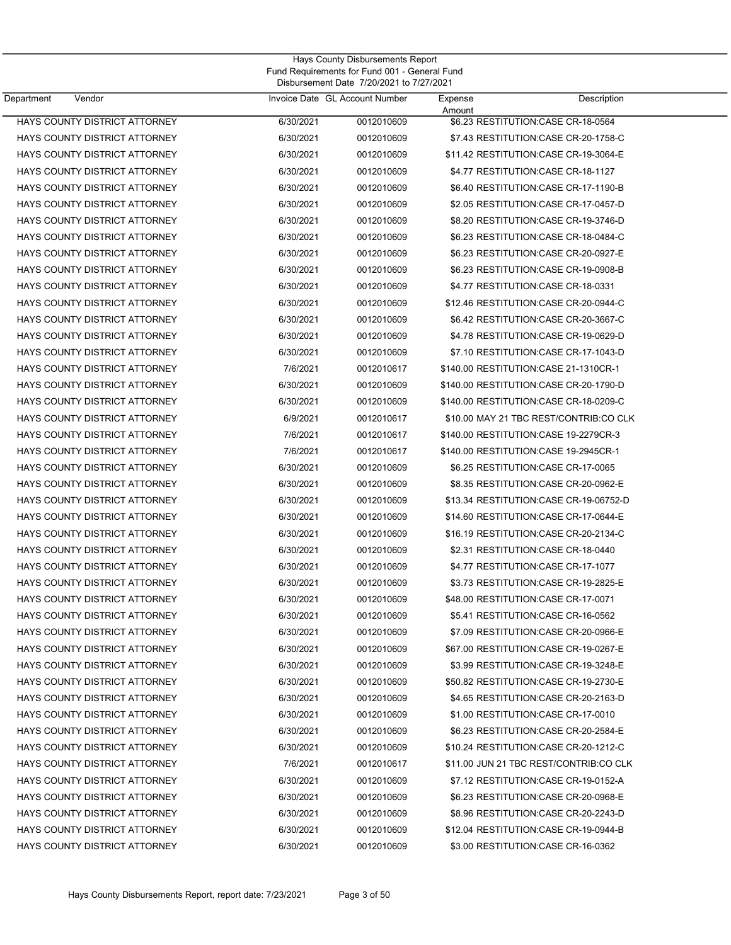| Hays County Disbursements Report              |
|-----------------------------------------------|
| Fund Requirements for Fund 001 - General Fund |
| Disbursement Date 7/20/2021 to 7/27/2021      |

| Department<br>Vendor                 |           | Invoice Date GL Account Number | Expense | Description                             |
|--------------------------------------|-----------|--------------------------------|---------|-----------------------------------------|
| HAYS COUNTY DISTRICT ATTORNEY        | 6/30/2021 | 0012010609                     | Amount  | \$6.23 RESTITUTION: CASE CR-18-0564     |
| HAYS COUNTY DISTRICT ATTORNEY        | 6/30/2021 | 0012010609                     |         | \$7.43 RESTITUTION: CASE CR-20-1758-C   |
| HAYS COUNTY DISTRICT ATTORNEY        | 6/30/2021 | 0012010609                     |         | \$11.42 RESTITUTION: CASE CR-19-3064-E  |
| HAYS COUNTY DISTRICT ATTORNEY        | 6/30/2021 | 0012010609                     |         | \$4.77 RESTITUTION: CASE CR-18-1127     |
| <b>HAYS COUNTY DISTRICT ATTORNEY</b> | 6/30/2021 | 0012010609                     |         | \$6.40 RESTITUTION: CASE CR-17-1190-B   |
| HAYS COUNTY DISTRICT ATTORNEY        | 6/30/2021 | 0012010609                     |         | \$2.05 RESTITUTION: CASE CR-17-0457-D   |
| HAYS COUNTY DISTRICT ATTORNEY        | 6/30/2021 | 0012010609                     |         | \$8.20 RESTITUTION:CASE CR-19-3746-D    |
| HAYS COUNTY DISTRICT ATTORNEY        | 6/30/2021 | 0012010609                     |         | \$6.23 RESTITUTION: CASE CR-18-0484-C   |
| HAYS COUNTY DISTRICT ATTORNEY        | 6/30/2021 | 0012010609                     |         | \$6.23 RESTITUTION: CASE CR-20-0927-E   |
| HAYS COUNTY DISTRICT ATTORNEY        | 6/30/2021 | 0012010609                     |         | \$6.23 RESTITUTION: CASE CR-19-0908-B   |
| HAYS COUNTY DISTRICT ATTORNEY        | 6/30/2021 | 0012010609                     |         | \$4.77 RESTITUTION: CASE CR-18-0331     |
| HAYS COUNTY DISTRICT ATTORNEY        | 6/30/2021 | 0012010609                     |         | \$12.46 RESTITUTION: CASE CR-20-0944-C  |
| HAYS COUNTY DISTRICT ATTORNEY        | 6/30/2021 | 0012010609                     |         | \$6.42 RESTITUTION: CASE CR-20-3667-C   |
| HAYS COUNTY DISTRICT ATTORNEY        | 6/30/2021 | 0012010609                     |         | \$4.78 RESTITUTION: CASE CR-19-0629-D   |
| HAYS COUNTY DISTRICT ATTORNEY        | 6/30/2021 | 0012010609                     |         | \$7.10 RESTITUTION: CASE CR-17-1043-D   |
| HAYS COUNTY DISTRICT ATTORNEY        | 7/6/2021  | 0012010617                     |         | \$140.00 RESTITUTION: CASE 21-1310CR-1  |
| HAYS COUNTY DISTRICT ATTORNEY        | 6/30/2021 | 0012010609                     |         | \$140.00 RESTITUTION: CASE CR-20-1790-D |
| HAYS COUNTY DISTRICT ATTORNEY        | 6/30/2021 |                                |         | \$140.00 RESTITUTION:CASE CR-18-0209-C  |
| HAYS COUNTY DISTRICT ATTORNEY        | 6/9/2021  | 0012010609<br>0012010617       |         | \$10.00 MAY 21 TBC REST/CONTRIB:CO CLK  |
|                                      |           |                                |         |                                         |
| HAYS COUNTY DISTRICT ATTORNEY        | 7/6/2021  | 0012010617                     |         | \$140.00 RESTITUTION: CASE 19-2279 CR-3 |
| HAYS COUNTY DISTRICT ATTORNEY        | 7/6/2021  | 0012010617                     |         | \$140.00 RESTITUTION:CASE 19-2945CR-1   |
| HAYS COUNTY DISTRICT ATTORNEY        | 6/30/2021 | 0012010609                     |         | \$6.25 RESTITUTION: CASE CR-17-0065     |
| HAYS COUNTY DISTRICT ATTORNEY        | 6/30/2021 | 0012010609                     |         | \$8.35 RESTITUTION: CASE CR-20-0962-E   |
| HAYS COUNTY DISTRICT ATTORNEY        | 6/30/2021 | 0012010609                     |         | \$13.34 RESTITUTION: CASE CR-19-06752-D |
| <b>HAYS COUNTY DISTRICT ATTORNEY</b> | 6/30/2021 | 0012010609                     |         | \$14.60 RESTITUTION: CASE CR-17-0644-E  |
| HAYS COUNTY DISTRICT ATTORNEY        | 6/30/2021 | 0012010609                     |         | \$16.19 RESTITUTION: CASE CR-20-2134-C  |
| HAYS COUNTY DISTRICT ATTORNEY        | 6/30/2021 | 0012010609                     |         | \$2.31 RESTITUTION: CASE CR-18-0440     |
| HAYS COUNTY DISTRICT ATTORNEY        | 6/30/2021 | 0012010609                     |         | \$4.77 RESTITUTION: CASE CR-17-1077     |
| HAYS COUNTY DISTRICT ATTORNEY        | 6/30/2021 | 0012010609                     |         | \$3.73 RESTITUTION: CASE CR-19-2825-E   |
| HAYS COUNTY DISTRICT ATTORNEY        | 6/30/2021 | 0012010609                     |         | \$48.00 RESTITUTION: CASE CR-17-0071    |
| HAYS COUNTY DISTRICT ATTORNEY        | 6/30/2021 | 0012010609                     |         | \$5.41 RESTITUTION: CASE CR-16-0562     |
| <b>HAYS COUNTY DISTRICT ATTORNEY</b> | 6/30/2021 | 0012010609                     |         | \$7.09 RESTITUTION:CASE CR-20-0966-E    |
| HAYS COUNTY DISTRICT ATTORNEY        | 6/30/2021 | 0012010609                     |         | \$67.00 RESTITUTION: CASE CR-19-0267-E  |
| HAYS COUNTY DISTRICT ATTORNEY        | 6/30/2021 | 0012010609                     |         | \$3.99 RESTITUTION: CASE CR-19-3248-E   |
| <b>HAYS COUNTY DISTRICT ATTORNEY</b> | 6/30/2021 | 0012010609                     |         | \$50.82 RESTITUTION: CASE CR-19-2730-E  |
| HAYS COUNTY DISTRICT ATTORNEY        | 6/30/2021 | 0012010609                     |         | \$4.65 RESTITUTION: CASE CR-20-2163-D   |
| HAYS COUNTY DISTRICT ATTORNEY        | 6/30/2021 | 0012010609                     |         | \$1.00 RESTITUTION:CASE CR-17-0010      |
| HAYS COUNTY DISTRICT ATTORNEY        | 6/30/2021 | 0012010609                     |         | \$6.23 RESTITUTION: CASE CR-20-2584-E   |
| HAYS COUNTY DISTRICT ATTORNEY        | 6/30/2021 | 0012010609                     |         | \$10.24 RESTITUTION: CASE CR-20-1212-C  |
| HAYS COUNTY DISTRICT ATTORNEY        | 7/6/2021  | 0012010617                     |         | \$11.00 JUN 21 TBC REST/CONTRIB:CO CLK  |
| HAYS COUNTY DISTRICT ATTORNEY        | 6/30/2021 | 0012010609                     |         | \$7.12 RESTITUTION: CASE CR-19-0152-A   |
| HAYS COUNTY DISTRICT ATTORNEY        | 6/30/2021 | 0012010609                     |         | \$6.23 RESTITUTION: CASE CR-20-0968-E   |
| HAYS COUNTY DISTRICT ATTORNEY        | 6/30/2021 | 0012010609                     |         | \$8.96 RESTITUTION: CASE CR-20-2243-D   |
| HAYS COUNTY DISTRICT ATTORNEY        | 6/30/2021 | 0012010609                     |         | \$12.04 RESTITUTION: CASE CR-19-0944-B  |
| HAYS COUNTY DISTRICT ATTORNEY        | 6/30/2021 | 0012010609                     |         | \$3.00 RESTITUTION: CASE CR-16-0362     |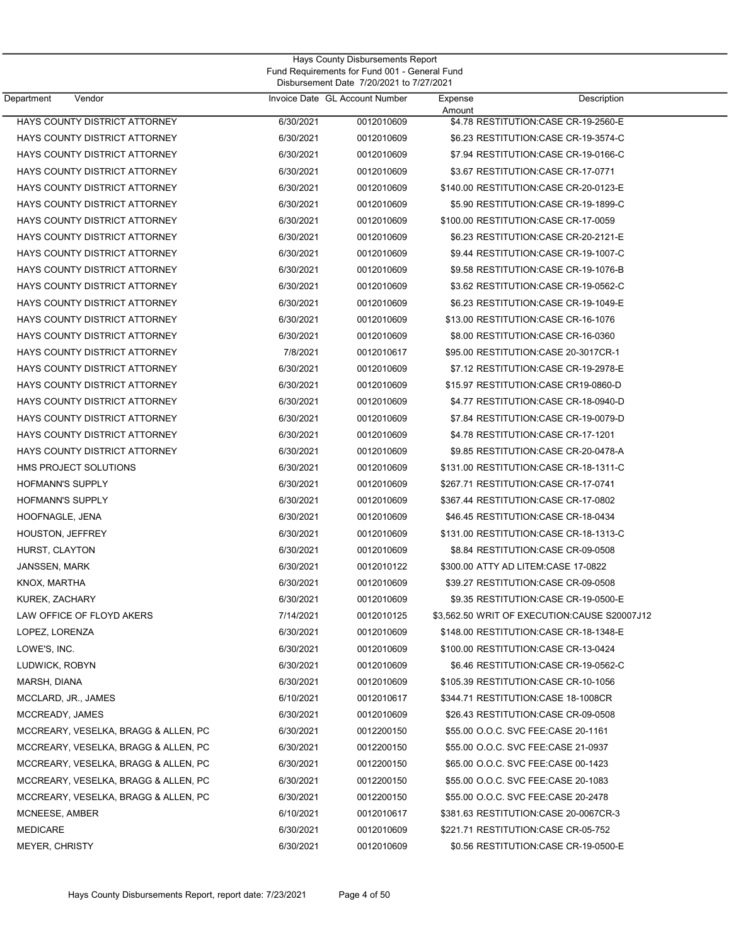| Department<br>Vendor                 |           | Invoice Date GL Account Number | Expense | Description                                   |  |
|--------------------------------------|-----------|--------------------------------|---------|-----------------------------------------------|--|
| HAYS COUNTY DISTRICT ATTORNEY        | 6/30/2021 | 0012010609                     | Amount  | \$4.78 RESTITUTION: CASE CR-19-2560-E         |  |
| HAYS COUNTY DISTRICT ATTORNEY        | 6/30/2021 | 0012010609                     |         | \$6.23 RESTITUTION: CASE CR-19-3574-C         |  |
| HAYS COUNTY DISTRICT ATTORNEY        | 6/30/2021 | 0012010609                     |         | \$7.94 RESTITUTION: CASE CR-19-0166-C         |  |
| HAYS COUNTY DISTRICT ATTORNEY        | 6/30/2021 | 0012010609                     |         | \$3.67 RESTITUTION: CASE CR-17-0771           |  |
| HAYS COUNTY DISTRICT ATTORNEY        | 6/30/2021 | 0012010609                     |         | \$140.00 RESTITUTION: CASE CR-20-0123-E       |  |
| HAYS COUNTY DISTRICT ATTORNEY        | 6/30/2021 | 0012010609                     |         | \$5.90 RESTITUTION: CASE CR-19-1899-C         |  |
| HAYS COUNTY DISTRICT ATTORNEY        | 6/30/2021 | 0012010609                     |         | \$100.00 RESTITUTION: CASE CR-17-0059         |  |
| HAYS COUNTY DISTRICT ATTORNEY        | 6/30/2021 | 0012010609                     |         | \$6.23 RESTITUTION: CASE CR-20-2121-E         |  |
| HAYS COUNTY DISTRICT ATTORNEY        | 6/30/2021 | 0012010609                     |         | \$9.44 RESTITUTION: CASE CR-19-1007-C         |  |
| HAYS COUNTY DISTRICT ATTORNEY        | 6/30/2021 | 0012010609                     |         | \$9.58 RESTITUTION:CASE CR-19-1076-B          |  |
| HAYS COUNTY DISTRICT ATTORNEY        | 6/30/2021 | 0012010609                     |         | \$3.62 RESTITUTION: CASE CR-19-0562-C         |  |
| HAYS COUNTY DISTRICT ATTORNEY        | 6/30/2021 | 0012010609                     |         | \$6.23 RESTITUTION: CASE CR-19-1049-E         |  |
| HAYS COUNTY DISTRICT ATTORNEY        | 6/30/2021 | 0012010609                     |         | \$13.00 RESTITUTION: CASE CR-16-1076          |  |
| HAYS COUNTY DISTRICT ATTORNEY        | 6/30/2021 | 0012010609                     |         | \$8.00 RESTITUTION: CASE CR-16-0360           |  |
| HAYS COUNTY DISTRICT ATTORNEY        | 7/8/2021  | 0012010617                     |         | \$95.00 RESTITUTION: CASE 20-3017CR-1         |  |
| HAYS COUNTY DISTRICT ATTORNEY        | 6/30/2021 | 0012010609                     |         | \$7.12 RESTITUTION: CASE CR-19-2978-E         |  |
| HAYS COUNTY DISTRICT ATTORNEY        | 6/30/2021 | 0012010609                     |         | \$15.97 RESTITUTION:CASE CR19-0860-D          |  |
| HAYS COUNTY DISTRICT ATTORNEY        | 6/30/2021 | 0012010609                     |         | \$4.77 RESTITUTION:CASE CR-18-0940-D          |  |
| HAYS COUNTY DISTRICT ATTORNEY        | 6/30/2021 | 0012010609                     |         | \$7.84 RESTITUTION: CASE CR-19-0079-D         |  |
| HAYS COUNTY DISTRICT ATTORNEY        | 6/30/2021 | 0012010609                     |         | \$4.78 RESTITUTION:CASE CR-17-1201            |  |
| HAYS COUNTY DISTRICT ATTORNEY        | 6/30/2021 | 0012010609                     |         | \$9.85 RESTITUTION: CASE CR-20-0478-A         |  |
| HMS PROJECT SOLUTIONS                | 6/30/2021 | 0012010609                     |         | \$131.00 RESTITUTION:CASE CR-18-1311-C        |  |
| <b>HOFMANN'S SUPPLY</b>              | 6/30/2021 | 0012010609                     |         | \$267.71 RESTITUTION: CASE CR-17-0741         |  |
| <b>HOFMANN'S SUPPLY</b>              | 6/30/2021 | 0012010609                     |         | \$367.44 RESTITUTION: CASE CR-17-0802         |  |
| HOOFNAGLE, JENA                      | 6/30/2021 | 0012010609                     |         | \$46.45 RESTITUTION: CASE CR-18-0434          |  |
| <b>HOUSTON, JEFFREY</b>              | 6/30/2021 | 0012010609                     |         | \$131.00 RESTITUTION: CASE CR-18-1313-C       |  |
| HURST, CLAYTON                       | 6/30/2021 | 0012010609                     |         | \$8.84 RESTITUTION: CASE CR-09-0508           |  |
| <b>JANSSEN, MARK</b>                 | 6/30/2021 | 0012010122                     |         | \$300.00 ATTY AD LITEM: CASE 17-0822          |  |
| KNOX, MARTHA                         | 6/30/2021 | 0012010609                     |         | \$39.27 RESTITUTION: CASE CR-09-0508          |  |
| KUREK, ZACHARY                       | 6/30/2021 | 0012010609                     |         | \$9.35 RESTITUTION: CASE CR-19-0500-E         |  |
| LAW OFFICE OF FLOYD AKERS            | 7/14/2021 | 0012010125                     |         | \$3,562.50 WRIT OF EXECUTION: CAUSE S20007J12 |  |
| LOPEZ, LORENZA                       | 6/30/2021 | 0012010609                     |         | \$148.00 RESTITUTION: CASE CR-18-1348-E       |  |
| LOWE'S, INC.                         | 6/30/2021 | 0012010609                     |         | \$100.00 RESTITUTION:CASE CR-13-0424          |  |
| LUDWICK, ROBYN                       | 6/30/2021 | 0012010609                     |         | \$6.46 RESTITUTION:CASE CR-19-0562-C          |  |
| MARSH, DIANA                         | 6/30/2021 | 0012010609                     |         | \$105.39 RESTITUTION: CASE CR-10-1056         |  |
| MCCLARD, JR., JAMES                  | 6/10/2021 | 0012010617                     |         | \$344.71 RESTITUTION: CASE 18-1008CR          |  |
| MCCREADY, JAMES                      | 6/30/2021 | 0012010609                     |         | \$26.43 RESTITUTION: CASE CR-09-0508          |  |
| MCCREARY, VESELKA, BRAGG & ALLEN, PC | 6/30/2021 | 0012200150                     |         | \$55.00 O.O.C. SVC FEE:CASE 20-1161           |  |
| MCCREARY, VESELKA, BRAGG & ALLEN, PC | 6/30/2021 | 0012200150                     |         | \$55.00 O.O.C. SVC FEE:CASE 21-0937           |  |
| MCCREARY, VESELKA, BRAGG & ALLEN, PC | 6/30/2021 | 0012200150                     |         | \$65.00 O.O.C. SVC FEE:CASE 00-1423           |  |
| MCCREARY, VESELKA, BRAGG & ALLEN, PC | 6/30/2021 | 0012200150                     |         | \$55.00 O.O.C. SVC FEE:CASE 20-1083           |  |
| MCCREARY, VESELKA, BRAGG & ALLEN, PC | 6/30/2021 | 0012200150                     |         | \$55.00 O.O.C. SVC FEE:CASE 20-2478           |  |
| MCNEESE, AMBER                       | 6/10/2021 | 0012010617                     |         | \$381.63 RESTITUTION:CASE 20-0067CR-3         |  |
| <b>MEDICARE</b>                      | 6/30/2021 | 0012010609                     |         | \$221.71 RESTITUTION:CASE CR-05-752           |  |
| <b>MEYER, CHRISTY</b>                | 6/30/2021 | 0012010609                     |         | \$0.56 RESTITUTION: CASE CR-19-0500-E         |  |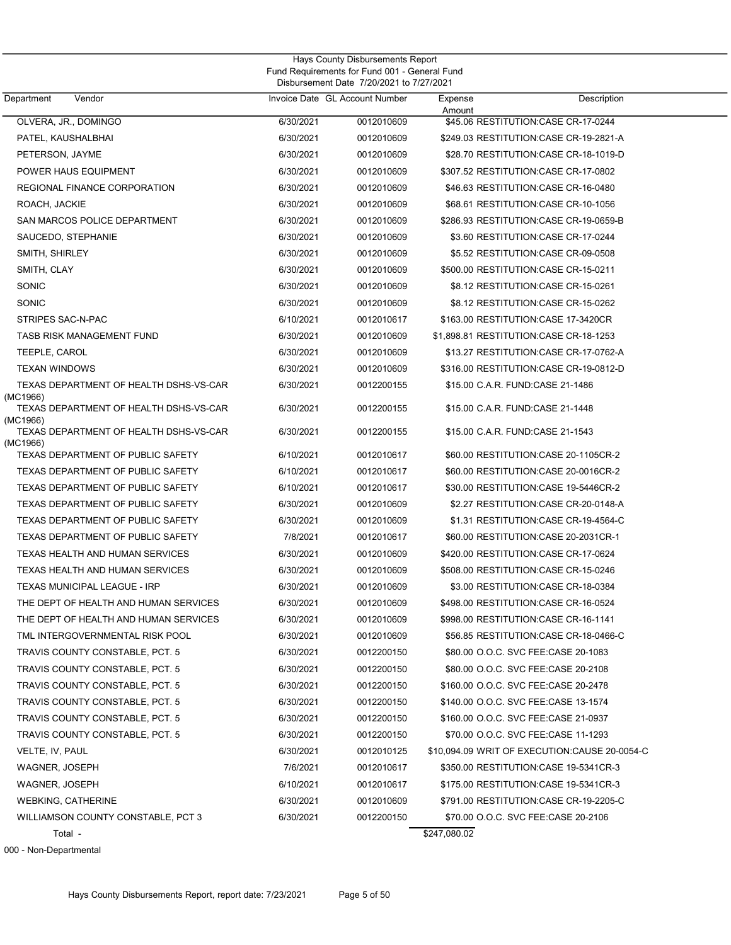| Department<br>Vendor                               |           | Invoice Date GL Account Number | Expense      | Description                                   |
|----------------------------------------------------|-----------|--------------------------------|--------------|-----------------------------------------------|
| OLVERA, JR., DOMINGO                               | 6/30/2021 | 0012010609                     | Amount       | \$45.06 RESTITUTION: CASE CR-17-0244          |
| PATEL, KAUSHALBHAI                                 | 6/30/2021 | 0012010609                     |              | \$249.03 RESTITUTION: CASE CR-19-2821-A       |
| PETERSON, JAYME                                    | 6/30/2021 | 0012010609                     |              | \$28.70 RESTITUTION: CASE CR-18-1019-D        |
| POWER HAUS EQUIPMENT                               | 6/30/2021 | 0012010609                     |              | \$307.52 RESTITUTION:CASE CR-17-0802          |
| REGIONAL FINANCE CORPORATION                       | 6/30/2021 | 0012010609                     |              | \$46.63 RESTITUTION: CASE CR-16-0480          |
| ROACH, JACKIE                                      | 6/30/2021 | 0012010609                     |              | \$68.61 RESTITUTION: CASE CR-10-1056          |
| SAN MARCOS POLICE DEPARTMENT                       | 6/30/2021 | 0012010609                     |              | \$286.93 RESTITUTION: CASE CR-19-0659-B       |
| SAUCEDO, STEPHANIE                                 | 6/30/2021 | 0012010609                     |              | \$3.60 RESTITUTION: CASE CR-17-0244           |
| SMITH, SHIRLEY                                     | 6/30/2021 | 0012010609                     |              | \$5.52 RESTITUTION: CASE CR-09-0508           |
| SMITH, CLAY                                        | 6/30/2021 | 0012010609                     |              | \$500.00 RESTITUTION: CASE CR-15-0211         |
| SONIC                                              | 6/30/2021 | 0012010609                     |              | \$8.12 RESTITUTION: CASE CR-15-0261           |
| SONIC                                              | 6/30/2021 | 0012010609                     |              | \$8.12 RESTITUTION: CASE CR-15-0262           |
| STRIPES SAC-N-PAC                                  | 6/10/2021 | 0012010617                     |              | \$163.00 RESTITUTION: CASE 17-3420CR          |
| TASB RISK MANAGEMENT FUND                          | 6/30/2021 | 0012010609                     |              | \$1,898.81 RESTITUTION:CASE CR-18-1253        |
| TEEPLE, CAROL                                      | 6/30/2021 | 0012010609                     |              | \$13.27 RESTITUTION: CASE CR-17-0762-A        |
| <b>TEXAN WINDOWS</b>                               | 6/30/2021 | 0012010609                     |              | \$316.00 RESTITUTION: CASE CR-19-0812-D       |
| TEXAS DEPARTMENT OF HEALTH DSHS-VS-CAR<br>(MC1966) | 6/30/2021 | 0012200155                     |              | \$15.00 C.A.R. FUND:CASE 21-1486              |
| TEXAS DEPARTMENT OF HEALTH DSHS-VS-CAR<br>(MC1966) | 6/30/2021 | 0012200155                     |              | \$15.00 C.A.R. FUND:CASE 21-1448              |
| TEXAS DEPARTMENT OF HEALTH DSHS-VS-CAR<br>(MC1966) | 6/30/2021 | 0012200155                     |              | \$15.00 C.A.R. FUND:CASE 21-1543              |
| TEXAS DEPARTMENT OF PUBLIC SAFETY                  | 6/10/2021 | 0012010617                     |              | \$60.00 RESTITUTION: CASE 20-1105CR-2         |
| TEXAS DEPARTMENT OF PUBLIC SAFETY                  | 6/10/2021 | 0012010617                     |              | \$60.00 RESTITUTION: CASE 20-0016 CR-2        |
| <b>TEXAS DEPARTMENT OF PUBLIC SAFETY</b>           | 6/10/2021 | 0012010617                     |              | \$30.00 RESTITUTION: CASE 19-5446CR-2         |
| <b>TEXAS DEPARTMENT OF PUBLIC SAFETY</b>           | 6/30/2021 | 0012010609                     |              | \$2.27 RESTITUTION: CASE CR-20-0148-A         |
| TEXAS DEPARTMENT OF PUBLIC SAFETY                  | 6/30/2021 | 0012010609                     |              | \$1.31 RESTITUTION: CASE CR-19-4564-C         |
| <b>TEXAS DEPARTMENT OF PUBLIC SAFETY</b>           | 7/8/2021  | 0012010617                     |              | \$60.00 RESTITUTION: CASE 20-2031 CR-1        |
| TEXAS HEALTH AND HUMAN SERVICES                    | 6/30/2021 | 0012010609                     |              | \$420.00 RESTITUTION: CASE CR-17-0624         |
| TEXAS HEALTH AND HUMAN SERVICES                    | 6/30/2021 | 0012010609                     |              | \$508.00 RESTITUTION: CASE CR-15-0246         |
| <b>TEXAS MUNICIPAL LEAGUE - IRP</b>                | 6/30/2021 | 0012010609                     |              | \$3.00 RESTITUTION: CASE CR-18-0384           |
| THE DEPT OF HEALTH AND HUMAN SERVICES              | 6/30/2021 | 0012010609                     |              | \$498.00 RESTITUTION: CASE CR-16-0524         |
| THE DEPT OF HEALTH AND HUMAN SERVICES              | 6/30/2021 | 0012010609                     |              | \$998.00 RESTITUTION: CASE CR-16-1141         |
| TML INTERGOVERNMENTAL RISK POOL                    | 6/30/2021 | 0012010609                     |              | \$56.85 RESTITUTION:CASE CR-18-0466-C         |
| TRAVIS COUNTY CONSTABLE, PCT. 5                    | 6/30/2021 | 0012200150                     |              | \$80.00 O.O.C. SVC FEE:CASE 20-1083           |
| TRAVIS COUNTY CONSTABLE, PCT. 5                    | 6/30/2021 | 0012200150                     |              | \$80.00 O.O.C. SVC FEE:CASE 20-2108           |
| TRAVIS COUNTY CONSTABLE, PCT. 5                    | 6/30/2021 | 0012200150                     |              | \$160.00 O.O.C. SVC FEE:CASE 20-2478          |
| TRAVIS COUNTY CONSTABLE, PCT. 5                    | 6/30/2021 | 0012200150                     |              | \$140.00 O.O.C. SVC FEE:CASE 13-1574          |
| TRAVIS COUNTY CONSTABLE, PCT. 5                    | 6/30/2021 | 0012200150                     |              | \$160.00 O.O.C. SVC FEE:CASE 21-0937          |
| TRAVIS COUNTY CONSTABLE, PCT. 5                    | 6/30/2021 | 0012200150                     |              | \$70.00 O.O.C. SVC FEE:CASE 11-1293           |
| VELTE, IV, PAUL                                    | 6/30/2021 | 0012010125                     |              | \$10,094.09 WRIT OF EXECUTION:CAUSE 20-0054-C |
| WAGNER, JOSEPH                                     | 7/6/2021  | 0012010617                     |              | \$350.00 RESTITUTION: CASE 19-5341 CR-3       |
| WAGNER, JOSEPH                                     | 6/10/2021 | 0012010617                     |              | \$175.00 RESTITUTION: CASE 19-5341 CR-3       |
| <b>WEBKING, CATHERINE</b>                          | 6/30/2021 | 0012010609                     |              | \$791.00 RESTITUTION:CASE CR-19-2205-C        |
| WILLIAMSON COUNTY CONSTABLE, PCT 3                 | 6/30/2021 | 0012200150                     |              | \$70.00 O.O.C. SVC FEE:CASE 20-2106           |
| Total -                                            |           |                                | \$247,080.02 |                                               |

000 - Non-Departmental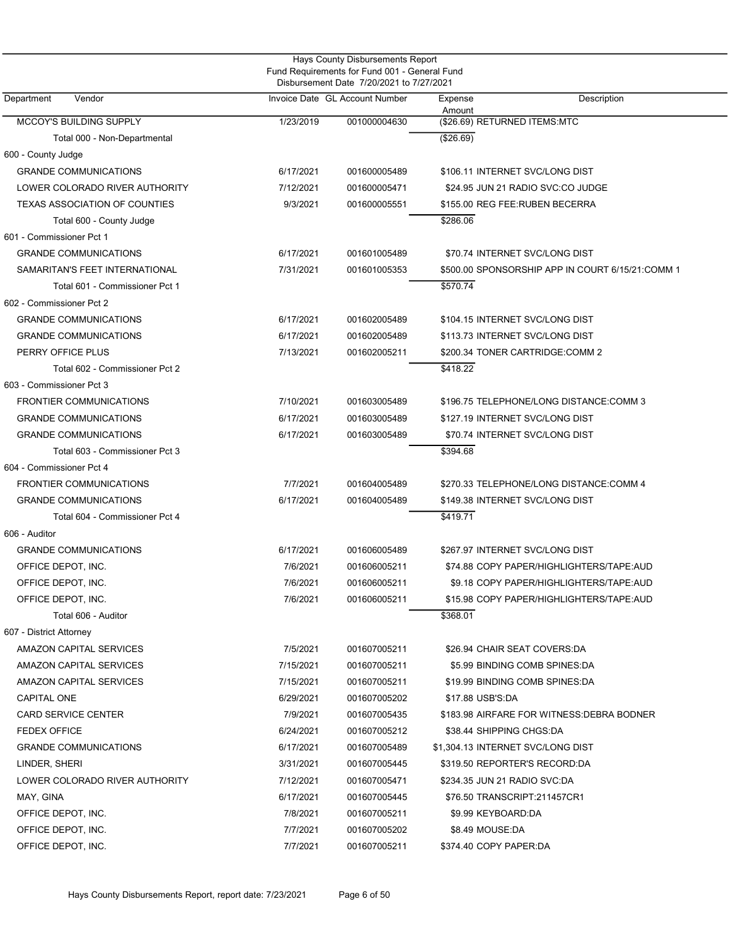| Hays County Disbursements Report<br>Fund Requirements for Fund 001 - General Fund<br>Disbursement Date 7/20/2021 to 7/27/2021 |           |                                |                                                  |  |  |  |
|-------------------------------------------------------------------------------------------------------------------------------|-----------|--------------------------------|--------------------------------------------------|--|--|--|
| Vendor<br>Department                                                                                                          |           | Invoice Date GL Account Number | Description<br>Expense<br>Amount                 |  |  |  |
| MCCOY'S BUILDING SUPPLY                                                                                                       | 1/23/2019 | 001000004630                   | (\$26.69) RETURNED ITEMS:MTC                     |  |  |  |
| Total 000 - Non-Departmental                                                                                                  |           |                                | (\$26.69)                                        |  |  |  |
| 600 - County Judge                                                                                                            |           |                                |                                                  |  |  |  |
| <b>GRANDE COMMUNICATIONS</b>                                                                                                  | 6/17/2021 | 001600005489                   | \$106.11 INTERNET SVC/LONG DIST                  |  |  |  |
| LOWER COLORADO RIVER AUTHORITY                                                                                                | 7/12/2021 | 001600005471                   | \$24.95 JUN 21 RADIO SVC:CO JUDGE                |  |  |  |
| <b>TEXAS ASSOCIATION OF COUNTIES</b>                                                                                          | 9/3/2021  | 001600005551                   | \$155.00 REG FEE: RUBEN BECERRA                  |  |  |  |
| Total 600 - County Judge                                                                                                      |           |                                | \$286.06                                         |  |  |  |
| 601 - Commissioner Pct 1                                                                                                      |           |                                |                                                  |  |  |  |
| <b>GRANDE COMMUNICATIONS</b>                                                                                                  | 6/17/2021 | 001601005489                   | \$70.74 INTERNET SVC/LONG DIST                   |  |  |  |
| SAMARITAN'S FEET INTERNATIONAL                                                                                                | 7/31/2021 | 001601005353                   | \$500.00 SPONSORSHIP APP IN COURT 6/15/21:COMM 1 |  |  |  |
| Total 601 - Commissioner Pct 1                                                                                                |           |                                | \$570.74                                         |  |  |  |
| 602 - Commissioner Pct 2                                                                                                      |           |                                |                                                  |  |  |  |
| <b>GRANDE COMMUNICATIONS</b>                                                                                                  | 6/17/2021 | 001602005489                   | \$104.15 INTERNET SVC/LONG DIST                  |  |  |  |
| <b>GRANDE COMMUNICATIONS</b>                                                                                                  | 6/17/2021 | 001602005489                   | \$113.73 INTERNET SVC/LONG DIST                  |  |  |  |
| PERRY OFFICE PLUS                                                                                                             | 7/13/2021 | 001602005211                   | \$200.34 TONER CARTRIDGE:COMM 2                  |  |  |  |
| Total 602 - Commissioner Pct 2                                                                                                |           |                                | \$418.22                                         |  |  |  |
| 603 - Commissioner Pct 3                                                                                                      |           |                                |                                                  |  |  |  |
| <b>FRONTIER COMMUNICATIONS</b>                                                                                                | 7/10/2021 | 001603005489                   | \$196.75 TELEPHONE/LONG DISTANCE:COMM 3          |  |  |  |
| <b>GRANDE COMMUNICATIONS</b>                                                                                                  | 6/17/2021 | 001603005489                   | \$127.19 INTERNET SVC/LONG DIST                  |  |  |  |
| <b>GRANDE COMMUNICATIONS</b>                                                                                                  | 6/17/2021 | 001603005489                   | \$70.74 INTERNET SVC/LONG DIST                   |  |  |  |
| Total 603 - Commissioner Pct 3                                                                                                |           |                                | \$394.68                                         |  |  |  |
| 604 - Commissioner Pct 4                                                                                                      |           |                                |                                                  |  |  |  |
| <b>FRONTIER COMMUNICATIONS</b>                                                                                                | 7/7/2021  | 001604005489                   | \$270.33 TELEPHONE/LONG DISTANCE:COMM 4          |  |  |  |
| <b>GRANDE COMMUNICATIONS</b>                                                                                                  | 6/17/2021 | 001604005489                   | \$149.38 INTERNET SVC/LONG DIST                  |  |  |  |
| Total 604 - Commissioner Pct 4                                                                                                |           |                                | \$419.71                                         |  |  |  |
| 606 - Auditor                                                                                                                 |           |                                |                                                  |  |  |  |
| <b>GRANDE COMMUNICATIONS</b>                                                                                                  | 6/17/2021 | 001606005489                   | \$267.97 INTERNET SVC/LONG DIST                  |  |  |  |
| OFFICE DEPOT, INC.                                                                                                            | 7/6/2021  | 001606005211                   | \$74.88 COPY PAPER/HIGHLIGHTERS/TAPE:AUD         |  |  |  |
| OFFICE DEPOT, INC.                                                                                                            | 7/6/2021  | 001606005211                   | \$9.18 COPY PAPER/HIGHLIGHTERS/TAPE:AUD          |  |  |  |
| OFFICE DEPOT, INC.                                                                                                            | 7/6/2021  | 001606005211                   | \$15.98 COPY PAPER/HIGHLIGHTERS/TAPE:AUD         |  |  |  |
| Total 606 - Auditor                                                                                                           |           |                                | \$368.01                                         |  |  |  |
| 607 - District Attorney                                                                                                       |           |                                |                                                  |  |  |  |
| AMAZON CAPITAL SERVICES                                                                                                       | 7/5/2021  | 001607005211                   | \$26.94 CHAIR SEAT COVERS:DA                     |  |  |  |
| AMAZON CAPITAL SERVICES                                                                                                       | 7/15/2021 | 001607005211                   | \$5.99 BINDING COMB SPINES:DA                    |  |  |  |
| AMAZON CAPITAL SERVICES                                                                                                       | 7/15/2021 | 001607005211                   | \$19.99 BINDING COMB SPINES:DA                   |  |  |  |
| <b>CAPITAL ONE</b>                                                                                                            | 6/29/2021 | 001607005202                   | \$17.88 USB'S:DA                                 |  |  |  |
| <b>CARD SERVICE CENTER</b>                                                                                                    | 7/9/2021  | 001607005435                   | \$183.98 AIRFARE FOR WITNESS: DEBRA BODNER       |  |  |  |
| <b>FEDEX OFFICE</b>                                                                                                           | 6/24/2021 | 001607005212                   | \$38.44 SHIPPING CHGS:DA                         |  |  |  |
| <b>GRANDE COMMUNICATIONS</b>                                                                                                  | 6/17/2021 | 001607005489                   | \$1,304.13 INTERNET SVC/LONG DIST                |  |  |  |
| LINDER, SHERI                                                                                                                 | 3/31/2021 | 001607005445                   | \$319.50 REPORTER'S RECORD:DA                    |  |  |  |
| LOWER COLORADO RIVER AUTHORITY                                                                                                | 7/12/2021 | 001607005471                   | \$234.35 JUN 21 RADIO SVC:DA                     |  |  |  |
| MAY, GINA                                                                                                                     | 6/17/2021 | 001607005445                   | \$76.50 TRANSCRIPT:211457CR1                     |  |  |  |
| OFFICE DEPOT, INC.                                                                                                            | 7/8/2021  | 001607005211                   | \$9.99 KEYBOARD:DA                               |  |  |  |
| OFFICE DEPOT, INC.                                                                                                            | 7/7/2021  | 001607005202                   | \$8.49 MOUSE:DA                                  |  |  |  |
| OFFICE DEPOT, INC.                                                                                                            | 7/7/2021  | 001607005211                   | \$374.40 COPY PAPER:DA                           |  |  |  |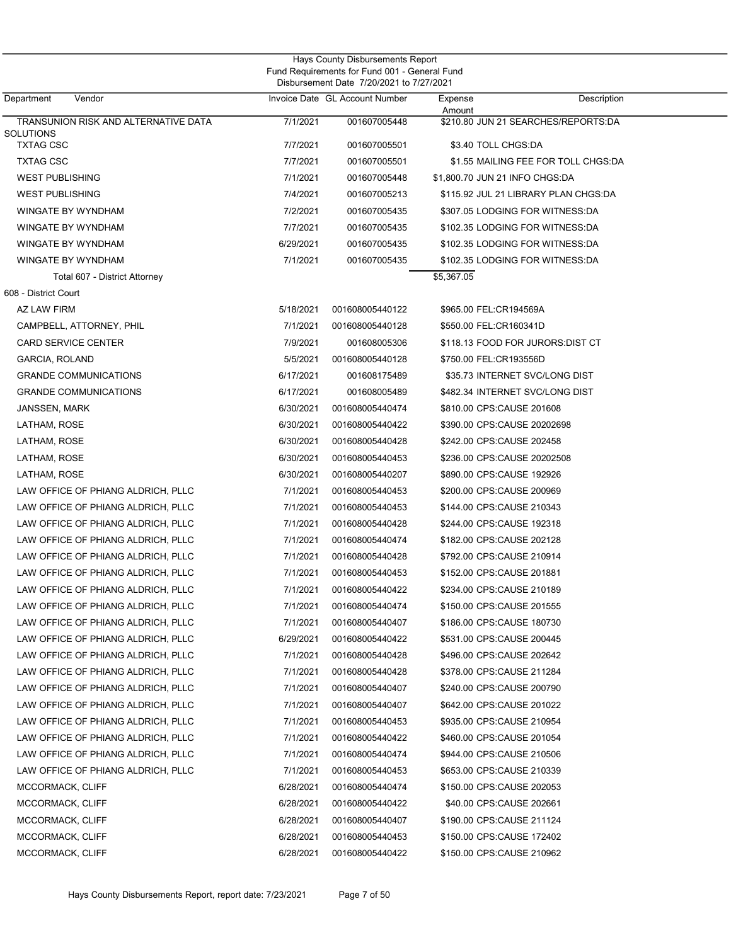|                                      |           | <b>Hays County Disbursements Report</b><br>Fund Requirements for Fund 001 - General Fund<br>Disbursement Date 7/20/2021 to 7/27/2021 |            |                                      |  |
|--------------------------------------|-----------|--------------------------------------------------------------------------------------------------------------------------------------|------------|--------------------------------------|--|
| Department<br>Vendor                 |           | Invoice Date GL Account Number                                                                                                       | Expense    | Description                          |  |
| TRANSUNION RISK AND ALTERNATIVE DATA | 7/1/2021  | 001607005448                                                                                                                         | Amount     | \$210.80 JUN 21 SEARCHES/REPORTS:DA  |  |
| SOLUTIONS<br><b>TXTAG CSC</b>        | 7/7/2021  | 001607005501                                                                                                                         |            | \$3.40 TOLL CHGS:DA                  |  |
| <b>TXTAG CSC</b>                     | 7/7/2021  | 001607005501                                                                                                                         |            | \$1.55 MAILING FEE FOR TOLL CHGS:DA  |  |
| <b>WEST PUBLISHING</b>               | 7/1/2021  | 001607005448                                                                                                                         |            | \$1,800.70 JUN 21 INFO CHGS:DA       |  |
| <b>WEST PUBLISHING</b>               | 7/4/2021  | 001607005213                                                                                                                         |            | \$115.92 JUL 21 LIBRARY PLAN CHGS:DA |  |
| <b>WINGATE BY WYNDHAM</b>            | 7/2/2021  | 001607005435                                                                                                                         |            | \$307.05 LODGING FOR WITNESS:DA      |  |
| WINGATE BY WYNDHAM                   | 7/7/2021  | 001607005435                                                                                                                         |            | \$102.35 LODGING FOR WITNESS:DA      |  |
| WINGATE BY WYNDHAM                   | 6/29/2021 | 001607005435                                                                                                                         |            | \$102.35 LODGING FOR WITNESS:DA      |  |
| WINGATE BY WYNDHAM                   | 7/1/2021  | 001607005435                                                                                                                         |            | \$102.35 LODGING FOR WITNESS:DA      |  |
| Total 607 - District Attorney        |           |                                                                                                                                      | \$5,367.05 |                                      |  |
| 608 - District Court                 |           |                                                                                                                                      |            |                                      |  |
| AZ LAW FIRM                          | 5/18/2021 | 001608005440122                                                                                                                      |            | \$965.00 FEL:CR194569A               |  |
| CAMPBELL, ATTORNEY, PHIL             | 7/1/2021  | 001608005440128                                                                                                                      |            | \$550.00 FEL:CR160341D               |  |
| <b>CARD SERVICE CENTER</b>           | 7/9/2021  | 001608005306                                                                                                                         |            | \$118.13 FOOD FOR JURORS:DIST CT     |  |
| GARCIA, ROLAND                       | 5/5/2021  | 001608005440128                                                                                                                      |            | \$750.00 FEL:CR193556D               |  |
| <b>GRANDE COMMUNICATIONS</b>         | 6/17/2021 | 001608175489                                                                                                                         |            | \$35.73 INTERNET SVC/LONG DIST       |  |
| <b>GRANDE COMMUNICATIONS</b>         | 6/17/2021 | 001608005489                                                                                                                         |            | \$482.34 INTERNET SVC/LONG DIST      |  |
| <b>JANSSEN, MARK</b>                 | 6/30/2021 | 001608005440474                                                                                                                      |            | \$810.00 CPS:CAUSE 201608            |  |
| LATHAM, ROSE                         | 6/30/2021 | 001608005440422                                                                                                                      |            | \$390.00 CPS:CAUSE 20202698          |  |
| LATHAM, ROSE                         | 6/30/2021 | 001608005440428                                                                                                                      |            | \$242.00 CPS:CAUSE 202458            |  |
| LATHAM, ROSE                         | 6/30/2021 | 001608005440453                                                                                                                      |            | \$236.00 CPS:CAUSE 20202508          |  |
| LATHAM, ROSE                         | 6/30/2021 | 001608005440207                                                                                                                      |            | \$890.00 CPS:CAUSE 192926            |  |
| LAW OFFICE OF PHIANG ALDRICH, PLLC   | 7/1/2021  | 001608005440453                                                                                                                      |            | \$200.00 CPS:CAUSE 200969            |  |
| LAW OFFICE OF PHIANG ALDRICH, PLLC   | 7/1/2021  | 001608005440453                                                                                                                      |            | \$144.00 CPS:CAUSE 210343            |  |
| LAW OFFICE OF PHIANG ALDRICH, PLLC   | 7/1/2021  | 001608005440428                                                                                                                      |            | \$244.00 CPS:CAUSE 192318            |  |
| LAW OFFICE OF PHIANG ALDRICH, PLLC   | 7/1/2021  | 001608005440474                                                                                                                      |            | \$182.00 CPS:CAUSE 202128            |  |
| LAW OFFICE OF PHIANG ALDRICH, PLLC   | 7/1/2021  | 001608005440428                                                                                                                      |            | \$792.00 CPS:CAUSE 210914            |  |
| LAW OFFICE OF PHIANG ALDRICH, PLLC   | 7/1/2021  | 001608005440453                                                                                                                      |            | \$152.00 CPS:CAUSE 201881            |  |
| LAW OFFICE OF PHIANG ALDRICH, PLLC   | 7/1/2021  | 001608005440422                                                                                                                      |            | \$234.00 CPS:CAUSE 210189            |  |
| LAW OFFICE OF PHIANG ALDRICH, PLLC   | 7/1/2021  | 001608005440474                                                                                                                      |            | \$150.00 CPS:CAUSE 201555            |  |
| LAW OFFICE OF PHIANG ALDRICH. PLLC   | 7/1/2021  | 001608005440407                                                                                                                      |            | \$186.00 CPS:CAUSE 180730            |  |
| LAW OFFICE OF PHIANG ALDRICH, PLLC   | 6/29/2021 | 001608005440422                                                                                                                      |            | \$531.00 CPS:CAUSE 200445            |  |
| LAW OFFICE OF PHIANG ALDRICH, PLLC   | 7/1/2021  | 001608005440428                                                                                                                      |            | \$496.00 CPS:CAUSE 202642            |  |
| LAW OFFICE OF PHIANG ALDRICH, PLLC   | 7/1/2021  | 001608005440428                                                                                                                      |            | \$378.00 CPS:CAUSE 211284            |  |
| LAW OFFICE OF PHIANG ALDRICH, PLLC   | 7/1/2021  | 001608005440407                                                                                                                      |            | \$240.00 CPS:CAUSE 200790            |  |
| LAW OFFICE OF PHIANG ALDRICH, PLLC   | 7/1/2021  | 001608005440407                                                                                                                      |            | \$642.00 CPS:CAUSE 201022            |  |
| LAW OFFICE OF PHIANG ALDRICH, PLLC   | 7/1/2021  | 001608005440453                                                                                                                      |            | \$935.00 CPS:CAUSE 210954            |  |
| LAW OFFICE OF PHIANG ALDRICH, PLLC   | 7/1/2021  | 001608005440422                                                                                                                      |            | \$460.00 CPS:CAUSE 201054            |  |
| LAW OFFICE OF PHIANG ALDRICH, PLLC   | 7/1/2021  | 001608005440474                                                                                                                      |            | \$944.00 CPS:CAUSE 210506            |  |
| LAW OFFICE OF PHIANG ALDRICH, PLLC   | 7/1/2021  | 001608005440453                                                                                                                      |            | \$653.00 CPS:CAUSE 210339            |  |
| MCCORMACK, CLIFF                     | 6/28/2021 | 001608005440474                                                                                                                      |            | \$150.00 CPS:CAUSE 202053            |  |
| MCCORMACK, CLIFF                     | 6/28/2021 | 001608005440422                                                                                                                      |            | \$40.00 CPS:CAUSE 202661             |  |
| MCCORMACK, CLIFF                     | 6/28/2021 | 001608005440407                                                                                                                      |            | \$190.00 CPS:CAUSE 211124            |  |
| MCCORMACK, CLIFF                     | 6/28/2021 | 001608005440453                                                                                                                      |            | \$150.00 CPS:CAUSE 172402            |  |
| MCCORMACK, CLIFF                     | 6/28/2021 | 001608005440422                                                                                                                      |            | \$150.00 CPS:CAUSE 210962            |  |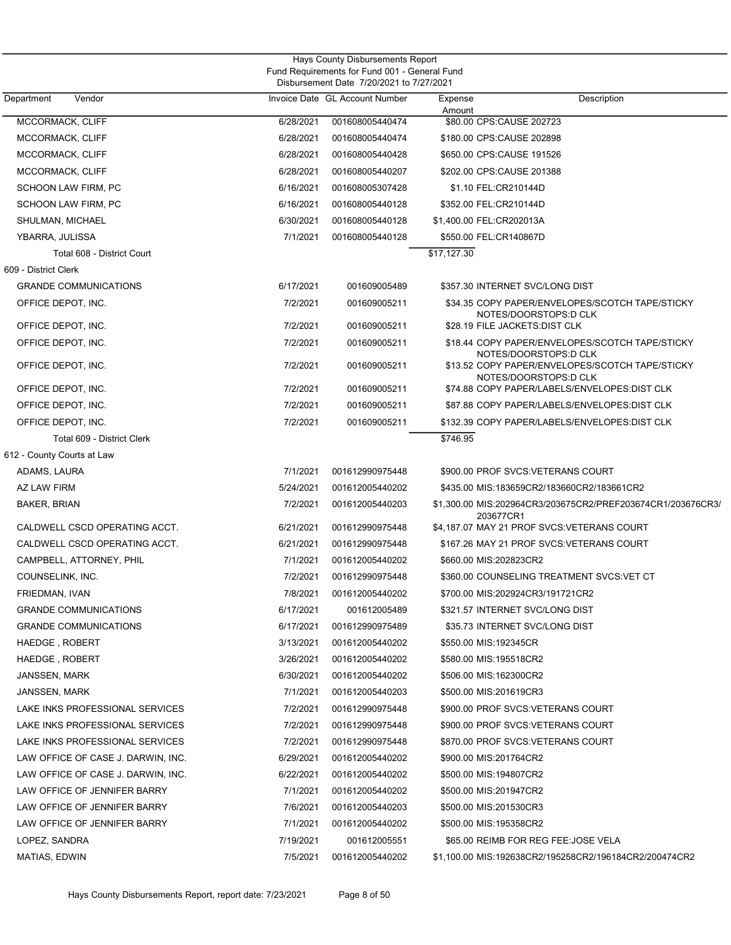| Hays County Disbursements Report<br>Fund Requirements for Fund 001 - General Fund<br>Disbursement Date 7/20/2021 to 7/27/2021 |           |                                |                                                                          |  |  |  |
|-------------------------------------------------------------------------------------------------------------------------------|-----------|--------------------------------|--------------------------------------------------------------------------|--|--|--|
| Department<br>Vendor                                                                                                          |           | Invoice Date GL Account Number | Expense<br>Description<br>Amount                                         |  |  |  |
| MCCORMACK, CLIFF                                                                                                              | 6/28/2021 | 001608005440474                | \$80.00 CPS:CAUSE 202723                                                 |  |  |  |
| MCCORMACK, CLIFF                                                                                                              | 6/28/2021 | 001608005440474                | \$180.00 CPS:CAUSE 202898                                                |  |  |  |
| MCCORMACK, CLIFF                                                                                                              | 6/28/2021 | 001608005440428                | \$650.00 CPS:CAUSE 191526                                                |  |  |  |
| MCCORMACK, CLIFF                                                                                                              | 6/28/2021 | 001608005440207                | \$202.00 CPS:CAUSE 201388                                                |  |  |  |
| SCHOON LAW FIRM, PC                                                                                                           | 6/16/2021 | 001608005307428                | \$1.10 FEL:CR210144D                                                     |  |  |  |
| SCHOON LAW FIRM, PC                                                                                                           | 6/16/2021 | 001608005440128                | \$352.00 FEL:CR210144D                                                   |  |  |  |
| SHULMAN, MICHAEL                                                                                                              | 6/30/2021 | 001608005440128                | \$1,400.00 FEL:CR202013A                                                 |  |  |  |
| YBARRA, JULISSA                                                                                                               | 7/1/2021  | 001608005440128                | \$550.00 FEL:CR140867D                                                   |  |  |  |
| Total 608 - District Court                                                                                                    |           |                                | \$17,127.30                                                              |  |  |  |
| 609 - District Clerk                                                                                                          |           |                                |                                                                          |  |  |  |
| <b>GRANDE COMMUNICATIONS</b>                                                                                                  | 6/17/2021 | 001609005489                   | \$357.30 INTERNET SVC/LONG DIST                                          |  |  |  |
| OFFICE DEPOT, INC.                                                                                                            | 7/2/2021  | 001609005211                   | \$34.35 COPY PAPER/ENVELOPES/SCOTCH TAPE/STICKY<br>NOTES/DOORSTOPS:D CLK |  |  |  |
| OFFICE DEPOT, INC.                                                                                                            | 7/2/2021  | 001609005211                   | \$28.19 FILE JACKETS: DIST CLK                                           |  |  |  |
| OFFICE DEPOT, INC.                                                                                                            | 7/2/2021  | 001609005211                   | \$18.44 COPY PAPER/ENVELOPES/SCOTCH TAPE/STICKY<br>NOTES/DOORSTOPS:D CLK |  |  |  |
| OFFICE DEPOT, INC.                                                                                                            | 7/2/2021  | 001609005211                   | \$13.52 COPY PAPER/ENVELOPES/SCOTCH TAPE/STICKY<br>NOTES/DOORSTOPS:D CLK |  |  |  |
| OFFICE DEPOT, INC.                                                                                                            | 7/2/2021  | 001609005211                   | \$74.88 COPY PAPER/LABELS/ENVELOPES:DIST CLK                             |  |  |  |
| OFFICE DEPOT, INC.                                                                                                            | 7/2/2021  | 001609005211                   | \$87.88 COPY PAPER/LABELS/ENVELOPES:DIST CLK                             |  |  |  |
| OFFICE DEPOT, INC.                                                                                                            | 7/2/2021  | 001609005211                   | \$132.39 COPY PAPER/LABELS/ENVELOPES:DIST CLK                            |  |  |  |
| Total 609 - District Clerk                                                                                                    |           |                                | \$746.95                                                                 |  |  |  |
| 612 - County Courts at Law                                                                                                    |           |                                |                                                                          |  |  |  |
| ADAMS, LAURA                                                                                                                  | 7/1/2021  | 001612990975448                | \$900.00 PROF SVCS:VETERANS COURT                                        |  |  |  |
| AZ LAW FIRM                                                                                                                   | 5/24/2021 | 001612005440202                | \$435.00 MIS:183659CR2/183660CR2/183661CR2                               |  |  |  |
| <b>BAKER, BRIAN</b>                                                                                                           | 7/2/2021  | 001612005440203                | \$1,300.00 MIS:202964CR3/203675CR2/PREF203674CR1/203676CR3/<br>203677CR1 |  |  |  |
| CALDWELL CSCD OPERATING ACCT.                                                                                                 | 6/21/2021 | 001612990975448                | \$4,187.07 MAY 21 PROF SVCS: VETERANS COURT                              |  |  |  |
| CALDWELL CSCD OPERATING ACCT.                                                                                                 | 6/21/2021 | 001612990975448                | \$167.26 MAY 21 PROF SVCS: VETERANS COURT                                |  |  |  |
| CAMPBELL, ATTORNEY, PHIL                                                                                                      | 7/1/2021  | 001612005440202                | \$660.00 MIS:202823CR2                                                   |  |  |  |
| COUNSELINK, INC.                                                                                                              | 7/2/2021  | 001612990975448                | \$360.00 COUNSELING TREATMENT SVCS:VET CT                                |  |  |  |
| FRIEDMAN, IVAN                                                                                                                | 7/8/2021  | 001612005440202                | \$700.00 MIS:202924CR3/191721CR2                                         |  |  |  |
| <b>GRANDE COMMUNICATIONS</b>                                                                                                  | 6/17/2021 | 001612005489                   | \$321.57 INTERNET SVC/LONG DIST                                          |  |  |  |
| <b>GRANDE COMMUNICATIONS</b>                                                                                                  | 6/17/2021 | 001612990975489                | \$35.73 INTERNET SVC/LONG DIST                                           |  |  |  |
| HAEDGE, ROBERT                                                                                                                | 3/13/2021 | 001612005440202                | \$550.00 MIS:192345CR                                                    |  |  |  |
| HAEDGE, ROBERT                                                                                                                | 3/26/2021 | 001612005440202                | \$580.00 MIS:195518CR2                                                   |  |  |  |
| JANSSEN, MARK                                                                                                                 | 6/30/2021 | 001612005440202                | \$506.00 MIS:162300CR2                                                   |  |  |  |
| JANSSEN, MARK                                                                                                                 | 7/1/2021  | 001612005440203                | \$500.00 MIS:201619CR3                                                   |  |  |  |
| LAKE INKS PROFESSIONAL SERVICES                                                                                               | 7/2/2021  | 001612990975448                | \$900.00 PROF SVCS:VETERANS COURT                                        |  |  |  |
| LAKE INKS PROFESSIONAL SERVICES                                                                                               | 7/2/2021  | 001612990975448                | \$900.00 PROF SVCS:VETERANS COURT                                        |  |  |  |
| LAKE INKS PROFESSIONAL SERVICES                                                                                               | 7/2/2021  | 001612990975448                | \$870.00 PROF SVCS:VETERANS COURT                                        |  |  |  |
| LAW OFFICE OF CASE J. DARWIN, INC.                                                                                            | 6/29/2021 | 001612005440202                | \$900.00 MIS:201764CR2                                                   |  |  |  |
| LAW OFFICE OF CASE J. DARWIN, INC.                                                                                            | 6/22/2021 | 001612005440202                | \$500.00 MIS:194807CR2                                                   |  |  |  |
| LAW OFFICE OF JENNIFER BARRY                                                                                                  | 7/1/2021  | 001612005440202                | \$500.00 MIS:201947CR2                                                   |  |  |  |
| LAW OFFICE OF JENNIFER BARRY                                                                                                  | 7/6/2021  | 001612005440203                | \$500.00 MIS:201530CR3                                                   |  |  |  |
| LAW OFFICE OF JENNIFER BARRY                                                                                                  | 7/1/2021  | 001612005440202                | \$500.00 MIS:195358CR2                                                   |  |  |  |
| LOPEZ, SANDRA                                                                                                                 | 7/19/2021 | 001612005551                   | \$65.00 REIMB FOR REG FEE: JOSE VELA                                     |  |  |  |
| MATIAS, EDWIN                                                                                                                 | 7/5/2021  | 001612005440202                | \$1,100.00 MIS:192638CR2/195258CR2/196184CR2/200474CR2                   |  |  |  |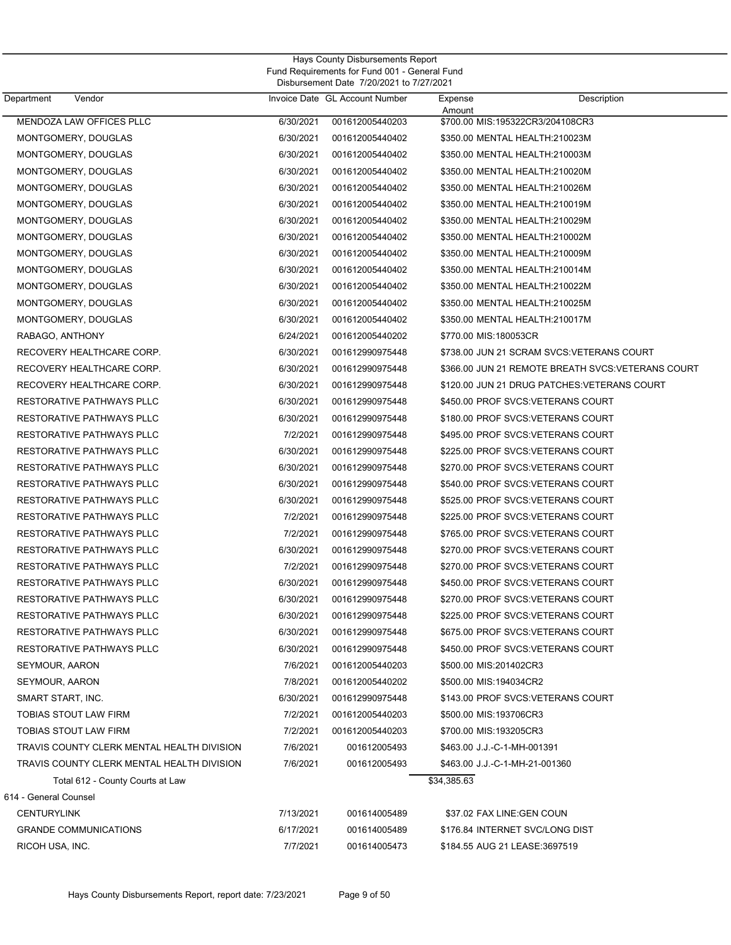| Hays County Disbursements Report<br>Fund Requirements for Fund 001 - General Fund<br>Disbursement Date 7/20/2021 to 7/27/2021 |           |                                |                   |                                                   |  |  |
|-------------------------------------------------------------------------------------------------------------------------------|-----------|--------------------------------|-------------------|---------------------------------------------------|--|--|
| Department<br>Vendor                                                                                                          |           | Invoice Date GL Account Number | Expense<br>Amount | Description                                       |  |  |
| MENDOZA LAW OFFICES PLLC                                                                                                      | 6/30/2021 | 001612005440203                |                   | \$700.00 MIS:195322CR3/204108CR3                  |  |  |
| MONTGOMERY, DOUGLAS                                                                                                           | 6/30/2021 | 001612005440402                |                   | \$350.00 MENTAL HEALTH:210023M                    |  |  |
| MONTGOMERY, DOUGLAS                                                                                                           | 6/30/2021 | 001612005440402                |                   | \$350.00 MENTAL HEALTH:210003M                    |  |  |
| MONTGOMERY, DOUGLAS                                                                                                           | 6/30/2021 | 001612005440402                |                   | \$350.00 MENTAL HEALTH:210020M                    |  |  |
| MONTGOMERY, DOUGLAS                                                                                                           | 6/30/2021 | 001612005440402                |                   | \$350.00 MENTAL HEALTH:210026M                    |  |  |
| MONTGOMERY, DOUGLAS                                                                                                           | 6/30/2021 | 001612005440402                |                   | \$350.00 MENTAL HEALTH:210019M                    |  |  |
| MONTGOMERY, DOUGLAS                                                                                                           | 6/30/2021 | 001612005440402                |                   | \$350.00 MENTAL HEALTH:210029M                    |  |  |
| MONTGOMERY, DOUGLAS                                                                                                           | 6/30/2021 | 001612005440402                |                   | \$350.00 MENTAL HEALTH:210002M                    |  |  |
| MONTGOMERY, DOUGLAS                                                                                                           | 6/30/2021 | 001612005440402                |                   | \$350.00 MENTAL HEALTH:210009M                    |  |  |
| MONTGOMERY, DOUGLAS                                                                                                           | 6/30/2021 | 001612005440402                |                   | \$350.00 MENTAL HEALTH:210014M                    |  |  |
| MONTGOMERY, DOUGLAS                                                                                                           | 6/30/2021 | 001612005440402                |                   | \$350.00 MENTAL HEALTH:210022M                    |  |  |
| MONTGOMERY, DOUGLAS                                                                                                           | 6/30/2021 | 001612005440402                |                   | \$350.00 MENTAL HEALTH:210025M                    |  |  |
| MONTGOMERY, DOUGLAS                                                                                                           | 6/30/2021 | 001612005440402                |                   | \$350.00 MENTAL HEALTH:210017M                    |  |  |
| RABAGO, ANTHONY                                                                                                               | 6/24/2021 | 001612005440202                |                   | \$770.00 MIS:180053CR                             |  |  |
| RECOVERY HEALTHCARE CORP.                                                                                                     | 6/30/2021 | 001612990975448                |                   | \$738.00 JUN 21 SCRAM SVCS: VETERANS COURT        |  |  |
| RECOVERY HEALTHCARE CORP.                                                                                                     | 6/30/2021 | 001612990975448                |                   | \$366.00 JUN 21 REMOTE BREATH SVCS:VETERANS COURT |  |  |
| RECOVERY HEALTHCARE CORP.                                                                                                     | 6/30/2021 | 001612990975448                |                   | \$120.00 JUN 21 DRUG PATCHES: VETERANS COURT      |  |  |
| RESTORATIVE PATHWAYS PLLC                                                                                                     | 6/30/2021 | 001612990975448                |                   | \$450.00 PROF SVCS: VETERANS COURT                |  |  |
| RESTORATIVE PATHWAYS PLLC                                                                                                     | 6/30/2021 | 001612990975448                |                   | \$180.00 PROF SVCS: VETERANS COURT                |  |  |
| RESTORATIVE PATHWAYS PLLC                                                                                                     | 7/2/2021  | 001612990975448                |                   | \$495.00 PROF SVCS: VETERANS COURT                |  |  |
| RESTORATIVE PATHWAYS PLLC                                                                                                     | 6/30/2021 | 001612990975448                |                   | \$225.00 PROF SVCS:VETERANS COURT                 |  |  |
| RESTORATIVE PATHWAYS PLLC                                                                                                     | 6/30/2021 | 001612990975448                |                   | \$270.00 PROF SVCS:VETERANS COURT                 |  |  |
| RESTORATIVE PATHWAYS PLLC                                                                                                     | 6/30/2021 | 001612990975448                |                   | \$540.00 PROF SVCS: VETERANS COURT                |  |  |
| RESTORATIVE PATHWAYS PLLC                                                                                                     | 6/30/2021 | 001612990975448                |                   | \$525.00 PROF SVCS: VETERANS COURT                |  |  |
| RESTORATIVE PATHWAYS PLLC                                                                                                     | 7/2/2021  | 001612990975448                |                   | \$225.00 PROF SVCS:VETERANS COURT                 |  |  |
| <b>RESTORATIVE PATHWAYS PLLC</b>                                                                                              | 7/2/2021  | 001612990975448                |                   | \$765.00 PROF SVCS: VETERANS COURT                |  |  |
| RESTORATIVE PATHWAYS PLLC                                                                                                     | 6/30/2021 | 001612990975448                |                   | \$270.00 PROF SVCS:VETERANS COURT                 |  |  |
| <b>RESTORATIVE PATHWAYS PLLC</b>                                                                                              | 7/2/2021  | 001612990975448                |                   | \$270.00 PROF SVCS:VETERANS COURT                 |  |  |
| RESTORATIVE PATHWAYS PLLC                                                                                                     | 6/30/2021 | 001612990975448                |                   | \$450.00 PROF SVCS:VETERANS COURT                 |  |  |
| RESTORATIVE PATHWAYS PLLC                                                                                                     | 6/30/2021 | 001612990975448                |                   | \$270.00 PROF SVCS:VETERANS COURT                 |  |  |
| RESTORATIVE PATHWAYS PLLC                                                                                                     | 6/30/2021 | 001612990975448                |                   | \$225.00 PROF SVCS:VETERANS COURT                 |  |  |
| RESTORATIVE PATHWAYS PLLC                                                                                                     | 6/30/2021 | 001612990975448                |                   | \$675.00 PROF SVCS:VETERANS COURT                 |  |  |
| RESTORATIVE PATHWAYS PLLC                                                                                                     | 6/30/2021 | 001612990975448                |                   | \$450.00 PROF SVCS:VETERANS COURT                 |  |  |
| SEYMOUR, AARON                                                                                                                | 7/6/2021  | 001612005440203                |                   | \$500.00 MIS:201402CR3                            |  |  |
| SEYMOUR, AARON                                                                                                                | 7/8/2021  | 001612005440202                |                   | \$500.00 MIS:194034CR2                            |  |  |
| SMART START, INC.                                                                                                             | 6/30/2021 | 001612990975448                |                   | \$143.00 PROF SVCS:VETERANS COURT                 |  |  |
| <b>TOBIAS STOUT LAW FIRM</b>                                                                                                  | 7/2/2021  | 001612005440203                |                   | \$500.00 MIS:193706CR3                            |  |  |
| TOBIAS STOUT LAW FIRM                                                                                                         | 7/2/2021  | 001612005440203                |                   | \$700.00 MIS:193205CR3                            |  |  |
| TRAVIS COUNTY CLERK MENTAL HEALTH DIVISION                                                                                    | 7/6/2021  | 001612005493                   |                   | \$463.00 J.J.-C-1-MH-001391                       |  |  |
| TRAVIS COUNTY CLERK MENTAL HEALTH DIVISION                                                                                    | 7/6/2021  | 001612005493                   |                   | \$463.00 J.J.-C-1-MH-21-001360                    |  |  |
| Total 612 - County Courts at Law                                                                                              |           |                                | \$34,385.63       |                                                   |  |  |
| 614 - General Counsel                                                                                                         |           |                                |                   |                                                   |  |  |
| <b>CENTURYLINK</b>                                                                                                            | 7/13/2021 | 001614005489                   |                   | \$37.02 FAX LINE: GEN COUN                        |  |  |
| <b>GRANDE COMMUNICATIONS</b>                                                                                                  | 6/17/2021 | 001614005489                   |                   | \$176.84 INTERNET SVC/LONG DIST                   |  |  |
| RICOH USA, INC.                                                                                                               | 7/7/2021  | 001614005473                   |                   | \$184.55 AUG 21 LEASE:3697519                     |  |  |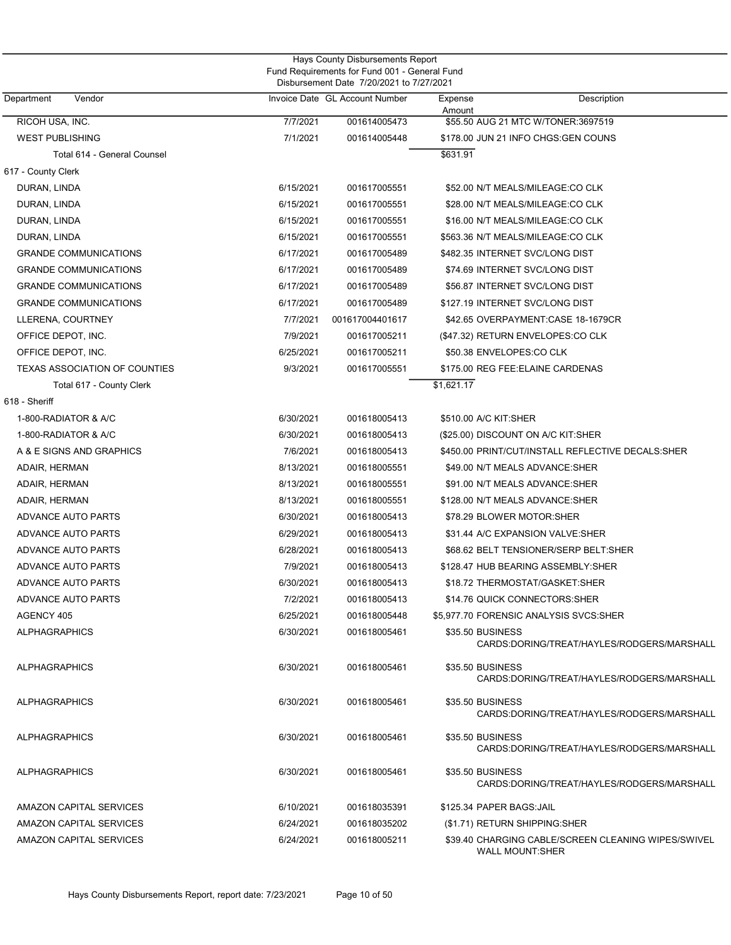|                               |           | Disbursement Date 7/20/2021 to 7/27/2021 |                                 |                                                                               |  |  |
|-------------------------------|-----------|------------------------------------------|---------------------------------|-------------------------------------------------------------------------------|--|--|
| Department<br>Vendor          |           | Invoice Date GL Account Number           | Expense<br>Amount               | Description                                                                   |  |  |
| RICOH USA, INC.               | 7/7/2021  | 001614005473                             |                                 | \$55.50 AUG 21 MTC W/TONER:3697519                                            |  |  |
| <b>WEST PUBLISHING</b>        | 7/1/2021  | 001614005448                             |                                 | \$178.00 JUN 21 INFO CHGS:GEN COUNS                                           |  |  |
| Total 614 - General Counsel   |           |                                          | \$631.91                        |                                                                               |  |  |
| 617 - County Clerk            |           |                                          |                                 |                                                                               |  |  |
| DURAN, LINDA                  | 6/15/2021 | 001617005551                             |                                 | \$52.00 N/T MEALS/MILEAGE:CO CLK                                              |  |  |
| DURAN, LINDA                  | 6/15/2021 | 001617005551                             |                                 | \$28.00 N/T MEALS/MILEAGE:CO CLK                                              |  |  |
| DURAN, LINDA                  | 6/15/2021 | 001617005551                             |                                 | \$16.00 N/T MEALS/MILEAGE:CO CLK                                              |  |  |
| DURAN, LINDA                  | 6/15/2021 | 001617005551                             |                                 | \$563.36 N/T MEALS/MILEAGE:CO CLK                                             |  |  |
| <b>GRANDE COMMUNICATIONS</b>  | 6/17/2021 | 001617005489                             | \$482.35 INTERNET SVC/LONG DIST |                                                                               |  |  |
| <b>GRANDE COMMUNICATIONS</b>  | 6/17/2021 | 001617005489                             |                                 | \$74.69 INTERNET SVC/LONG DIST                                                |  |  |
| <b>GRANDE COMMUNICATIONS</b>  | 6/17/2021 | 001617005489                             |                                 | \$56.87 INTERNET SVC/LONG DIST                                                |  |  |
| <b>GRANDE COMMUNICATIONS</b>  | 6/17/2021 | 001617005489                             | \$127.19 INTERNET SVC/LONG DIST |                                                                               |  |  |
| LLERENA, COURTNEY             | 7/7/2021  | 001617004401617                          |                                 | \$42.65 OVERPAYMENT: CASE 18-1679CR                                           |  |  |
| OFFICE DEPOT, INC.            | 7/9/2021  | 001617005211                             |                                 | (\$47.32) RETURN ENVELOPES:CO CLK                                             |  |  |
| OFFICE DEPOT, INC.            | 6/25/2021 | 001617005211                             | \$50.38 ENVELOPES:CO CLK        |                                                                               |  |  |
| TEXAS ASSOCIATION OF COUNTIES | 9/3/2021  | 001617005551                             |                                 | \$175.00 REG FEE: ELAINE CARDENAS                                             |  |  |
| Total 617 - County Clerk      |           |                                          | \$1,621.17                      |                                                                               |  |  |
| 618 - Sheriff                 |           |                                          |                                 |                                                                               |  |  |
| 1-800-RADIATOR & A/C          | 6/30/2021 | 001618005413                             | \$510.00 A/C KIT:SHER           |                                                                               |  |  |
| 1-800-RADIATOR & A/C          | 6/30/2021 | 001618005413                             |                                 | (\$25.00) DISCOUNT ON A/C KIT:SHER                                            |  |  |
| A & E SIGNS AND GRAPHICS      | 7/6/2021  | 001618005413                             |                                 | \$450.00 PRINT/CUT/INSTALL REFLECTIVE DECALS:SHER                             |  |  |
| ADAIR, HERMAN                 | 8/13/2021 | 001618005551                             |                                 | \$49.00 N/T MEALS ADVANCE:SHER                                                |  |  |
| ADAIR, HERMAN                 | 8/13/2021 | 001618005551                             |                                 | \$91.00 N/T MEALS ADVANCE:SHER                                                |  |  |
| ADAIR, HERMAN                 | 8/13/2021 | 001618005551                             |                                 | \$128.00 N/T MEALS ADVANCE:SHER                                               |  |  |
| ADVANCE AUTO PARTS            | 6/30/2021 | 001618005413                             | \$78.29 BLOWER MOTOR:SHER       |                                                                               |  |  |
| ADVANCE AUTO PARTS            | 6/29/2021 | 001618005413                             |                                 | \$31.44 A/C EXPANSION VALVE:SHER                                              |  |  |
| ADVANCE AUTO PARTS            | 6/28/2021 | 001618005413                             |                                 | \$68.62 BELT TENSIONER/SERP BELT:SHER                                         |  |  |
| ADVANCE AUTO PARTS            | 7/9/2021  | 001618005413                             |                                 | \$128.47 HUB BEARING ASSEMBLY: SHER                                           |  |  |
| ADVANCE AUTO PARTS            | 6/30/2021 | 001618005413                             |                                 | \$18.72 THERMOSTAT/GASKET:SHER                                                |  |  |
| ADVANCE AUTO PARTS            | 7/2/2021  | 001618005413                             |                                 | \$14.76 QUICK CONNECTORS: SHER                                                |  |  |
| AGENCY 405                    | 6/25/2021 | 001618005448                             |                                 | \$5,977.70 FORENSIC ANALYSIS SVCS:SHER                                        |  |  |
| ALPHAGRAPHICS                 | 6/30/2021 | 001618005461                             | \$35.50 BUSINESS                | CARDS:DORING/TREAT/HAYLES/RODGERS/MARSHALL                                    |  |  |
| <b>ALPHAGRAPHICS</b>          | 6/30/2021 | 001618005461                             | \$35.50 BUSINESS                | CARDS:DORING/TREAT/HAYLES/RODGERS/MARSHALL                                    |  |  |
| <b>ALPHAGRAPHICS</b>          | 6/30/2021 | 001618005461                             | \$35.50 BUSINESS                | CARDS:DORING/TREAT/HAYLES/RODGERS/MARSHALL                                    |  |  |
| <b>ALPHAGRAPHICS</b>          | 6/30/2021 | 001618005461                             | \$35.50 BUSINESS                | CARDS:DORING/TREAT/HAYLES/RODGERS/MARSHALL                                    |  |  |
| <b>ALPHAGRAPHICS</b>          | 6/30/2021 | 001618005461                             | \$35.50 BUSINESS                | CARDS:DORING/TREAT/HAYLES/RODGERS/MARSHALL                                    |  |  |
| AMAZON CAPITAL SERVICES       | 6/10/2021 | 001618035391                             | \$125.34 PAPER BAGS: JAIL       |                                                                               |  |  |
| AMAZON CAPITAL SERVICES       | 6/24/2021 | 001618035202                             | (\$1.71) RETURN SHIPPING: SHER  |                                                                               |  |  |
| AMAZON CAPITAL SERVICES       | 6/24/2021 | 001618005211                             |                                 | \$39.40 CHARGING CABLE/SCREEN CLEANING WIPES/SWIVEL<br><b>WALL MOUNT:SHER</b> |  |  |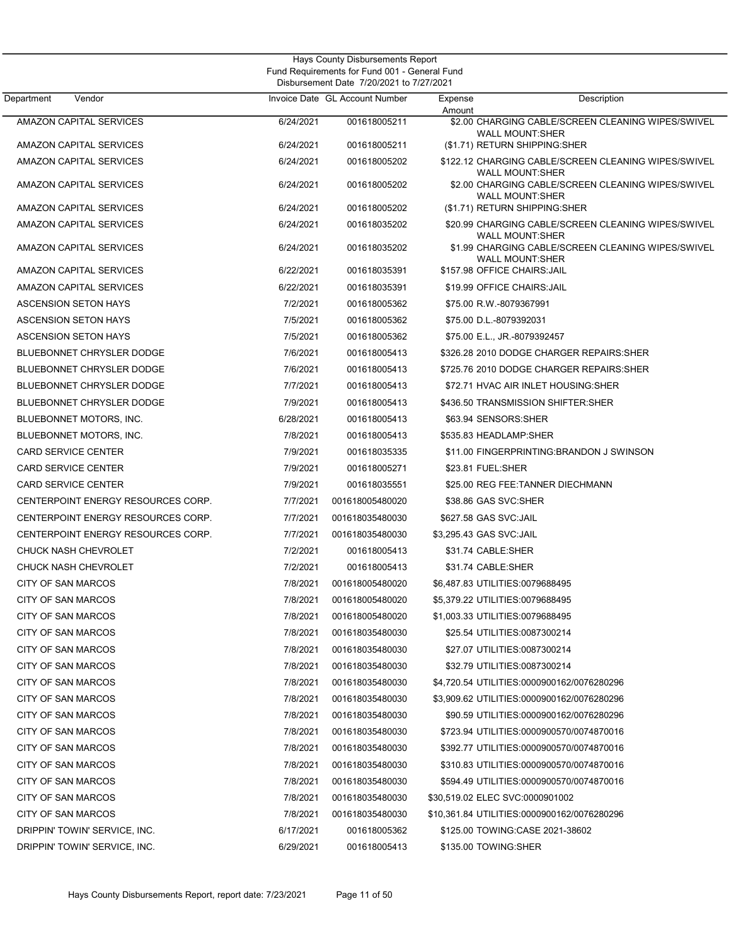| Department<br>Vendor               |           | Invoice Date GL Account Number | Expense | Description                                                                                            |
|------------------------------------|-----------|--------------------------------|---------|--------------------------------------------------------------------------------------------------------|
| AMAZON CAPITAL SERVICES            | 6/24/2021 | 001618005211                   | Amount  | \$2.00 CHARGING CABLE/SCREEN CLEANING WIPES/SWIVEL                                                     |
|                                    |           |                                |         | <b>WALL MOUNT:SHER</b>                                                                                 |
| AMAZON CAPITAL SERVICES            | 6/24/2021 | 001618005211                   |         | (\$1.71) RETURN SHIPPING:SHER                                                                          |
| AMAZON CAPITAL SERVICES            | 6/24/2021 | 001618005202                   |         | \$122.12 CHARGING CABLE/SCREEN CLEANING WIPES/SWIVEL                                                   |
| AMAZON CAPITAL SERVICES            | 6/24/2021 | 001618005202                   |         | <b>WALL MOUNT:SHER</b><br>\$2.00 CHARGING CABLE/SCREEN CLEANING WIPES/SWIVEL<br><b>WALL MOUNT:SHER</b> |
| AMAZON CAPITAL SERVICES            | 6/24/2021 | 001618005202                   |         | (\$1.71) RETURN SHIPPING:SHER                                                                          |
| AMAZON CAPITAL SERVICES            | 6/24/2021 | 001618035202                   |         | \$20.99 CHARGING CABLE/SCREEN CLEANING WIPES/SWIVEL                                                    |
| AMAZON CAPITAL SERVICES            | 6/24/2021 | 001618035202                   |         | <b>WALL MOUNT:SHER</b><br>\$1.99 CHARGING CABLE/SCREEN CLEANING WIPES/SWIVEL<br><b>WALL MOUNT:SHER</b> |
| AMAZON CAPITAL SERVICES            | 6/22/2021 | 001618035391                   |         | \$157.98 OFFICE CHAIRS: JAIL                                                                           |
| AMAZON CAPITAL SERVICES            | 6/22/2021 | 001618035391                   |         | \$19.99 OFFICE CHAIRS: JAIL                                                                            |
| <b>ASCENSION SETON HAYS</b>        | 7/2/2021  | 001618005362                   |         | \$75.00 R.W.-8079367991                                                                                |
| <b>ASCENSION SETON HAYS</b>        | 7/5/2021  | 001618005362                   |         | \$75.00 D.L.-8079392031                                                                                |
| <b>ASCENSION SETON HAYS</b>        | 7/5/2021  | 001618005362                   |         | \$75.00 E.L., JR.-8079392457                                                                           |
| <b>BLUEBONNET CHRYSLER DODGE</b>   | 7/6/2021  | 001618005413                   |         | \$326.28 2010 DODGE CHARGER REPAIRS: SHER                                                              |
| <b>BLUEBONNET CHRYSLER DODGE</b>   | 7/6/2021  | 001618005413                   |         | \$725.76 2010 DODGE CHARGER REPAIRS: SHER                                                              |
| <b>BLUEBONNET CHRYSLER DODGE</b>   | 7/7/2021  | 001618005413                   |         | \$72.71 HVAC AIR INLET HOUSING: SHER                                                                   |
| <b>BLUEBONNET CHRYSLER DODGE</b>   | 7/9/2021  | 001618005413                   |         | \$436.50 TRANSMISSION SHIFTER:SHER                                                                     |
| BLUEBONNET MOTORS, INC.            | 6/28/2021 | 001618005413                   |         | \$63.94 SENSORS: SHER                                                                                  |
| BLUEBONNET MOTORS, INC.            | 7/8/2021  | 001618005413                   |         | \$535.83 HEADLAMP:SHER                                                                                 |
| <b>CARD SERVICE CENTER</b>         | 7/9/2021  | 001618035335                   |         | \$11.00 FINGERPRINTING: BRANDON J SWINSON                                                              |
| <b>CARD SERVICE CENTER</b>         | 7/9/2021  | 001618005271                   |         | \$23.81 FUEL:SHER                                                                                      |
| <b>CARD SERVICE CENTER</b>         | 7/9/2021  | 001618035551                   |         | \$25.00 REG FEE:TANNER DIECHMANN                                                                       |
| CENTERPOINT ENERGY RESOURCES CORP. | 7/7/2021  | 001618005480020                |         | \$38.86 GAS SVC:SHER                                                                                   |
| CENTERPOINT ENERGY RESOURCES CORP. | 7/7/2021  | 001618035480030                |         | \$627.58 GAS SVC:JAIL                                                                                  |
| CENTERPOINT ENERGY RESOURCES CORP. | 7/7/2021  | 001618035480030                |         | \$3,295.43 GAS SVC:JAIL                                                                                |
| CHUCK NASH CHEVROLET               | 7/2/2021  | 001618005413                   |         | \$31.74 CABLE:SHER                                                                                     |
| CHUCK NASH CHEVROLET               | 7/2/2021  | 001618005413                   |         | \$31.74 CABLE:SHER                                                                                     |
| CITY OF SAN MARCOS                 | 7/8/2021  | 001618005480020                |         | \$6,487.83 UTILITIES:0079688495                                                                        |
| CITY OF SAN MARCOS                 | 7/8/2021  | 001618005480020                |         | \$5,379.22 UTILITIES:0079688495                                                                        |
| CITY OF SAN MARCOS                 | 7/8/2021  | 001618005480020                |         | \$1,003.33 UTILITIES:0079688495                                                                        |
| CITY OF SAN MARCOS                 | 7/8/2021  | 001618035480030                |         | \$25.54 UTILITIES:0087300214                                                                           |
| CITY OF SAN MARCOS                 | 7/8/2021  | 001618035480030                |         | \$27.07 UTILITIES:0087300214                                                                           |
| CITY OF SAN MARCOS                 | 7/8/2021  | 001618035480030                |         | \$32.79 UTILITIES:0087300214                                                                           |
| CITY OF SAN MARCOS                 | 7/8/2021  | 001618035480030                |         | \$4,720.54 UTILITIES:0000900162/0076280296                                                             |
| CITY OF SAN MARCOS                 | 7/8/2021  | 001618035480030                |         | \$3,909.62 UTILITIES:0000900162/0076280296                                                             |
| CITY OF SAN MARCOS                 | 7/8/2021  | 001618035480030                |         | \$90.59 UTILITIES:0000900162/0076280296                                                                |
| CITY OF SAN MARCOS                 | 7/8/2021  | 001618035480030                |         | \$723.94 UTILITIES:0000900570/0074870016                                                               |
| CITY OF SAN MARCOS                 | 7/8/2021  | 001618035480030                |         | \$392.77 UTILITIES:0000900570/0074870016                                                               |
| CITY OF SAN MARCOS                 | 7/8/2021  | 001618035480030                |         | \$310.83 UTILITIES:0000900570/0074870016                                                               |
| CITY OF SAN MARCOS                 | 7/8/2021  | 001618035480030                |         | \$594.49 UTILITIES:0000900570/0074870016                                                               |
| CITY OF SAN MARCOS                 | 7/8/2021  | 001618035480030                |         | \$30,519.02 ELEC SVC:0000901002                                                                        |
| CITY OF SAN MARCOS                 | 7/8/2021  | 001618035480030                |         | \$10,361.84 UTILITIES:0000900162/0076280296                                                            |
| DRIPPIN' TOWIN' SERVICE, INC.      | 6/17/2021 | 001618005362                   |         | \$125.00 TOWING: CASE 2021-38602                                                                       |
| DRIPPIN' TOWIN' SERVICE, INC.      | 6/29/2021 | 001618005413                   |         | \$135.00 TOWING:SHER                                                                                   |
|                                    |           |                                |         |                                                                                                        |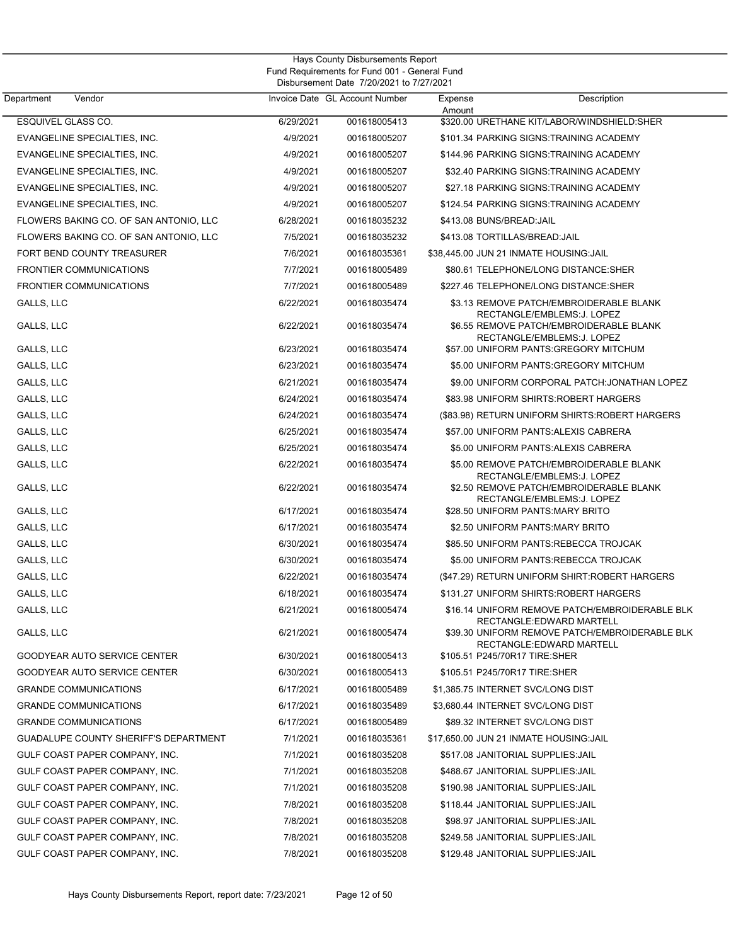| Department<br>Vendor                         |           | Invoice Date GL Account Number | Expense<br>Amount         | Description                                                                                          |
|----------------------------------------------|-----------|--------------------------------|---------------------------|------------------------------------------------------------------------------------------------------|
| ESQUIVEL GLASS CO.                           | 6/29/2021 | 001618005413                   |                           | \$320.00 URETHANE KIT/LABOR/WINDSHIELD:SHER                                                          |
| EVANGELINE SPECIALTIES, INC.                 | 4/9/2021  | 001618005207                   |                           | \$101.34 PARKING SIGNS:TRAINING ACADEMY                                                              |
| EVANGELINE SPECIALTIES, INC.                 | 4/9/2021  | 001618005207                   |                           | \$144.96 PARKING SIGNS:TRAINING ACADEMY                                                              |
| EVANGELINE SPECIALTIES, INC.                 | 4/9/2021  | 001618005207                   |                           | \$32.40 PARKING SIGNS: TRAINING ACADEMY                                                              |
| EVANGELINE SPECIALTIES, INC.                 | 4/9/2021  | 001618005207                   |                           | \$27.18 PARKING SIGNS:TRAINING ACADEMY                                                               |
| EVANGELINE SPECIALTIES, INC.                 | 4/9/2021  | 001618005207                   |                           | \$124.54 PARKING SIGNS:TRAINING ACADEMY                                                              |
| FLOWERS BAKING CO. OF SAN ANTONIO, LLC       | 6/28/2021 | 001618035232                   | \$413.08 BUNS/BREAD: JAIL |                                                                                                      |
| FLOWERS BAKING CO. OF SAN ANTONIO, LLC       | 7/5/2021  | 001618035232                   |                           | \$413.08 TORTILLAS/BREAD:JAIL                                                                        |
| FORT BEND COUNTY TREASURER                   | 7/6/2021  | 001618035361                   |                           | \$38,445.00 JUN 21 INMATE HOUSING:JAIL                                                               |
| <b>FRONTIER COMMUNICATIONS</b>               | 7/7/2021  | 001618005489                   |                           | \$80.61 TELEPHONE/LONG DISTANCE:SHER                                                                 |
| <b>FRONTIER COMMUNICATIONS</b>               | 7/7/2021  | 001618005489                   |                           | \$227.46 TELEPHONE/LONG DISTANCE:SHER                                                                |
| GALLS, LLC                                   | 6/22/2021 | 001618035474                   |                           | \$3.13 REMOVE PATCH/EMBROIDERABLE BLANK<br>RECTANGLE/EMBLEMS:J. LOPEZ                                |
| <b>GALLS, LLC</b>                            | 6/22/2021 | 001618035474                   |                           | \$6.55 REMOVE PATCH/EMBROIDERABLE BLANK<br>RECTANGLE/EMBLEMS:J. LOPEZ                                |
| GALLS, LLC                                   | 6/23/2021 | 001618035474                   |                           | \$57.00 UNIFORM PANTS: GREGORY MITCHUM                                                               |
| GALLS, LLC                                   | 6/23/2021 | 001618035474                   |                           | \$5.00 UNIFORM PANTS: GREGORY MITCHUM                                                                |
| GALLS, LLC                                   | 6/21/2021 | 001618035474                   |                           | \$9.00 UNIFORM CORPORAL PATCH: JONATHAN LOPEZ                                                        |
| GALLS, LLC                                   | 6/24/2021 | 001618035474                   |                           | \$83.98 UNIFORM SHIRTS: ROBERT HARGERS                                                               |
| GALLS, LLC                                   | 6/24/2021 | 001618035474                   |                           | (\$83.98) RETURN UNIFORM SHIRTS: ROBERT HARGERS                                                      |
| GALLS, LLC                                   | 6/25/2021 | 001618035474                   |                           | \$57.00 UNIFORM PANTS: ALEXIS CABRERA                                                                |
| GALLS, LLC                                   | 6/25/2021 | 001618035474                   |                           | \$5.00 UNIFORM PANTS: ALEXIS CABRERA                                                                 |
| GALLS, LLC                                   | 6/22/2021 | 001618035474                   |                           | \$5.00 REMOVE PATCH/EMBROIDERABLE BLANK                                                              |
| GALLS, LLC                                   | 6/22/2021 | 001618035474                   |                           | RECTANGLE/EMBLEMS:J. LOPEZ<br>\$2.50 REMOVE PATCH/EMBROIDERABLE BLANK<br>RECTANGLE/EMBLEMS: J. LOPEZ |
| GALLS, LLC                                   | 6/17/2021 | 001618035474                   |                           | \$28.50 UNIFORM PANTS:MARY BRITO                                                                     |
| GALLS, LLC                                   | 6/17/2021 | 001618035474                   |                           | \$2.50 UNIFORM PANTS:MARY BRITO                                                                      |
| GALLS, LLC                                   | 6/30/2021 | 001618035474                   |                           | \$85.50 UNIFORM PANTS:REBECCA TROJCAK                                                                |
| GALLS, LLC                                   | 6/30/2021 | 001618035474                   |                           | \$5.00 UNIFORM PANTS: REBECCA TROJCAK                                                                |
| GALLS, LLC                                   | 6/22/2021 | 001618035474                   |                           | (\$47.29) RETURN UNIFORM SHIRT: ROBERT HARGERS                                                       |
| GALLS, LLC                                   | 6/18/2021 | 001618035474                   |                           | \$131.27 UNIFORM SHIRTS: ROBERT HARGERS                                                              |
| GALLS, LLC                                   | 6/21/2021 | 001618005474                   |                           | \$16.14 UNIFORM REMOVE PATCH/EMBROIDERABLE BLK<br>RECTANGLE:EDWARD MARTELL                           |
| GALLS, LLC                                   | 6/21/2021 | 001618005474                   |                           | \$39.30 UNIFORM REMOVE PATCH/EMBROIDERABLE BLK<br>RECTANGLE:EDWARD MARTELL                           |
| GOODYEAR AUTO SERVICE CENTER                 | 6/30/2021 | 001618005413                   |                           | \$105.51 P245/70R17 TIRE:SHER                                                                        |
| GOODYEAR AUTO SERVICE CENTER                 | 6/30/2021 | 001618005413                   |                           | \$105.51 P245/70R17 TIRE:SHER                                                                        |
| <b>GRANDE COMMUNICATIONS</b>                 | 6/17/2021 | 001618005489                   |                           | \$1,385.75 INTERNET SVC/LONG DIST                                                                    |
| <b>GRANDE COMMUNICATIONS</b>                 | 6/17/2021 | 001618035489                   |                           | \$3,680.44 INTERNET SVC/LONG DIST                                                                    |
| <b>GRANDE COMMUNICATIONS</b>                 | 6/17/2021 | 001618005489                   |                           | \$89.32 INTERNET SVC/LONG DIST                                                                       |
| <b>GUADALUPE COUNTY SHERIFF'S DEPARTMENT</b> | 7/1/2021  | 001618035361                   |                           | \$17,650.00 JUN 21 INMATE HOUSING:JAIL                                                               |
| GULF COAST PAPER COMPANY, INC.               | 7/1/2021  | 001618035208                   |                           | \$517.08 JANITORIAL SUPPLIES: JAIL                                                                   |
| GULF COAST PAPER COMPANY, INC.               | 7/1/2021  | 001618035208                   |                           | \$488.67 JANITORIAL SUPPLIES:JAIL                                                                    |
| GULF COAST PAPER COMPANY, INC.               | 7/1/2021  | 001618035208                   |                           | \$190.98 JANITORIAL SUPPLIES: JAIL                                                                   |
| GULF COAST PAPER COMPANY, INC.               | 7/8/2021  | 001618035208                   |                           | \$118.44 JANITORIAL SUPPLIES:JAIL                                                                    |
| GULF COAST PAPER COMPANY, INC.               | 7/8/2021  | 001618035208                   |                           | \$98.97 JANITORIAL SUPPLIES:JAIL                                                                     |
| GULF COAST PAPER COMPANY, INC.               | 7/8/2021  | 001618035208                   |                           | \$249.58 JANITORIAL SUPPLIES:JAIL                                                                    |
| GULF COAST PAPER COMPANY, INC.               | 7/8/2021  | 001618035208                   |                           | \$129.48 JANITORIAL SUPPLIES: JAIL                                                                   |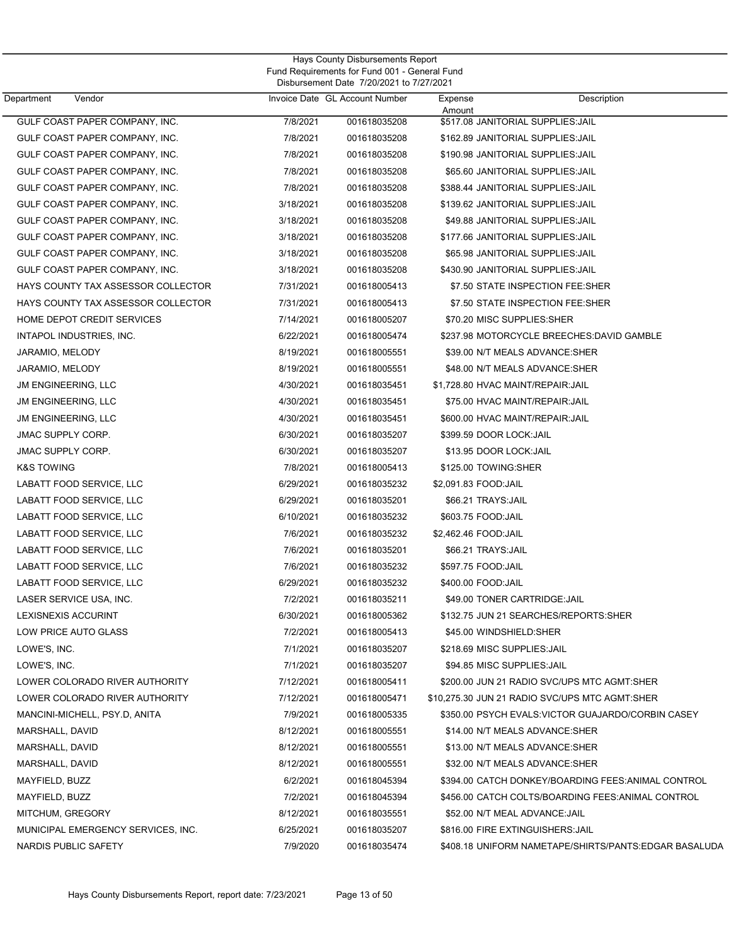| Department<br>Vendor               |           | Invoice Date GL Account Number | Expense                      | Description                                            |
|------------------------------------|-----------|--------------------------------|------------------------------|--------------------------------------------------------|
| GULF COAST PAPER COMPANY, INC.     | 7/8/2021  | 001618035208                   | Amount                       | \$517.08 JANITORIAL SUPPLIES: JAIL                     |
| GULF COAST PAPER COMPANY, INC.     | 7/8/2021  | 001618035208                   |                              | \$162.89 JANITORIAL SUPPLIES: JAIL                     |
| GULF COAST PAPER COMPANY, INC.     | 7/8/2021  | 001618035208                   |                              | \$190.98 JANITORIAL SUPPLIES: JAIL                     |
| GULF COAST PAPER COMPANY, INC.     | 7/8/2021  | 001618035208                   |                              | \$65.60 JANITORIAL SUPPLIES: JAIL                      |
| GULF COAST PAPER COMPANY, INC.     | 7/8/2021  | 001618035208                   |                              | \$388.44 JANITORIAL SUPPLIES: JAIL                     |
| GULF COAST PAPER COMPANY, INC.     | 3/18/2021 | 001618035208                   |                              | \$139.62 JANITORIAL SUPPLIES: JAIL                     |
| GULF COAST PAPER COMPANY, INC.     | 3/18/2021 | 001618035208                   |                              | \$49.88 JANITORIAL SUPPLIES: JAIL                      |
| GULF COAST PAPER COMPANY, INC.     | 3/18/2021 | 001618035208                   |                              | \$177.66 JANITORIAL SUPPLIES: JAIL                     |
| GULF COAST PAPER COMPANY, INC.     | 3/18/2021 | 001618035208                   |                              | \$65.98 JANITORIAL SUPPLIES: JAIL                      |
| GULF COAST PAPER COMPANY, INC.     | 3/18/2021 | 001618035208                   |                              | \$430.90 JANITORIAL SUPPLIES: JAIL                     |
| HAYS COUNTY TAX ASSESSOR COLLECTOR | 7/31/2021 | 001618005413                   |                              | \$7.50 STATE INSPECTION FEE:SHER                       |
| HAYS COUNTY TAX ASSESSOR COLLECTOR | 7/31/2021 | 001618005413                   |                              | \$7.50 STATE INSPECTION FEE:SHER                       |
| HOME DEPOT CREDIT SERVICES         | 7/14/2021 | 001618005207                   |                              | \$70.20 MISC SUPPLIES:SHER                             |
| INTAPOL INDUSTRIES, INC.           | 6/22/2021 | 001618005474                   |                              | \$237.98 MOTORCYCLE BREECHES: DAVID GAMBLE             |
| JARAMIO, MELODY                    | 8/19/2021 | 001618005551                   |                              | \$39.00 N/T MEALS ADVANCE:SHER                         |
| JARAMIO, MELODY                    | 8/19/2021 | 001618005551                   |                              | \$48.00 N/T MEALS ADVANCE:SHER                         |
| <b>JM ENGINEERING, LLC</b>         | 4/30/2021 | 001618035451                   |                              | \$1,728.80 HVAC MAINT/REPAIR:JAIL                      |
| <b>JM ENGINEERING, LLC</b>         | 4/30/2021 | 001618035451                   |                              | \$75.00 HVAC MAINT/REPAIR: JAIL                        |
| <b>JM ENGINEERING, LLC</b>         | 4/30/2021 | 001618035451                   |                              | \$600.00 HVAC MAINT/REPAIR: JAIL                       |
| <b>JMAC SUPPLY CORP.</b>           | 6/30/2021 | 001618035207                   | \$399.59 DOOR LOCK: JAIL     |                                                        |
| <b>JMAC SUPPLY CORP.</b>           | 6/30/2021 | 001618035207                   | \$13.95 DOOR LOCK:JAIL       |                                                        |
| <b>K&amp;S TOWING</b>              | 7/8/2021  | 001618005413                   | \$125.00 TOWING:SHER         |                                                        |
| LABATT FOOD SERVICE, LLC           | 6/29/2021 | 001618035232                   | \$2,091.83 FOOD:JAIL         |                                                        |
| LABATT FOOD SERVICE, LLC           | 6/29/2021 | 001618035201                   | \$66.21 TRAYS: JAIL          |                                                        |
| LABATT FOOD SERVICE, LLC           | 6/10/2021 | 001618035232                   | \$603.75 FOOD: JAIL          |                                                        |
| LABATT FOOD SERVICE, LLC           | 7/6/2021  | 001618035232                   | \$2,462.46 FOOD: JAIL        |                                                        |
| LABATT FOOD SERVICE, LLC           | 7/6/2021  | 001618035201                   | \$66.21 TRAYS: JAIL          |                                                        |
| LABATT FOOD SERVICE, LLC           | 7/6/2021  | 001618035232                   | \$597.75 FOOD: JAIL          |                                                        |
| LABATT FOOD SERVICE, LLC           | 6/29/2021 | 001618035232                   | \$400.00 FOOD: JAIL          |                                                        |
| LASER SERVICE USA, INC.            | 7/2/2021  | 001618035211                   |                              | \$49.00 TONER CARTRIDGE: JAIL                          |
| LEXISNEXIS ACCURINT                | 6/30/2021 | 001618005362                   |                              | \$132.75 JUN 21 SEARCHES/REPORTS: SHER                 |
| LOW PRICE AUTO GLASS               | 7/2/2021  | 001618005413                   | \$45.00 WINDSHIELD:SHER      |                                                        |
| LOWE'S, INC.                       | 7/1/2021  | 001618035207                   | \$218.69 MISC SUPPLIES: JAIL |                                                        |
| LOWE'S, INC.                       | 7/1/2021  | 001618035207                   |                              | \$94.85 MISC SUPPLIES: JAIL                            |
| LOWER COLORADO RIVER AUTHORITY     | 7/12/2021 | 001618005411                   |                              | \$200.00 JUN 21 RADIO SVC/UPS MTC AGMT:SHER            |
| LOWER COLORADO RIVER AUTHORITY     | 7/12/2021 | 001618005471                   |                              | \$10,275.30 JUN 21 RADIO SVC/UPS MTC AGMT:SHER         |
| MANCINI-MICHELL, PSY.D, ANITA      | 7/9/2021  | 001618005335                   |                              | \$350.00 PSYCH EVALS: VICTOR GUAJARDO/CORBIN CASEY     |
| MARSHALL, DAVID                    | 8/12/2021 | 001618005551                   |                              | \$14.00 N/T MEALS ADVANCE:SHER                         |
| MARSHALL, DAVID                    | 8/12/2021 | 001618005551                   |                              | \$13.00 N/T MEALS ADVANCE:SHER                         |
| MARSHALL, DAVID                    | 8/12/2021 | 001618005551                   |                              | \$32.00 N/T MEALS ADVANCE:SHER                         |
| MAYFIELD, BUZZ                     | 6/2/2021  | 001618045394                   |                              | \$394.00 CATCH DONKEY/BOARDING FEES: ANIMAL CONTROL    |
| MAYFIELD, BUZZ                     | 7/2/2021  | 001618045394                   |                              | \$456.00 CATCH COLTS/BOARDING FEES:ANIMAL CONTROL      |
| MITCHUM, GREGORY                   | 8/12/2021 | 001618035551                   |                              | \$52.00 N/T MEAL ADVANCE: JAIL                         |
| MUNICIPAL EMERGENCY SERVICES, INC. | 6/25/2021 | 001618035207                   |                              | \$816.00 FIRE EXTINGUISHERS: JAIL                      |
| NARDIS PUBLIC SAFETY               | 7/9/2020  | 001618035474                   |                              | \$408.18 UNIFORM NAMETAPE/SHIRTS/PANTS: EDGAR BASALUDA |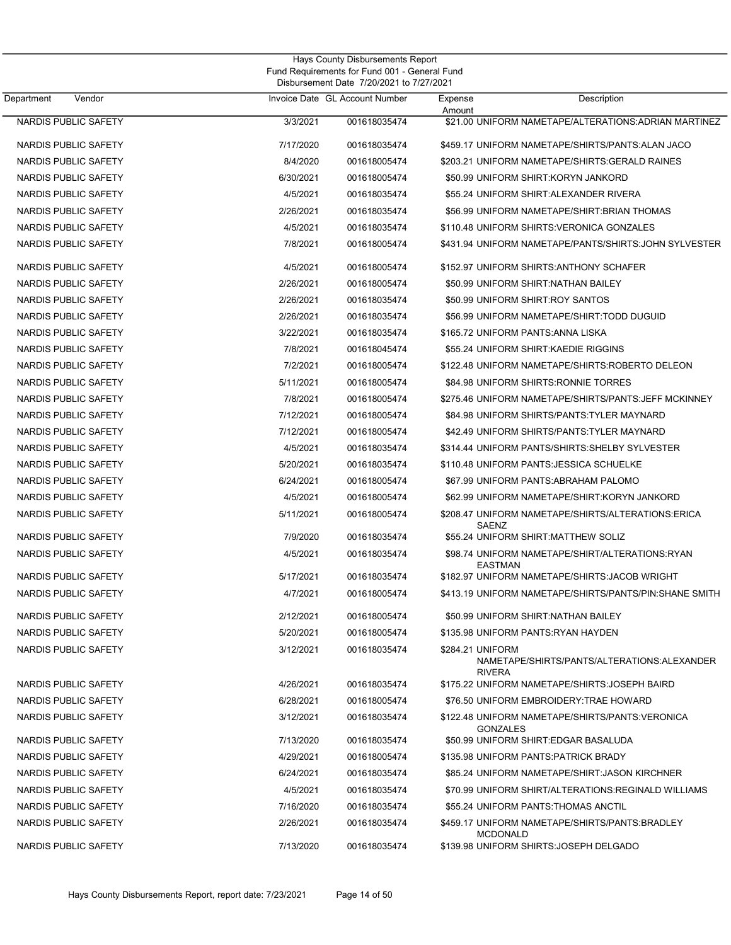| Hays County Disbursements Report<br>Fund Requirements for Fund 001 - General Fund<br>Disbursement Date 7/20/2021 to 7/27/2021 |           |                                |                   |                                                        |
|-------------------------------------------------------------------------------------------------------------------------------|-----------|--------------------------------|-------------------|--------------------------------------------------------|
| Vendor<br>Department                                                                                                          |           | Invoice Date GL Account Number | Expense<br>Amount | Description                                            |
| NARDIS PUBLIC SAFETY                                                                                                          | 3/3/2021  | 001618035474                   |                   | \$21.00 UNIFORM NAMETAPE/ALTERATIONS: ADRIAN MARTINEZ  |
| NARDIS PUBLIC SAFETY                                                                                                          | 7/17/2020 | 001618035474                   |                   | \$459.17 UNIFORM NAMETAPE/SHIRTS/PANTS: ALAN JACO      |
| <b>NARDIS PUBLIC SAFETY</b>                                                                                                   | 8/4/2020  | 001618005474                   |                   | \$203.21 UNIFORM NAMETAPE/SHIRTS: GERALD RAINES        |
| <b>NARDIS PUBLIC SAFETY</b>                                                                                                   | 6/30/2021 | 001618005474                   |                   | \$50.99 UNIFORM SHIRT:KORYN JANKORD                    |
| <b>NARDIS PUBLIC SAFETY</b>                                                                                                   | 4/5/2021  | 001618035474                   |                   | \$55.24 UNIFORM SHIRT: ALEXANDER RIVERA                |
| NARDIS PUBLIC SAFETY                                                                                                          | 2/26/2021 | 001618035474                   |                   | \$56.99 UNIFORM NAMETAPE/SHIRT: BRIAN THOMAS           |
| <b>NARDIS PUBLIC SAFETY</b>                                                                                                   | 4/5/2021  | 001618035474                   |                   | \$110.48 UNIFORM SHIRTS: VERONICA GONZALES             |
| <b>NARDIS PUBLIC SAFETY</b>                                                                                                   | 7/8/2021  | 001618005474                   |                   | \$431.94 UNIFORM NAMETAPE/PANTS/SHIRTS: JOHN SYLVESTER |
| NARDIS PUBLIC SAFETY                                                                                                          | 4/5/2021  | 001618005474                   |                   | \$152.97 UNIFORM SHIRTS: ANTHONY SCHAFER               |
| <b>NARDIS PUBLIC SAFETY</b>                                                                                                   | 2/26/2021 | 001618005474                   |                   | \$50.99 UNIFORM SHIRT:NATHAN BAILEY                    |
| <b>NARDIS PUBLIC SAFETY</b>                                                                                                   | 2/26/2021 | 001618035474                   |                   | \$50.99 UNIFORM SHIRT:ROY SANTOS                       |
| NARDIS PUBLIC SAFETY                                                                                                          | 2/26/2021 | 001618035474                   |                   | \$56.99 UNIFORM NAMETAPE/SHIRT:TODD DUGUID             |
| NARDIS PUBLIC SAFETY                                                                                                          | 3/22/2021 | 001618035474                   |                   | \$165.72 UNIFORM PANTS: ANNA LISKA                     |
| <b>NARDIS PUBLIC SAFETY</b>                                                                                                   | 7/8/2021  | 001618045474                   |                   | \$55.24 UNIFORM SHIRT:KAEDIE RIGGINS                   |
| <b>NARDIS PUBLIC SAFETY</b>                                                                                                   | 7/2/2021  | 001618005474                   |                   | \$122.48 UNIFORM NAMETAPE/SHIRTS:ROBERTO DELEON        |
| <b>NARDIS PUBLIC SAFETY</b>                                                                                                   | 5/11/2021 | 001618005474                   |                   | \$84.98 UNIFORM SHIRTS: RONNIE TORRES                  |
| NARDIS PUBLIC SAFETY                                                                                                          | 7/8/2021  | 001618005474                   |                   | \$275.46 UNIFORM NAMETAPE/SHIRTS/PANTS: JEFF MCKINNEY  |
| <b>NARDIS PUBLIC SAFETY</b>                                                                                                   | 7/12/2021 | 001618005474                   |                   | \$84.98 UNIFORM SHIRTS/PANTS: TYLER MAYNARD            |
| NARDIS PUBLIC SAFETY                                                                                                          | 7/12/2021 | 001618005474                   |                   | \$42.49 UNIFORM SHIRTS/PANTS: TYLER MAYNARD            |
| <b>NARDIS PUBLIC SAFETY</b>                                                                                                   | 4/5/2021  | 001618035474                   |                   | \$314.44 UNIFORM PANTS/SHIRTS: SHELBY SYLVESTER        |
| <b>NARDIS PUBLIC SAFETY</b>                                                                                                   | 5/20/2021 | 001618035474                   |                   | \$110.48 UNIFORM PANTS: JESSICA SCHUELKE               |
| NARDIS PUBLIC SAFETY                                                                                                          | 6/24/2021 | 001618005474                   |                   | \$67.99 UNIFORM PANTS: ABRAHAM PALOMO                  |
| <b>NARDIS PUBLIC SAFETY</b>                                                                                                   | 4/5/2021  | 001618005474                   |                   | \$62.99 UNIFORM NAMETAPE/SHIRT:KORYN JANKORD           |
| NARDIS PUBLIC SAFETY                                                                                                          | 5/11/2021 | 001618005474                   | SAENZ             | \$208.47 UNIFORM NAMETAPE/SHIRTS/ALTERATIONS:ERICA     |
| <b>NARDIS PUBLIC SAFETY</b>                                                                                                   | 7/9/2020  | 001618035474                   |                   | \$55.24 UNIFORM SHIRT:MATTHEW SOLIZ                    |
| <b>NARDIS PUBLIC SAFETY</b>                                                                                                   | 4/5/2021  | 001618035474                   | <b>EASTMAN</b>    | \$98.74 UNIFORM NAMETAPE/SHIRT/ALTERATIONS:RYAN        |
| NARDIS PUBLIC SAFETY                                                                                                          | 5/17/2021 | 001618035474                   |                   | \$182.97 UNIFORM NAMETAPE/SHIRTS: JACOB WRIGHT         |
| NARDIS PUBLIC SAFETY                                                                                                          | 4/7/2021  | 001618005474                   |                   | \$413.19 UNIFORM NAMETAPE/SHIRTS/PANTS/PIN:SHANE SMITH |
| NARDIS PUBLIC SAFETY                                                                                                          | 2/12/2021 | 001618005474                   |                   | \$50.99 UNIFORM SHIRT:NATHAN BAILEY                    |
| NARDIS PUBLIC SAFETY                                                                                                          | 5/20/2021 | 001618005474                   |                   | \$135.98 UNIFORM PANTS:RYAN HAYDEN                     |
| NARDIS PUBLIC SAFETY                                                                                                          | 3/12/2021 | 001618035474                   | \$284.21 UNIFORM  | NAMETAPE/SHIRTS/PANTS/ALTERATIONS:ALEXANDER            |
| NARDIS PUBLIC SAFETY                                                                                                          | 4/26/2021 | 001618035474                   | <b>RIVERA</b>     | \$175.22 UNIFORM NAMETAPE/SHIRTS: JOSEPH BAIRD         |
| NARDIS PUBLIC SAFETY                                                                                                          | 6/28/2021 | 001618005474                   |                   | \$76.50 UNIFORM EMBROIDERY:TRAE HOWARD                 |
| NARDIS PUBLIC SAFETY                                                                                                          | 3/12/2021 | 001618035474                   | <b>GONZALES</b>   | \$122.48 UNIFORM NAMETAPE/SHIRTS/PANTS:VERONICA        |
| NARDIS PUBLIC SAFETY                                                                                                          | 7/13/2020 | 001618035474                   |                   | \$50.99 UNIFORM SHIRT:EDGAR BASALUDA                   |
| NARDIS PUBLIC SAFETY                                                                                                          | 4/29/2021 | 001618005474                   |                   | \$135.98 UNIFORM PANTS: PATRICK BRADY                  |
| NARDIS PUBLIC SAFETY                                                                                                          | 6/24/2021 | 001618035474                   |                   | \$85.24 UNIFORM NAMETAPE/SHIRT: JASON KIRCHNER         |
| NARDIS PUBLIC SAFETY                                                                                                          | 4/5/2021  | 001618035474                   |                   | \$70.99 UNIFORM SHIRT/ALTERATIONS:REGINALD WILLIAMS    |
| NARDIS PUBLIC SAFETY                                                                                                          | 7/16/2020 | 001618035474                   |                   | \$55.24 UNIFORM PANTS: THOMAS ANCTIL                   |
| NARDIS PUBLIC SAFETY                                                                                                          | 2/26/2021 | 001618035474                   | <b>MCDONALD</b>   | \$459.17 UNIFORM NAMETAPE/SHIRTS/PANTS:BRADLEY         |
| NARDIS PUBLIC SAFETY                                                                                                          | 7/13/2020 | 001618035474                   |                   | \$139.98 UNIFORM SHIRTS: JOSEPH DELGADO                |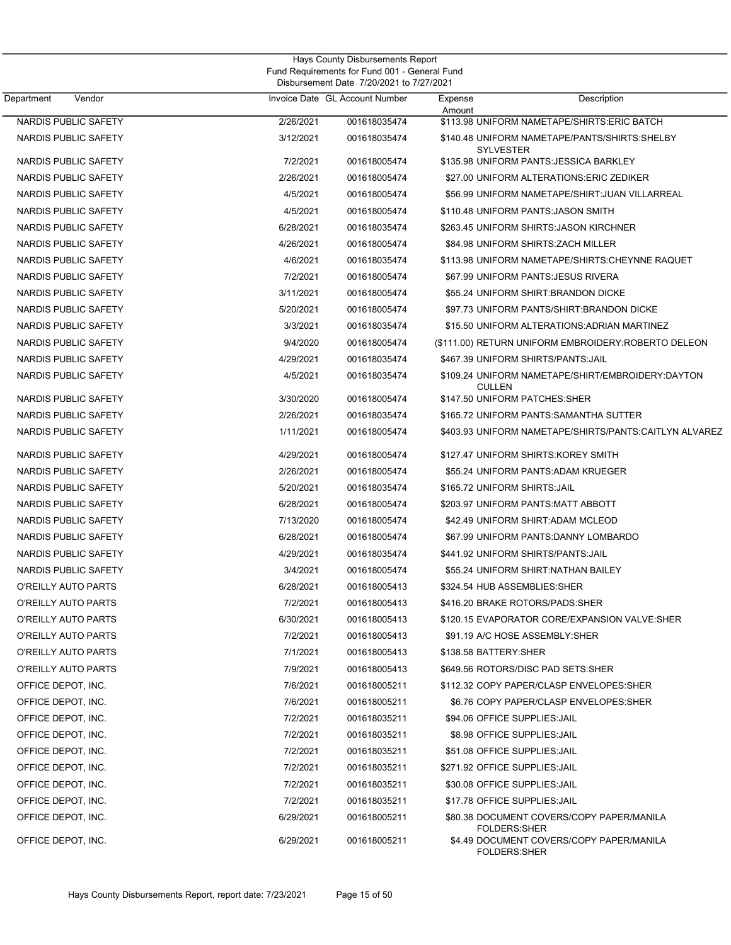|                             |           | Hays County Disbursements Report<br>Fund Requirements for Fund 001 - General Fund<br>Disbursement Date 7/20/2021 to 7/27/2021 |                                 |                                                        |  |  |
|-----------------------------|-----------|-------------------------------------------------------------------------------------------------------------------------------|---------------------------------|--------------------------------------------------------|--|--|
| Department<br>Vendor        |           | Invoice Date GL Account Number                                                                                                | Expense                         | Description                                            |  |  |
| NARDIS PUBLIC SAFETY        | 2/26/2021 | 001618035474                                                                                                                  | Amount                          | \$113.98 UNIFORM NAMETAPE/SHIRTS: ERIC BATCH           |  |  |
| NARDIS PUBLIC SAFETY        | 3/12/2021 | 001618035474                                                                                                                  | <b>SYLVESTER</b>                | \$140.48 UNIFORM NAMETAPE/PANTS/SHIRTS:SHELBY          |  |  |
| NARDIS PUBLIC SAFETY        | 7/2/2021  | 001618005474                                                                                                                  |                                 | \$135.98 UNIFORM PANTS: JESSICA BARKLEY                |  |  |
| NARDIS PUBLIC SAFETY        | 2/26/2021 | 001618005474                                                                                                                  |                                 | \$27.00 UNIFORM ALTERATIONS: ERIC ZEDIKER              |  |  |
| NARDIS PUBLIC SAFETY        | 4/5/2021  | 001618005474                                                                                                                  |                                 | \$56.99 UNIFORM NAMETAPE/SHIRT: JUAN VILLARREAL        |  |  |
| <b>NARDIS PUBLIC SAFETY</b> | 4/5/2021  | 001618005474                                                                                                                  |                                 | \$110.48 UNIFORM PANTS: JASON SMITH                    |  |  |
| NARDIS PUBLIC SAFETY        | 6/28/2021 | 001618035474                                                                                                                  |                                 | \$263.45 UNIFORM SHIRTS: JASON KIRCHNER                |  |  |
| NARDIS PUBLIC SAFETY        | 4/26/2021 | 001618005474                                                                                                                  |                                 | \$84.98 UNIFORM SHIRTS: ZACH MILLER                    |  |  |
| NARDIS PUBLIC SAFETY        | 4/6/2021  | 001618035474                                                                                                                  |                                 | \$113.98 UNIFORM NAMETAPE/SHIRTS:CHEYNNE RAQUET        |  |  |
| NARDIS PUBLIC SAFETY        | 7/2/2021  | 001618005474                                                                                                                  |                                 | \$67.99 UNIFORM PANTS: JESUS RIVERA                    |  |  |
| NARDIS PUBLIC SAFETY        | 3/11/2021 | 001618005474                                                                                                                  |                                 | \$55.24 UNIFORM SHIRT: BRANDON DICKE                   |  |  |
| NARDIS PUBLIC SAFETY        | 5/20/2021 | 001618005474                                                                                                                  |                                 | \$97.73 UNIFORM PANTS/SHIRT: BRANDON DICKE             |  |  |
| NARDIS PUBLIC SAFETY        | 3/3/2021  | 001618035474                                                                                                                  |                                 | \$15.50 UNIFORM ALTERATIONS: ADRIAN MARTINEZ           |  |  |
| NARDIS PUBLIC SAFETY        | 9/4/2020  | 001618005474                                                                                                                  |                                 | (\$111.00) RETURN UNIFORM EMBROIDERY: ROBERTO DELEON   |  |  |
| NARDIS PUBLIC SAFETY        | 4/29/2021 | 001618035474                                                                                                                  |                                 | \$467.39 UNIFORM SHIRTS/PANTS: JAIL                    |  |  |
| NARDIS PUBLIC SAFETY        | 4/5/2021  | 001618035474                                                                                                                  | <b>CULLEN</b>                   | \$109.24 UNIFORM NAMETAPE/SHIRT/EMBROIDERY:DAYTON      |  |  |
| NARDIS PUBLIC SAFETY        | 3/30/2020 | 001618005474                                                                                                                  | \$147.50 UNIFORM PATCHES: SHER  |                                                        |  |  |
| NARDIS PUBLIC SAFETY        | 2/26/2021 | 001618035474                                                                                                                  |                                 | \$165.72 UNIFORM PANTS: SAMANTHA SUTTER                |  |  |
| NARDIS PUBLIC SAFETY        | 1/11/2021 | 001618005474                                                                                                                  |                                 | \$403.93 UNIFORM NAMETAPE/SHIRTS/PANTS:CAITLYN ALVAREZ |  |  |
| NARDIS PUBLIC SAFETY        | 4/29/2021 | 001618005474                                                                                                                  |                                 | \$127.47 UNIFORM SHIRTS: KOREY SMITH                   |  |  |
| NARDIS PUBLIC SAFETY        | 2/26/2021 | 001618005474                                                                                                                  |                                 | \$55.24 UNIFORM PANTS: ADAM KRUEGER                    |  |  |
| NARDIS PUBLIC SAFETY        | 5/20/2021 | 001618035474                                                                                                                  | \$165.72 UNIFORM SHIRTS: JAIL   |                                                        |  |  |
| NARDIS PUBLIC SAFETY        | 6/28/2021 | 001618005474                                                                                                                  |                                 | \$203.97 UNIFORM PANTS:MATT ABBOTT                     |  |  |
| <b>NARDIS PUBLIC SAFETY</b> | 7/13/2020 | 001618005474                                                                                                                  |                                 | \$42.49 UNIFORM SHIRT: ADAM MCLEOD                     |  |  |
| NARDIS PUBLIC SAFETY        | 6/28/2021 | 001618005474                                                                                                                  |                                 | \$67.99 UNIFORM PANTS:DANNY LOMBARDO                   |  |  |
| NARDIS PUBLIC SAFETY        | 4/29/2021 | 001618035474                                                                                                                  |                                 | \$441.92 UNIFORM SHIRTS/PANTS: JAIL                    |  |  |
| NARDIS PUBLIC SAFETY        | 3/4/2021  | 001618005474                                                                                                                  |                                 | \$55.24 UNIFORM SHIRT:NATHAN BAILEY                    |  |  |
| O'REILLY AUTO PARTS         | 6/28/2021 | 001618005413                                                                                                                  | \$324.54 HUB ASSEMBLIES: SHER   |                                                        |  |  |
| O'REILLY AUTO PARTS         | 7/2/2021  | 001618005413                                                                                                                  | \$416.20 BRAKE ROTORS/PADS:SHER |                                                        |  |  |
| O'REILLY AUTO PARTS         | 6/30/2021 | 001618005413                                                                                                                  |                                 | \$120.15 EVAPORATOR CORE/EXPANSION VALVE:SHER          |  |  |
| O'REILLY AUTO PARTS         | 7/2/2021  | 001618005413                                                                                                                  |                                 | \$91.19 A/C HOSE ASSEMBLY:SHER                         |  |  |
| O'REILLY AUTO PARTS         | 7/1/2021  | 001618005413                                                                                                                  | \$138.58 BATTERY: SHER          |                                                        |  |  |
| <b>O'REILLY AUTO PARTS</b>  | 7/9/2021  | 001618005413                                                                                                                  |                                 | \$649.56 ROTORS/DISC PAD SETS:SHER                     |  |  |
| OFFICE DEPOT, INC.          | 7/6/2021  | 001618005211                                                                                                                  |                                 | \$112.32 COPY PAPER/CLASP ENVELOPES:SHER               |  |  |
| OFFICE DEPOT, INC.          | 7/6/2021  | 001618005211                                                                                                                  |                                 | \$6.76 COPY PAPER/CLASP ENVELOPES:SHER                 |  |  |
| OFFICE DEPOT, INC.          | 7/2/2021  | 001618035211                                                                                                                  | \$94.06 OFFICE SUPPLIES: JAIL   |                                                        |  |  |
| OFFICE DEPOT, INC.          | 7/2/2021  | 001618035211                                                                                                                  | \$8.98 OFFICE SUPPLIES: JAIL    |                                                        |  |  |
| OFFICE DEPOT, INC.          | 7/2/2021  | 001618035211                                                                                                                  | \$51.08 OFFICE SUPPLIES: JAIL   |                                                        |  |  |
| OFFICE DEPOT, INC.          | 7/2/2021  | 001618035211                                                                                                                  | \$271.92 OFFICE SUPPLIES: JAIL  |                                                        |  |  |
| OFFICE DEPOT, INC.          | 7/2/2021  | 001618035211                                                                                                                  | \$30.08 OFFICE SUPPLIES: JAIL   |                                                        |  |  |
| OFFICE DEPOT, INC.          | 7/2/2021  | 001618035211                                                                                                                  | \$17.78 OFFICE SUPPLIES: JAIL   |                                                        |  |  |
| OFFICE DEPOT, INC.          | 6/29/2021 | 001618005211                                                                                                                  | FOLDERS:SHER                    | \$80.38 DOCUMENT COVERS/COPY PAPER/MANILA              |  |  |
| OFFICE DEPOT, INC.          | 6/29/2021 | 001618005211                                                                                                                  | FOLDERS:SHER                    | \$4.49 DOCUMENT COVERS/COPY PAPER/MANILA               |  |  |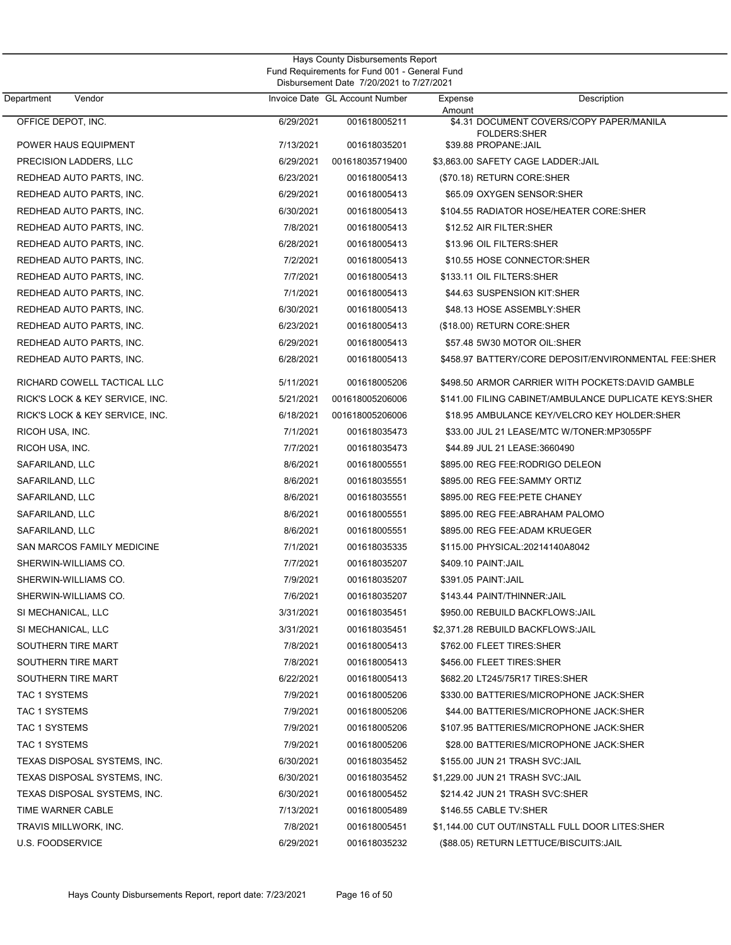| Department           | Vendor                          |           | Invoice Date GL Account Number | Expense             | Description                                           |
|----------------------|---------------------------------|-----------|--------------------------------|---------------------|-------------------------------------------------------|
| OFFICE DEPOT, INC.   |                                 | 6/29/2021 | 001618005211                   | Amount              | \$4.31 DOCUMENT COVERS/COPY PAPER/MANILA              |
|                      |                                 |           |                                |                     | <b>FOLDERS:SHER</b>                                   |
|                      | POWER HAUS EQUIPMENT            | 7/13/2021 | 001618035201                   |                     | \$39.88 PROPANE: JAIL                                 |
|                      | PRECISION LADDERS, LLC          | 6/29/2021 | 001618035719400                |                     | \$3.863.00 SAFETY CAGE LADDER: JAIL                   |
|                      | REDHEAD AUTO PARTS, INC.        | 6/23/2021 | 001618005413                   |                     | (\$70.18) RETURN CORE:SHER                            |
|                      | REDHEAD AUTO PARTS, INC.        | 6/29/2021 | 001618005413                   |                     | \$65.09 OXYGEN SENSOR:SHER                            |
|                      | REDHEAD AUTO PARTS, INC.        | 6/30/2021 | 001618005413                   |                     | \$104.55 RADIATOR HOSE/HEATER CORE:SHER               |
|                      | REDHEAD AUTO PARTS, INC.        | 7/8/2021  | 001618005413                   |                     | \$12.52 AIR FILTER:SHER                               |
|                      | REDHEAD AUTO PARTS, INC.        | 6/28/2021 | 001618005413                   |                     | \$13.96 OIL FILTERS: SHER                             |
|                      | REDHEAD AUTO PARTS, INC.        | 7/2/2021  | 001618005413                   |                     | \$10.55 HOSE CONNECTOR:SHER                           |
|                      | REDHEAD AUTO PARTS, INC.        | 7/7/2021  | 001618005413                   |                     | \$133.11 OIL FILTERS:SHER                             |
|                      | REDHEAD AUTO PARTS, INC.        | 7/1/2021  | 001618005413                   |                     | \$44.63 SUSPENSION KIT:SHER                           |
|                      | REDHEAD AUTO PARTS, INC.        | 6/30/2021 | 001618005413                   |                     | \$48.13 HOSE ASSEMBLY:SHER                            |
|                      | REDHEAD AUTO PARTS, INC.        | 6/23/2021 | 001618005413                   |                     | (\$18.00) RETURN CORE:SHER                            |
|                      | REDHEAD AUTO PARTS, INC.        | 6/29/2021 | 001618005413                   |                     | \$57.48 5W30 MOTOR OIL:SHER                           |
|                      | REDHEAD AUTO PARTS, INC.        | 6/28/2021 | 001618005413                   |                     | \$458.97 BATTERY/CORE DEPOSIT/ENVIRONMENTAL FEE:SHER  |
|                      | RICHARD COWELL TACTICAL LLC     | 5/11/2021 | 001618005206                   |                     | \$498.50 ARMOR CARRIER WITH POCKETS:DAVID GAMBLE      |
|                      | RICK'S LOCK & KEY SERVICE, INC. | 5/21/2021 | 001618005206006                |                     | \$141.00 FILING CABINET/AMBULANCE DUPLICATE KEYS:SHER |
|                      | RICK'S LOCK & KEY SERVICE, INC. | 6/18/2021 | 001618005206006                |                     | \$18.95 AMBULANCE KEY/VELCRO KEY HOLDER:SHER          |
| RICOH USA, INC.      |                                 | 7/1/2021  | 001618035473                   |                     | \$33.00 JUL 21 LEASE/MTC W/TONER:MP3055PF             |
| RICOH USA, INC.      |                                 | 7/7/2021  | 001618035473                   |                     | \$44.89 JUL 21 LEASE:3660490                          |
| SAFARILAND, LLC      |                                 | 8/6/2021  | 001618005551                   |                     | \$895.00 REG FEE:RODRIGO DELEON                       |
| SAFARILAND, LLC      |                                 | 8/6/2021  | 001618035551                   |                     | \$895.00 REG FEE:SAMMY ORTIZ                          |
| SAFARILAND, LLC      |                                 | 8/6/2021  | 001618035551                   |                     | \$895.00 REG FEE:PETE CHANEY                          |
| SAFARILAND, LLC      |                                 | 8/6/2021  | 001618005551                   |                     | \$895.00 REG FEE: ABRAHAM PALOMO                      |
| SAFARILAND, LLC      |                                 | 8/6/2021  | 001618005551                   |                     | \$895.00 REG FEE:ADAM KRUEGER                         |
|                      | SAN MARCOS FAMILY MEDICINE      | 7/1/2021  | 001618035335                   |                     | \$115.00 PHYSICAL:20214140A8042                       |
|                      | SHERWIN-WILLIAMS CO.            | 7/7/2021  | 001618035207                   | \$409.10 PAINT:JAIL |                                                       |
|                      | SHERWIN-WILLIAMS CO.            | 7/9/2021  | 001618035207                   | \$391.05 PAINT:JAIL |                                                       |
|                      | SHERWIN-WILLIAMS CO.            | 7/6/2021  | 001618035207                   |                     | \$143.44 PAINT/THINNER:JAIL                           |
| SI MECHANICAL, LLC   |                                 | 3/31/2021 | 001618035451                   |                     | \$950.00 REBUILD BACKFLOWS: JAIL                      |
| SI MECHANICAL, LLC   |                                 | 3/31/2021 | 001618035451                   |                     | \$2,371.28 REBUILD BACKFLOWS: JAIL                    |
| SOUTHERN TIRE MART   |                                 | 7/8/2021  | 001618005413                   |                     | \$762.00 FLEET TIRES:SHER                             |
| SOUTHERN TIRE MART   |                                 | 7/8/2021  | 001618005413                   |                     | \$456.00 FLEET TIRES:SHER                             |
| SOUTHERN TIRE MART   |                                 | 6/22/2021 | 001618005413                   |                     | \$682.20 LT245/75R17 TIRES:SHER                       |
| <b>TAC 1 SYSTEMS</b> |                                 | 7/9/2021  | 001618005206                   |                     | \$330.00 BATTERIES/MICROPHONE JACK:SHER               |
| <b>TAC 1 SYSTEMS</b> |                                 | 7/9/2021  | 001618005206                   |                     | \$44.00 BATTERIES/MICROPHONE JACK:SHER                |
| <b>TAC 1 SYSTEMS</b> |                                 | 7/9/2021  | 001618005206                   |                     | \$107.95 BATTERIES/MICROPHONE JACK:SHER               |
| <b>TAC 1 SYSTEMS</b> |                                 | 7/9/2021  | 001618005206                   |                     | \$28.00 BATTERIES/MICROPHONE JACK:SHER                |
|                      | TEXAS DISPOSAL SYSTEMS, INC.    | 6/30/2021 | 001618035452                   |                     | \$155.00 JUN 21 TRASH SVC:JAIL                        |
|                      | TEXAS DISPOSAL SYSTEMS, INC.    | 6/30/2021 | 001618035452                   |                     | \$1,229.00 JUN 21 TRASH SVC:JAIL                      |
|                      | TEXAS DISPOSAL SYSTEMS, INC.    | 6/30/2021 | 001618005452                   |                     | \$214.42 JUN 21 TRASH SVC:SHER                        |
| TIME WARNER CABLE    |                                 | 7/13/2021 | 001618005489                   |                     | \$146.55 CABLE TV:SHER                                |
|                      | TRAVIS MILLWORK, INC.           | 7/8/2021  | 001618005451                   |                     | \$1,144.00 CUT OUT/INSTALL FULL DOOR LITES:SHER       |
| U.S. FOODSERVICE     |                                 | 6/29/2021 | 001618035232                   |                     | (\$88.05) RETURN LETTUCE/BISCUITS:JAIL                |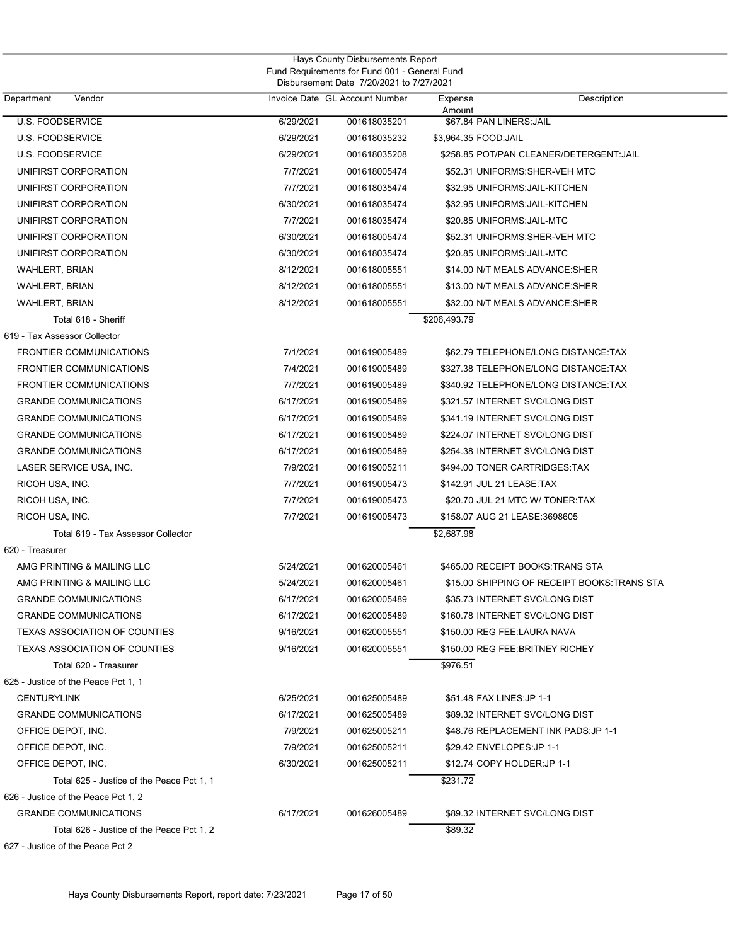| Hays County Disbursements Report<br>Fund Requirements for Fund 001 - General Fund<br>Disbursement Date 7/20/2021 to 7/27/2021 |           |                                |                             |                                              |  |
|-------------------------------------------------------------------------------------------------------------------------------|-----------|--------------------------------|-----------------------------|----------------------------------------------|--|
| Vendor<br>Department                                                                                                          |           | Invoice Date GL Account Number | Expense<br>Amount           | Description                                  |  |
| <b>U.S. FOODSERVICE</b>                                                                                                       | 6/29/2021 | 001618035201                   | \$67.84 PAN LINERS: JAIL    |                                              |  |
| <b>U.S. FOODSERVICE</b>                                                                                                       | 6/29/2021 | 001618035232                   | \$3,964.35 FOOD:JAIL        |                                              |  |
| <b>U.S. FOODSERVICE</b>                                                                                                       | 6/29/2021 | 001618035208                   |                             | \$258.85 POT/PAN CLEANER/DETERGENT: JAIL     |  |
| UNIFIRST CORPORATION                                                                                                          | 7/7/2021  | 001618005474                   |                             | \$52.31 UNIFORMS: SHER-VEH MTC               |  |
| UNIFIRST CORPORATION                                                                                                          | 7/7/2021  | 001618035474                   |                             | \$32.95 UNIFORMS: JAIL-KITCHEN               |  |
| UNIFIRST CORPORATION                                                                                                          | 6/30/2021 | 001618035474                   |                             | \$32.95 UNIFORMS: JAIL-KITCHEN               |  |
| UNIFIRST CORPORATION                                                                                                          | 7/7/2021  | 001618035474                   | \$20.85 UNIFORMS: JAIL-MTC  |                                              |  |
| UNIFIRST CORPORATION                                                                                                          | 6/30/2021 | 001618005474                   |                             | \$52.31 UNIFORMS: SHER-VEH MTC               |  |
| UNIFIRST CORPORATION                                                                                                          | 6/30/2021 | 001618035474                   | \$20.85 UNIFORMS: JAIL-MTC  |                                              |  |
| <b>WAHLERT, BRIAN</b>                                                                                                         | 8/12/2021 | 001618005551                   |                             | \$14.00 N/T MEALS ADVANCE:SHER               |  |
| <b>WAHLERT, BRIAN</b>                                                                                                         | 8/12/2021 | 001618005551                   |                             | \$13.00 N/T MEALS ADVANCE:SHER               |  |
| <b>WAHLERT, BRIAN</b>                                                                                                         | 8/12/2021 | 001618005551                   |                             | \$32.00 N/T MEALS ADVANCE: SHER              |  |
| Total 618 - Sheriff                                                                                                           |           |                                | \$206,493.79                |                                              |  |
| 619 - Tax Assessor Collector                                                                                                  |           |                                |                             |                                              |  |
| <b>FRONTIER COMMUNICATIONS</b>                                                                                                | 7/1/2021  | 001619005489                   |                             | \$62.79 TELEPHONE/LONG DISTANCE:TAX          |  |
| <b>FRONTIER COMMUNICATIONS</b>                                                                                                | 7/4/2021  | 001619005489                   |                             | \$327.38 TELEPHONE/LONG DISTANCE:TAX         |  |
| <b>FRONTIER COMMUNICATIONS</b>                                                                                                | 7/7/2021  | 001619005489                   |                             | \$340.92 TELEPHONE/LONG DISTANCE:TAX         |  |
| <b>GRANDE COMMUNICATIONS</b>                                                                                                  | 6/17/2021 | 001619005489                   |                             | \$321.57 INTERNET SVC/LONG DIST              |  |
| <b>GRANDE COMMUNICATIONS</b>                                                                                                  | 6/17/2021 | 001619005489                   |                             | \$341.19 INTERNET SVC/LONG DIST              |  |
| <b>GRANDE COMMUNICATIONS</b>                                                                                                  | 6/17/2021 | 001619005489                   |                             | \$224.07 INTERNET SVC/LONG DIST              |  |
| <b>GRANDE COMMUNICATIONS</b>                                                                                                  | 6/17/2021 | 001619005489                   |                             | \$254.38 INTERNET SVC/LONG DIST              |  |
| LASER SERVICE USA, INC.                                                                                                       | 7/9/2021  | 001619005211                   |                             | \$494.00 TONER CARTRIDGES:TAX                |  |
| RICOH USA, INC.                                                                                                               | 7/7/2021  | 001619005473                   | \$142.91 JUL 21 LEASE:TAX   |                                              |  |
| RICOH USA, INC.                                                                                                               | 7/7/2021  | 001619005473                   |                             | \$20.70 JUL 21 MTC W/ TONER:TAX              |  |
| RICOH USA, INC.                                                                                                               | 7/7/2021  | 001619005473                   |                             | \$158.07 AUG 21 LEASE:3698605                |  |
| Total 619 - Tax Assessor Collector                                                                                            |           |                                | \$2,687.98                  |                                              |  |
| 620 - Treasurer                                                                                                               |           |                                |                             |                                              |  |
| AMG PRINTING & MAILING LLC                                                                                                    | 5/24/2021 | 001620005461                   |                             | \$465.00 RECEIPT BOOKS: TRANS STA            |  |
| AMG PRINTING & MAILING LLC                                                                                                    | 5/24/2021 | 001620005461                   |                             | \$15.00 SHIPPING OF RECEIPT BOOKS: TRANS STA |  |
| <b>GRANDE COMMUNICATIONS</b>                                                                                                  | 6/17/2021 | 001620005489                   |                             | \$35.73 INTERNET SVC/LONG DIST               |  |
| <b>GRANDE COMMUNICATIONS</b>                                                                                                  | 6/17/2021 | 001620005489                   |                             | \$160.78 INTERNET SVC/LONG DIST              |  |
| TEXAS ASSOCIATION OF COUNTIES                                                                                                 | 9/16/2021 | 001620005551                   | \$150.00 REG FEE:LAURA NAVA |                                              |  |
| <b>TEXAS ASSOCIATION OF COUNTIES</b>                                                                                          | 9/16/2021 | 001620005551                   |                             | \$150.00 REG FEE: BRITNEY RICHEY             |  |
| Total 620 - Treasurer                                                                                                         |           |                                | \$976.51                    |                                              |  |
| 625 - Justice of the Peace Pct 1, 1                                                                                           |           |                                |                             |                                              |  |
| <b>CENTURYLINK</b>                                                                                                            | 6/25/2021 | 001625005489                   | \$51.48 FAX LINES: JP 1-1   |                                              |  |
| <b>GRANDE COMMUNICATIONS</b>                                                                                                  | 6/17/2021 | 001625005489                   |                             | \$89.32 INTERNET SVC/LONG DIST               |  |
| OFFICE DEPOT, INC.                                                                                                            | 7/9/2021  | 001625005211                   |                             | \$48.76 REPLACEMENT INK PADS: JP 1-1         |  |
| OFFICE DEPOT, INC.                                                                                                            | 7/9/2021  | 001625005211                   | \$29.42 ENVELOPES: JP 1-1   |                                              |  |
| OFFICE DEPOT, INC.                                                                                                            | 6/30/2021 | 001625005211                   | \$12.74 COPY HOLDER:JP 1-1  |                                              |  |
| Total 625 - Justice of the Peace Pct 1, 1                                                                                     |           |                                | \$231.72                    |                                              |  |
| 626 - Justice of the Peace Pct 1, 2                                                                                           |           |                                |                             |                                              |  |
| <b>GRANDE COMMUNICATIONS</b>                                                                                                  | 6/17/2021 | 001626005489                   |                             | \$89.32 INTERNET SVC/LONG DIST               |  |
| Total 626 - Justice of the Peace Pct 1, 2                                                                                     |           |                                | \$89.32                     |                                              |  |
| 627 - Justice of the Peace Pct 2                                                                                              |           |                                |                             |                                              |  |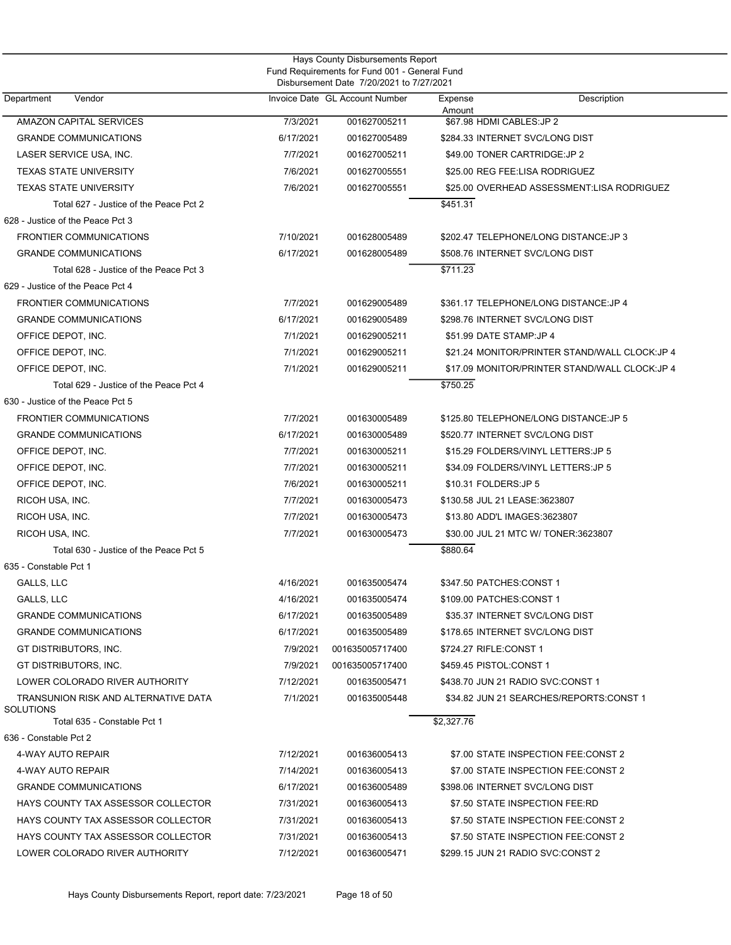| Hays County Disbursements Report<br>Fund Requirements for Fund 001 - General Fund<br>Disbursement Date 7/20/2021 to 7/27/2021 |           |                                |                                                |  |  |  |
|-------------------------------------------------------------------------------------------------------------------------------|-----------|--------------------------------|------------------------------------------------|--|--|--|
| Department<br>Vendor                                                                                                          |           | Invoice Date GL Account Number | Description<br>Expense<br>Amount               |  |  |  |
| <b>AMAZON CAPITAL SERVICES</b>                                                                                                | 7/3/2021  | 001627005211                   | \$67.98 HDMI CABLES: JP 2                      |  |  |  |
| <b>GRANDE COMMUNICATIONS</b>                                                                                                  | 6/17/2021 | 001627005489                   | \$284.33 INTERNET SVC/LONG DIST                |  |  |  |
| LASER SERVICE USA, INC.                                                                                                       | 7/7/2021  | 001627005211                   | \$49.00 TONER CARTRIDGE: JP 2                  |  |  |  |
| <b>TEXAS STATE UNIVERSITY</b>                                                                                                 | 7/6/2021  | 001627005551                   | \$25.00 REG FEE:LISA RODRIGUEZ                 |  |  |  |
| <b>TEXAS STATE UNIVERSITY</b>                                                                                                 | 7/6/2021  | 001627005551                   | \$25.00 OVERHEAD ASSESSMENT:LISA RODRIGUEZ     |  |  |  |
| Total 627 - Justice of the Peace Pct 2                                                                                        |           |                                | \$451.31                                       |  |  |  |
| 628 - Justice of the Peace Pct 3                                                                                              |           |                                |                                                |  |  |  |
| <b>FRONTIER COMMUNICATIONS</b>                                                                                                | 7/10/2021 | 001628005489                   | \$202.47 TELEPHONE/LONG DISTANCE: JP 3         |  |  |  |
| <b>GRANDE COMMUNICATIONS</b>                                                                                                  | 6/17/2021 | 001628005489                   | \$508.76 INTERNET SVC/LONG DIST                |  |  |  |
| Total 628 - Justice of the Peace Pct 3                                                                                        |           |                                | \$711.23                                       |  |  |  |
| 629 - Justice of the Peace Pct 4                                                                                              |           |                                |                                                |  |  |  |
| <b>FRONTIER COMMUNICATIONS</b>                                                                                                | 7/7/2021  | 001629005489                   | \$361.17 TELEPHONE/LONG DISTANCE: JP 4         |  |  |  |
| <b>GRANDE COMMUNICATIONS</b>                                                                                                  | 6/17/2021 | 001629005489                   | \$298.76 INTERNET SVC/LONG DIST                |  |  |  |
| OFFICE DEPOT, INC.                                                                                                            | 7/1/2021  | 001629005211                   | \$51.99 DATE STAMP:JP 4                        |  |  |  |
| OFFICE DEPOT, INC.                                                                                                            | 7/1/2021  | 001629005211                   | \$21.24 MONITOR/PRINTER STAND/WALL CLOCK: JP 4 |  |  |  |
| OFFICE DEPOT, INC.                                                                                                            | 7/1/2021  | 001629005211                   | \$17.09 MONITOR/PRINTER STAND/WALL CLOCK: JP 4 |  |  |  |
| Total 629 - Justice of the Peace Pct 4                                                                                        |           |                                | \$750.25                                       |  |  |  |
| 630 - Justice of the Peace Pct 5                                                                                              |           |                                |                                                |  |  |  |
| <b>FRONTIER COMMUNICATIONS</b>                                                                                                | 7/7/2021  | 001630005489                   | \$125.80 TELEPHONE/LONG DISTANCE: JP 5         |  |  |  |
| <b>GRANDE COMMUNICATIONS</b>                                                                                                  | 6/17/2021 | 001630005489                   | \$520.77 INTERNET SVC/LONG DIST                |  |  |  |
| OFFICE DEPOT, INC.                                                                                                            | 7/7/2021  | 001630005211                   | \$15.29 FOLDERS/VINYL LETTERS: JP 5            |  |  |  |
| OFFICE DEPOT, INC.                                                                                                            | 7/7/2021  | 001630005211                   | \$34.09 FOLDERS/VINYL LETTERS: JP 5            |  |  |  |
| OFFICE DEPOT, INC.                                                                                                            | 7/6/2021  | 001630005211                   | \$10.31 FOLDERS: JP 5                          |  |  |  |
| RICOH USA, INC.                                                                                                               | 7/7/2021  | 001630005473                   | \$130.58 JUL 21 LEASE:3623807                  |  |  |  |
| RICOH USA, INC.                                                                                                               | 7/7/2021  | 001630005473                   | \$13.80 ADD'L IMAGES:3623807                   |  |  |  |
| RICOH USA, INC.                                                                                                               | 7/7/2021  | 001630005473                   | \$30.00 JUL 21 MTC W/ TONER:3623807            |  |  |  |
| Total 630 - Justice of the Peace Pct 5                                                                                        |           |                                | \$880.64                                       |  |  |  |
| 635 - Constable Pct 1                                                                                                         |           |                                |                                                |  |  |  |
| GALLS, LLC                                                                                                                    | 4/16/2021 | 001635005474                   | \$347.50 PATCHES:CONST 1                       |  |  |  |
| <b>GALLS, LLC</b>                                                                                                             | 4/16/2021 | 001635005474                   | \$109.00 PATCHES:CONST 1                       |  |  |  |
| <b>GRANDE COMMUNICATIONS</b>                                                                                                  | 6/17/2021 | 001635005489                   | \$35.37 INTERNET SVC/LONG DIST                 |  |  |  |
| <b>GRANDE COMMUNICATIONS</b>                                                                                                  | 6/17/2021 | 001635005489                   | \$178.65 INTERNET SVC/LONG DIST                |  |  |  |
| GT DISTRIBUTORS, INC.                                                                                                         | 7/9/2021  | 001635005717400                | \$724.27 RIFLE:CONST 1                         |  |  |  |
| GT DISTRIBUTORS, INC.                                                                                                         | 7/9/2021  | 001635005717400                | \$459.45 PISTOL:CONST 1                        |  |  |  |
| LOWER COLORADO RIVER AUTHORITY                                                                                                | 7/12/2021 | 001635005471                   | \$438.70 JUN 21 RADIO SVC:CONST 1              |  |  |  |
| TRANSUNION RISK AND ALTERNATIVE DATA<br><b>SOLUTIONS</b>                                                                      | 7/1/2021  | 001635005448                   | \$34.82 JUN 21 SEARCHES/REPORTS:CONST 1        |  |  |  |
| Total 635 - Constable Pct 1                                                                                                   |           |                                | \$2,327.76                                     |  |  |  |
| 636 - Constable Pct 2                                                                                                         |           |                                |                                                |  |  |  |
| 4-WAY AUTO REPAIR                                                                                                             | 7/12/2021 | 001636005413                   | \$7.00 STATE INSPECTION FEE:CONST 2            |  |  |  |
| 4-WAY AUTO REPAIR                                                                                                             | 7/14/2021 | 001636005413                   | \$7.00 STATE INSPECTION FEE:CONST 2            |  |  |  |
| <b>GRANDE COMMUNICATIONS</b>                                                                                                  | 6/17/2021 | 001636005489                   | \$398.06 INTERNET SVC/LONG DIST                |  |  |  |
| HAYS COUNTY TAX ASSESSOR COLLECTOR                                                                                            | 7/31/2021 | 001636005413                   | \$7.50 STATE INSPECTION FEE:RD                 |  |  |  |
| HAYS COUNTY TAX ASSESSOR COLLECTOR                                                                                            | 7/31/2021 | 001636005413                   | \$7.50 STATE INSPECTION FEE:CONST 2            |  |  |  |
| HAYS COUNTY TAX ASSESSOR COLLECTOR                                                                                            | 7/31/2021 | 001636005413                   | \$7.50 STATE INSPECTION FEE:CONST 2            |  |  |  |
| LOWER COLORADO RIVER AUTHORITY                                                                                                | 7/12/2021 | 001636005471                   | \$299.15 JUN 21 RADIO SVC:CONST 2              |  |  |  |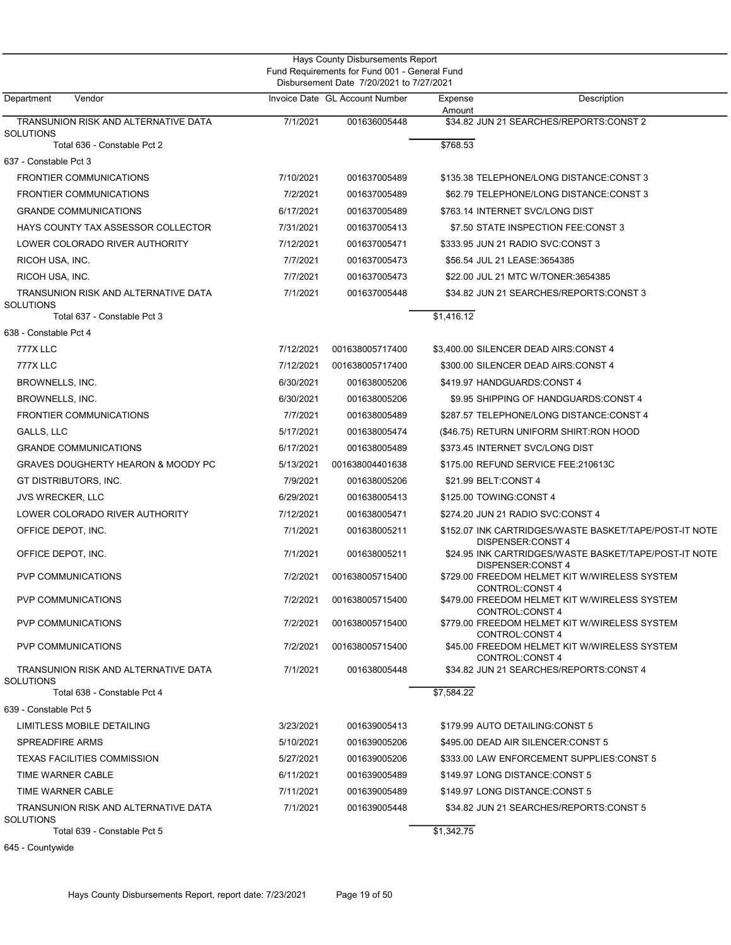| Disbursement Date 7/20/2021 to 7/27/2021<br>Invoice Date GL Account Number<br>Department<br>Vendor<br>Description<br>Expense<br>Amount<br>TRANSUNION RISK AND ALTERNATIVE DATA<br>7/1/2021<br>001636005448<br>\$34.82 JUN 21 SEARCHES/REPORTS:CONST 2<br><b>SOLUTIONS</b><br>\$768.53<br>Total 636 - Constable Pct 2<br>637 - Constable Pct 3<br><b>FRONTIER COMMUNICATIONS</b><br>7/10/2021<br>001637005489<br>\$135.38 TELEPHONE/LONG DISTANCE:CONST 3<br><b>FRONTIER COMMUNICATIONS</b><br>7/2/2021<br>001637005489<br>\$62.79 TELEPHONE/LONG DISTANCE:CONST 3<br><b>GRANDE COMMUNICATIONS</b><br>6/17/2021<br>001637005489<br>\$763.14 INTERNET SVC/LONG DIST<br>HAYS COUNTY TAX ASSESSOR COLLECTOR<br>7/31/2021<br>001637005413<br>\$7.50 STATE INSPECTION FEE:CONST 3<br>LOWER COLORADO RIVER AUTHORITY<br>7/12/2021<br>001637005471<br>\$333.95 JUN 21 RADIO SVC:CONST 3<br>RICOH USA, INC.<br>7/7/2021<br>001637005473<br>\$56.54 JUL 21 LEASE:3654385<br>RICOH USA, INC.<br>7/7/2021<br>\$22.00 JUL 21 MTC W/TONER:3654385<br>001637005473<br>TRANSUNION RISK AND ALTERNATIVE DATA<br>7/1/2021<br>001637005448<br>\$34.82 JUN 21 SEARCHES/REPORTS:CONST 3<br><b>SOLUTIONS</b><br>\$1,416.12<br>Total 637 - Constable Pct 3<br>638 - Constable Pct 4<br>777X LLC<br>7/12/2021<br>001638005717400<br>\$3,400.00 SILENCER DEAD AIRS:CONST 4<br><b>777X LLC</b><br>7/12/2021<br>001638005717400<br>\$300.00 SILENCER DEAD AIRS:CONST 4<br>BROWNELLS, INC.<br>6/30/2021<br>001638005206<br>\$419.97 HANDGUARDS:CONST 4<br>BROWNELLS, INC.<br>6/30/2021<br>001638005206<br>\$9.95 SHIPPING OF HANDGUARDS: CONST 4<br>7/7/2021<br><b>FRONTIER COMMUNICATIONS</b><br>001638005489<br>\$287.57 TELEPHONE/LONG DISTANCE:CONST 4<br>GALLS, LLC<br>5/17/2021<br>001638005474<br>(\$46.75) RETURN UNIFORM SHIRT:RON HOOD<br><b>GRANDE COMMUNICATIONS</b><br>6/17/2021<br>001638005489<br>\$373.45 INTERNET SVC/LONG DIST<br><b>GRAVES DOUGHERTY HEARON &amp; MOODY PC</b><br>5/13/2021<br>001638004401638<br>\$175.00 REFUND SERVICE FEE: 210613C<br>GT DISTRIBUTORS, INC.<br>7/9/2021<br>001638005206<br>\$21.99 BELT:CONST 4<br>6/29/2021<br>\$125.00 TOWING: CONST 4<br><b>JVS WRECKER, LLC</b><br>001638005413<br>LOWER COLORADO RIVER AUTHORITY<br>7/12/2021<br>001638005471<br>\$274.20 JUN 21 RADIO SVC:CONST 4<br>OFFICE DEPOT, INC.<br>7/1/2021<br>001638005211<br>\$152.07 INK CARTRIDGES/WASTE BASKET/TAPE/POST-IT NOTE<br>DISPENSER:CONST 4<br>OFFICE DEPOT, INC.<br>7/1/2021<br>001638005211<br>\$24.95 INK CARTRIDGES/WASTE BASKET/TAPE/POST-IT NOTE<br>DISPENSER:CONST 4<br><b>PVP COMMUNICATIONS</b><br>7/2/2021<br>001638005715400<br>\$729.00 FREEDOM HELMET KIT W/WIRELESS SYSTEM<br>CONTROL:CONST 4<br>PVP COMMUNICATIONS<br>\$479.00 FREEDOM HELMET KIT W/WIRELESS SYSTEM<br>7/2/2021<br>001638005715400<br>CONTROL:CONST 4<br><b>PVP COMMUNICATIONS</b><br>7/2/2021<br>001638005715400<br>\$779.00 FREEDOM HELMET KIT W/WIRELESS SYSTEM<br>CONTROL:CONST 4<br><b>PVP COMMUNICATIONS</b><br>7/2/2021<br>001638005715400<br>\$45.00 FREEDOM HELMET KIT W/WIRELESS SYSTEM<br>CONTROL: CONST 4<br>7/1/2021<br>\$34.82 JUN 21 SEARCHES/REPORTS:CONST 4<br>TRANSUNION RISK AND ALTERNATIVE DATA<br>001638005448<br><b>SOLUTIONS</b><br>\$7,584.22<br>Total 638 - Constable Pct 4<br>639 - Constable Pct 5<br>LIMITLESS MOBILE DETAILING<br>3/23/2021<br>001639005413<br>\$179.99 AUTO DETAILING:CONST 5<br><b>SPREADFIRE ARMS</b><br>\$495.00 DEAD AIR SILENCER: CONST 5<br>5/10/2021<br>001639005206<br>5/27/2021<br>TEXAS FACILITIES COMMISSION<br>001639005206<br>\$333.00 LAW ENFORCEMENT SUPPLIES:CONST 5<br>TIME WARNER CABLE<br>6/11/2021<br>\$149.97 LONG DISTANCE:CONST 5<br>001639005489<br>TIME WARNER CABLE<br>7/11/2021<br>001639005489<br>\$149.97 LONG DISTANCE:CONST 5<br>TRANSUNION RISK AND ALTERNATIVE DATA<br>7/1/2021<br>001639005448<br>\$34.82 JUN 21 SEARCHES/REPORTS:CONST 5<br><b>SOLUTIONS</b><br>\$1,342.75<br>Total 639 - Constable Pct 5<br>645 - Countywide |  | Hays County Disbursements Report<br>Fund Requirements for Fund 001 - General Fund |  |
|--------------------------------------------------------------------------------------------------------------------------------------------------------------------------------------------------------------------------------------------------------------------------------------------------------------------------------------------------------------------------------------------------------------------------------------------------------------------------------------------------------------------------------------------------------------------------------------------------------------------------------------------------------------------------------------------------------------------------------------------------------------------------------------------------------------------------------------------------------------------------------------------------------------------------------------------------------------------------------------------------------------------------------------------------------------------------------------------------------------------------------------------------------------------------------------------------------------------------------------------------------------------------------------------------------------------------------------------------------------------------------------------------------------------------------------------------------------------------------------------------------------------------------------------------------------------------------------------------------------------------------------------------------------------------------------------------------------------------------------------------------------------------------------------------------------------------------------------------------------------------------------------------------------------------------------------------------------------------------------------------------------------------------------------------------------------------------------------------------------------------------------------------------------------------------------------------------------------------------------------------------------------------------------------------------------------------------------------------------------------------------------------------------------------------------------------------------------------------------------------------------------------------------------------------------------------------------------------------------------------------------------------------------------------------------------------------------------------------------------------------------------------------------------------------------------------------------------------------------------------------------------------------------------------------------------------------------------------------------------------------------------------------------------------------------------------------------------------------------------------------------------------------------------------------------------------------------------------------------------------------------------------------------------------------------------------------------------------------------------------------------------------------------------------------------------------------------------------------------------------------------------------------------------------------------------------------------------------------------------------------------------------------------------------------------------------------------------------------------------------------------------------------------------------------------------------------------------------------------------------------------------------------------------------------------------------------------------------------------------------------------|--|-----------------------------------------------------------------------------------|--|
|                                                                                                                                                                                                                                                                                                                                                                                                                                                                                                                                                                                                                                                                                                                                                                                                                                                                                                                                                                                                                                                                                                                                                                                                                                                                                                                                                                                                                                                                                                                                                                                                                                                                                                                                                                                                                                                                                                                                                                                                                                                                                                                                                                                                                                                                                                                                                                                                                                                                                                                                                                                                                                                                                                                                                                                                                                                                                                                                                                                                                                                                                                                                                                                                                                                                                                                                                                                                                                                                                                                                                                                                                                                                                                                                                                                                                                                                                                                                                                                                        |  |                                                                                   |  |
|                                                                                                                                                                                                                                                                                                                                                                                                                                                                                                                                                                                                                                                                                                                                                                                                                                                                                                                                                                                                                                                                                                                                                                                                                                                                                                                                                                                                                                                                                                                                                                                                                                                                                                                                                                                                                                                                                                                                                                                                                                                                                                                                                                                                                                                                                                                                                                                                                                                                                                                                                                                                                                                                                                                                                                                                                                                                                                                                                                                                                                                                                                                                                                                                                                                                                                                                                                                                                                                                                                                                                                                                                                                                                                                                                                                                                                                                                                                                                                                                        |  |                                                                                   |  |
|                                                                                                                                                                                                                                                                                                                                                                                                                                                                                                                                                                                                                                                                                                                                                                                                                                                                                                                                                                                                                                                                                                                                                                                                                                                                                                                                                                                                                                                                                                                                                                                                                                                                                                                                                                                                                                                                                                                                                                                                                                                                                                                                                                                                                                                                                                                                                                                                                                                                                                                                                                                                                                                                                                                                                                                                                                                                                                                                                                                                                                                                                                                                                                                                                                                                                                                                                                                                                                                                                                                                                                                                                                                                                                                                                                                                                                                                                                                                                                                                        |  |                                                                                   |  |
|                                                                                                                                                                                                                                                                                                                                                                                                                                                                                                                                                                                                                                                                                                                                                                                                                                                                                                                                                                                                                                                                                                                                                                                                                                                                                                                                                                                                                                                                                                                                                                                                                                                                                                                                                                                                                                                                                                                                                                                                                                                                                                                                                                                                                                                                                                                                                                                                                                                                                                                                                                                                                                                                                                                                                                                                                                                                                                                                                                                                                                                                                                                                                                                                                                                                                                                                                                                                                                                                                                                                                                                                                                                                                                                                                                                                                                                                                                                                                                                                        |  |                                                                                   |  |
|                                                                                                                                                                                                                                                                                                                                                                                                                                                                                                                                                                                                                                                                                                                                                                                                                                                                                                                                                                                                                                                                                                                                                                                                                                                                                                                                                                                                                                                                                                                                                                                                                                                                                                                                                                                                                                                                                                                                                                                                                                                                                                                                                                                                                                                                                                                                                                                                                                                                                                                                                                                                                                                                                                                                                                                                                                                                                                                                                                                                                                                                                                                                                                                                                                                                                                                                                                                                                                                                                                                                                                                                                                                                                                                                                                                                                                                                                                                                                                                                        |  |                                                                                   |  |
|                                                                                                                                                                                                                                                                                                                                                                                                                                                                                                                                                                                                                                                                                                                                                                                                                                                                                                                                                                                                                                                                                                                                                                                                                                                                                                                                                                                                                                                                                                                                                                                                                                                                                                                                                                                                                                                                                                                                                                                                                                                                                                                                                                                                                                                                                                                                                                                                                                                                                                                                                                                                                                                                                                                                                                                                                                                                                                                                                                                                                                                                                                                                                                                                                                                                                                                                                                                                                                                                                                                                                                                                                                                                                                                                                                                                                                                                                                                                                                                                        |  |                                                                                   |  |
|                                                                                                                                                                                                                                                                                                                                                                                                                                                                                                                                                                                                                                                                                                                                                                                                                                                                                                                                                                                                                                                                                                                                                                                                                                                                                                                                                                                                                                                                                                                                                                                                                                                                                                                                                                                                                                                                                                                                                                                                                                                                                                                                                                                                                                                                                                                                                                                                                                                                                                                                                                                                                                                                                                                                                                                                                                                                                                                                                                                                                                                                                                                                                                                                                                                                                                                                                                                                                                                                                                                                                                                                                                                                                                                                                                                                                                                                                                                                                                                                        |  |                                                                                   |  |
|                                                                                                                                                                                                                                                                                                                                                                                                                                                                                                                                                                                                                                                                                                                                                                                                                                                                                                                                                                                                                                                                                                                                                                                                                                                                                                                                                                                                                                                                                                                                                                                                                                                                                                                                                                                                                                                                                                                                                                                                                                                                                                                                                                                                                                                                                                                                                                                                                                                                                                                                                                                                                                                                                                                                                                                                                                                                                                                                                                                                                                                                                                                                                                                                                                                                                                                                                                                                                                                                                                                                                                                                                                                                                                                                                                                                                                                                                                                                                                                                        |  |                                                                                   |  |
|                                                                                                                                                                                                                                                                                                                                                                                                                                                                                                                                                                                                                                                                                                                                                                                                                                                                                                                                                                                                                                                                                                                                                                                                                                                                                                                                                                                                                                                                                                                                                                                                                                                                                                                                                                                                                                                                                                                                                                                                                                                                                                                                                                                                                                                                                                                                                                                                                                                                                                                                                                                                                                                                                                                                                                                                                                                                                                                                                                                                                                                                                                                                                                                                                                                                                                                                                                                                                                                                                                                                                                                                                                                                                                                                                                                                                                                                                                                                                                                                        |  |                                                                                   |  |
|                                                                                                                                                                                                                                                                                                                                                                                                                                                                                                                                                                                                                                                                                                                                                                                                                                                                                                                                                                                                                                                                                                                                                                                                                                                                                                                                                                                                                                                                                                                                                                                                                                                                                                                                                                                                                                                                                                                                                                                                                                                                                                                                                                                                                                                                                                                                                                                                                                                                                                                                                                                                                                                                                                                                                                                                                                                                                                                                                                                                                                                                                                                                                                                                                                                                                                                                                                                                                                                                                                                                                                                                                                                                                                                                                                                                                                                                                                                                                                                                        |  |                                                                                   |  |
|                                                                                                                                                                                                                                                                                                                                                                                                                                                                                                                                                                                                                                                                                                                                                                                                                                                                                                                                                                                                                                                                                                                                                                                                                                                                                                                                                                                                                                                                                                                                                                                                                                                                                                                                                                                                                                                                                                                                                                                                                                                                                                                                                                                                                                                                                                                                                                                                                                                                                                                                                                                                                                                                                                                                                                                                                                                                                                                                                                                                                                                                                                                                                                                                                                                                                                                                                                                                                                                                                                                                                                                                                                                                                                                                                                                                                                                                                                                                                                                                        |  |                                                                                   |  |
|                                                                                                                                                                                                                                                                                                                                                                                                                                                                                                                                                                                                                                                                                                                                                                                                                                                                                                                                                                                                                                                                                                                                                                                                                                                                                                                                                                                                                                                                                                                                                                                                                                                                                                                                                                                                                                                                                                                                                                                                                                                                                                                                                                                                                                                                                                                                                                                                                                                                                                                                                                                                                                                                                                                                                                                                                                                                                                                                                                                                                                                                                                                                                                                                                                                                                                                                                                                                                                                                                                                                                                                                                                                                                                                                                                                                                                                                                                                                                                                                        |  |                                                                                   |  |
|                                                                                                                                                                                                                                                                                                                                                                                                                                                                                                                                                                                                                                                                                                                                                                                                                                                                                                                                                                                                                                                                                                                                                                                                                                                                                                                                                                                                                                                                                                                                                                                                                                                                                                                                                                                                                                                                                                                                                                                                                                                                                                                                                                                                                                                                                                                                                                                                                                                                                                                                                                                                                                                                                                                                                                                                                                                                                                                                                                                                                                                                                                                                                                                                                                                                                                                                                                                                                                                                                                                                                                                                                                                                                                                                                                                                                                                                                                                                                                                                        |  |                                                                                   |  |
|                                                                                                                                                                                                                                                                                                                                                                                                                                                                                                                                                                                                                                                                                                                                                                                                                                                                                                                                                                                                                                                                                                                                                                                                                                                                                                                                                                                                                                                                                                                                                                                                                                                                                                                                                                                                                                                                                                                                                                                                                                                                                                                                                                                                                                                                                                                                                                                                                                                                                                                                                                                                                                                                                                                                                                                                                                                                                                                                                                                                                                                                                                                                                                                                                                                                                                                                                                                                                                                                                                                                                                                                                                                                                                                                                                                                                                                                                                                                                                                                        |  |                                                                                   |  |
|                                                                                                                                                                                                                                                                                                                                                                                                                                                                                                                                                                                                                                                                                                                                                                                                                                                                                                                                                                                                                                                                                                                                                                                                                                                                                                                                                                                                                                                                                                                                                                                                                                                                                                                                                                                                                                                                                                                                                                                                                                                                                                                                                                                                                                                                                                                                                                                                                                                                                                                                                                                                                                                                                                                                                                                                                                                                                                                                                                                                                                                                                                                                                                                                                                                                                                                                                                                                                                                                                                                                                                                                                                                                                                                                                                                                                                                                                                                                                                                                        |  |                                                                                   |  |
|                                                                                                                                                                                                                                                                                                                                                                                                                                                                                                                                                                                                                                                                                                                                                                                                                                                                                                                                                                                                                                                                                                                                                                                                                                                                                                                                                                                                                                                                                                                                                                                                                                                                                                                                                                                                                                                                                                                                                                                                                                                                                                                                                                                                                                                                                                                                                                                                                                                                                                                                                                                                                                                                                                                                                                                                                                                                                                                                                                                                                                                                                                                                                                                                                                                                                                                                                                                                                                                                                                                                                                                                                                                                                                                                                                                                                                                                                                                                                                                                        |  |                                                                                   |  |
|                                                                                                                                                                                                                                                                                                                                                                                                                                                                                                                                                                                                                                                                                                                                                                                                                                                                                                                                                                                                                                                                                                                                                                                                                                                                                                                                                                                                                                                                                                                                                                                                                                                                                                                                                                                                                                                                                                                                                                                                                                                                                                                                                                                                                                                                                                                                                                                                                                                                                                                                                                                                                                                                                                                                                                                                                                                                                                                                                                                                                                                                                                                                                                                                                                                                                                                                                                                                                                                                                                                                                                                                                                                                                                                                                                                                                                                                                                                                                                                                        |  |                                                                                   |  |
|                                                                                                                                                                                                                                                                                                                                                                                                                                                                                                                                                                                                                                                                                                                                                                                                                                                                                                                                                                                                                                                                                                                                                                                                                                                                                                                                                                                                                                                                                                                                                                                                                                                                                                                                                                                                                                                                                                                                                                                                                                                                                                                                                                                                                                                                                                                                                                                                                                                                                                                                                                                                                                                                                                                                                                                                                                                                                                                                                                                                                                                                                                                                                                                                                                                                                                                                                                                                                                                                                                                                                                                                                                                                                                                                                                                                                                                                                                                                                                                                        |  |                                                                                   |  |
|                                                                                                                                                                                                                                                                                                                                                                                                                                                                                                                                                                                                                                                                                                                                                                                                                                                                                                                                                                                                                                                                                                                                                                                                                                                                                                                                                                                                                                                                                                                                                                                                                                                                                                                                                                                                                                                                                                                                                                                                                                                                                                                                                                                                                                                                                                                                                                                                                                                                                                                                                                                                                                                                                                                                                                                                                                                                                                                                                                                                                                                                                                                                                                                                                                                                                                                                                                                                                                                                                                                                                                                                                                                                                                                                                                                                                                                                                                                                                                                                        |  |                                                                                   |  |
|                                                                                                                                                                                                                                                                                                                                                                                                                                                                                                                                                                                                                                                                                                                                                                                                                                                                                                                                                                                                                                                                                                                                                                                                                                                                                                                                                                                                                                                                                                                                                                                                                                                                                                                                                                                                                                                                                                                                                                                                                                                                                                                                                                                                                                                                                                                                                                                                                                                                                                                                                                                                                                                                                                                                                                                                                                                                                                                                                                                                                                                                                                                                                                                                                                                                                                                                                                                                                                                                                                                                                                                                                                                                                                                                                                                                                                                                                                                                                                                                        |  |                                                                                   |  |
|                                                                                                                                                                                                                                                                                                                                                                                                                                                                                                                                                                                                                                                                                                                                                                                                                                                                                                                                                                                                                                                                                                                                                                                                                                                                                                                                                                                                                                                                                                                                                                                                                                                                                                                                                                                                                                                                                                                                                                                                                                                                                                                                                                                                                                                                                                                                                                                                                                                                                                                                                                                                                                                                                                                                                                                                                                                                                                                                                                                                                                                                                                                                                                                                                                                                                                                                                                                                                                                                                                                                                                                                                                                                                                                                                                                                                                                                                                                                                                                                        |  |                                                                                   |  |
|                                                                                                                                                                                                                                                                                                                                                                                                                                                                                                                                                                                                                                                                                                                                                                                                                                                                                                                                                                                                                                                                                                                                                                                                                                                                                                                                                                                                                                                                                                                                                                                                                                                                                                                                                                                                                                                                                                                                                                                                                                                                                                                                                                                                                                                                                                                                                                                                                                                                                                                                                                                                                                                                                                                                                                                                                                                                                                                                                                                                                                                                                                                                                                                                                                                                                                                                                                                                                                                                                                                                                                                                                                                                                                                                                                                                                                                                                                                                                                                                        |  |                                                                                   |  |
|                                                                                                                                                                                                                                                                                                                                                                                                                                                                                                                                                                                                                                                                                                                                                                                                                                                                                                                                                                                                                                                                                                                                                                                                                                                                                                                                                                                                                                                                                                                                                                                                                                                                                                                                                                                                                                                                                                                                                                                                                                                                                                                                                                                                                                                                                                                                                                                                                                                                                                                                                                                                                                                                                                                                                                                                                                                                                                                                                                                                                                                                                                                                                                                                                                                                                                                                                                                                                                                                                                                                                                                                                                                                                                                                                                                                                                                                                                                                                                                                        |  |                                                                                   |  |
|                                                                                                                                                                                                                                                                                                                                                                                                                                                                                                                                                                                                                                                                                                                                                                                                                                                                                                                                                                                                                                                                                                                                                                                                                                                                                                                                                                                                                                                                                                                                                                                                                                                                                                                                                                                                                                                                                                                                                                                                                                                                                                                                                                                                                                                                                                                                                                                                                                                                                                                                                                                                                                                                                                                                                                                                                                                                                                                                                                                                                                                                                                                                                                                                                                                                                                                                                                                                                                                                                                                                                                                                                                                                                                                                                                                                                                                                                                                                                                                                        |  |                                                                                   |  |
|                                                                                                                                                                                                                                                                                                                                                                                                                                                                                                                                                                                                                                                                                                                                                                                                                                                                                                                                                                                                                                                                                                                                                                                                                                                                                                                                                                                                                                                                                                                                                                                                                                                                                                                                                                                                                                                                                                                                                                                                                                                                                                                                                                                                                                                                                                                                                                                                                                                                                                                                                                                                                                                                                                                                                                                                                                                                                                                                                                                                                                                                                                                                                                                                                                                                                                                                                                                                                                                                                                                                                                                                                                                                                                                                                                                                                                                                                                                                                                                                        |  |                                                                                   |  |
|                                                                                                                                                                                                                                                                                                                                                                                                                                                                                                                                                                                                                                                                                                                                                                                                                                                                                                                                                                                                                                                                                                                                                                                                                                                                                                                                                                                                                                                                                                                                                                                                                                                                                                                                                                                                                                                                                                                                                                                                                                                                                                                                                                                                                                                                                                                                                                                                                                                                                                                                                                                                                                                                                                                                                                                                                                                                                                                                                                                                                                                                                                                                                                                                                                                                                                                                                                                                                                                                                                                                                                                                                                                                                                                                                                                                                                                                                                                                                                                                        |  |                                                                                   |  |
|                                                                                                                                                                                                                                                                                                                                                                                                                                                                                                                                                                                                                                                                                                                                                                                                                                                                                                                                                                                                                                                                                                                                                                                                                                                                                                                                                                                                                                                                                                                                                                                                                                                                                                                                                                                                                                                                                                                                                                                                                                                                                                                                                                                                                                                                                                                                                                                                                                                                                                                                                                                                                                                                                                                                                                                                                                                                                                                                                                                                                                                                                                                                                                                                                                                                                                                                                                                                                                                                                                                                                                                                                                                                                                                                                                                                                                                                                                                                                                                                        |  |                                                                                   |  |
|                                                                                                                                                                                                                                                                                                                                                                                                                                                                                                                                                                                                                                                                                                                                                                                                                                                                                                                                                                                                                                                                                                                                                                                                                                                                                                                                                                                                                                                                                                                                                                                                                                                                                                                                                                                                                                                                                                                                                                                                                                                                                                                                                                                                                                                                                                                                                                                                                                                                                                                                                                                                                                                                                                                                                                                                                                                                                                                                                                                                                                                                                                                                                                                                                                                                                                                                                                                                                                                                                                                                                                                                                                                                                                                                                                                                                                                                                                                                                                                                        |  |                                                                                   |  |
|                                                                                                                                                                                                                                                                                                                                                                                                                                                                                                                                                                                                                                                                                                                                                                                                                                                                                                                                                                                                                                                                                                                                                                                                                                                                                                                                                                                                                                                                                                                                                                                                                                                                                                                                                                                                                                                                                                                                                                                                                                                                                                                                                                                                                                                                                                                                                                                                                                                                                                                                                                                                                                                                                                                                                                                                                                                                                                                                                                                                                                                                                                                                                                                                                                                                                                                                                                                                                                                                                                                                                                                                                                                                                                                                                                                                                                                                                                                                                                                                        |  |                                                                                   |  |
|                                                                                                                                                                                                                                                                                                                                                                                                                                                                                                                                                                                                                                                                                                                                                                                                                                                                                                                                                                                                                                                                                                                                                                                                                                                                                                                                                                                                                                                                                                                                                                                                                                                                                                                                                                                                                                                                                                                                                                                                                                                                                                                                                                                                                                                                                                                                                                                                                                                                                                                                                                                                                                                                                                                                                                                                                                                                                                                                                                                                                                                                                                                                                                                                                                                                                                                                                                                                                                                                                                                                                                                                                                                                                                                                                                                                                                                                                                                                                                                                        |  |                                                                                   |  |
|                                                                                                                                                                                                                                                                                                                                                                                                                                                                                                                                                                                                                                                                                                                                                                                                                                                                                                                                                                                                                                                                                                                                                                                                                                                                                                                                                                                                                                                                                                                                                                                                                                                                                                                                                                                                                                                                                                                                                                                                                                                                                                                                                                                                                                                                                                                                                                                                                                                                                                                                                                                                                                                                                                                                                                                                                                                                                                                                                                                                                                                                                                                                                                                                                                                                                                                                                                                                                                                                                                                                                                                                                                                                                                                                                                                                                                                                                                                                                                                                        |  |                                                                                   |  |
|                                                                                                                                                                                                                                                                                                                                                                                                                                                                                                                                                                                                                                                                                                                                                                                                                                                                                                                                                                                                                                                                                                                                                                                                                                                                                                                                                                                                                                                                                                                                                                                                                                                                                                                                                                                                                                                                                                                                                                                                                                                                                                                                                                                                                                                                                                                                                                                                                                                                                                                                                                                                                                                                                                                                                                                                                                                                                                                                                                                                                                                                                                                                                                                                                                                                                                                                                                                                                                                                                                                                                                                                                                                                                                                                                                                                                                                                                                                                                                                                        |  |                                                                                   |  |
|                                                                                                                                                                                                                                                                                                                                                                                                                                                                                                                                                                                                                                                                                                                                                                                                                                                                                                                                                                                                                                                                                                                                                                                                                                                                                                                                                                                                                                                                                                                                                                                                                                                                                                                                                                                                                                                                                                                                                                                                                                                                                                                                                                                                                                                                                                                                                                                                                                                                                                                                                                                                                                                                                                                                                                                                                                                                                                                                                                                                                                                                                                                                                                                                                                                                                                                                                                                                                                                                                                                                                                                                                                                                                                                                                                                                                                                                                                                                                                                                        |  |                                                                                   |  |
|                                                                                                                                                                                                                                                                                                                                                                                                                                                                                                                                                                                                                                                                                                                                                                                                                                                                                                                                                                                                                                                                                                                                                                                                                                                                                                                                                                                                                                                                                                                                                                                                                                                                                                                                                                                                                                                                                                                                                                                                                                                                                                                                                                                                                                                                                                                                                                                                                                                                                                                                                                                                                                                                                                                                                                                                                                                                                                                                                                                                                                                                                                                                                                                                                                                                                                                                                                                                                                                                                                                                                                                                                                                                                                                                                                                                                                                                                                                                                                                                        |  |                                                                                   |  |
|                                                                                                                                                                                                                                                                                                                                                                                                                                                                                                                                                                                                                                                                                                                                                                                                                                                                                                                                                                                                                                                                                                                                                                                                                                                                                                                                                                                                                                                                                                                                                                                                                                                                                                                                                                                                                                                                                                                                                                                                                                                                                                                                                                                                                                                                                                                                                                                                                                                                                                                                                                                                                                                                                                                                                                                                                                                                                                                                                                                                                                                                                                                                                                                                                                                                                                                                                                                                                                                                                                                                                                                                                                                                                                                                                                                                                                                                                                                                                                                                        |  |                                                                                   |  |
|                                                                                                                                                                                                                                                                                                                                                                                                                                                                                                                                                                                                                                                                                                                                                                                                                                                                                                                                                                                                                                                                                                                                                                                                                                                                                                                                                                                                                                                                                                                                                                                                                                                                                                                                                                                                                                                                                                                                                                                                                                                                                                                                                                                                                                                                                                                                                                                                                                                                                                                                                                                                                                                                                                                                                                                                                                                                                                                                                                                                                                                                                                                                                                                                                                                                                                                                                                                                                                                                                                                                                                                                                                                                                                                                                                                                                                                                                                                                                                                                        |  |                                                                                   |  |
|                                                                                                                                                                                                                                                                                                                                                                                                                                                                                                                                                                                                                                                                                                                                                                                                                                                                                                                                                                                                                                                                                                                                                                                                                                                                                                                                                                                                                                                                                                                                                                                                                                                                                                                                                                                                                                                                                                                                                                                                                                                                                                                                                                                                                                                                                                                                                                                                                                                                                                                                                                                                                                                                                                                                                                                                                                                                                                                                                                                                                                                                                                                                                                                                                                                                                                                                                                                                                                                                                                                                                                                                                                                                                                                                                                                                                                                                                                                                                                                                        |  |                                                                                   |  |
|                                                                                                                                                                                                                                                                                                                                                                                                                                                                                                                                                                                                                                                                                                                                                                                                                                                                                                                                                                                                                                                                                                                                                                                                                                                                                                                                                                                                                                                                                                                                                                                                                                                                                                                                                                                                                                                                                                                                                                                                                                                                                                                                                                                                                                                                                                                                                                                                                                                                                                                                                                                                                                                                                                                                                                                                                                                                                                                                                                                                                                                                                                                                                                                                                                                                                                                                                                                                                                                                                                                                                                                                                                                                                                                                                                                                                                                                                                                                                                                                        |  |                                                                                   |  |
|                                                                                                                                                                                                                                                                                                                                                                                                                                                                                                                                                                                                                                                                                                                                                                                                                                                                                                                                                                                                                                                                                                                                                                                                                                                                                                                                                                                                                                                                                                                                                                                                                                                                                                                                                                                                                                                                                                                                                                                                                                                                                                                                                                                                                                                                                                                                                                                                                                                                                                                                                                                                                                                                                                                                                                                                                                                                                                                                                                                                                                                                                                                                                                                                                                                                                                                                                                                                                                                                                                                                                                                                                                                                                                                                                                                                                                                                                                                                                                                                        |  |                                                                                   |  |
|                                                                                                                                                                                                                                                                                                                                                                                                                                                                                                                                                                                                                                                                                                                                                                                                                                                                                                                                                                                                                                                                                                                                                                                                                                                                                                                                                                                                                                                                                                                                                                                                                                                                                                                                                                                                                                                                                                                                                                                                                                                                                                                                                                                                                                                                                                                                                                                                                                                                                                                                                                                                                                                                                                                                                                                                                                                                                                                                                                                                                                                                                                                                                                                                                                                                                                                                                                                                                                                                                                                                                                                                                                                                                                                                                                                                                                                                                                                                                                                                        |  |                                                                                   |  |
|                                                                                                                                                                                                                                                                                                                                                                                                                                                                                                                                                                                                                                                                                                                                                                                                                                                                                                                                                                                                                                                                                                                                                                                                                                                                                                                                                                                                                                                                                                                                                                                                                                                                                                                                                                                                                                                                                                                                                                                                                                                                                                                                                                                                                                                                                                                                                                                                                                                                                                                                                                                                                                                                                                                                                                                                                                                                                                                                                                                                                                                                                                                                                                                                                                                                                                                                                                                                                                                                                                                                                                                                                                                                                                                                                                                                                                                                                                                                                                                                        |  |                                                                                   |  |
|                                                                                                                                                                                                                                                                                                                                                                                                                                                                                                                                                                                                                                                                                                                                                                                                                                                                                                                                                                                                                                                                                                                                                                                                                                                                                                                                                                                                                                                                                                                                                                                                                                                                                                                                                                                                                                                                                                                                                                                                                                                                                                                                                                                                                                                                                                                                                                                                                                                                                                                                                                                                                                                                                                                                                                                                                                                                                                                                                                                                                                                                                                                                                                                                                                                                                                                                                                                                                                                                                                                                                                                                                                                                                                                                                                                                                                                                                                                                                                                                        |  |                                                                                   |  |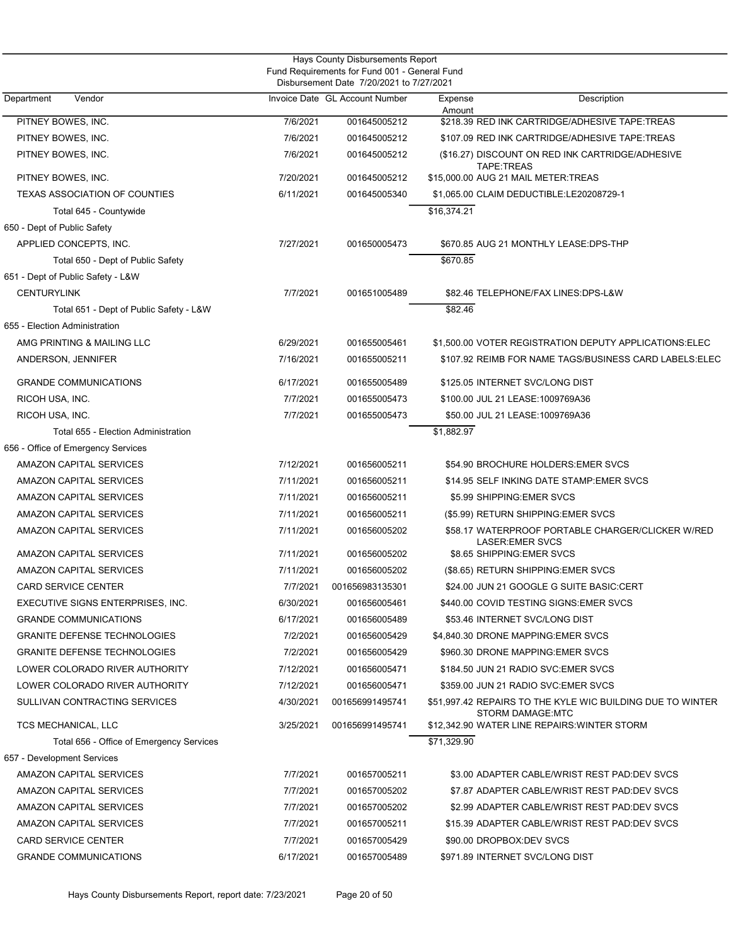|                                                                                           |           | Hays County Disbursements Report |             |                                                                                       |  |  |
|-------------------------------------------------------------------------------------------|-----------|----------------------------------|-------------|---------------------------------------------------------------------------------------|--|--|
| Fund Requirements for Fund 001 - General Fund<br>Disbursement Date 7/20/2021 to 7/27/2021 |           |                                  |             |                                                                                       |  |  |
| Department<br>Vendor                                                                      |           | Invoice Date GL Account Number   | Expense     | Description                                                                           |  |  |
|                                                                                           |           |                                  | Amount      |                                                                                       |  |  |
| PITNEY BOWES, INC.                                                                        | 7/6/2021  | 001645005212                     |             | \$218.39 RED INK CARTRIDGE/ADHESIVE TAPE:TREAS                                        |  |  |
| PITNEY BOWES, INC.                                                                        | 7/6/2021  | 001645005212                     |             | \$107.09 RED INK CARTRIDGE/ADHESIVE TAPE:TREAS                                        |  |  |
| PITNEY BOWES, INC.                                                                        | 7/6/2021  | 001645005212                     |             | (\$16.27) DISCOUNT ON RED INK CARTRIDGE/ADHESIVE<br>TAPE:TREAS                        |  |  |
| PITNEY BOWES, INC.                                                                        | 7/20/2021 | 001645005212                     |             | \$15,000.00 AUG 21 MAIL METER:TREAS                                                   |  |  |
| <b>TEXAS ASSOCIATION OF COUNTIES</b>                                                      | 6/11/2021 | 001645005340                     |             | \$1,065.00 CLAIM DEDUCTIBLE:LE20208729-1                                              |  |  |
| Total 645 - Countywide                                                                    |           |                                  | \$16,374.21 |                                                                                       |  |  |
| 650 - Dept of Public Safety                                                               |           |                                  |             |                                                                                       |  |  |
| APPLIED CONCEPTS, INC.                                                                    | 7/27/2021 | 001650005473                     |             | \$670.85 AUG 21 MONTHLY LEASE:DPS-THP                                                 |  |  |
| Total 650 - Dept of Public Safety                                                         |           |                                  | \$670.85    |                                                                                       |  |  |
| 651 - Dept of Public Safety - L&W                                                         |           |                                  |             |                                                                                       |  |  |
| <b>CENTURYLINK</b>                                                                        | 7/7/2021  | 001651005489                     |             | \$82.46 TELEPHONE/FAX LINES:DPS-L&W                                                   |  |  |
| Total 651 - Dept of Public Safety - L&W                                                   |           |                                  | \$82.46     |                                                                                       |  |  |
| 655 - Election Administration                                                             |           |                                  |             |                                                                                       |  |  |
| AMG PRINTING & MAILING LLC                                                                | 6/29/2021 | 001655005461                     |             | \$1,500.00 VOTER REGISTRATION DEPUTY APPLICATIONS:ELEC                                |  |  |
| ANDERSON, JENNIFER                                                                        | 7/16/2021 | 001655005211                     |             | \$107.92 REIMB FOR NAME TAGS/BUSINESS CARD LABELS:ELEC                                |  |  |
| <b>GRANDE COMMUNICATIONS</b>                                                              | 6/17/2021 | 001655005489                     |             | \$125.05 INTERNET SVC/LONG DIST                                                       |  |  |
| RICOH USA, INC.                                                                           | 7/7/2021  | 001655005473                     |             | \$100.00 JUL 21 LEASE:1009769A36                                                      |  |  |
| RICOH USA, INC.                                                                           | 7/7/2021  | 001655005473                     |             | \$50.00 JUL 21 LEASE:1009769A36                                                       |  |  |
| Total 655 - Election Administration                                                       |           |                                  | \$1,882.97  |                                                                                       |  |  |
| 656 - Office of Emergency Services                                                        |           |                                  |             |                                                                                       |  |  |
| AMAZON CAPITAL SERVICES                                                                   | 7/12/2021 | 001656005211                     |             | \$54.90 BROCHURE HOLDERS: EMER SVCS                                                   |  |  |
| AMAZON CAPITAL SERVICES                                                                   | 7/11/2021 | 001656005211                     |             | \$14.95 SELF INKING DATE STAMP:EMER SVCS                                              |  |  |
| AMAZON CAPITAL SERVICES                                                                   | 7/11/2021 | 001656005211                     |             | \$5.99 SHIPPING: EMER SVCS                                                            |  |  |
| AMAZON CAPITAL SERVICES                                                                   | 7/11/2021 | 001656005211                     |             | (\$5.99) RETURN SHIPPING: EMER SVCS                                                   |  |  |
| AMAZON CAPITAL SERVICES                                                                   | 7/11/2021 | 001656005202                     |             | \$58.17 WATERPROOF PORTABLE CHARGER/CLICKER W/RED<br><b>LASER:EMER SVCS</b>           |  |  |
| AMAZON CAPITAL SERVICES                                                                   | 7/11/2021 | 001656005202                     |             | \$8.65 SHIPPING: EMER SVCS                                                            |  |  |
| AMAZON CAPITAL SERVICES                                                                   | 7/11/2021 | 001656005202                     |             | (\$8.65) RETURN SHIPPING:EMER SVCS                                                    |  |  |
| CARD SERVICE CENTER                                                                       | 7/7/2021  | 001656983135301                  |             | \$24.00 JUN 21 GOOGLE G SUITE BASIC:CERT                                              |  |  |
| EXECUTIVE SIGNS ENTERPRISES, INC.                                                         | 6/30/2021 | 001656005461                     |             | \$440.00 COVID TESTING SIGNS:EMER SVCS                                                |  |  |
| <b>GRANDE COMMUNICATIONS</b>                                                              | 6/17/2021 | 001656005489                     |             | \$53.46 INTERNET SVC/LONG DIST                                                        |  |  |
| <b>GRANITE DEFENSE TECHNOLOGIES</b>                                                       | 7/2/2021  | 001656005429                     |             | \$4,840.30 DRONE MAPPING: EMER SVCS                                                   |  |  |
| <b>GRANITE DEFENSE TECHNOLOGIES</b>                                                       | 7/2/2021  | 001656005429                     |             | \$960.30 DRONE MAPPING: EMER SVCS                                                     |  |  |
| LOWER COLORADO RIVER AUTHORITY                                                            | 7/12/2021 | 001656005471                     |             | \$184.50 JUN 21 RADIO SVC: EMER SVCS                                                  |  |  |
| LOWER COLORADO RIVER AUTHORITY                                                            | 7/12/2021 | 001656005471                     |             | \$359.00 JUN 21 RADIO SVC:EMER SVCS                                                   |  |  |
| SULLIVAN CONTRACTING SERVICES                                                             | 4/30/2021 | 001656991495741                  |             | \$51,997.42 REPAIRS TO THE KYLE WIC BUILDING DUE TO WINTER<br><b>STORM DAMAGE:MTC</b> |  |  |
| TCS MECHANICAL, LLC                                                                       | 3/25/2021 | 001656991495741                  |             | \$12,342.90 WATER LINE REPAIRS: WINTER STORM                                          |  |  |
| Total 656 - Office of Emergency Services                                                  |           |                                  | \$71,329.90 |                                                                                       |  |  |
| 657 - Development Services                                                                |           |                                  |             |                                                                                       |  |  |
| AMAZON CAPITAL SERVICES                                                                   | 7/7/2021  | 001657005211                     |             | \$3.00 ADAPTER CABLE/WRIST REST PAD:DEV SVCS                                          |  |  |
| AMAZON CAPITAL SERVICES                                                                   | 7/7/2021  | 001657005202                     |             | \$7.87 ADAPTER CABLE/WRIST REST PAD:DEV SVCS                                          |  |  |
| AMAZON CAPITAL SERVICES                                                                   | 7/7/2021  | 001657005202                     |             | \$2.99 ADAPTER CABLE/WRIST REST PAD:DEV SVCS                                          |  |  |
| AMAZON CAPITAL SERVICES                                                                   | 7/7/2021  | 001657005211                     |             | \$15.39 ADAPTER CABLE/WRIST REST PAD:DEV SVCS                                         |  |  |
| <b>CARD SERVICE CENTER</b>                                                                | 7/7/2021  | 001657005429                     |             | \$90.00 DROPBOX:DEV SVCS                                                              |  |  |
| <b>GRANDE COMMUNICATIONS</b>                                                              | 6/17/2021 | 001657005489                     |             | \$971.89 INTERNET SVC/LONG DIST                                                       |  |  |
|                                                                                           |           |                                  |             |                                                                                       |  |  |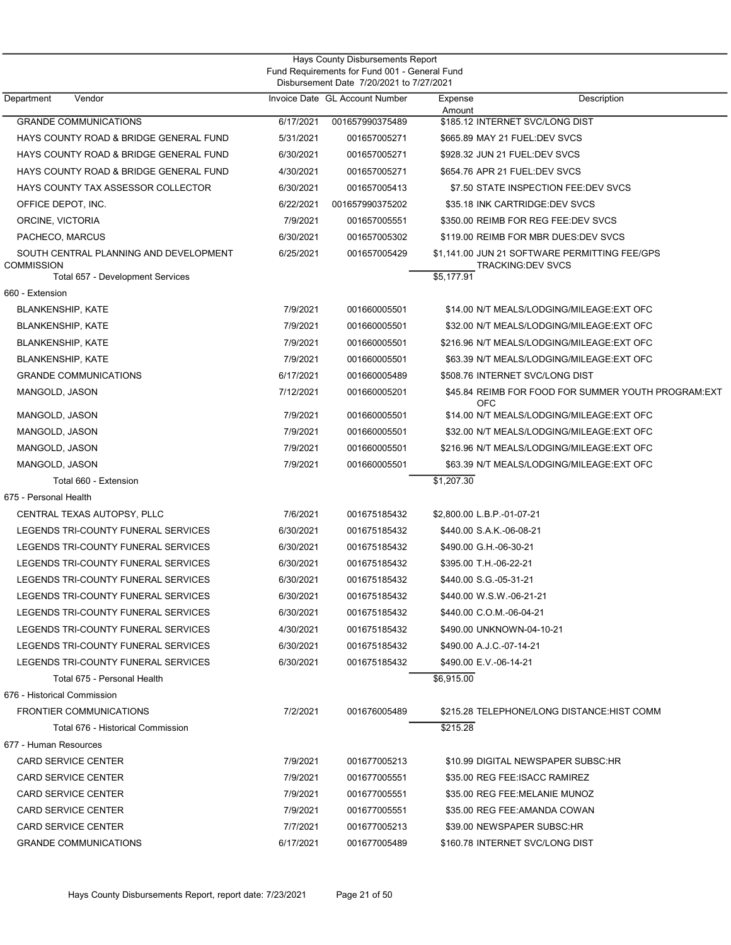| Hays County Disbursements Report<br>Fund Requirements for Fund 001 - General Fund<br>Disbursement Date 7/20/2021 to 7/27/2021 |           |                                |                                 |                                                                           |  |
|-------------------------------------------------------------------------------------------------------------------------------|-----------|--------------------------------|---------------------------------|---------------------------------------------------------------------------|--|
| Department<br>Vendor                                                                                                          |           | Invoice Date GL Account Number | Expense<br>Amount               | Description                                                               |  |
| <b>GRANDE COMMUNICATIONS</b>                                                                                                  | 6/17/2021 | 001657990375489                | \$185.12 INTERNET SVC/LONG DIST |                                                                           |  |
| HAYS COUNTY ROAD & BRIDGE GENERAL FUND                                                                                        | 5/31/2021 | 001657005271                   | \$665.89 MAY 21 FUEL:DEV SVCS   |                                                                           |  |
| HAYS COUNTY ROAD & BRIDGE GENERAL FUND                                                                                        | 6/30/2021 | 001657005271                   | \$928.32 JUN 21 FUEL:DEV SVCS   |                                                                           |  |
| HAYS COUNTY ROAD & BRIDGE GENERAL FUND                                                                                        | 4/30/2021 | 001657005271                   | \$654.76 APR 21 FUEL:DEV SVCS   |                                                                           |  |
| HAYS COUNTY TAX ASSESSOR COLLECTOR                                                                                            | 6/30/2021 | 001657005413                   |                                 | \$7.50 STATE INSPECTION FEE:DEV SVCS                                      |  |
| OFFICE DEPOT, INC.                                                                                                            | 6/22/2021 | 001657990375202                | \$35.18 INK CARTRIDGE:DEV SVCS  |                                                                           |  |
| ORCINE, VICTORIA                                                                                                              | 7/9/2021  | 001657005551                   |                                 | \$350.00 REIMB FOR REG FEE:DEV SVCS                                       |  |
| PACHECO, MARCUS                                                                                                               | 6/30/2021 | 001657005302                   |                                 | \$119.00 REIMB FOR MBR DUES:DEV SVCS                                      |  |
| SOUTH CENTRAL PLANNING AND DEVELOPMENT<br><b>COMMISSION</b><br>Total 657 - Development Services                               | 6/25/2021 | 001657005429                   | \$5,177.91                      | \$1,141.00 JUN 21 SOFTWARE PERMITTING FEE/GPS<br><b>TRACKING:DEV SVCS</b> |  |
| 660 - Extension                                                                                                               |           |                                |                                 |                                                                           |  |
| <b>BLANKENSHIP, KATE</b>                                                                                                      | 7/9/2021  | 001660005501                   |                                 | \$14.00 N/T MEALS/LODGING/MILEAGE:EXT OFC                                 |  |
| <b>BLANKENSHIP, KATE</b>                                                                                                      | 7/9/2021  | 001660005501                   |                                 | \$32.00 N/T MEALS/LODGING/MILEAGE:EXT OFC                                 |  |
| <b>BLANKENSHIP, KATE</b>                                                                                                      | 7/9/2021  | 001660005501                   |                                 | \$216.96 N/T MEALS/LODGING/MILEAGE:EXT OFC                                |  |
| <b>BLANKENSHIP, KATE</b>                                                                                                      | 7/9/2021  | 001660005501                   |                                 | \$63.39 N/T MEALS/LODGING/MILEAGE:EXT OFC                                 |  |
| <b>GRANDE COMMUNICATIONS</b>                                                                                                  | 6/17/2021 | 001660005489                   | \$508.76 INTERNET SVC/LONG DIST |                                                                           |  |
| MANGOLD, JASON                                                                                                                | 7/12/2021 | 001660005201                   | <b>OFC</b>                      | \$45.84 REIMB FOR FOOD FOR SUMMER YOUTH PROGRAM: EXT                      |  |
| MANGOLD, JASON                                                                                                                | 7/9/2021  | 001660005501                   |                                 | \$14.00 N/T MEALS/LODGING/MILEAGE:EXT OFC                                 |  |
| MANGOLD, JASON                                                                                                                | 7/9/2021  | 001660005501                   |                                 | \$32.00 N/T MEALS/LODGING/MILEAGE:EXT OFC                                 |  |
| MANGOLD, JASON                                                                                                                | 7/9/2021  | 001660005501                   |                                 | \$216.96 N/T MEALS/LODGING/MILEAGE:EXT OFC                                |  |
| MANGOLD, JASON                                                                                                                | 7/9/2021  | 001660005501                   |                                 | \$63.39 N/T MEALS/LODGING/MILEAGE:EXT OFC                                 |  |
| Total 660 - Extension                                                                                                         |           |                                | \$1,207.30                      |                                                                           |  |
| 675 - Personal Health                                                                                                         |           |                                |                                 |                                                                           |  |
| CENTRAL TEXAS AUTOPSY, PLLC                                                                                                   | 7/6/2021  | 001675185432                   | \$2,800.00 L.B.P.-01-07-21      |                                                                           |  |
| LEGENDS TRI-COUNTY FUNERAL SERVICES                                                                                           | 6/30/2021 | 001675185432                   | \$440.00 S.A.K.-06-08-21        |                                                                           |  |
| LEGENDS TRI-COUNTY FUNERAL SERVICES                                                                                           | 6/30/2021 | 001675185432                   | \$490.00 G.H.-06-30-21          |                                                                           |  |
| LEGENDS TRI-COUNTY FUNERAL SERVICES                                                                                           | 6/30/2021 | 001675185432                   | \$395.00 T.H.-06-22-21          |                                                                           |  |
| LEGENDS TRI-COUNTY FUNERAL SERVICES                                                                                           | 6/30/2021 | 001675185432                   | \$440.00 S.G.-05-31-21          |                                                                           |  |
| LEGENDS TRI-COUNTY FUNERAL SERVICES                                                                                           | 6/30/2021 | 001675185432                   | \$440.00 W.S.W.-06-21-21        |                                                                           |  |
| LEGENDS TRI-COUNTY FUNERAL SERVICES                                                                                           | 6/30/2021 | 001675185432                   | \$440.00 C.O.M.-06-04-21        |                                                                           |  |
| LEGENDS TRI-COUNTY FUNERAL SERVICES                                                                                           | 4/30/2021 | 001675185432                   | \$490.00 UNKNOWN-04-10-21       |                                                                           |  |
| LEGENDS TRI-COUNTY FUNERAL SERVICES                                                                                           | 6/30/2021 | 001675185432                   | \$490.00 A.J.C.-07-14-21        |                                                                           |  |
| LEGENDS TRI-COUNTY FUNERAL SERVICES                                                                                           | 6/30/2021 | 001675185432                   | \$490.00 E.V.-06-14-21          |                                                                           |  |
| Total 675 - Personal Health                                                                                                   |           |                                | \$6,915.00                      |                                                                           |  |
| 676 - Historical Commission                                                                                                   |           |                                |                                 |                                                                           |  |
| <b>FRONTIER COMMUNICATIONS</b>                                                                                                | 7/2/2021  | 001676005489                   |                                 | \$215.28 TELEPHONE/LONG DISTANCE: HIST COMM                               |  |
| Total 676 - Historical Commission                                                                                             |           |                                | \$215.28                        |                                                                           |  |
| 677 - Human Resources                                                                                                         |           |                                |                                 |                                                                           |  |
| <b>CARD SERVICE CENTER</b>                                                                                                    | 7/9/2021  | 001677005213                   |                                 | \$10.99 DIGITAL NEWSPAPER SUBSC:HR                                        |  |
| <b>CARD SERVICE CENTER</b>                                                                                                    | 7/9/2021  | 001677005551                   | \$35.00 REG FEE: ISACC RAMIREZ  |                                                                           |  |
| <b>CARD SERVICE CENTER</b>                                                                                                    | 7/9/2021  | 001677005551                   | \$35.00 REG FEE:MELANIE MUNOZ   |                                                                           |  |
| <b>CARD SERVICE CENTER</b>                                                                                                    | 7/9/2021  | 001677005551                   | \$35.00 REG FEE:AMANDA COWAN    |                                                                           |  |
| <b>CARD SERVICE CENTER</b>                                                                                                    | 7/7/2021  | 001677005213                   | \$39.00 NEWSPAPER SUBSC:HR      |                                                                           |  |
| <b>GRANDE COMMUNICATIONS</b>                                                                                                  | 6/17/2021 | 001677005489                   | \$160.78 INTERNET SVC/LONG DIST |                                                                           |  |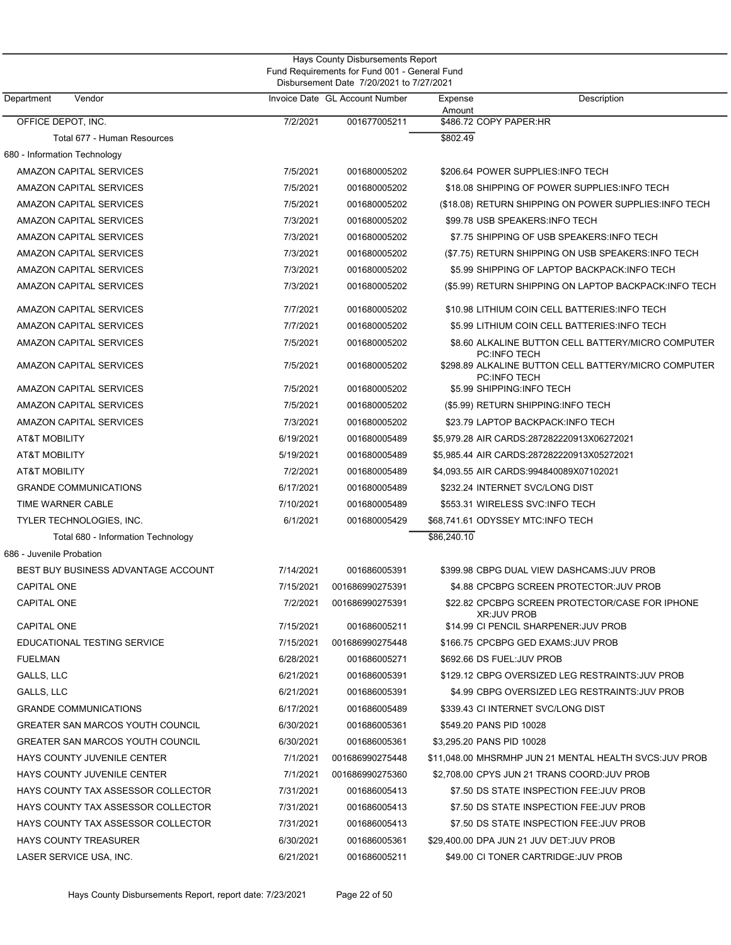| Hays County Disbursements Report<br>Fund Requirements for Fund 001 - General Fund |           |                                          |                                                                             |  |  |
|-----------------------------------------------------------------------------------|-----------|------------------------------------------|-----------------------------------------------------------------------------|--|--|
|                                                                                   |           | Disbursement Date 7/20/2021 to 7/27/2021 |                                                                             |  |  |
| Department<br>Vendor                                                              |           | Invoice Date GL Account Number           | Description<br>Expense<br>Amount                                            |  |  |
| OFFICE DEPOT, INC.                                                                | 7/2/2021  | 001677005211                             | \$486.72 COPY PAPER:HR                                                      |  |  |
| Total 677 - Human Resources                                                       |           |                                          | \$802.49                                                                    |  |  |
| 680 - Information Technology                                                      |           |                                          |                                                                             |  |  |
| AMAZON CAPITAL SERVICES                                                           | 7/5/2021  | 001680005202                             | \$206.64 POWER SUPPLIES:INFO TECH                                           |  |  |
| AMAZON CAPITAL SERVICES                                                           | 7/5/2021  | 001680005202                             | \$18.08 SHIPPING OF POWER SUPPLIES:INFO TECH                                |  |  |
| AMAZON CAPITAL SERVICES                                                           | 7/5/2021  | 001680005202                             | (\$18.08) RETURN SHIPPING ON POWER SUPPLIES: INFO TECH                      |  |  |
| AMAZON CAPITAL SERVICES                                                           | 7/3/2021  | 001680005202                             | \$99.78 USB SPEAKERS:INFO TECH                                              |  |  |
| AMAZON CAPITAL SERVICES                                                           | 7/3/2021  | 001680005202                             | \$7.75 SHIPPING OF USB SPEAKERS:INFO TECH                                   |  |  |
| AMAZON CAPITAL SERVICES                                                           | 7/3/2021  | 001680005202                             | (\$7.75) RETURN SHIPPING ON USB SPEAKERS: INFO TECH                         |  |  |
| AMAZON CAPITAL SERVICES                                                           | 7/3/2021  | 001680005202                             | \$5.99 SHIPPING OF LAPTOP BACKPACK: INFO TECH                               |  |  |
| AMAZON CAPITAL SERVICES                                                           | 7/3/2021  | 001680005202                             | (\$5.99) RETURN SHIPPING ON LAPTOP BACKPACK: INFO TECH                      |  |  |
| AMAZON CAPITAL SERVICES                                                           | 7/7/2021  | 001680005202                             | \$10.98 LITHIUM COIN CELL BATTERIES:INFO TECH                               |  |  |
| AMAZON CAPITAL SERVICES                                                           | 7/7/2021  | 001680005202                             | \$5.99 LITHIUM COIN CELL BATTERIES: INFO TECH                               |  |  |
| AMAZON CAPITAL SERVICES                                                           | 7/5/2021  | 001680005202                             | \$8.60 ALKALINE BUTTON CELL BATTERY/MICRO COMPUTER<br><b>PC:INFO TECH</b>   |  |  |
| AMAZON CAPITAL SERVICES                                                           | 7/5/2021  | 001680005202                             | \$298.89 ALKALINE BUTTON CELL BATTERY/MICRO COMPUTER<br><b>PC:INFO TECH</b> |  |  |
| AMAZON CAPITAL SERVICES                                                           | 7/5/2021  | 001680005202                             | \$5.99 SHIPPING:INFO TECH                                                   |  |  |
| AMAZON CAPITAL SERVICES                                                           | 7/5/2021  | 001680005202                             | (\$5.99) RETURN SHIPPING:INFO TECH                                          |  |  |
| AMAZON CAPITAL SERVICES                                                           | 7/3/2021  | 001680005202                             | \$23.79 LAPTOP BACKPACK:INFO TECH                                           |  |  |
| <b>AT&amp;T MOBILITY</b>                                                          | 6/19/2021 | 001680005489                             | \$5,979.28 AIR CARDS:287282220913X06272021                                  |  |  |
| AT&T MOBILITY                                                                     | 5/19/2021 | 001680005489                             | \$5,985.44 AIR CARDS:287282220913X05272021                                  |  |  |
| <b>AT&amp;T MOBILITY</b>                                                          | 7/2/2021  | 001680005489                             | \$4,093.55 AIR CARDS:994840089X07102021                                     |  |  |
| <b>GRANDE COMMUNICATIONS</b>                                                      | 6/17/2021 | 001680005489                             | \$232.24 INTERNET SVC/LONG DIST                                             |  |  |
| TIME WARNER CABLE                                                                 | 7/10/2021 | 001680005489                             | \$553.31 WIRELESS SVC:INFO TECH                                             |  |  |
| TYLER TECHNOLOGIES, INC.                                                          | 6/1/2021  | 001680005429                             | \$68,741.61 ODYSSEY MTC:INFO TECH                                           |  |  |
| Total 680 - Information Technology                                                |           |                                          | \$86,240.10                                                                 |  |  |
| 686 - Juvenile Probation                                                          |           |                                          |                                                                             |  |  |
| BEST BUY BUSINESS ADVANTAGE ACCOUNT                                               | 7/14/2021 | 001686005391                             | \$399.98 CBPG DUAL VIEW DASHCAMS: JUV PROB                                  |  |  |
| CAPITAL ONE                                                                       | 7/15/2021 | 001686990275391                          | \$4.88 CPCBPG SCREEN PROTECTOR:JUV PROB                                     |  |  |
| <b>CAPITAL ONE</b>                                                                | 7/2/2021  | 001686990275391                          | \$22.82 CPCBPG SCREEN PROTECTOR/CASE FOR IPHONE<br><b>XR:JUV PROB</b>       |  |  |
| <b>CAPITAL ONE</b>                                                                | 7/15/2021 | 001686005211                             | \$14.99 CI PENCIL SHARPENER: JUV PROB                                       |  |  |
| EDUCATIONAL TESTING SERVICE                                                       | 7/15/2021 | 001686990275448                          | \$166.75 CPCBPG GED EXAMS: JUV PROB                                         |  |  |
| <b>FUELMAN</b>                                                                    | 6/28/2021 | 001686005271                             | \$692.66 DS FUEL:JUV PROB                                                   |  |  |
| GALLS, LLC                                                                        | 6/21/2021 | 001686005391                             | \$129.12 CBPG OVERSIZED LEG RESTRAINTS: JUV PROB                            |  |  |
| GALLS, LLC                                                                        | 6/21/2021 | 001686005391                             | \$4.99 CBPG OVERSIZED LEG RESTRAINTS: JUV PROB                              |  |  |
| <b>GRANDE COMMUNICATIONS</b>                                                      | 6/17/2021 | 001686005489                             | \$339.43 CI INTERNET SVC/LONG DIST                                          |  |  |
| <b>GREATER SAN MARCOS YOUTH COUNCIL</b>                                           | 6/30/2021 | 001686005361                             | \$549.20 PANS PID 10028                                                     |  |  |
| GREATER SAN MARCOS YOUTH COUNCIL                                                  | 6/30/2021 | 001686005361                             | \$3,295.20 PANS PID 10028                                                   |  |  |
| HAYS COUNTY JUVENILE CENTER                                                       | 7/1/2021  | 001686990275448                          | \$11,048.00 MHSRMHP JUN 21 MENTAL HEALTH SVCS:JUV PROB                      |  |  |
| HAYS COUNTY JUVENILE CENTER                                                       | 7/1/2021  | 001686990275360                          | \$2,708.00 CPYS JUN 21 TRANS COORD: JUV PROB                                |  |  |
| HAYS COUNTY TAX ASSESSOR COLLECTOR                                                | 7/31/2021 | 001686005413                             | \$7.50 DS STATE INSPECTION FEE: JUV PROB                                    |  |  |
| HAYS COUNTY TAX ASSESSOR COLLECTOR                                                | 7/31/2021 | 001686005413                             | \$7.50 DS STATE INSPECTION FEE: JUV PROB                                    |  |  |
| HAYS COUNTY TAX ASSESSOR COLLECTOR                                                | 7/31/2021 | 001686005413                             | \$7.50 DS STATE INSPECTION FEE: JUV PROB                                    |  |  |
| <b>HAYS COUNTY TREASURER</b>                                                      | 6/30/2021 | 001686005361                             | \$29,400.00 DPA JUN 21 JUV DET:JUV PROB                                     |  |  |
| LASER SERVICE USA, INC.                                                           | 6/21/2021 | 001686005211                             | \$49.00 CI TONER CARTRIDGE: JUV PROB                                        |  |  |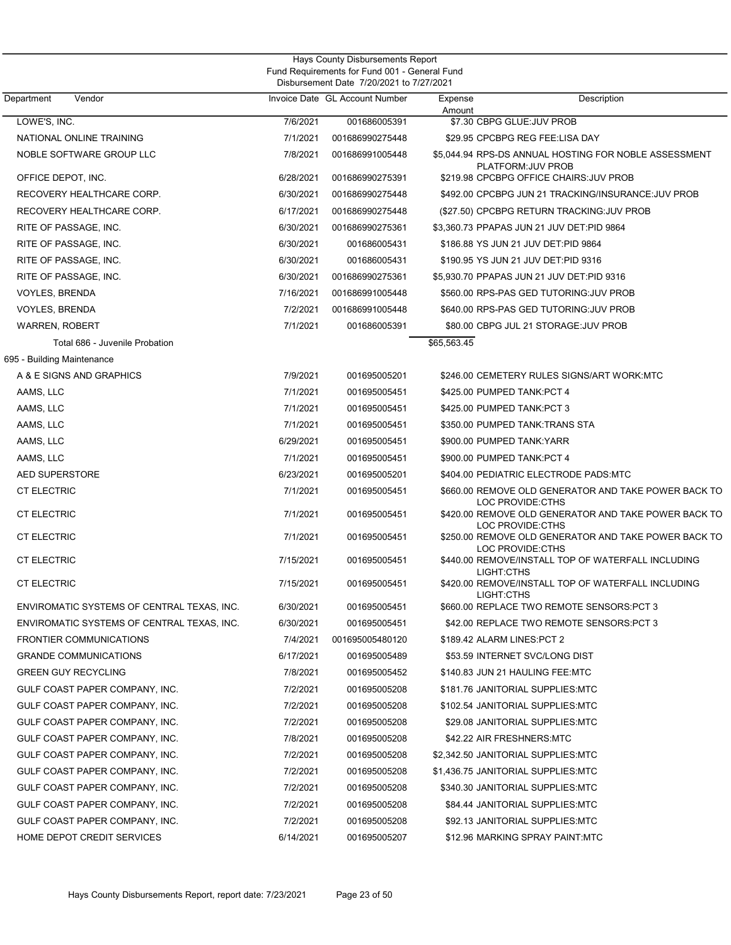|                                                                  |                        | Hays County Disbursements Report                                                          |                   |                                                                                                               |
|------------------------------------------------------------------|------------------------|-------------------------------------------------------------------------------------------|-------------------|---------------------------------------------------------------------------------------------------------------|
|                                                                  |                        | Fund Requirements for Fund 001 - General Fund<br>Disbursement Date 7/20/2021 to 7/27/2021 |                   |                                                                                                               |
| Vendor<br>Department                                             |                        | Invoice Date GL Account Number                                                            | Expense<br>Amount | Description                                                                                                   |
| LOWE'S, INC.                                                     | 7/6/2021               | 001686005391                                                                              |                   | \$7.30 CBPG GLUE: JUV PROB                                                                                    |
| NATIONAL ONLINE TRAINING                                         | 7/1/2021               | 001686990275448                                                                           |                   | \$29.95 CPCBPG REG FEE:LISA DAY                                                                               |
| NOBLE SOFTWARE GROUP LLC                                         | 7/8/2021               | 001686991005448                                                                           |                   | \$5,044.94 RPS-DS ANNUAL HOSTING FOR NOBLE ASSESSMENT<br>PLATFORM: JUV PROB                                   |
| OFFICE DEPOT, INC.                                               | 6/28/2021              | 001686990275391                                                                           |                   | \$219.98 CPCBPG OFFICE CHAIRS: JUV PROB                                                                       |
| RECOVERY HEALTHCARE CORP.                                        | 6/30/2021              | 001686990275448                                                                           |                   | \$492.00 CPCBPG JUN 21 TRACKING/INSURANCE: JUV PROB                                                           |
| RECOVERY HEALTHCARE CORP.                                        | 6/17/2021              | 001686990275448                                                                           |                   | (\$27.50) CPCBPG RETURN TRACKING: JUV PROB                                                                    |
| RITE OF PASSAGE, INC.                                            | 6/30/2021              | 001686990275361                                                                           |                   | \$3,360.73 PPAPAS JUN 21 JUV DET:PID 9864                                                                     |
| RITE OF PASSAGE, INC.                                            | 6/30/2021              | 001686005431                                                                              |                   | \$186.88 YS JUN 21 JUV DET: PID 9864                                                                          |
| RITE OF PASSAGE, INC.                                            | 6/30/2021              | 001686005431                                                                              |                   | \$190.95 YS JUN 21 JUV DET:PID 9316                                                                           |
| RITE OF PASSAGE, INC.                                            | 6/30/2021              | 001686990275361                                                                           |                   | \$5,930.70 PPAPAS JUN 21 JUV DET:PID 9316                                                                     |
| <b>VOYLES, BRENDA</b>                                            | 7/16/2021              | 001686991005448                                                                           |                   | \$560.00 RPS-PAS GED TUTORING:JUV PROB                                                                        |
| <b>VOYLES, BRENDA</b>                                            | 7/2/2021               | 001686991005448                                                                           |                   | \$640.00 RPS-PAS GED TUTORING: JUV PROB                                                                       |
| <b>WARREN, ROBERT</b>                                            | 7/1/2021               | 001686005391                                                                              |                   | \$80.00 CBPG JUL 21 STORAGE: JUV PROB                                                                         |
| Total 686 - Juvenile Probation                                   |                        |                                                                                           | \$65,563.45       |                                                                                                               |
| 695 - Building Maintenance                                       |                        |                                                                                           |                   |                                                                                                               |
| A & E SIGNS AND GRAPHICS                                         | 7/9/2021               | 001695005201                                                                              |                   | \$246.00 CEMETERY RULES SIGNS/ART WORK:MTC                                                                    |
| AAMS, LLC                                                        | 7/1/2021               | 001695005451                                                                              |                   | \$425.00 PUMPED TANK:PCT 4                                                                                    |
| AAMS, LLC                                                        | 7/1/2021               | 001695005451                                                                              |                   | \$425.00 PUMPED TANK:PCT 3                                                                                    |
| AAMS, LLC                                                        | 7/1/2021               | 001695005451                                                                              |                   | \$350.00 PUMPED TANK:TRANS STA                                                                                |
| AAMS, LLC                                                        | 6/29/2021              | 001695005451                                                                              |                   | \$900.00 PUMPED TANK:YARR                                                                                     |
| AAMS, LLC                                                        | 7/1/2021               | 001695005451                                                                              |                   | \$900.00 PUMPED TANK:PCT 4                                                                                    |
| <b>AED SUPERSTORE</b>                                            | 6/23/2021              | 001695005201                                                                              |                   | \$404.00 PEDIATRIC ELECTRODE PADS:MTC                                                                         |
| <b>CT ELECTRIC</b>                                               | 7/1/2021               | 001695005451                                                                              |                   | \$660.00 REMOVE OLD GENERATOR AND TAKE POWER BACK TO<br>LOC PROVIDE:CTHS                                      |
| <b>CT ELECTRIC</b>                                               | 7/1/2021               | 001695005451                                                                              |                   | \$420.00 REMOVE OLD GENERATOR AND TAKE POWER BACK TO<br>LOC PROVIDE:CTHS                                      |
| <b>CT ELECTRIC</b>                                               | 7/1/2021               | 001695005451                                                                              |                   | \$250.00 REMOVE OLD GENERATOR AND TAKE POWER BACK TO<br>LOC PROVIDE:CTHS                                      |
| <b>CT ELECTRIC</b>                                               | 7/15/2021              | 001695005451                                                                              |                   | \$440.00 REMOVE/INSTALL TOP OF WATERFALL INCLUDING<br>LIGHT:CTHS                                              |
| <b>CT ELECTRIC</b><br>ENVIROMATIC SYSTEMS OF CENTRAL TEXAS, INC. | 7/15/2021<br>6/30/2021 | 001695005451<br>001695005451                                                              |                   | \$420.00 REMOVE/INSTALL TOP OF WATERFALL INCLUDING<br>LIGHT:CTHS<br>\$660.00 REPLACE TWO REMOTE SENSORS:PCT 3 |
| ENVIROMATIC SYSTEMS OF CENTRAL TEXAS. INC.                       | 6/30/2021              | 001695005451                                                                              |                   | \$42.00 REPLACE TWO REMOTE SENSORS: PCT 3                                                                     |
| <b>FRONTIER COMMUNICATIONS</b>                                   | 7/4/2021               | 001695005480120                                                                           |                   | \$189.42 ALARM LINES:PCT 2                                                                                    |
|                                                                  | 6/17/2021              |                                                                                           |                   |                                                                                                               |
| <b>GRANDE COMMUNICATIONS</b>                                     |                        | 001695005489                                                                              |                   | \$53.59 INTERNET SVC/LONG DIST                                                                                |
| <b>GREEN GUY RECYCLING</b>                                       | 7/8/2021               | 001695005452                                                                              |                   | \$140.83 JUN 21 HAULING FEE:MTC                                                                               |
| GULF COAST PAPER COMPANY, INC.                                   | 7/2/2021               | 001695005208                                                                              |                   | \$181.76 JANITORIAL SUPPLIES:MTC                                                                              |
| GULF COAST PAPER COMPANY, INC.                                   | 7/2/2021               | 001695005208                                                                              |                   | \$102.54 JANITORIAL SUPPLIES:MTC                                                                              |
| GULF COAST PAPER COMPANY, INC.                                   | 7/2/2021               | 001695005208                                                                              |                   | \$29.08 JANITORIAL SUPPLIES:MTC                                                                               |
| GULF COAST PAPER COMPANY, INC.                                   | 7/8/2021               | 001695005208                                                                              |                   | \$42.22 AIR FRESHNERS:MTC                                                                                     |
| GULF COAST PAPER COMPANY, INC.                                   | 7/2/2021               | 001695005208                                                                              |                   | \$2,342.50 JANITORIAL SUPPLIES:MTC                                                                            |
| GULF COAST PAPER COMPANY, INC.                                   | 7/2/2021               | 001695005208                                                                              |                   | \$1,436.75 JANITORIAL SUPPLIES:MTC                                                                            |
| GULF COAST PAPER COMPANY, INC.                                   | 7/2/2021               | 001695005208                                                                              |                   | \$340.30 JANITORIAL SUPPLIES:MTC                                                                              |
| GULF COAST PAPER COMPANY, INC.                                   | 7/2/2021               | 001695005208                                                                              |                   | \$84.44 JANITORIAL SUPPLIES:MTC                                                                               |
| GULF COAST PAPER COMPANY, INC.                                   | 7/2/2021               | 001695005208                                                                              |                   | \$92.13 JANITORIAL SUPPLIES:MTC                                                                               |
| HOME DEPOT CREDIT SERVICES                                       | 6/14/2021              | 001695005207                                                                              |                   | \$12.96 MARKING SPRAY PAINT:MTC                                                                               |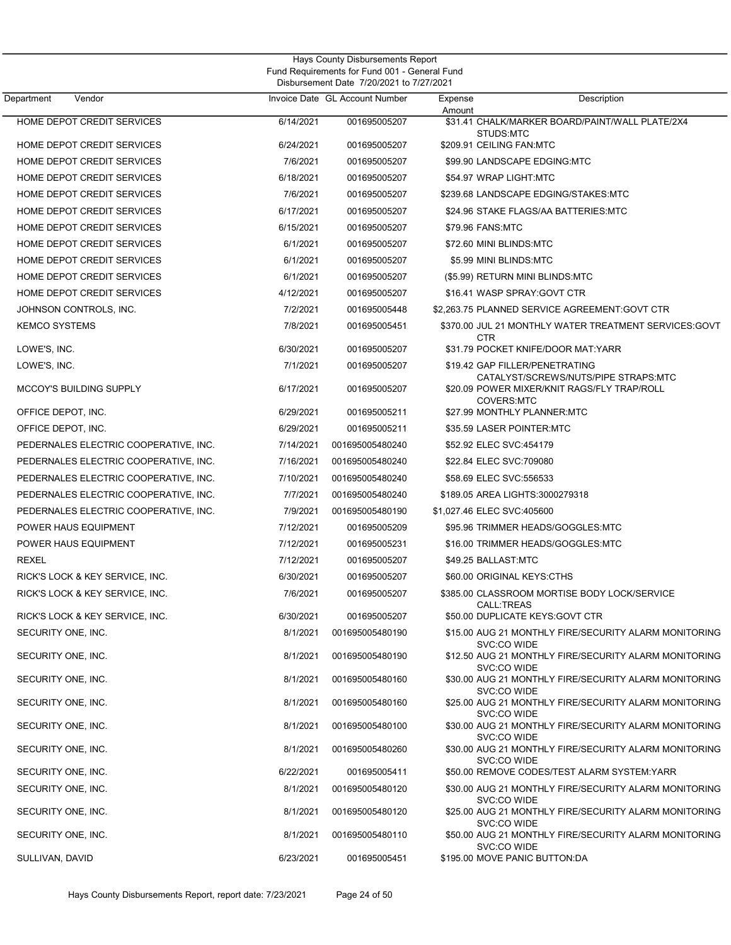| Department<br>Vendor                                 |                        | Invoice Date GL Account Number     | Description<br>Expense<br>Amount                                                                                              |  |
|------------------------------------------------------|------------------------|------------------------------------|-------------------------------------------------------------------------------------------------------------------------------|--|
| HOME DEPOT CREDIT SERVICES                           | 6/14/2021              | 001695005207                       | \$31.41 CHALK/MARKER BOARD/PAINT/WALL PLATE/2X4<br>STUDS:MTC                                                                  |  |
| HOME DEPOT CREDIT SERVICES                           | 6/24/2021              | 001695005207                       | \$209.91 CEILING FAN:MTC                                                                                                      |  |
| HOME DEPOT CREDIT SERVICES                           | 7/6/2021               | 001695005207                       | \$99.90 LANDSCAPE EDGING:MTC                                                                                                  |  |
| HOME DEPOT CREDIT SERVICES                           | 6/18/2021              | 001695005207                       | \$54.97 WRAP LIGHT:MTC                                                                                                        |  |
| HOME DEPOT CREDIT SERVICES                           | 7/6/2021               | 001695005207                       | \$239.68 LANDSCAPE EDGING/STAKES:MTC                                                                                          |  |
| <b>HOME DEPOT CREDIT SERVICES</b>                    | 6/17/2021              | 001695005207                       | \$24.96 STAKE FLAGS/AA BATTERIES:MTC                                                                                          |  |
| <b>HOME DEPOT CREDIT SERVICES</b>                    | 6/15/2021              | 001695005207                       | \$79.96 FANS:MTC                                                                                                              |  |
| HOME DEPOT CREDIT SERVICES                           | 6/1/2021               | 001695005207                       | \$72.60 MINI BLINDS:MTC                                                                                                       |  |
| HOME DEPOT CREDIT SERVICES                           | 6/1/2021               | 001695005207                       | \$5.99 MINI BLINDS:MTC                                                                                                        |  |
| HOME DEPOT CREDIT SERVICES                           | 6/1/2021               | 001695005207                       | (\$5.99) RETURN MINI BLINDS:MTC                                                                                               |  |
| <b>HOME DEPOT CREDIT SERVICES</b>                    | 4/12/2021              | 001695005207                       | \$16.41 WASP SPRAY:GOVT CTR                                                                                                   |  |
| JOHNSON CONTROLS, INC.                               | 7/2/2021               | 001695005448                       | \$2,263.75 PLANNED SERVICE AGREEMENT:GOVT CTR                                                                                 |  |
| <b>KEMCO SYSTEMS</b>                                 | 7/8/2021               | 001695005451                       | \$370.00 JUL 21 MONTHLY WATER TREATMENT SERVICES:GOVT<br><b>CTR</b>                                                           |  |
| LOWE'S, INC.                                         | 6/30/2021              | 001695005207                       | \$31.79 POCKET KNIFE/DOOR MAT:YARR                                                                                            |  |
| LOWE'S, INC.                                         | 7/1/2021               | 001695005207                       | \$19.42 GAP FILLER/PENETRATING<br>CATALYST/SCREWS/NUTS/PIPE STRAPS:MTC<br>\$20.09 POWER MIXER/KNIT RAGS/FLY TRAP/ROLL         |  |
| <b>MCCOY'S BUILDING SUPPLY</b><br>OFFICE DEPOT, INC. | 6/17/2021<br>6/29/2021 | 001695005207<br>001695005211       | <b>COVERS:MTC</b><br>\$27.99 MONTHLY PLANNER:MTC                                                                              |  |
| OFFICE DEPOT, INC.                                   | 6/29/2021              | 001695005211                       | \$35.59 LASER POINTER:MTC                                                                                                     |  |
| PEDERNALES ELECTRIC COOPERATIVE, INC.                | 7/14/2021              | 001695005480240                    | \$52.92 ELEC SVC:454179                                                                                                       |  |
| PEDERNALES ELECTRIC COOPERATIVE, INC.                | 7/16/2021              | 001695005480240                    | \$22.84 ELEC SVC:709080                                                                                                       |  |
| PEDERNALES ELECTRIC COOPERATIVE, INC.                | 7/10/2021              | 001695005480240                    | \$58.69 ELEC SVC:556533                                                                                                       |  |
| PEDERNALES ELECTRIC COOPERATIVE, INC.                | 7/7/2021               | 001695005480240                    | \$189.05 AREA LIGHTS:3000279318                                                                                               |  |
| PEDERNALES ELECTRIC COOPERATIVE, INC.                | 7/9/2021               | 001695005480190                    | \$1,027.46 ELEC SVC:405600                                                                                                    |  |
| POWER HAUS EQUIPMENT                                 | 7/12/2021              | 001695005209                       | \$95.96 TRIMMER HEADS/GOGGLES:MTC                                                                                             |  |
| POWER HAUS EQUIPMENT                                 | 7/12/2021              | 001695005231                       | \$16.00 TRIMMER HEADS/GOGGLES:MTC                                                                                             |  |
| REXEL                                                | 7/12/2021              | 001695005207                       | \$49.25 BALLAST:MTC                                                                                                           |  |
| RICK'S LOCK & KEY SERVICE, INC.                      | 6/30/2021              | 001695005207                       | \$60.00 ORIGINAL KEYS:CTHS                                                                                                    |  |
| RICK'S LOCK & KEY SERVICE, INC.                      | 7/6/2021               | 001695005207                       | \$385.00 CLASSROOM MORTISE BODY LOCK/SERVICE<br>CALL:TREAS                                                                    |  |
| RICK'S LOCK & KEY SERVICE, INC.                      | 6/30/2021              | 001695005207                       | \$50.00 DUPLICATE KEYS:GOVT CTR                                                                                               |  |
| SECURITY ONE, INC.                                   | 8/1/2021               | 001695005480190                    | \$15.00 AUG 21 MONTHLY FIRE/SECURITY ALARM MONITORING<br>SVC:CO WIDE                                                          |  |
| SECURITY ONE, INC.                                   | 8/1/2021               | 001695005480190                    | \$12.50 AUG 21 MONTHLY FIRE/SECURITY ALARM MONITORING<br>SVC:CO WIDE                                                          |  |
| SECURITY ONE, INC.<br>SECURITY ONE, INC.             | 8/1/2021<br>8/1/2021   | 001695005480160<br>001695005480160 | \$30.00 AUG 21 MONTHLY FIRE/SECURITY ALARM MONITORING<br>SVC:CO WIDE<br>\$25.00 AUG 21 MONTHLY FIRE/SECURITY ALARM MONITORING |  |
| SECURITY ONE, INC.                                   | 8/1/2021               | 001695005480100                    | SVC:CO WIDE<br>\$30.00 AUG 21 MONTHLY FIRE/SECURITY ALARM MONITORING                                                          |  |
|                                                      |                        |                                    | SVC:CO WIDE                                                                                                                   |  |
| SECURITY ONE, INC.<br>SECURITY ONE, INC.             | 8/1/2021<br>6/22/2021  | 001695005480260                    | \$30.00 AUG 21 MONTHLY FIRE/SECURITY ALARM MONITORING<br>SVC:CO WIDE<br>\$50.00 REMOVE CODES/TEST ALARM SYSTEM:YARR           |  |
|                                                      |                        | 001695005411                       |                                                                                                                               |  |
| SECURITY ONE, INC.                                   | 8/1/2021               | 001695005480120                    | \$30.00 AUG 21 MONTHLY FIRE/SECURITY ALARM MONITORING<br>SVC:CO WIDE                                                          |  |
| SECURITY ONE, INC.                                   | 8/1/2021               | 001695005480120                    | \$25.00 AUG 21 MONTHLY FIRE/SECURITY ALARM MONITORING<br>SVC:CO WIDE                                                          |  |
| SECURITY ONE, INC.                                   | 8/1/2021               | 001695005480110                    | \$50.00 AUG 21 MONTHLY FIRE/SECURITY ALARM MONITORING<br>SVC:CO WIDE                                                          |  |
| SULLIVAN, DAVID                                      | 6/23/2021              | 001695005451                       | \$195.00 MOVE PANIC BUTTON:DA                                                                                                 |  |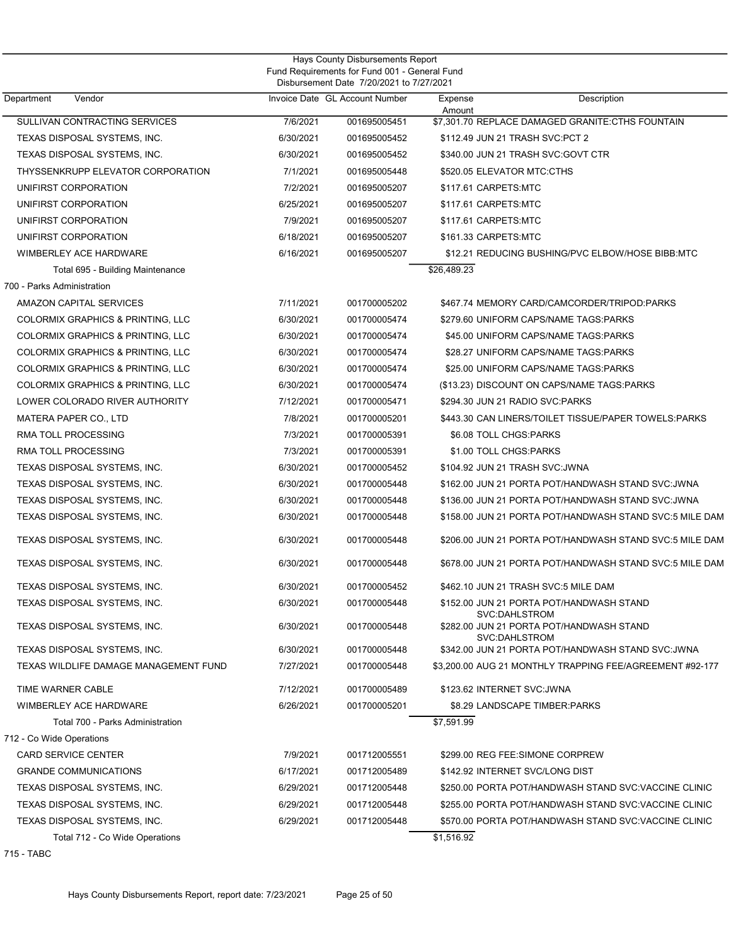| Hays County Disbursements Report<br>Fund Requirements for Fund 001 - General Fund |           |                                                                            |             |                                                           |  |
|-----------------------------------------------------------------------------------|-----------|----------------------------------------------------------------------------|-------------|-----------------------------------------------------------|--|
| Department<br>Vendor                                                              |           | Disbursement Date 7/20/2021 to 7/27/2021<br>Invoice Date GL Account Number | Expense     | Description                                               |  |
|                                                                                   |           |                                                                            | Amount      |                                                           |  |
| SULLIVAN CONTRACTING SERVICES                                                     | 7/6/2021  | 001695005451                                                               |             | \$7.301.70 REPLACE DAMAGED GRANITE:CTHS FOUNTAIN          |  |
| TEXAS DISPOSAL SYSTEMS, INC.                                                      | 6/30/2021 | 001695005452                                                               |             | \$112.49 JUN 21 TRASH SVC:PCT 2                           |  |
| TEXAS DISPOSAL SYSTEMS, INC.                                                      | 6/30/2021 | 001695005452                                                               |             | \$340.00 JUN 21 TRASH SVC:GOVT CTR                        |  |
| THYSSENKRUPP ELEVATOR CORPORATION                                                 | 7/1/2021  | 001695005448                                                               |             | \$520.05 ELEVATOR MTC:CTHS                                |  |
| UNIFIRST CORPORATION                                                              | 7/2/2021  | 001695005207                                                               |             | \$117.61 CARPETS:MTC                                      |  |
| UNIFIRST CORPORATION                                                              | 6/25/2021 | 001695005207                                                               |             | \$117.61 CARPETS:MTC                                      |  |
| UNIFIRST CORPORATION                                                              | 7/9/2021  | 001695005207                                                               |             | \$117.61 CARPETS:MTC                                      |  |
| UNIFIRST CORPORATION                                                              | 6/18/2021 | 001695005207                                                               |             | \$161.33 CARPETS:MTC                                      |  |
| WIMBERLEY ACE HARDWARE                                                            | 6/16/2021 | 001695005207                                                               |             | \$12.21 REDUCING BUSHING/PVC ELBOW/HOSE BIBB:MTC          |  |
| Total 695 - Building Maintenance                                                  |           |                                                                            | \$26,489.23 |                                                           |  |
| 700 - Parks Administration                                                        |           |                                                                            |             |                                                           |  |
| AMAZON CAPITAL SERVICES                                                           | 7/11/2021 | 001700005202                                                               |             | \$467.74 MEMORY CARD/CAMCORDER/TRIPOD:PARKS               |  |
| COLORMIX GRAPHICS & PRINTING, LLC                                                 | 6/30/2021 | 001700005474                                                               |             | \$279.60 UNIFORM CAPS/NAME TAGS:PARKS                     |  |
| COLORMIX GRAPHICS & PRINTING, LLC                                                 | 6/30/2021 | 001700005474                                                               |             | \$45.00 UNIFORM CAPS/NAME TAGS:PARKS                      |  |
| COLORMIX GRAPHICS & PRINTING, LLC                                                 | 6/30/2021 | 001700005474                                                               |             | \$28.27 UNIFORM CAPS/NAME TAGS:PARKS                      |  |
| COLORMIX GRAPHICS & PRINTING, LLC                                                 | 6/30/2021 | 001700005474                                                               |             | \$25.00 UNIFORM CAPS/NAME TAGS:PARKS                      |  |
| <b>COLORMIX GRAPHICS &amp; PRINTING, LLC</b>                                      | 6/30/2021 | 001700005474                                                               |             | (\$13.23) DISCOUNT ON CAPS/NAME TAGS:PARKS                |  |
| LOWER COLORADO RIVER AUTHORITY                                                    | 7/12/2021 | 001700005471                                                               |             | \$294.30 JUN 21 RADIO SVC:PARKS                           |  |
| MATERA PAPER CO., LTD                                                             | 7/8/2021  | 001700005201                                                               |             | \$443.30 CAN LINERS/TOILET TISSUE/PAPER TOWELS:PARKS      |  |
| <b>RMA TOLL PROCESSING</b>                                                        | 7/3/2021  | 001700005391                                                               |             | \$6.08 TOLL CHGS:PARKS                                    |  |
| <b>RMA TOLL PROCESSING</b>                                                        | 7/3/2021  | 001700005391                                                               |             | \$1.00 TOLL CHGS:PARKS                                    |  |
| TEXAS DISPOSAL SYSTEMS, INC.                                                      | 6/30/2021 | 001700005452                                                               |             | \$104.92 JUN 21 TRASH SVC:JWNA                            |  |
| TEXAS DISPOSAL SYSTEMS, INC.                                                      | 6/30/2021 | 001700005448                                                               |             | \$162.00 JUN 21 PORTA POT/HANDWASH STAND SVC:JWNA         |  |
| TEXAS DISPOSAL SYSTEMS, INC.                                                      | 6/30/2021 | 001700005448                                                               |             | \$136.00 JUN 21 PORTA POT/HANDWASH STAND SVC:JWNA         |  |
| TEXAS DISPOSAL SYSTEMS, INC.                                                      | 6/30/2021 | 001700005448                                                               |             | \$158.00 JUN 21 PORTA POT/HANDWASH STAND SVC:5 MILE DAM   |  |
| TEXAS DISPOSAL SYSTEMS, INC.                                                      | 6/30/2021 | 001700005448                                                               |             | \$206.00 JUN 21 PORTA POT/HANDWASH STAND SVC:5 MILE DAM   |  |
| TEXAS DISPOSAL SYSTEMS, INC.                                                      | 6/30/2021 | 001700005448                                                               |             | \$678.00 JUN 21 PORTA POT/HANDWASH STAND SVC:5 MILE DAM   |  |
| TEXAS DISPOSAL SYSTEMS, INC.                                                      | 6/30/2021 | 001700005452                                                               |             | \$462.10 JUN 21 TRASH SVC:5 MILE DAM                      |  |
| TEXAS DISPOSAL SYSTEMS, INC.                                                      | 6/30/2021 | 001700005448                                                               |             | \$152.00 JUN 21 PORTA POT/HANDWASH STAND<br>SVC:DAHLSTROM |  |
| TEXAS DISPOSAL SYSTEMS, INC.                                                      | 6/30/2021 | 001700005448                                                               |             | \$282.00 JUN 21 PORTA POT/HANDWASH STAND<br>SVC:DAHLSTROM |  |
| TEXAS DISPOSAL SYSTEMS, INC.                                                      | 6/30/2021 | 001700005448                                                               |             | \$342.00 JUN 21 PORTA POT/HANDWASH STAND SVC: JWNA        |  |
| TEXAS WILDLIFE DAMAGE MANAGEMENT FUND                                             | 7/27/2021 | 001700005448                                                               |             | \$3,200,00 AUG 21 MONTHLY TRAPPING FEE/AGREEMENT #92-177  |  |
| TIME WARNER CABLE                                                                 | 7/12/2021 | 001700005489                                                               |             | \$123.62 INTERNET SVC:JWNA                                |  |
| <b>WIMBERLEY ACE HARDWARE</b>                                                     | 6/26/2021 | 001700005201                                                               |             | \$8.29 LANDSCAPE TIMBER: PARKS                            |  |
| Total 700 - Parks Administration                                                  |           |                                                                            | \$7,591.99  |                                                           |  |
| 712 - Co Wide Operations                                                          |           |                                                                            |             |                                                           |  |
| <b>CARD SERVICE CENTER</b>                                                        | 7/9/2021  | 001712005551                                                               |             | \$299.00 REG FEE:SIMONE CORPREW                           |  |
| <b>GRANDE COMMUNICATIONS</b>                                                      | 6/17/2021 | 001712005489                                                               |             | \$142.92 INTERNET SVC/LONG DIST                           |  |
| TEXAS DISPOSAL SYSTEMS, INC.                                                      | 6/29/2021 | 001712005448                                                               |             | \$250.00 PORTA POT/HANDWASH STAND SVC:VACCINE CLINIC      |  |
| TEXAS DISPOSAL SYSTEMS, INC.                                                      | 6/29/2021 | 001712005448                                                               |             | \$255.00 PORTA POT/HANDWASH STAND SVC:VACCINE CLINIC      |  |
| TEXAS DISPOSAL SYSTEMS, INC.                                                      | 6/29/2021 | 001712005448                                                               |             | \$570.00 PORTA POT/HANDWASH STAND SVC:VACCINE CLINIC      |  |
| Total 712 - Co Wide Operations                                                    |           |                                                                            | \$1,516.92  |                                                           |  |

715 - TABC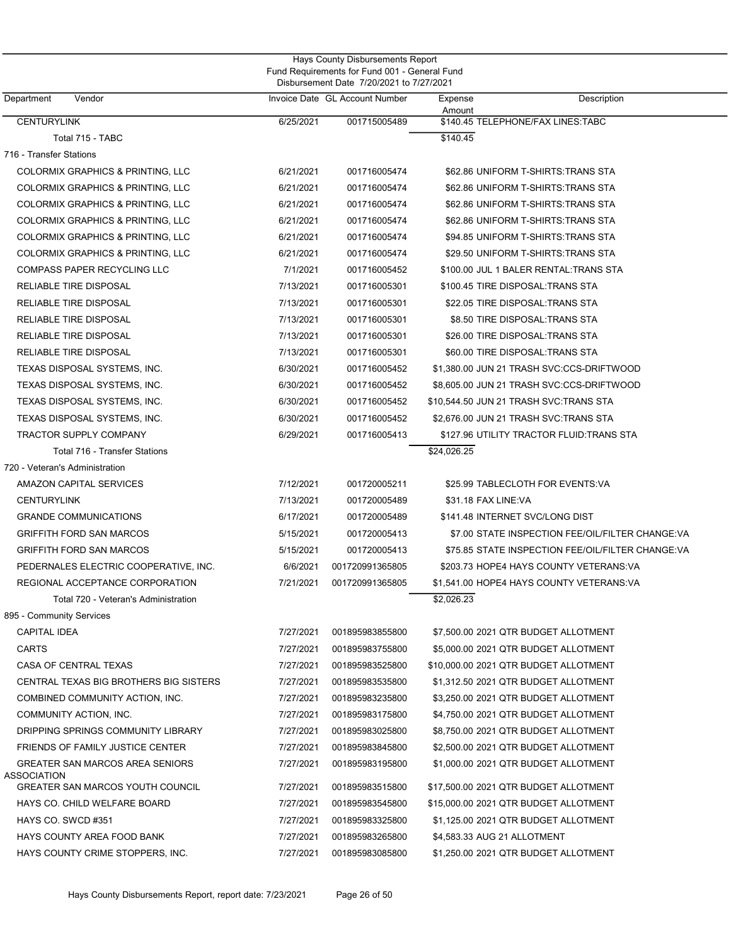|                                                       |           | Fund Requirements for Fund 001 - General Fund<br>Disbursement Date 7/20/2021 to 7/27/2021 |                             |                                                   |  |
|-------------------------------------------------------|-----------|-------------------------------------------------------------------------------------------|-----------------------------|---------------------------------------------------|--|
| Department<br>Vendor                                  |           | Invoice Date GL Account Number                                                            | Expense<br>Amount           | Description                                       |  |
| <b>CENTURYLINK</b>                                    | 6/25/2021 | 001715005489                                                                              |                             | \$140.45 TELEPHONE/FAX LINES:TABC                 |  |
| Total 715 - TABC                                      |           |                                                                                           | \$140.45                    |                                                   |  |
| 716 - Transfer Stations                               |           |                                                                                           |                             |                                                   |  |
| COLORMIX GRAPHICS & PRINTING, LLC                     | 6/21/2021 | 001716005474                                                                              |                             | \$62.86 UNIFORM T-SHIRTS: TRANS STA               |  |
| COLORMIX GRAPHICS & PRINTING, LLC                     | 6/21/2021 | 001716005474                                                                              |                             | \$62.86 UNIFORM T-SHIRTS: TRANS STA               |  |
| COLORMIX GRAPHICS & PRINTING, LLC                     | 6/21/2021 | 001716005474                                                                              |                             | \$62.86 UNIFORM T-SHIRTS: TRANS STA               |  |
| COLORMIX GRAPHICS & PRINTING, LLC                     | 6/21/2021 | 001716005474                                                                              |                             | \$62.86 UNIFORM T-SHIRTS: TRANS STA               |  |
| COLORMIX GRAPHICS & PRINTING, LLC                     | 6/21/2021 | 001716005474                                                                              |                             | \$94.85 UNIFORM T-SHIRTS: TRANS STA               |  |
| COLORMIX GRAPHICS & PRINTING, LLC                     | 6/21/2021 | 001716005474                                                                              |                             | \$29.50 UNIFORM T-SHIRTS: TRANS STA               |  |
| COMPASS PAPER RECYCLING LLC                           | 7/1/2021  | 001716005452                                                                              |                             | \$100.00 JUL 1 BALER RENTAL: TRANS STA            |  |
| RELIABLE TIRE DISPOSAL                                | 7/13/2021 | 001716005301                                                                              |                             | \$100.45 TIRE DISPOSAL:TRANS STA                  |  |
| RELIABLE TIRE DISPOSAL                                | 7/13/2021 | 001716005301                                                                              |                             | \$22.05 TIRE DISPOSAL: TRANS STA                  |  |
| RELIABLE TIRE DISPOSAL                                | 7/13/2021 | 001716005301                                                                              |                             | \$8.50 TIRE DISPOSAL: TRANS STA                   |  |
| RELIABLE TIRE DISPOSAL                                | 7/13/2021 | 001716005301                                                                              |                             | \$26.00 TIRE DISPOSAL:TRANS STA                   |  |
| <b>RELIABLE TIRE DISPOSAL</b>                         | 7/13/2021 | 001716005301                                                                              |                             | \$60.00 TIRE DISPOSAL: TRANS STA                  |  |
| TEXAS DISPOSAL SYSTEMS, INC.                          | 6/30/2021 | 001716005452                                                                              |                             | \$1,380.00 JUN 21 TRASH SVC:CCS-DRIFTWOOD         |  |
| TEXAS DISPOSAL SYSTEMS, INC.                          | 6/30/2021 | 001716005452                                                                              |                             | \$8,605.00 JUN 21 TRASH SVC:CCS-DRIFTWOOD         |  |
| TEXAS DISPOSAL SYSTEMS, INC.                          | 6/30/2021 | 001716005452                                                                              |                             | \$10,544.50 JUN 21 TRASH SVC:TRANS STA            |  |
| TEXAS DISPOSAL SYSTEMS, INC.                          | 6/30/2021 | 001716005452                                                                              |                             | \$2,676.00 JUN 21 TRASH SVC:TRANS STA             |  |
| <b>TRACTOR SUPPLY COMPANY</b>                         | 6/29/2021 | 001716005413                                                                              |                             | \$127.96 UTILITY TRACTOR FLUID:TRANS STA          |  |
| Total 716 - Transfer Stations                         |           |                                                                                           | \$24,026.25                 |                                                   |  |
| 720 - Veteran's Administration                        |           |                                                                                           |                             |                                                   |  |
| AMAZON CAPITAL SERVICES                               | 7/12/2021 | 001720005211                                                                              |                             | \$25.99 TABLECLOTH FOR EVENTS:VA                  |  |
| <b>CENTURYLINK</b>                                    | 7/13/2021 | 001720005489                                                                              | \$31.18 FAX LINE:VA         |                                                   |  |
| <b>GRANDE COMMUNICATIONS</b>                          | 6/17/2021 | 001720005489                                                                              |                             | \$141.48 INTERNET SVC/LONG DIST                   |  |
| <b>GRIFFITH FORD SAN MARCOS</b>                       | 5/15/2021 | 001720005413                                                                              |                             | \$7.00 STATE INSPECTION FEE/OIL/FILTER CHANGE:VA  |  |
| <b>GRIFFITH FORD SAN MARCOS</b>                       | 5/15/2021 | 001720005413                                                                              |                             | \$75.85 STATE INSPECTION FEE/OIL/FILTER CHANGE:VA |  |
| PEDERNALES ELECTRIC COOPERATIVE, INC.                 | 6/6/2021  | 001720991365805                                                                           |                             | \$203.73 HOPE4 HAYS COUNTY VETERANS:VA            |  |
| REGIONAL ACCEPTANCE CORPORATION                       | 7/21/2021 | 001720991365805                                                                           |                             | \$1,541.00 HOPE4 HAYS COUNTY VETERANS:VA          |  |
| Total 720 - Veteran's Administration                  |           |                                                                                           | \$2,026.23                  |                                                   |  |
| 895 - Community Services                              |           |                                                                                           |                             |                                                   |  |
| <b>CAPITAL IDEA</b>                                   | 7/27/2021 | 001895983855800                                                                           |                             | \$7,500.00 2021 QTR BUDGET ALLOTMENT              |  |
| <b>CARTS</b>                                          | 7/27/2021 | 001895983755800                                                                           |                             | \$5,000.00 2021 QTR BUDGET ALLOTMENT              |  |
| CASA OF CENTRAL TEXAS                                 | 7/27/2021 | 001895983525800                                                                           |                             | \$10,000.00 2021 QTR BUDGET ALLOTMENT             |  |
| CENTRAL TEXAS BIG BROTHERS BIG SISTERS                | 7/27/2021 | 001895983535800                                                                           |                             | \$1,312.50 2021 QTR BUDGET ALLOTMENT              |  |
| COMBINED COMMUNITY ACTION, INC.                       | 7/27/2021 | 001895983235800                                                                           |                             | \$3,250.00 2021 QTR BUDGET ALLOTMENT              |  |
| COMMUNITY ACTION, INC.                                | 7/27/2021 | 001895983175800                                                                           |                             | \$4,750.00 2021 QTR BUDGET ALLOTMENT              |  |
| DRIPPING SPRINGS COMMUNITY LIBRARY                    | 7/27/2021 | 001895983025800                                                                           |                             | \$8,750.00 2021 QTR BUDGET ALLOTMENT              |  |
| FRIENDS OF FAMILY JUSTICE CENTER                      | 7/27/2021 | 001895983845800                                                                           |                             | \$2,500.00 2021 QTR BUDGET ALLOTMENT              |  |
| GREATER SAN MARCOS AREA SENIORS<br><b>ASSOCIATION</b> | 7/27/2021 | 001895983195800                                                                           |                             | \$1,000.00 2021 QTR BUDGET ALLOTMENT              |  |
| GREATER SAN MARCOS YOUTH COUNCIL                      | 7/27/2021 | 001895983515800                                                                           |                             |                                                   |  |
| HAYS CO. CHILD WELFARE BOARD                          | 7/27/2021 | 001895983545800                                                                           |                             | \$15,000.00 2021 QTR BUDGET ALLOTMENT             |  |
| HAYS CO. SWCD #351                                    | 7/27/2021 | 001895983325800                                                                           |                             | \$1,125.00 2021 QTR BUDGET ALLOTMENT              |  |
| HAYS COUNTY AREA FOOD BANK                            | 7/27/2021 | 001895983265800                                                                           | \$4,583.33 AUG 21 ALLOTMENT |                                                   |  |
| HAYS COUNTY CRIME STOPPERS, INC.                      | 7/27/2021 | 001895983085800                                                                           |                             | \$1,250.00 2021 QTR BUDGET ALLOTMENT              |  |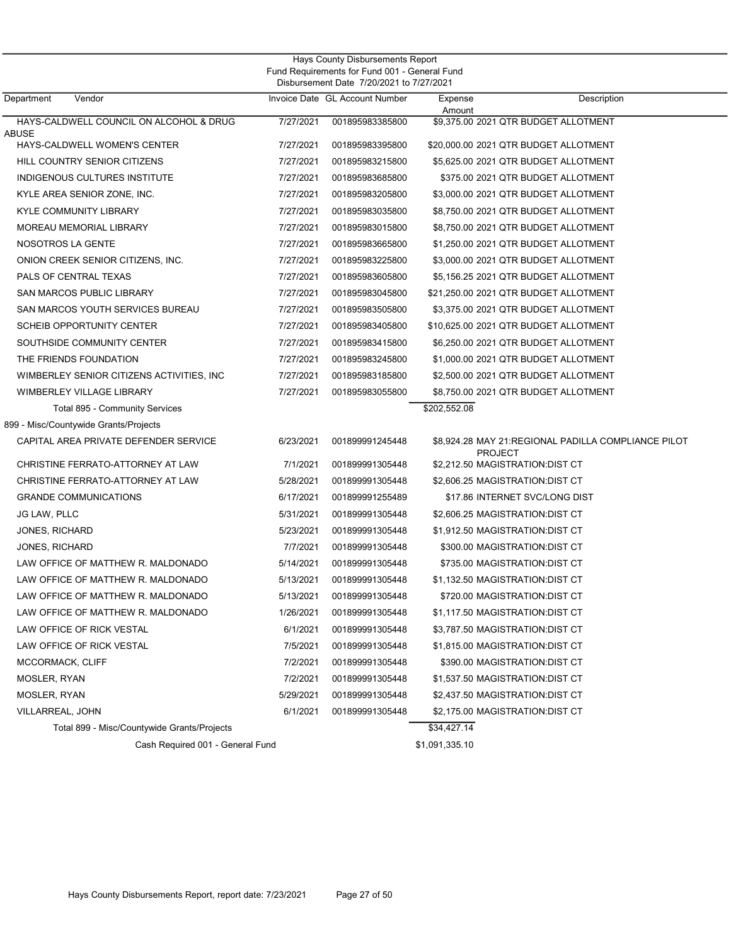| Vendor<br>Department                        |           | Invoice Date GL Account Number | Expense      | Description                                                           |
|---------------------------------------------|-----------|--------------------------------|--------------|-----------------------------------------------------------------------|
| HAYS-CALDWELL COUNCIL ON ALCOHOL & DRUG     | 7/27/2021 | 001895983385800                | Amount       | \$9,375.00 2021 QTR BUDGET ALLOTMENT                                  |
| <b>ABUSE</b>                                |           |                                |              |                                                                       |
| HAYS-CALDWELL WOMEN'S CENTER                | 7/27/2021 | 001895983395800                |              | \$20,000.00 2021 QTR BUDGET ALLOTMENT                                 |
| <b>HILL COUNTRY SENIOR CITIZENS</b>         | 7/27/2021 | 001895983215800                |              | \$5.625.00 2021 QTR BUDGET ALLOTMENT                                  |
| INDIGENOUS CULTURES INSTITUTE               | 7/27/2021 | 001895983685800                |              | \$375.00 2021 QTR BUDGET ALLOTMENT                                    |
| KYLE AREA SENIOR ZONE, INC.                 | 7/27/2021 | 001895983205800                |              | \$3,000.00 2021 QTR BUDGET ALLOTMENT                                  |
| <b>KYLE COMMUNITY LIBRARY</b>               | 7/27/2021 | 001895983035800                |              | \$8,750.00 2021 QTR BUDGET ALLOTMENT                                  |
| MOREAU MEMORIAL LIBRARY                     | 7/27/2021 | 001895983015800                |              | \$8,750.00 2021 QTR BUDGET ALLOTMENT                                  |
| NOSOTROS LA GENTE                           | 7/27/2021 | 001895983665800                |              | \$1,250.00 2021 QTR BUDGET ALLOTMENT                                  |
| ONION CREEK SENIOR CITIZENS, INC.           | 7/27/2021 | 001895983225800                |              | \$3,000.00 2021 QTR BUDGET ALLOTMENT                                  |
| PALS OF CENTRAL TEXAS                       | 7/27/2021 | 001895983605800                |              | \$5,156.25 2021 QTR BUDGET ALLOTMENT                                  |
| SAN MARCOS PUBLIC LIBRARY                   | 7/27/2021 | 001895983045800                |              | \$21,250.00 2021 QTR BUDGET ALLOTMENT                                 |
| SAN MARCOS YOUTH SERVICES BUREAU            | 7/27/2021 | 001895983505800                |              | \$3,375.00 2021 QTR BUDGET ALLOTMENT                                  |
| <b>SCHEIB OPPORTUNITY CENTER</b>            | 7/27/2021 | 001895983405800                |              | \$10,625.00 2021 QTR BUDGET ALLOTMENT                                 |
| SOUTHSIDE COMMUNITY CENTER                  | 7/27/2021 | 001895983415800                |              | \$6,250.00 2021 QTR BUDGET ALLOTMENT                                  |
| THE FRIENDS FOUNDATION                      | 7/27/2021 | 001895983245800                |              | \$1,000.00 2021 QTR BUDGET ALLOTMENT                                  |
| WIMBERLEY SENIOR CITIZENS ACTIVITIES, INC.  | 7/27/2021 | 001895983185800                |              | \$2,500.00 2021 QTR BUDGET ALLOTMENT                                  |
| WIMBERLEY VILLAGE LIBRARY                   | 7/27/2021 | 001895983055800                |              | \$8,750.00 2021 QTR BUDGET ALLOTMENT                                  |
| Total 895 - Community Services              |           |                                | \$202,552.08 |                                                                       |
| 899 - Misc/Countywide Grants/Projects       |           |                                |              |                                                                       |
| CAPITAL AREA PRIVATE DEFENDER SERVICE       | 6/23/2021 | 001899991245448                |              | \$8,924.28 MAY 21:REGIONAL PADILLA COMPLIANCE PILOT<br><b>PROJECT</b> |
| CHRISTINE FERRATO-ATTORNEY AT LAW           | 7/1/2021  | 001899991305448                |              | \$2,212.50 MAGISTRATION:DIST CT                                       |
| CHRISTINE FERRATO-ATTORNEY AT LAW           | 5/28/2021 | 001899991305448                |              | \$2,606.25 MAGISTRATION:DIST CT                                       |
| <b>GRANDE COMMUNICATIONS</b>                | 6/17/2021 | 001899991255489                |              | \$17.86 INTERNET SVC/LONG DIST                                        |
| JG LAW, PLLC                                | 5/31/2021 | 001899991305448                |              | \$2,606.25 MAGISTRATION:DIST CT                                       |
| <b>JONES, RICHARD</b>                       | 5/23/2021 | 001899991305448                |              | \$1,912.50 MAGISTRATION:DIST CT                                       |
| <b>JONES, RICHARD</b>                       | 7/7/2021  | 001899991305448                |              | \$300.00 MAGISTRATION:DIST CT                                         |
| LAW OFFICE OF MATTHEW R. MALDONADO          | 5/14/2021 | 001899991305448                |              | \$735.00 MAGISTRATION: DIST CT                                        |
| LAW OFFICE OF MATTHEW R. MALDONADO          | 5/13/2021 | 001899991305448                |              | \$1,132.50 MAGISTRATION:DIST CT                                       |
| LAW OFFICE OF MATTHEW R. MALDONADO          | 5/13/2021 | 001899991305448                |              | \$720.00 MAGISTRATION:DIST CT                                         |
| LAW OFFICE OF MATTHEW R. MALDONADO          | 1/26/2021 | 001899991305448                |              | \$1,117.50 MAGISTRATION:DIST CT                                       |
| LAW OFFICE OF RICK VESTAL                   | 6/1/2021  | 001899991305448                |              | \$3,787.50 MAGISTRATION:DIST CT                                       |
| LAW OFFICE OF RICK VESTAL                   | 7/5/2021  | 001899991305448                |              | \$1,815.00 MAGISTRATION:DIST CT                                       |
| MCCORMACK, CLIFF                            | 7/2/2021  | 001899991305448                |              | \$390.00 MAGISTRATION:DIST CT                                         |
| MOSLER, RYAN                                | 7/2/2021  | 001899991305448                |              | \$1,537.50 MAGISTRATION:DIST CT                                       |
| MOSLER, RYAN                                | 5/29/2021 | 001899991305448                |              | \$2,437.50 MAGISTRATION:DIST CT                                       |
| VILLARREAL, JOHN                            | 6/1/2021  | 001899991305448                |              | \$2,175.00 MAGISTRATION: DIST CT                                      |
| Total 899 - Misc/Countywide Grants/Projects |           |                                | \$34,427.14  |                                                                       |
|                                             |           |                                |              |                                                                       |

Cash Required 001 - General Fund

\$1,091,335.10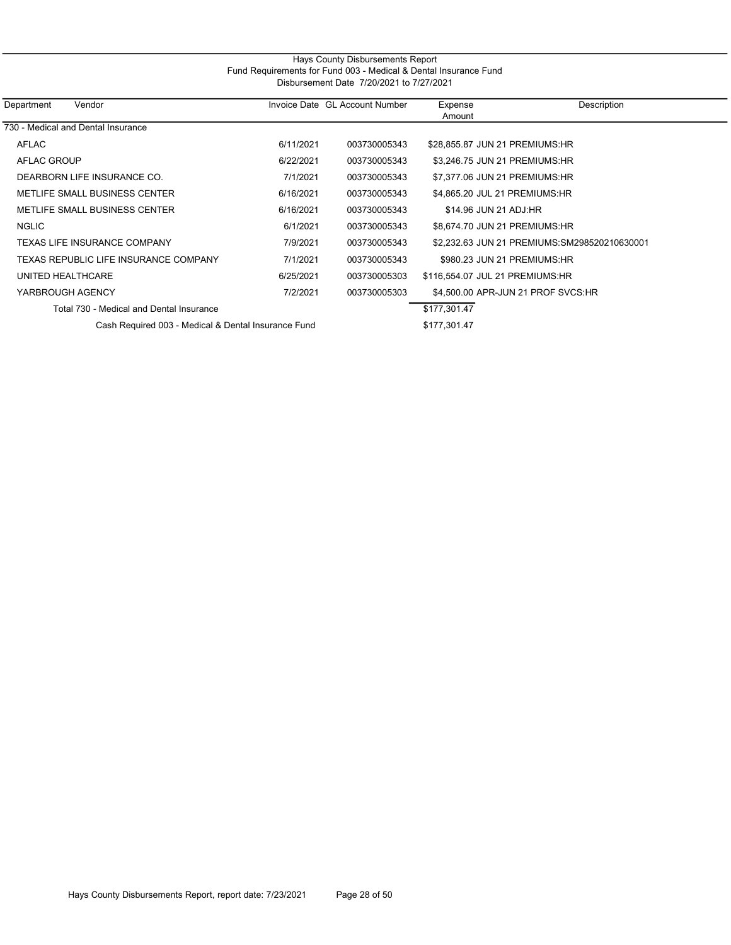#### Hays County Disbursements Report Fund Requirements for Fund 003 - Medical & Dental Insurance Fund Disbursement Date 7/20/2021 to 7/27/2021

| Department<br>Vendor                                |           | Invoice Date GL Account Number | Expense                         | Description                                  |
|-----------------------------------------------------|-----------|--------------------------------|---------------------------------|----------------------------------------------|
|                                                     |           |                                | Amount                          |                                              |
| 730 - Medical and Dental Insurance                  |           |                                |                                 |                                              |
| AFLAC                                               | 6/11/2021 | 003730005343                   | \$28,855.87 JUN 21 PREMIUMS:HR  |                                              |
| AFLAC GROUP                                         | 6/22/2021 | 003730005343                   | \$3,246.75 JUN 21 PREMIUMS:HR   |                                              |
| DEARBORN LIFE INSURANCE CO.                         | 7/1/2021  | 003730005343                   | \$7.377.06 JUN 21 PREMIUMS:HR   |                                              |
| METLIFE SMALL BUSINESS CENTER                       | 6/16/2021 | 003730005343                   | \$4,865.20 JUL 21 PREMIUMS:HR   |                                              |
| METLIFE SMALL BUSINESS CENTER                       | 6/16/2021 | 003730005343                   | \$14.96 JUN 21 ADJ:HR           |                                              |
| NGLIC                                               | 6/1/2021  | 003730005343                   | \$8,674.70 JUN 21 PREMIUMS:HR   |                                              |
| TEXAS LIFE INSURANCE COMPANY                        | 7/9/2021  | 003730005343                   |                                 | \$2,232.63 JUN 21 PREMIUMS:SM298520210630001 |
| TEXAS REPUBLIC LIFE INSURANCE COMPANY               | 7/1/2021  | 003730005343                   | \$980.23 JUN 21 PREMIUMS:HR     |                                              |
| UNITED HEALTHCARE                                   | 6/25/2021 | 003730005303                   | \$116,554.07 JUL 21 PREMIUMS:HR |                                              |
| YARBROUGH AGENCY                                    | 7/2/2021  | 003730005303                   |                                 | \$4,500,00 APR-JUN 21 PROF SVCS:HR           |
| Total 730 - Medical and Dental Insurance            |           |                                | \$177,301.47                    |                                              |
| Cash Required 003 - Medical & Dental Insurance Fund |           |                                | \$177,301.47                    |                                              |
|                                                     |           |                                |                                 |                                              |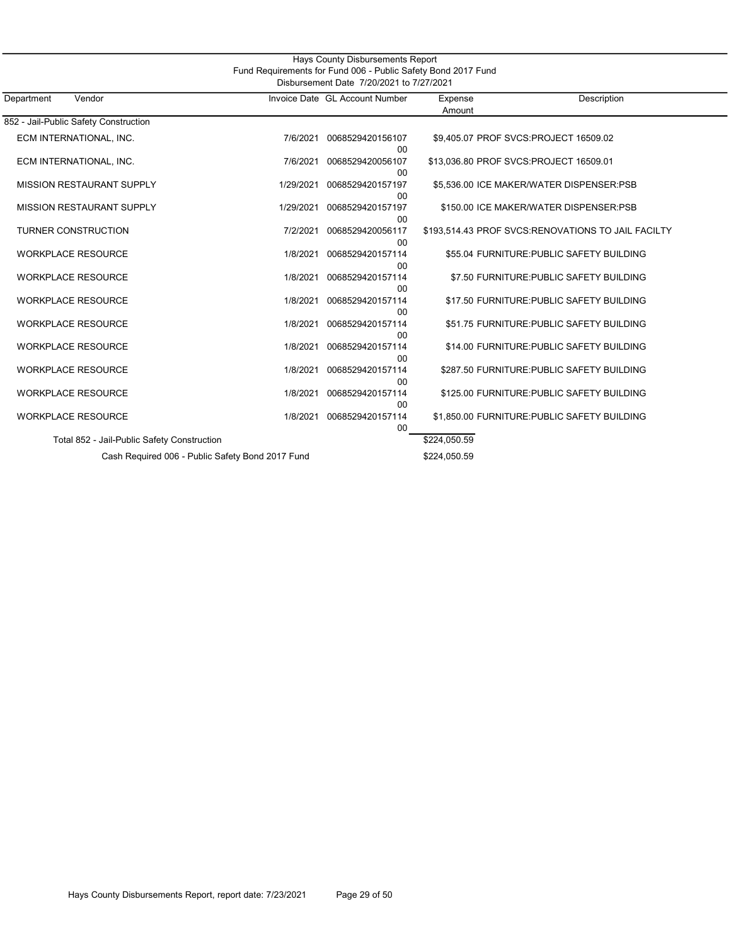| Hays County Disbursements Report<br>Fund Requirements for Fund 006 - Public Safety Bond 2017 Fund<br>Disbursement Date 7/20/2021 to 7/27/2021 |           |                                |                                        |                                                    |  |  |
|-----------------------------------------------------------------------------------------------------------------------------------------------|-----------|--------------------------------|----------------------------------------|----------------------------------------------------|--|--|
| Department<br>Vendor                                                                                                                          |           | Invoice Date GL Account Number | Expense<br>Amount                      | Description                                        |  |  |
| 852 - Jail-Public Safety Construction                                                                                                         |           |                                |                                        |                                                    |  |  |
| ECM INTERNATIONAL, INC.                                                                                                                       | 7/6/2021  | 0068529420156107<br>00         |                                        | \$9,405.07 PROF SVCS:PROJECT 16509.02              |  |  |
| ECM INTERNATIONAL, INC.                                                                                                                       | 7/6/2021  | 0068529420056107<br>$00\,$     | \$13,036.80 PROF SVCS:PROJECT 16509.01 |                                                    |  |  |
| <b>MISSION RESTAURANT SUPPLY</b>                                                                                                              | 1/29/2021 | 0068529420157197<br>00         |                                        | \$5,536.00 ICE MAKER/WATER DISPENSER:PSB           |  |  |
| <b>MISSION RESTAURANT SUPPLY</b>                                                                                                              | 1/29/2021 | 0068529420157197<br>00         |                                        | \$150.00 ICE MAKER/WATER DISPENSER:PSB             |  |  |
| <b>TURNER CONSTRUCTION</b>                                                                                                                    | 7/2/2021  | 0068529420056117<br>00         |                                        | \$193,514.43 PROF SVCS:RENOVATIONS TO JAIL FACILTY |  |  |
| <b>WORKPLACE RESOURCE</b>                                                                                                                     | 1/8/2021  | 0068529420157114<br>00         |                                        | \$55.04 FURNITURE: PUBLIC SAFETY BUILDING          |  |  |
| <b>WORKPLACE RESOURCE</b>                                                                                                                     | 1/8/2021  | 0068529420157114<br>00         |                                        | \$7.50 FURNITURE: PUBLIC SAFETY BUILDING           |  |  |
| <b>WORKPLACE RESOURCE</b>                                                                                                                     | 1/8/2021  | 0068529420157114<br>00         |                                        | \$17.50 FURNITURE: PUBLIC SAFETY BUILDING          |  |  |
| <b>WORKPLACE RESOURCE</b>                                                                                                                     | 1/8/2021  | 0068529420157114<br>00         |                                        | \$51.75 FURNITURE: PUBLIC SAFETY BUILDING          |  |  |
| <b>WORKPLACE RESOURCE</b>                                                                                                                     | 1/8/2021  | 0068529420157114<br>00         |                                        | \$14.00 FURNITURE: PUBLIC SAFETY BUILDING          |  |  |
| <b>WORKPLACE RESOURCE</b>                                                                                                                     | 1/8/2021  | 0068529420157114<br>00         |                                        | \$287.50 FURNITURE: PUBLIC SAFETY BUILDING         |  |  |
| <b>WORKPLACE RESOURCE</b>                                                                                                                     | 1/8/2021  | 0068529420157114<br>00         |                                        | \$125.00 FURNITURE: PUBLIC SAFETY BUILDING         |  |  |
| <b>WORKPLACE RESOURCE</b>                                                                                                                     | 1/8/2021  | 0068529420157114<br>$00\,$     |                                        | \$1,850.00 FURNITURE: PUBLIC SAFETY BUILDING       |  |  |
| Total 852 - Jail-Public Safety Construction                                                                                                   |           |                                | \$224,050.59                           |                                                    |  |  |
| Cash Required 006 - Public Safety Bond 2017 Fund                                                                                              |           |                                | \$224,050.59                           |                                                    |  |  |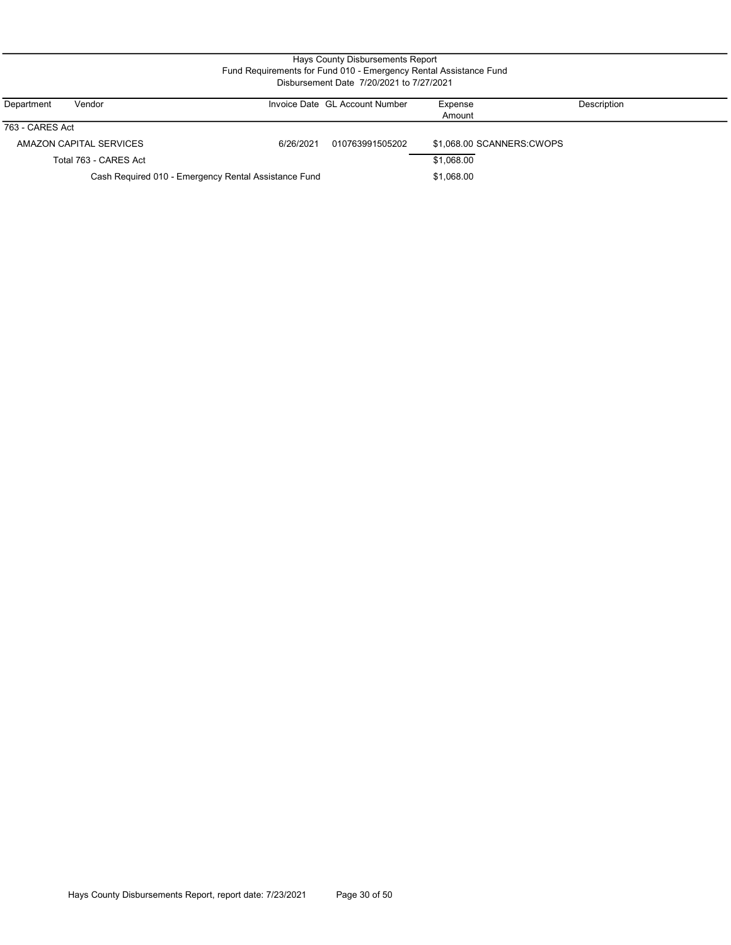#### Hays County Disbursements Report Fund Requirements for Fund 010 - Emergency Rental Assistance Fund Disbursement Date 7/20/2021 to 7/27/2021

| Department      | Vendor                                               |           | Invoice Date GL Account Number | Expense                   | <b>Description</b> |
|-----------------|------------------------------------------------------|-----------|--------------------------------|---------------------------|--------------------|
|                 |                                                      |           |                                | Amount                    |                    |
| 763 - CARES Act |                                                      |           |                                |                           |                    |
|                 | AMAZON CAPITAL SERVICES                              | 6/26/2021 | 010763991505202                | \$1,068.00 SCANNERS:CWOPS |                    |
|                 | Total 763 - CARES Act                                |           |                                | \$1.068.00                |                    |
|                 | Cash Required 010 - Emergency Rental Assistance Fund |           |                                | \$1,068.00                |                    |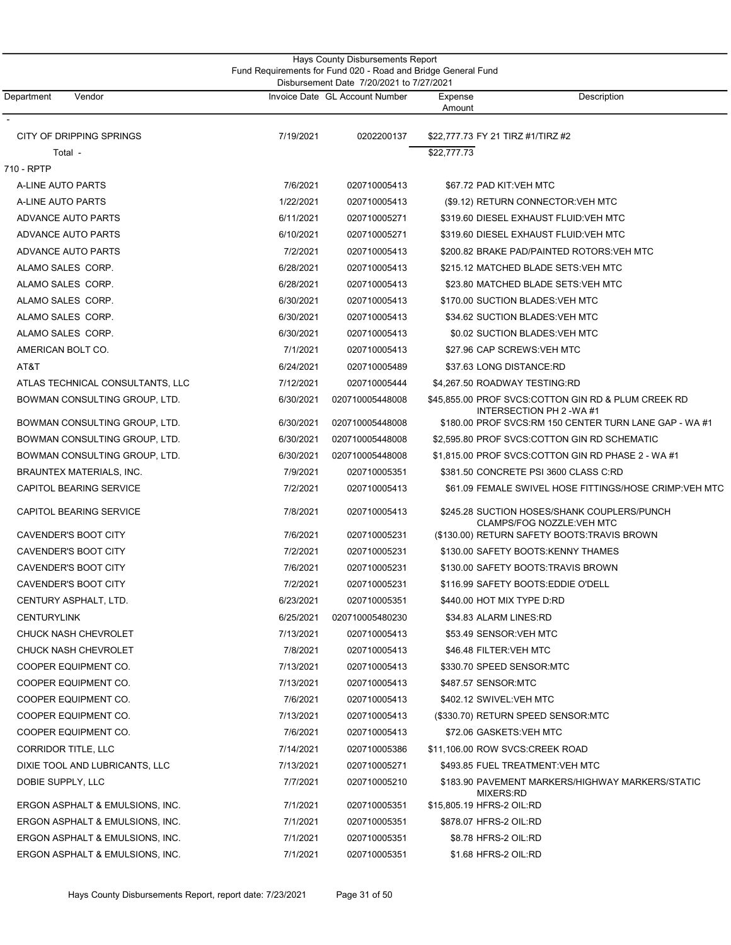| Hays County Disbursements Report<br>Fund Requirements for Fund 020 - Road and Bridge General Fund<br>Disbursement Date 7/20/2021 to 7/27/2021 |           |                                |                                                                                 |  |  |  |
|-----------------------------------------------------------------------------------------------------------------------------------------------|-----------|--------------------------------|---------------------------------------------------------------------------------|--|--|--|
| Department<br>Vendor                                                                                                                          |           | Invoice Date GL Account Number | Description<br>Expense<br>Amount                                                |  |  |  |
| CITY OF DRIPPING SPRINGS                                                                                                                      | 7/19/2021 | 0202200137                     | \$22,777.73 FY 21 TIRZ #1/TIRZ #2                                               |  |  |  |
| Total -                                                                                                                                       |           |                                | \$22,777.73                                                                     |  |  |  |
| 710 - RPTP                                                                                                                                    |           |                                |                                                                                 |  |  |  |
| A-LINE AUTO PARTS                                                                                                                             | 7/6/2021  | 020710005413                   | \$67.72 PAD KIT:VEH MTC                                                         |  |  |  |
| A-LINE AUTO PARTS                                                                                                                             | 1/22/2021 | 020710005413                   | (\$9.12) RETURN CONNECTOR: VEH MTC                                              |  |  |  |
| ADVANCE AUTO PARTS                                                                                                                            | 6/11/2021 | 020710005271                   | \$319.60 DIESEL EXHAUST FLUID:VEH MTC                                           |  |  |  |
| ADVANCE AUTO PARTS                                                                                                                            | 6/10/2021 | 020710005271                   | \$319.60 DIESEL EXHAUST FLUID:VEH MTC                                           |  |  |  |
| ADVANCE AUTO PARTS                                                                                                                            | 7/2/2021  | 020710005413                   | \$200.82 BRAKE PAD/PAINTED ROTORS:VEH MTC                                       |  |  |  |
| ALAMO SALES CORP.                                                                                                                             | 6/28/2021 | 020710005413                   | \$215.12 MATCHED BLADE SETS:VEH MTC                                             |  |  |  |
| ALAMO SALES CORP.                                                                                                                             | 6/28/2021 | 020710005413                   | \$23.80 MATCHED BLADE SETS: VEH MTC                                             |  |  |  |
| ALAMO SALES CORP.                                                                                                                             | 6/30/2021 | 020710005413                   | \$170.00 SUCTION BLADES: VEH MTC                                                |  |  |  |
| ALAMO SALES CORP.                                                                                                                             | 6/30/2021 | 020710005413                   | \$34.62 SUCTION BLADES: VEH MTC                                                 |  |  |  |
| ALAMO SALES CORP.                                                                                                                             | 6/30/2021 | 020710005413                   | \$0.02 SUCTION BLADES: VEH MTC                                                  |  |  |  |
| AMERICAN BOLT CO.                                                                                                                             | 7/1/2021  | 020710005413                   | \$27.96 CAP SCREWS:VEH MTC                                                      |  |  |  |
| AT&T                                                                                                                                          | 6/24/2021 | 020710005489                   | \$37.63 LONG DISTANCE:RD                                                        |  |  |  |
| ATLAS TECHNICAL CONSULTANTS, LLC                                                                                                              | 7/12/2021 | 020710005444                   | \$4,267.50 ROADWAY TESTING:RD                                                   |  |  |  |
| BOWMAN CONSULTING GROUP, LTD.                                                                                                                 | 6/30/2021 | 020710005448008                | \$45,855.00 PROF SVCS:COTTON GIN RD & PLUM CREEK RD<br>INTERSECTION PH 2 -WA #1 |  |  |  |
| BOWMAN CONSULTING GROUP, LTD.                                                                                                                 | 6/30/2021 | 020710005448008                | \$180.00 PROF SVCS:RM 150 CENTER TURN LANE GAP - WA #1                          |  |  |  |
| BOWMAN CONSULTING GROUP, LTD.                                                                                                                 | 6/30/2021 | 020710005448008                | \$2,595.80 PROF SVCS:COTTON GIN RD SCHEMATIC                                    |  |  |  |
| BOWMAN CONSULTING GROUP, LTD.                                                                                                                 | 6/30/2021 | 020710005448008                | \$1,815.00 PROF SVCS:COTTON GIN RD PHASE 2 - WA #1                              |  |  |  |
| BRAUNTEX MATERIALS, INC.                                                                                                                      | 7/9/2021  | 020710005351                   | \$381.50 CONCRETE PSI 3600 CLASS C:RD                                           |  |  |  |
| <b>CAPITOL BEARING SERVICE</b>                                                                                                                | 7/2/2021  | 020710005413                   | \$61.09 FEMALE SWIVEL HOSE FITTINGS/HOSE CRIMP:VEH MTC                          |  |  |  |
| <b>CAPITOL BEARING SERVICE</b>                                                                                                                | 7/8/2021  | 020710005413                   | \$245.28 SUCTION HOSES/SHANK COUPLERS/PUNCH<br>CLAMPS/FOG NOZZLE:VEH MTC        |  |  |  |
| CAVENDER'S BOOT CITY                                                                                                                          | 7/6/2021  | 020710005231                   | (\$130.00) RETURN SAFETY BOOTS: TRAVIS BROWN                                    |  |  |  |
| <b>CAVENDER'S BOOT CITY</b>                                                                                                                   | 7/2/2021  | 020710005231                   | \$130.00 SAFETY BOOTS:KENNY THAMES                                              |  |  |  |
| CAVENDER'S BOOT CITY                                                                                                                          | 7/6/2021  | 020710005231                   | \$130.00 SAFETY BOOTS:TRAVIS BROWN                                              |  |  |  |
| CAVENDER'S BOOT CITY                                                                                                                          | 7/2/2021  | 020710005231                   | \$116.99 SAFETY BOOTS:EDDIE O'DELL                                              |  |  |  |
| CENTURY ASPHALT, LTD.                                                                                                                         | 6/23/2021 | 020710005351                   | \$440.00 HOT MIX TYPE D:RD                                                      |  |  |  |
| <b>CENTURYLINK</b>                                                                                                                            | 6/25/2021 | 020710005480230                | \$34.83 ALARM LINES:RD                                                          |  |  |  |
| CHUCK NASH CHEVROLET                                                                                                                          | 7/13/2021 | 020710005413                   | \$53.49 SENSOR:VEH MTC                                                          |  |  |  |
| CHUCK NASH CHEVROLET                                                                                                                          | 7/8/2021  | 020710005413                   | \$46.48 FILTER:VEH MTC                                                          |  |  |  |
| COOPER EQUIPMENT CO.                                                                                                                          | 7/13/2021 | 020710005413                   | \$330.70 SPEED SENSOR:MTC                                                       |  |  |  |
| COOPER EQUIPMENT CO.                                                                                                                          | 7/13/2021 | 020710005413                   | \$487.57 SENSOR:MTC                                                             |  |  |  |
| COOPER EQUIPMENT CO.                                                                                                                          | 7/6/2021  | 020710005413                   | \$402.12 SWIVEL:VEH MTC                                                         |  |  |  |
| COOPER EQUIPMENT CO.                                                                                                                          | 7/13/2021 | 020710005413                   | (\$330.70) RETURN SPEED SENSOR:MTC                                              |  |  |  |
| COOPER EQUIPMENT CO.                                                                                                                          | 7/6/2021  | 020710005413                   | \$72.06 GASKETS:VEH MTC                                                         |  |  |  |
| <b>CORRIDOR TITLE, LLC</b>                                                                                                                    | 7/14/2021 | 020710005386                   | \$11,106.00 ROW SVCS:CREEK ROAD                                                 |  |  |  |
| DIXIE TOOL AND LUBRICANTS, LLC                                                                                                                | 7/13/2021 | 020710005271                   | \$493.85 FUEL TREATMENT:VEH MTC                                                 |  |  |  |
| DOBIE SUPPLY, LLC                                                                                                                             | 7/7/2021  | 020710005210                   | \$183.90 PAVEMENT MARKERS/HIGHWAY MARKERS/STATIC<br>MIXERS:RD                   |  |  |  |
| ERGON ASPHALT & EMULSIONS, INC.                                                                                                               | 7/1/2021  | 020710005351                   | \$15,805.19 HFRS-2 OIL:RD                                                       |  |  |  |
| ERGON ASPHALT & EMULSIONS, INC.                                                                                                               | 7/1/2021  | 020710005351                   | \$878.07 HFRS-2 OIL:RD                                                          |  |  |  |
| ERGON ASPHALT & EMULSIONS, INC.                                                                                                               | 7/1/2021  | 020710005351                   | \$8.78 HFRS-2 OIL:RD                                                            |  |  |  |
| ERGON ASPHALT & EMULSIONS, INC.                                                                                                               | 7/1/2021  | 020710005351                   | \$1.68 HFRS-2 OIL:RD                                                            |  |  |  |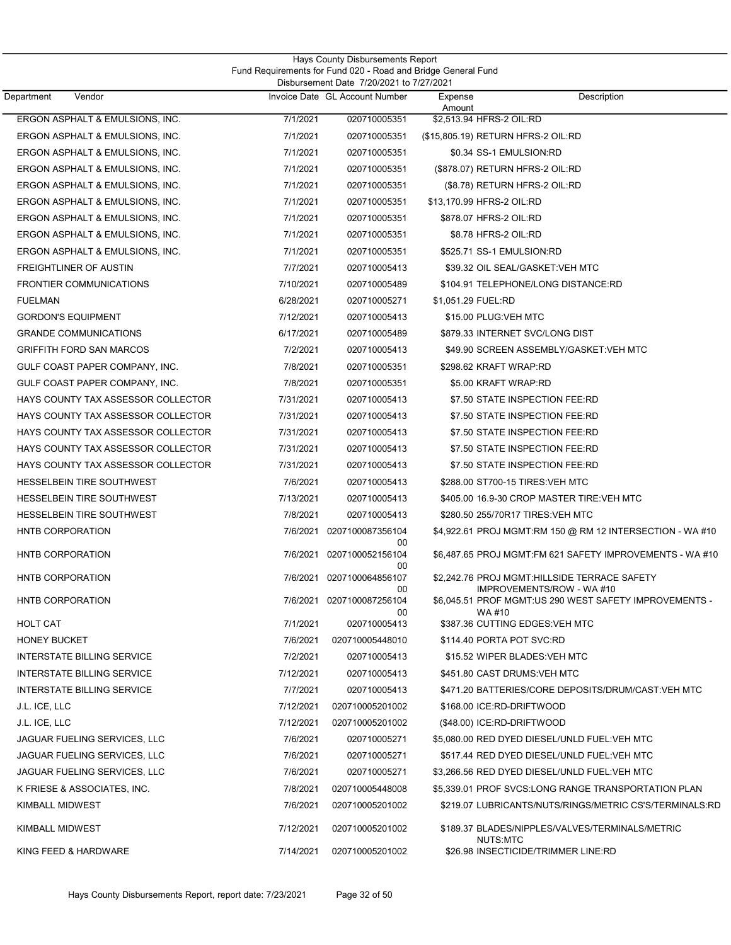| Hays County Disbursements Report<br>Fund Requirements for Fund 020 - Road and Bridge General Fund<br>Disbursement Date 7/20/2021 to 7/27/2021 |           |                                 |                                    |                                                                           |  |  |
|-----------------------------------------------------------------------------------------------------------------------------------------------|-----------|---------------------------------|------------------------------------|---------------------------------------------------------------------------|--|--|
| Department<br>Vendor                                                                                                                          |           | Invoice Date GL Account Number  | Expense<br>Amount                  | Description                                                               |  |  |
| ERGON ASPHALT & EMULSIONS, INC.                                                                                                               | 7/1/2021  | 020710005351                    | \$2,513.94 HFRS-2 OIL:RD           |                                                                           |  |  |
| ERGON ASPHALT & EMULSIONS, INC.                                                                                                               | 7/1/2021  | 020710005351                    | (\$15,805.19) RETURN HFRS-2 OIL:RD |                                                                           |  |  |
| ERGON ASPHALT & EMULSIONS, INC.                                                                                                               | 7/1/2021  | 020710005351                    | \$0.34 SS-1 EMULSION:RD            |                                                                           |  |  |
| ERGON ASPHALT & EMULSIONS, INC.                                                                                                               | 7/1/2021  | 020710005351                    | (\$878.07) RETURN HFRS-2 OIL:RD    |                                                                           |  |  |
| ERGON ASPHALT & EMULSIONS, INC.                                                                                                               | 7/1/2021  | 020710005351                    |                                    | (\$8.78) RETURN HFRS-2 OIL:RD                                             |  |  |
| ERGON ASPHALT & EMULSIONS, INC.                                                                                                               | 7/1/2021  | 020710005351                    | \$13.170.99 HFRS-2 OIL:RD          |                                                                           |  |  |
| ERGON ASPHALT & EMULSIONS, INC.                                                                                                               | 7/1/2021  | 020710005351                    | \$878.07 HFRS-2 OIL:RD             |                                                                           |  |  |
| ERGON ASPHALT & EMULSIONS, INC.                                                                                                               | 7/1/2021  | 020710005351                    | \$8.78 HFRS-2 OIL:RD               |                                                                           |  |  |
| ERGON ASPHALT & EMULSIONS, INC.                                                                                                               | 7/1/2021  | 020710005351                    | \$525.71 SS-1 EMULSION:RD          |                                                                           |  |  |
| <b>FREIGHTLINER OF AUSTIN</b>                                                                                                                 | 7/7/2021  | 020710005413                    |                                    | \$39.32 OIL SEAL/GASKET:VEH MTC                                           |  |  |
| <b>FRONTIER COMMUNICATIONS</b>                                                                                                                | 7/10/2021 | 020710005489                    |                                    | \$104.91 TELEPHONE/LONG DISTANCE:RD                                       |  |  |
| <b>FUELMAN</b>                                                                                                                                | 6/28/2021 | 020710005271                    | \$1,051.29 FUEL:RD                 |                                                                           |  |  |
| <b>GORDON'S EQUIPMENT</b>                                                                                                                     | 7/12/2021 | 020710005413                    | \$15.00 PLUG: VEH MTC              |                                                                           |  |  |
| <b>GRANDE COMMUNICATIONS</b>                                                                                                                  | 6/17/2021 | 020710005489                    |                                    | \$879.33 INTERNET SVC/LONG DIST                                           |  |  |
| <b>GRIFFITH FORD SAN MARCOS</b>                                                                                                               | 7/2/2021  | 020710005413                    |                                    | \$49.90 SCREEN ASSEMBLY/GASKET:VEH MTC                                    |  |  |
| GULF COAST PAPER COMPANY, INC.                                                                                                                | 7/8/2021  | 020710005351                    | \$298.62 KRAFT WRAP:RD             |                                                                           |  |  |
| GULF COAST PAPER COMPANY, INC.                                                                                                                | 7/8/2021  | 020710005351                    | \$5.00 KRAFT WRAP:RD               |                                                                           |  |  |
| HAYS COUNTY TAX ASSESSOR COLLECTOR                                                                                                            | 7/31/2021 | 020710005413                    |                                    | \$7.50 STATE INSPECTION FEE:RD                                            |  |  |
| HAYS COUNTY TAX ASSESSOR COLLECTOR                                                                                                            | 7/31/2021 | 020710005413                    |                                    | \$7.50 STATE INSPECTION FEE:RD                                            |  |  |
| HAYS COUNTY TAX ASSESSOR COLLECTOR                                                                                                            | 7/31/2021 | 020710005413                    |                                    | \$7.50 STATE INSPECTION FEE:RD                                            |  |  |
| HAYS COUNTY TAX ASSESSOR COLLECTOR                                                                                                            | 7/31/2021 | 020710005413                    |                                    | \$7.50 STATE INSPECTION FEE:RD                                            |  |  |
| HAYS COUNTY TAX ASSESSOR COLLECTOR                                                                                                            | 7/31/2021 | 020710005413                    |                                    | \$7.50 STATE INSPECTION FEE:RD                                            |  |  |
| <b>HESSELBEIN TIRE SOUTHWEST</b>                                                                                                              | 7/6/2021  | 020710005413                    |                                    | \$288.00 ST700-15 TIRES: VEH MTC                                          |  |  |
| <b>HESSELBEIN TIRE SOUTHWEST</b>                                                                                                              | 7/13/2021 | 020710005413                    |                                    | \$405.00 16.9-30 CROP MASTER TIRE: VEH MTC                                |  |  |
| <b>HESSELBEIN TIRE SOUTHWEST</b>                                                                                                              | 7/8/2021  | 020710005413                    |                                    | \$280.50 255/70R17 TIRES: VEH MTC                                         |  |  |
| HNTB CORPORATION                                                                                                                              | 7/6/2021  | 0207100087356104                |                                    | \$4,922.61 PROJ MGMT:RM 150 @ RM 12 INTERSECTION - WA #10                 |  |  |
| HNTB CORPORATION                                                                                                                              | 7/6/2021  | 00<br>0207100052156104<br>00    |                                    | \$6.487.65 PROJ MGMT:FM 621 SAFETY IMPROVEMENTS - WA #10                  |  |  |
| HNTB CORPORATION                                                                                                                              |           | 7/6/2021 0207100064856107<br>00 |                                    | \$2.242.76 PROJ MGMT:HILLSIDE TERRACE SAFETY<br>IMPROVEMENTS/ROW - WA #10 |  |  |
| HNTB CORPORATION                                                                                                                              |           | 7/6/2021 0207100087256104<br>00 | WA #10                             | \$6.045.51 PROF MGMT:US 290 WEST SAFETY IMPROVEMENTS -                    |  |  |
| <b>HOLT CAT</b>                                                                                                                               | 7/1/2021  | 020710005413                    |                                    | \$387.36 CUTTING EDGES: VEH MTC                                           |  |  |
| <b>HONEY BUCKET</b>                                                                                                                           | 7/6/2021  | 020710005448010                 | \$114.40 PORTA POT SVC:RD          |                                                                           |  |  |
| INTERSTATE BILLING SERVICE                                                                                                                    | 7/2/2021  | 020710005413                    |                                    | \$15.52 WIPER BLADES: VEH MTC                                             |  |  |
| INTERSTATE BILLING SERVICE                                                                                                                    | 7/12/2021 | 020710005413                    |                                    | \$451.80 CAST DRUMS:VEH MTC                                               |  |  |
| <b>INTERSTATE BILLING SERVICE</b>                                                                                                             | 7/7/2021  | 020710005413                    |                                    | \$471.20 BATTERIES/CORE DEPOSITS/DRUM/CAST:VEH MTC                        |  |  |
| J.L. ICE, LLC                                                                                                                                 | 7/12/2021 | 020710005201002                 | \$168.00 ICE:RD-DRIFTWOOD          |                                                                           |  |  |
| J.L. ICE, LLC                                                                                                                                 | 7/12/2021 | 020710005201002                 | (\$48.00) ICE:RD-DRIFTWOOD         |                                                                           |  |  |
| JAGUAR FUELING SERVICES, LLC                                                                                                                  | 7/6/2021  | 020710005271                    |                                    | \$5,080.00 RED DYED DIESEL/UNLD FUEL:VEH MTC                              |  |  |
| JAGUAR FUELING SERVICES, LLC                                                                                                                  | 7/6/2021  | 020710005271                    |                                    | \$517.44 RED DYED DIESEL/UNLD FUEL: VEH MTC                               |  |  |
| JAGUAR FUELING SERVICES, LLC                                                                                                                  | 7/6/2021  | 020710005271                    |                                    | \$3,266.56 RED DYED DIESEL/UNLD FUEL:VEH MTC                              |  |  |
| K FRIESE & ASSOCIATES, INC.                                                                                                                   | 7/8/2021  | 020710005448008                 |                                    | \$5,339.01 PROF SVCS:LONG RANGE TRANSPORTATION PLAN                       |  |  |
| KIMBALL MIDWEST                                                                                                                               | 7/6/2021  | 020710005201002                 |                                    | \$219.07 LUBRICANTS/NUTS/RINGS/METRIC CS'S/TERMINALS:RD                   |  |  |
| <b>KIMBALL MIDWEST</b>                                                                                                                        | 7/12/2021 | 020710005201002                 | NUTS:MTC                           | \$189.37 BLADES/NIPPLES/VALVES/TERMINALS/METRIC                           |  |  |
| KING FEED & HARDWARE                                                                                                                          | 7/14/2021 | 020710005201002                 |                                    | \$26.98 INSECTICIDE/TRIMMER LINE:RD                                       |  |  |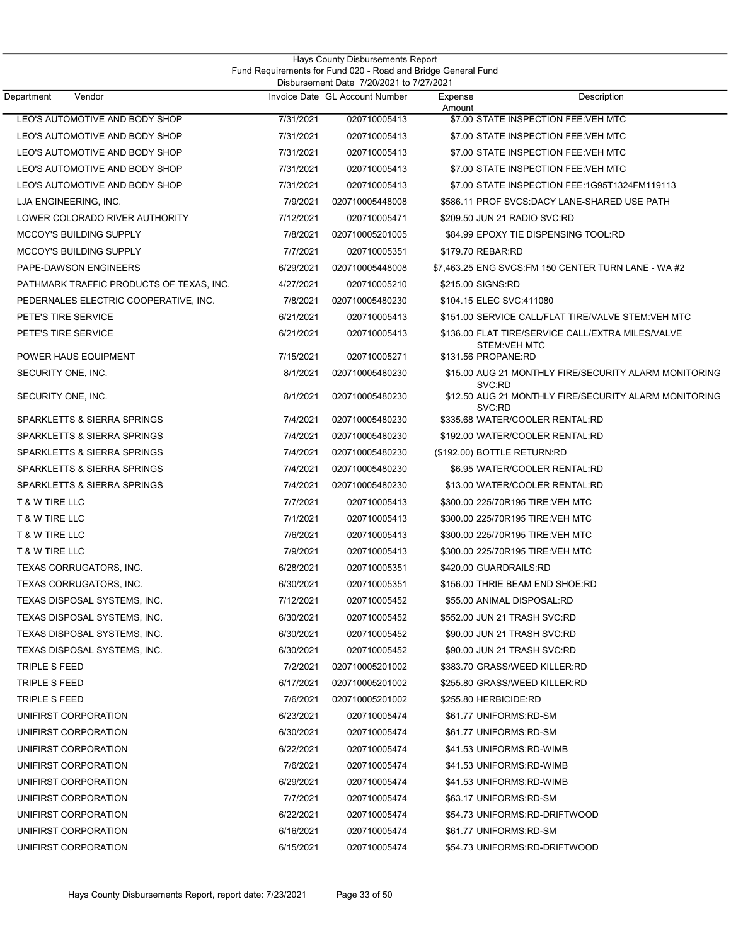| Vendor<br>Department                     |           | Invoice Date GL Account Number | Expense                      | Description                                           |
|------------------------------------------|-----------|--------------------------------|------------------------------|-------------------------------------------------------|
|                                          |           |                                | Amount                       |                                                       |
| LEO'S AUTOMOTIVE AND BODY SHOP           | 7/31/2021 | 020710005413                   |                              | \$7.00 STATE INSPECTION FEE:VEH MTC                   |
| LEO'S AUTOMOTIVE AND BODY SHOP           | 7/31/2021 | 020710005413                   |                              | \$7.00 STATE INSPECTION FEE:VEH MTC                   |
| LEO'S AUTOMOTIVE AND BODY SHOP           | 7/31/2021 | 020710005413                   |                              | \$7.00 STATE INSPECTION FEE:VEH MTC                   |
| LEO'S AUTOMOTIVE AND BODY SHOP           | 7/31/2021 | 020710005413                   |                              | \$7.00 STATE INSPECTION FEE:VEH MTC                   |
| LEO'S AUTOMOTIVE AND BODY SHOP           | 7/31/2021 | 020710005413                   |                              | \$7.00 STATE INSPECTION FEE:1G95T1324FM119113         |
| LJA ENGINEERING, INC.                    | 7/9/2021  | 020710005448008                |                              | \$586.11 PROF SVCS:DACY LANE-SHARED USE PATH          |
| LOWER COLORADO RIVER AUTHORITY           | 7/12/2021 | 020710005471                   | \$209.50 JUN 21 RADIO SVC:RD |                                                       |
| <b>MCCOY'S BUILDING SUPPLY</b>           | 7/8/2021  | 020710005201005                |                              | \$84.99 EPOXY TIE DISPENSING TOOL:RD                  |
| <b>MCCOY'S BUILDING SUPPLY</b>           | 7/7/2021  | 020710005351                   | \$179.70 REBAR:RD            |                                                       |
| PAPE-DAWSON ENGINEERS                    | 6/29/2021 | 020710005448008                |                              | \$7,463.25 ENG SVCS: FM 150 CENTER TURN LANE - WA #2  |
| PATHMARK TRAFFIC PRODUCTS OF TEXAS, INC. | 4/27/2021 | 020710005210                   | \$215.00 SIGNS:RD            |                                                       |
| PEDERNALES ELECTRIC COOPERATIVE, INC.    | 7/8/2021  | 020710005480230                | \$104.15 ELEC SVC:411080     |                                                       |
| PETE'S TIRE SERVICE                      | 6/21/2021 | 020710005413                   |                              | \$151.00 SERVICE CALL/FLAT TIRE/VALVE STEM:VEH MTC    |
| PETE'S TIRE SERVICE                      | 6/21/2021 | 020710005413                   | <b>STEM:VEH MTC</b>          | \$136.00 FLAT TIRE/SERVICE CALL/EXTRA MILES/VALVE     |
| POWER HAUS EQUIPMENT                     | 7/15/2021 | 020710005271                   | \$131.56 PROPANE:RD          |                                                       |
| SECURITY ONE, INC.                       | 8/1/2021  | 020710005480230                | SVC:RD                       | \$15.00 AUG 21 MONTHLY FIRE/SECURITY ALARM MONITORING |
| SECURITY ONE, INC.                       | 8/1/2021  | 020710005480230                | SVC:RD                       | \$12.50 AUG 21 MONTHLY FIRE/SECURITY ALARM MONITORING |
| SPARKLETTS & SIERRA SPRINGS              | 7/4/2021  | 020710005480230                |                              | \$335.68 WATER/COOLER RENTAL:RD                       |
| SPARKLETTS & SIERRA SPRINGS              | 7/4/2021  | 020710005480230                |                              | \$192.00 WATER/COOLER RENTAL:RD                       |
| SPARKLETTS & SIERRA SPRINGS              | 7/4/2021  | 020710005480230                | (\$192.00) BOTTLE RETURN:RD  |                                                       |
| SPARKLETTS & SIERRA SPRINGS              | 7/4/2021  | 020710005480230                |                              | \$6.95 WATER/COOLER RENTAL:RD                         |
| SPARKLETTS & SIERRA SPRINGS              | 7/4/2021  | 020710005480230                |                              | \$13.00 WATER/COOLER RENTAL:RD                        |
| T & W TIRE LLC                           | 7/7/2021  | 020710005413                   |                              | \$300.00 225/70R195 TIRE:VEH MTC                      |
| T & W TIRE LLC                           | 7/1/2021  | 020710005413                   |                              | \$300.00 225/70R195 TIRE:VEH MTC                      |
| T & W TIRE LLC                           | 7/6/2021  | 020710005413                   |                              | \$300.00 225/70R195 TIRE:VEH MTC                      |
| T & W TIRE LLC                           | 7/9/2021  | 020710005413                   |                              | \$300.00 225/70R195 TIRE:VEH MTC                      |
| TEXAS CORRUGATORS, INC.                  | 6/28/2021 | 020710005351                   | \$420.00 GUARDRAILS:RD       |                                                       |
| TEXAS CORRUGATORS, INC.                  | 6/30/2021 | 020710005351                   |                              | \$156.00 THRIE BEAM END SHOE:RD                       |
| TEXAS DISPOSAL SYSTEMS, INC.             | 7/12/2021 | 020710005452                   | \$55.00 ANIMAL DISPOSAL:RD   |                                                       |
| TEXAS DISPOSAL SYSTEMS, INC.             | 6/30/2021 | 020710005452                   | \$552.00 JUN 21 TRASH SVC:RD |                                                       |
| TEXAS DISPOSAL SYSTEMS, INC.             | 6/30/2021 | 020710005452                   | \$90.00 JUN 21 TRASH SVC:RD  |                                                       |
| TEXAS DISPOSAL SYSTEMS, INC.             | 6/30/2021 | 020710005452                   | \$90.00 JUN 21 TRASH SVC:RD  |                                                       |
| TRIPLE S FEED                            | 7/2/2021  | 020710005201002                |                              | \$383.70 GRASS/WEED KILLER:RD                         |
| TRIPLE S FEED                            | 6/17/2021 | 020710005201002                |                              | \$255.80 GRASS/WEED KILLER:RD                         |
| TRIPLE S FEED                            | 7/6/2021  | 020710005201002                | \$255.80 HERBICIDE:RD        |                                                       |
| UNIFIRST CORPORATION                     | 6/23/2021 | 020710005474                   | \$61.77 UNIFORMS:RD-SM       |                                                       |
| UNIFIRST CORPORATION                     | 6/30/2021 | 020710005474                   | \$61.77 UNIFORMS:RD-SM       |                                                       |
| UNIFIRST CORPORATION                     | 6/22/2021 | 020710005474                   | \$41.53 UNIFORMS:RD-WIMB     |                                                       |
| UNIFIRST CORPORATION                     | 7/6/2021  | 020710005474                   | \$41.53 UNIFORMS:RD-WIMB     |                                                       |
| UNIFIRST CORPORATION                     | 6/29/2021 | 020710005474                   | \$41.53 UNIFORMS:RD-WIMB     |                                                       |
| UNIFIRST CORPORATION                     | 7/7/2021  | 020710005474                   | \$63.17 UNIFORMS:RD-SM       |                                                       |
| UNIFIRST CORPORATION                     | 6/22/2021 | 020710005474                   |                              | \$54.73 UNIFORMS:RD-DRIFTWOOD                         |
| UNIFIRST CORPORATION                     | 6/16/2021 | 020710005474                   | \$61.77 UNIFORMS:RD-SM       |                                                       |
| UNIFIRST CORPORATION                     | 6/15/2021 | 020710005474                   |                              | \$54.73 UNIFORMS:RD-DRIFTWOOD                         |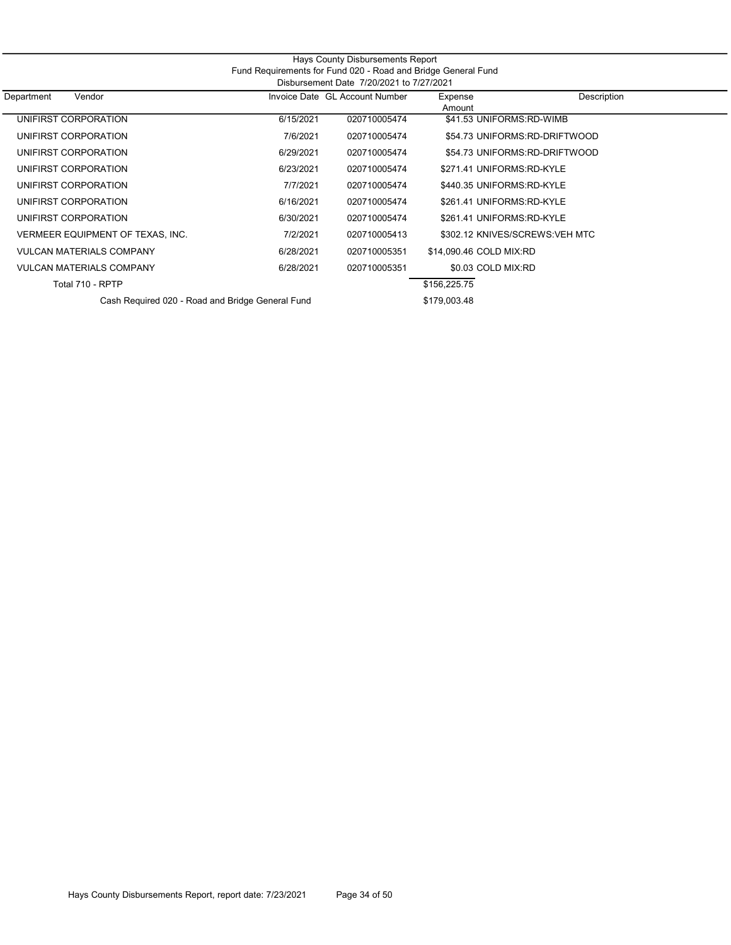|                                                               |                                          | Hays County Disbursements Report |                           |                                 |  |  |  |  |
|---------------------------------------------------------------|------------------------------------------|----------------------------------|---------------------------|---------------------------------|--|--|--|--|
| Fund Requirements for Fund 020 - Road and Bridge General Fund |                                          |                                  |                           |                                 |  |  |  |  |
|                                                               | Disbursement Date 7/20/2021 to 7/27/2021 |                                  |                           |                                 |  |  |  |  |
| Department<br>Vendor                                          |                                          | Invoice Date GL Account Number   | Expense<br>Amount         | Description                     |  |  |  |  |
| UNIFIRST CORPORATION                                          | 6/15/2021                                | 020710005474                     | \$41.53 UNIFORMS:RD-WIMB  |                                 |  |  |  |  |
| UNIFIRST CORPORATION                                          | 7/6/2021                                 | 020710005474                     |                           | \$54.73 UNIFORMS:RD-DRIFTWOOD   |  |  |  |  |
| UNIFIRST CORPORATION                                          | 6/29/2021                                | 020710005474                     |                           | \$54.73 UNIFORMS:RD-DRIFTWOOD   |  |  |  |  |
| UNIFIRST CORPORATION                                          | 6/23/2021                                | 020710005474                     | \$271.41 UNIFORMS:RD-KYLE |                                 |  |  |  |  |
| UNIFIRST CORPORATION                                          | 7/7/2021                                 | 020710005474                     | \$440.35 UNIFORMS:RD-KYLE |                                 |  |  |  |  |
| UNIFIRST CORPORATION                                          | 6/16/2021                                | 020710005474                     | \$261.41 UNIFORMS:RD-KYLE |                                 |  |  |  |  |
| UNIFIRST CORPORATION                                          | 6/30/2021                                | 020710005474                     | \$261.41 UNIFORMS:RD-KYLE |                                 |  |  |  |  |
| VERMEER EQUIPMENT OF TEXAS, INC.                              | 7/2/2021                                 | 020710005413                     |                           | \$302.12 KNIVES/SCREWS: VEH MTC |  |  |  |  |
| <b>VULCAN MATERIALS COMPANY</b>                               | 6/28/2021                                | 020710005351                     | \$14,090.46 COLD MIX:RD   |                                 |  |  |  |  |
| <b>VULCAN MATERIALS COMPANY</b>                               | 6/28/2021                                | 020710005351                     | \$0.03 COLD MIX:RD        |                                 |  |  |  |  |
| Total 710 - RPTP                                              |                                          |                                  | \$156,225.75              |                                 |  |  |  |  |
| Cash Required 020 - Road and Bridge General Fund              |                                          |                                  | \$179,003.48              |                                 |  |  |  |  |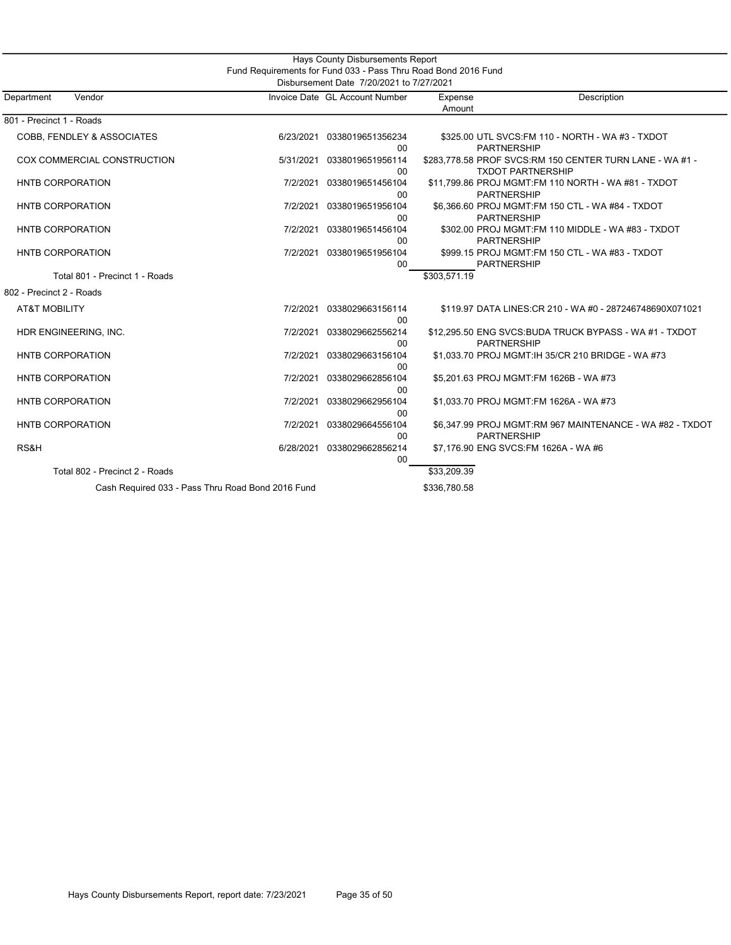|                                                   |           | Hays County Disbursements Report                               |                   |                                                                                      |  |  |
|---------------------------------------------------|-----------|----------------------------------------------------------------|-------------------|--------------------------------------------------------------------------------------|--|--|
|                                                   |           | Fund Requirements for Fund 033 - Pass Thru Road Bond 2016 Fund |                   |                                                                                      |  |  |
| Disbursement Date 7/20/2021 to 7/27/2021          |           |                                                                |                   |                                                                                      |  |  |
| Department<br>Vendor                              |           | Invoice Date GL Account Number                                 | Expense<br>Amount | Description                                                                          |  |  |
| 801 - Precinct 1 - Roads                          |           |                                                                |                   |                                                                                      |  |  |
| COBB, FENDLEY & ASSOCIATES                        | 6/23/2021 | 0338019651356234<br>$00\,$                                     |                   | \$325.00 UTL SVCS: FM 110 - NORTH - WA #3 - TXDOT<br><b>PARTNERSHIP</b>              |  |  |
| COX COMMERCIAL CONSTRUCTION                       | 5/31/2021 | 0338019651956114<br>00                                         |                   | \$283,778.58 PROF SVCS:RM 150 CENTER TURN LANE - WA #1 -<br><b>TXDOT PARTNERSHIP</b> |  |  |
| <b>HNTB CORPORATION</b>                           | 7/2/2021  | 0338019651456104<br>00                                         |                   | \$11,799.86 PROJ MGMT:FM 110 NORTH - WA #81 - TXDOT<br><b>PARTNERSHIP</b>            |  |  |
| <b>HNTB CORPORATION</b>                           | 7/2/2021  | 0338019651956104<br>$00\,$                                     |                   | \$6,366.60 PROJ MGMT:FM 150 CTL - WA #84 - TXDOT<br><b>PARTNERSHIP</b>               |  |  |
| <b>HNTB CORPORATION</b>                           | 7/2/2021  | 0338019651456104<br>$00\,$                                     |                   | \$302.00 PROJ MGMT:FM 110 MIDDLE - WA #83 - TXDOT<br><b>PARTNERSHIP</b>              |  |  |
| <b>HNTB CORPORATION</b>                           | 7/2/2021  | 0338019651956104<br>$00\,$                                     |                   | \$999.15 PROJ MGMT:FM 150 CTL - WA #83 - TXDOT<br><b>PARTNERSHIP</b>                 |  |  |
| Total 801 - Precinct 1 - Roads                    |           |                                                                | \$303,571.19      |                                                                                      |  |  |
| 802 - Precinct 2 - Roads                          |           |                                                                |                   |                                                                                      |  |  |
| <b>AT&amp;T MOBILITY</b>                          | 7/2/2021  | 0338029663156114<br>00                                         |                   | \$119.97 DATA LINES: CR 210 - WA #0 - 287246748690X071021                            |  |  |
| HDR ENGINEERING, INC.                             | 7/2/2021  | 0338029662556214<br>00                                         |                   | \$12,295.50 ENG SVCS: BUDA TRUCK BYPASS - WA #1 - TXDOT<br><b>PARTNERSHIP</b>        |  |  |
| <b>HNTB CORPORATION</b>                           | 7/2/2021  | 0338029663156104<br>00                                         |                   | \$1,033.70 PROJ MGMT: IH 35/CR 210 BRIDGE - WA #73                                   |  |  |
| <b>HNTB CORPORATION</b>                           | 7/2/2021  | 0338029662856104<br>00                                         |                   | \$5,201.63 PROJ MGMT:FM 1626B - WA #73                                               |  |  |
| <b>HNTB CORPORATION</b>                           | 7/2/2021  | 0338029662956104<br>00                                         |                   | \$1,033.70 PROJ MGMT:FM 1626A - WA #73                                               |  |  |
| <b>HNTB CORPORATION</b>                           | 7/2/2021  | 0338029664556104<br>00                                         |                   | \$6,347.99 PROJ MGMT:RM 967 MAINTENANCE - WA #82 - TXDOT<br><b>PARTNERSHIP</b>       |  |  |
| RS&H                                              | 6/28/2021 | 0338029662856214<br>00                                         |                   | \$7,176.90 ENG SVCS:FM 1626A - WA #6                                                 |  |  |
| Total 802 - Precinct 2 - Roads                    |           |                                                                | \$33,209.39       |                                                                                      |  |  |
| Cash Required 033 - Pass Thru Road Bond 2016 Fund |           |                                                                | \$336,780.58      |                                                                                      |  |  |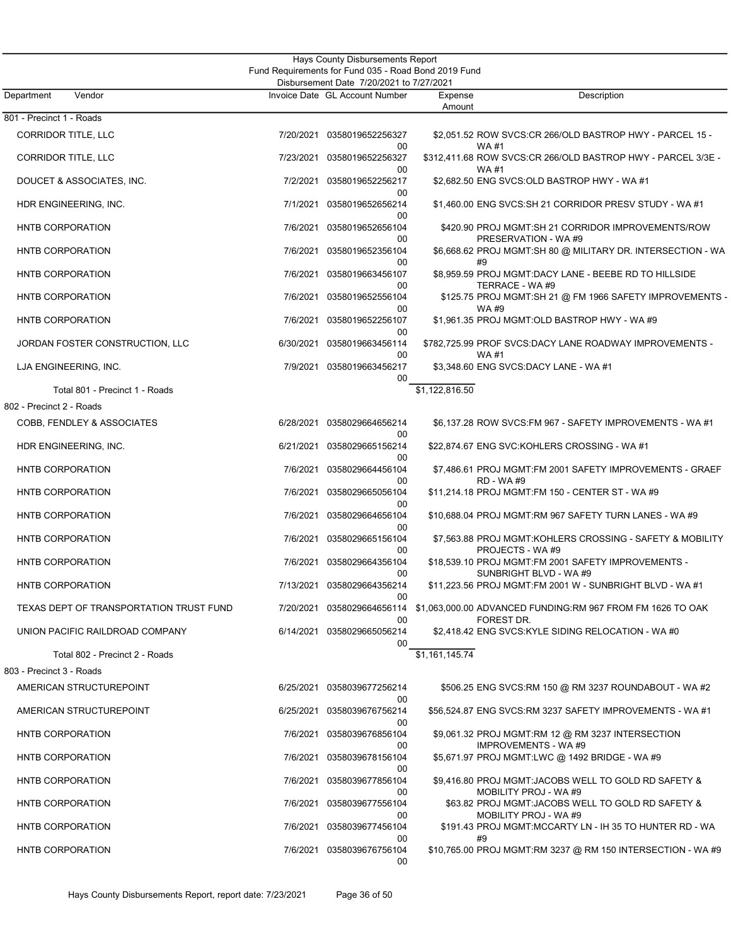| Hays County Disbursements Report<br>Fund Requirements for Fund 035 - Road Bond 2019 Fund<br>Disbursement Date 7/20/2021 to 7/27/2021 |           |                                  |                   |                                                                                                     |  |  |
|--------------------------------------------------------------------------------------------------------------------------------------|-----------|----------------------------------|-------------------|-----------------------------------------------------------------------------------------------------|--|--|
| Vendor<br>Department                                                                                                                 |           | Invoice Date GL Account Number   | Expense<br>Amount | Description                                                                                         |  |  |
| 801 - Precinct 1 - Roads                                                                                                             |           |                                  |                   |                                                                                                     |  |  |
| <b>CORRIDOR TITLE, LLC</b>                                                                                                           | 7/20/2021 | 0358019652256327<br>00           |                   | \$2,051.52 ROW SVCS:CR 266/OLD BASTROP HWY - PARCEL 15 -<br><b>WA#1</b>                             |  |  |
| <b>CORRIDOR TITLE, LLC</b>                                                                                                           | 7/23/2021 | 0358019652256327<br>00           |                   | \$312,411.68 ROW SVCS:CR 266/OLD BASTROP HWY - PARCEL 3/3E -<br>WA #1                               |  |  |
| DOUCET & ASSOCIATES, INC.                                                                                                            | 7/2/2021  | 0358019652256217<br>00           |                   | \$2,682.50 ENG SVCS:OLD BASTROP HWY - WA#1                                                          |  |  |
| HDR ENGINEERING, INC.                                                                                                                | 7/1/2021  | 0358019652656214<br>00           |                   | \$1,460.00 ENG SVCS:SH 21 CORRIDOR PRESV STUDY - WA #1                                              |  |  |
| HNTB CORPORATION                                                                                                                     | 7/6/2021  | 0358019652656104<br>00           |                   | \$420.90 PROJ MGMT:SH 21 CORRIDOR IMPROVEMENTS/ROW<br>PRESERVATION - WA #9                          |  |  |
| HNTB CORPORATION                                                                                                                     |           | 7/6/2021 0358019652356104<br>00  |                   | \$6,668.62 PROJ MGMT:SH 80 @ MILITARY DR. INTERSECTION - WA<br>#9                                   |  |  |
| HNTB CORPORATION                                                                                                                     | 7/6/2021  | 0358019663456107<br>00           |                   | \$8,959.59 PROJ MGMT:DACY LANE - BEEBE RD TO HILLSIDE<br>TERRACE - WA #9                            |  |  |
| HNTB CORPORATION                                                                                                                     | 7/6/2021  | 0358019652556104<br>00           |                   | \$125.75 PROJ MGMT:SH 21 @ FM 1966 SAFETY IMPROVEMENTS -<br>WA #9                                   |  |  |
| HNTB CORPORATION                                                                                                                     | 7/6/2021  | 0358019652256107<br>00           |                   | \$1,961.35 PROJ MGMT:OLD BASTROP HWY - WA #9                                                        |  |  |
| JORDAN FOSTER CONSTRUCTION, LLC                                                                                                      | 6/30/2021 | 0358019663456114<br>00           |                   | \$782,725.99 PROF SVCS:DACY LANE ROADWAY IMPROVEMENTS -<br>WA #1                                    |  |  |
| LJA ENGINEERING, INC.                                                                                                                | 7/9/2021  | 0358019663456217<br>00           |                   | \$3,348.60 ENG SVCS:DACY LANE - WA #1                                                               |  |  |
| Total 801 - Precinct 1 - Roads                                                                                                       |           |                                  | \$1,122,816.50    |                                                                                                     |  |  |
| 802 - Precinct 2 - Roads                                                                                                             |           |                                  |                   |                                                                                                     |  |  |
| COBB, FENDLEY & ASSOCIATES                                                                                                           |           | 6/28/2021 0358029664656214<br>00 |                   | \$6,137.28 ROW SVCS:FM 967 - SAFETY IMPROVEMENTS - WA #1                                            |  |  |
| HDR ENGINEERING, INC.                                                                                                                | 6/21/2021 | 0358029665156214<br>00           |                   | \$22,874.67 ENG SVC:KOHLERS CROSSING - WA #1                                                        |  |  |
| HNTB CORPORATION                                                                                                                     | 7/6/2021  | 0358029664456104<br>00           |                   | \$7,486.61 PROJ MGMT:FM 2001 SAFETY IMPROVEMENTS - GRAEF<br>RD - WA #9                              |  |  |
| HNTB CORPORATION                                                                                                                     |           | 7/6/2021 0358029665056104<br>00  |                   | \$11,214.18 PROJ MGMT:FM 150 - CENTER ST - WA #9                                                    |  |  |
| HNTB CORPORATION                                                                                                                     | 7/6/2021  | 0358029664656104<br>00           |                   | \$10,688.04 PROJ MGMT:RM 967 SAFETY TURN LANES - WA #9                                              |  |  |
| HNTB CORPORATION                                                                                                                     | 7/6/2021  | 0358029665156104<br>00           |                   | \$7,563.88 PROJ MGMT:KOHLERS CROSSING - SAFETY & MOBILITY<br>PROJECTS - WA#9                        |  |  |
| HNTB CORPORATION                                                                                                                     | 7/6/2021  | 0358029664356104<br>00           |                   | \$18,539.10 PROJ MGMT:FM 2001 SAFETY IMPROVEMENTS -<br>SUNBRIGHT BLVD - WA #9                       |  |  |
| HNTB CORPORATION                                                                                                                     | 7/13/2021 | 0358029664356214<br>00           |                   | \$11,223.56 PROJ MGMT:FM 2001 W - SUNBRIGHT BLVD - WA #1                                            |  |  |
| TEXAS DEPT OF TRANSPORTATION TRUST FUND                                                                                              |           | 00                               |                   | 7/20/2021 0358029664656114 \$1,063,000.00 ADVANCED FUNDING:RM 967 FROM FM 1626 TO OAK<br>FOREST DR. |  |  |
| UNION PACIFIC RAILDROAD COMPANY                                                                                                      |           | 6/14/2021 0358029665056214<br>00 |                   | \$2,418.42 ENG SVCS:KYLE SIDING RELOCATION - WA #0                                                  |  |  |
| Total 802 - Precinct 2 - Roads                                                                                                       |           |                                  | \$1,161,145.74    |                                                                                                     |  |  |
| 803 - Precinct 3 - Roads                                                                                                             |           |                                  |                   |                                                                                                     |  |  |
| AMERICAN STRUCTUREPOINT                                                                                                              |           | 6/25/2021 0358039677256214<br>00 |                   | \$506.25 ENG SVCS:RM 150 @ RM 3237 ROUNDABOUT - WA #2                                               |  |  |
| AMERICAN STRUCTUREPOINT                                                                                                              | 6/25/2021 | 0358039676756214<br>00           |                   | \$56,524.87 ENG SVCS:RM 3237 SAFETY IMPROVEMENTS - WA #1                                            |  |  |
| HNTB CORPORATION                                                                                                                     | 7/6/2021  | 0358039676856104<br>00           |                   | \$9,061.32 PROJ MGMT:RM 12 @ RM 3237 INTERSECTION<br><b>IMPROVEMENTS - WA#9</b>                     |  |  |
| HNTB CORPORATION                                                                                                                     |           | 7/6/2021 0358039678156104<br>00  |                   | \$5,671.97 PROJ MGMT:LWC @ 1492 BRIDGE - WA #9                                                      |  |  |
| HNTB CORPORATION                                                                                                                     | 7/6/2021  | 0358039677856104<br>00           |                   | \$9,416.80 PROJ MGMT:JACOBS WELL TO GOLD RD SAFETY &<br>MOBILITY PROJ - WA #9                       |  |  |
| HNTB CORPORATION                                                                                                                     | 7/6/2021  | 0358039677556104<br>00           |                   | \$63.82 PROJ MGMT:JACOBS WELL TO GOLD RD SAFETY &<br>MOBILITY PROJ - WA #9                          |  |  |
| HNTB CORPORATION                                                                                                                     | 7/6/2021  | 0358039677456104<br>00           |                   | \$191.43 PROJ MGMT:MCCARTY LN - IH 35 TO HUNTER RD - WA<br>#9                                       |  |  |
| HNTB CORPORATION                                                                                                                     |           | 7/6/2021 0358039676756104<br>00  |                   | \$10,765.00 PROJ MGMT:RM 3237 @ RM 150 INTERSECTION - WA #9                                         |  |  |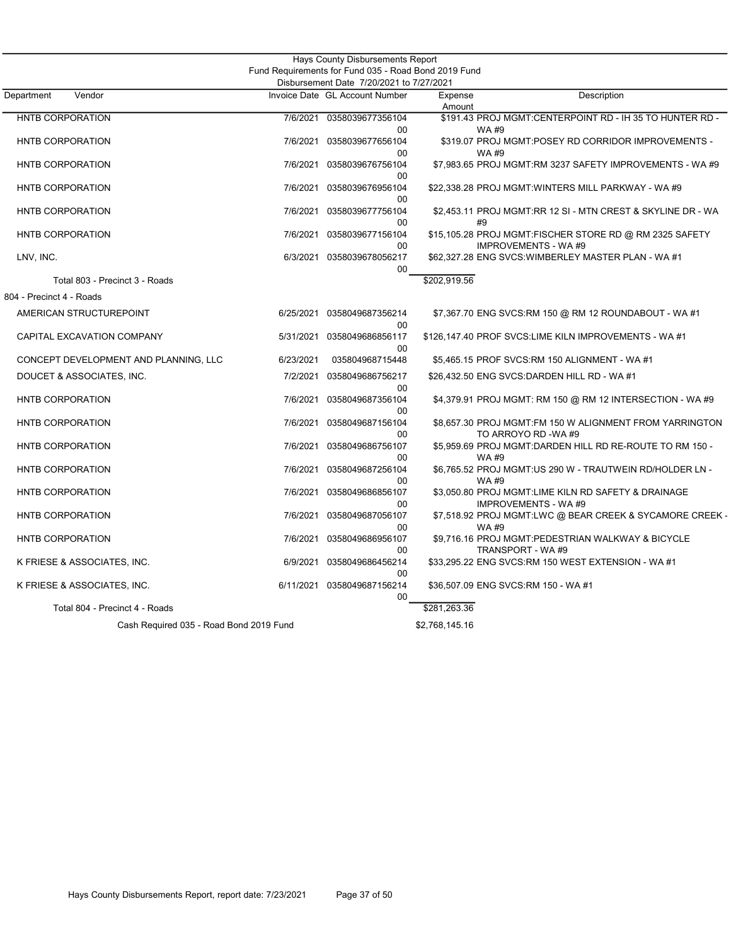|                                         |           | Hays County Disbursements Report                                                                 |                   |                                                                                   |
|-----------------------------------------|-----------|--------------------------------------------------------------------------------------------------|-------------------|-----------------------------------------------------------------------------------|
|                                         |           | Fund Requirements for Fund 035 - Road Bond 2019 Fund<br>Disbursement Date 7/20/2021 to 7/27/2021 |                   |                                                                                   |
| Vendor<br>Department                    |           | Invoice Date GL Account Number                                                                   | Expense<br>Amount | Description                                                                       |
| HNTB CORPORATION                        | 7/6/2021  | 0358039677356104<br>$00 \,$                                                                      |                   | \$191.43 PROJ MGMT:CENTERPOINT RD - IH 35 TO HUNTER RD -<br>WA #9                 |
| HNTB CORPORATION                        | 7/6/2021  | 0358039677656104                                                                                 |                   | \$319.07 PROJ MGMT:POSEY RD CORRIDOR IMPROVEMENTS -                               |
| HNTB CORPORATION                        | 7/6/2021  | 00<br>0358039676756104                                                                           |                   | <b>WA#9</b><br>\$7,983.65 PROJ MGMT:RM 3237 SAFETY IMPROVEMENTS - WA #9           |
| HNTB CORPORATION                        | 7/6/2021  | 00<br>0358039676956104                                                                           |                   | \$22,338.28 PROJ MGMT:WINTERS MILL PARKWAY - WA #9                                |
| HNTB CORPORATION                        | 7/6/2021  | 00<br>0358039677756104                                                                           |                   | \$2,453.11 PROJ MGMT:RR 12 SI - MTN CREST & SKYLINE DR - WA                       |
| HNTB CORPORATION                        | 7/6/2021  | 00<br>0358039677156104                                                                           |                   | #9<br>\$15,105.28 PROJ MGMT:FISCHER STORE RD @ RM 2325 SAFETY                     |
| LNV, INC.                               | 6/3/2021  | 00<br>0358039678056217                                                                           |                   | <b>IMPROVEMENTS - WA#9</b><br>\$62,327.28 ENG SVCS: WIMBERLEY MASTER PLAN - WA #1 |
| Total 803 - Precinct 3 - Roads          |           | $00 \,$                                                                                          | \$202,919.56      |                                                                                   |
| 804 - Precinct 4 - Roads                |           |                                                                                                  |                   |                                                                                   |
| AMERICAN STRUCTUREPOINT                 |           | 6/25/2021 0358049687356214                                                                       |                   | \$7,367.70 ENG SVCS:RM 150 @ RM 12 ROUNDABOUT - WA #1                             |
| CAPITAL EXCAVATION COMPANY              | 5/31/2021 | 00<br>0358049686856117<br>00                                                                     |                   | \$126,147.40 PROF SVCS:LIME KILN IMPROVEMENTS - WA #1                             |
| CONCEPT DEVELOPMENT AND PLANNING, LLC   | 6/23/2021 | 035804968715448                                                                                  |                   | \$5,465.15 PROF SVCS:RM 150 ALIGNMENT - WA #1                                     |
| DOUCET & ASSOCIATES, INC.               | 7/2/2021  | 0358049686756217<br>00                                                                           |                   | \$26,432.50 ENG SVCS:DARDEN HILL RD - WA #1                                       |
| HNTB CORPORATION                        | 7/6/2021  | 0358049687356104<br>00                                                                           |                   | \$4,379.91 PROJ MGMT: RM 150 @ RM 12 INTERSECTION - WA #9                         |
| HNTB CORPORATION                        | 7/6/2021  | 0358049687156104<br>00                                                                           |                   | \$8,657.30 PROJ MGMT:FM 150 W ALIGNMENT FROM YARRINGTON<br>TO ARROYO RD -WA #9    |
| HNTB CORPORATION                        | 7/6/2021  | 0358049686756107<br>00                                                                           |                   | \$5,959.69 PROJ MGMT:DARDEN HILL RD RE-ROUTE TO RM 150 -<br>WA #9                 |
| HNTB CORPORATION                        | 7/6/2021  | 0358049687256104<br>$00 \,$                                                                      |                   | \$6,765.52 PROJ MGMT:US 290 W - TRAUTWEIN RD/HOLDER LN -<br>WA #9                 |
| HNTB CORPORATION                        | 7/6/2021  | 0358049686856107<br>00                                                                           |                   | \$3,050.80 PROJ MGMT:LIME KILN RD SAFETY & DRAINAGE<br><b>IMPROVEMENTS - WA#9</b> |
| HNTB CORPORATION                        | 7/6/2021  | 0358049687056107<br>00                                                                           |                   | \$7,518.92 PROJ MGMT:LWC @ BEAR CREEK & SYCAMORE CREEK -<br>WA #9                 |
| HNTB CORPORATION                        | 7/6/2021  | 0358049686956107<br>00                                                                           |                   | \$9,716.16 PROJ MGMT:PEDESTRIAN WALKWAY & BICYCLE<br>TRANSPORT - WA#9             |
| K FRIESE & ASSOCIATES, INC.             | 6/9/2021  | 0358049686456214<br>$00 \,$                                                                      |                   | \$33,295.22 ENG SVCS:RM 150 WEST EXTENSION - WA #1                                |
| K FRIESE & ASSOCIATES, INC.             | 6/11/2021 | 0358049687156214                                                                                 |                   | \$36,507.09 ENG SVCS:RM 150 - WA #1                                               |
| Total 804 - Precinct 4 - Roads          |           | 00                                                                                               | \$281,263.36      |                                                                                   |
| Cash Required 035 - Road Bond 2019 Fund |           |                                                                                                  | \$2,768,145.16    |                                                                                   |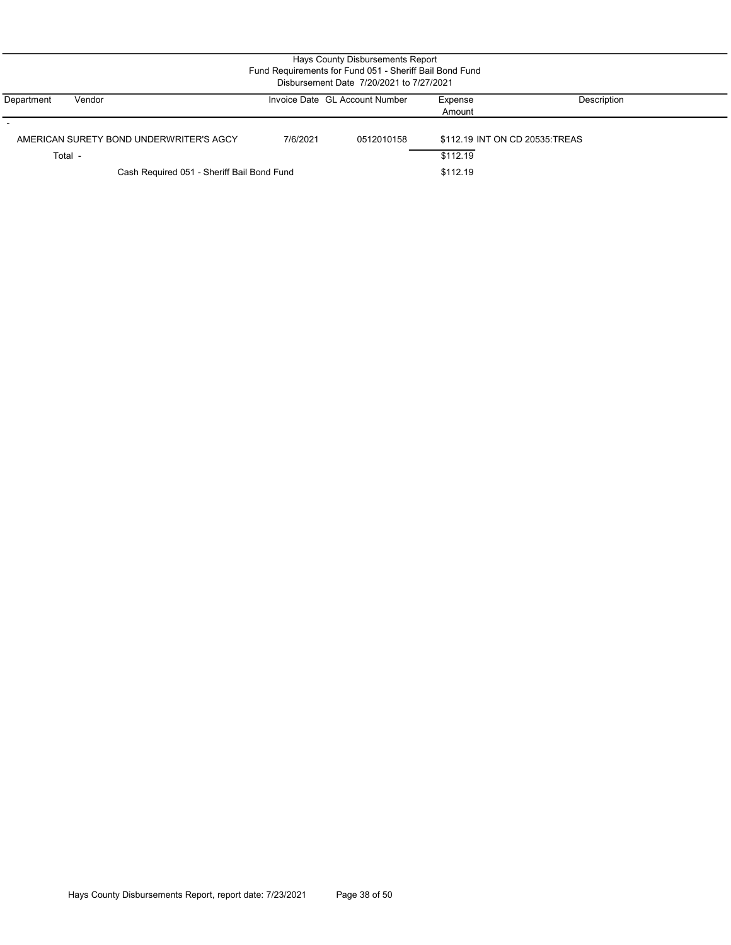| Hays County Disbursements Report<br>Fund Requirements for Fund 051 - Sheriff Bail Bond Fund<br>Disbursement Date 7/20/2021 to 7/27/2021 |          |                                |                                             |             |  |  |  |
|-----------------------------------------------------------------------------------------------------------------------------------------|----------|--------------------------------|---------------------------------------------|-------------|--|--|--|
| Department<br>Vendor                                                                                                                    |          | Invoice Date GL Account Number | Expense<br>Amount                           | Description |  |  |  |
| AMERICAN SURETY BOND UNDERWRITER'S AGCY<br>Total -                                                                                      | 7/6/2021 | 0512010158                     | \$112.19 INT ON CD 20535: TREAS<br>\$112.19 |             |  |  |  |
| Cash Required 051 - Sheriff Bail Bond Fund<br>\$112.19                                                                                  |          |                                |                                             |             |  |  |  |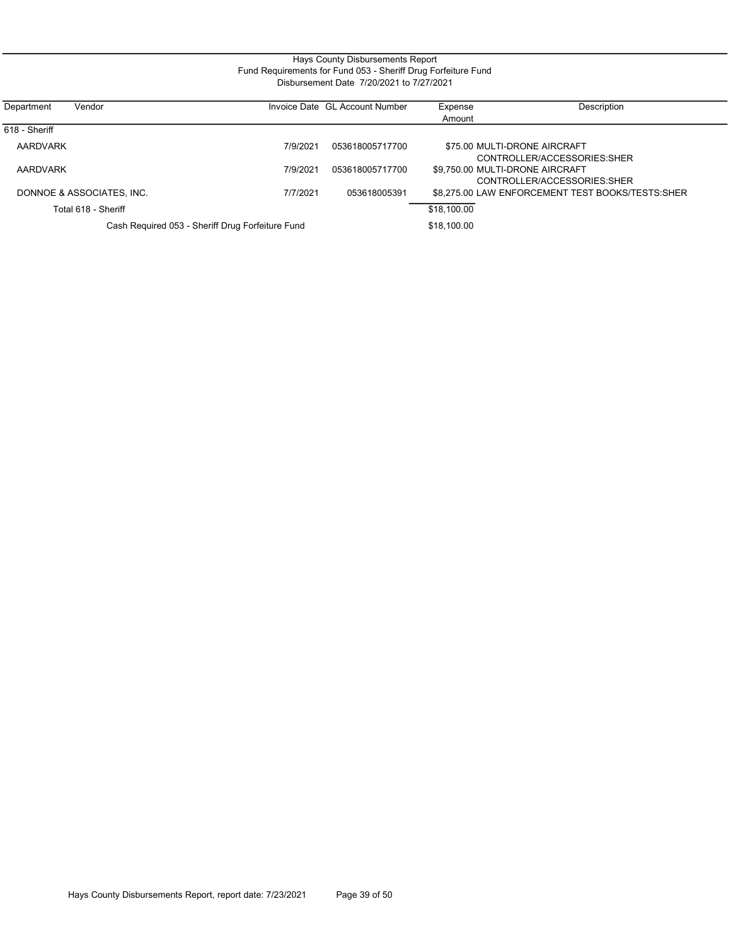#### Hays County Disbursements Report Fund Requirements for Fund 053 - Sheriff Drug Forfeiture Fund Disbursement Date 7/20/2021 to 7/27/2021

| Vendor<br>Department      |                                                  |          | Invoice Date GL Account Number | Expense                         | Description                                      |
|---------------------------|--------------------------------------------------|----------|--------------------------------|---------------------------------|--------------------------------------------------|
|                           |                                                  |          |                                | Amount                          |                                                  |
| 618 - Sheriff             |                                                  |          |                                |                                 |                                                  |
| AARDVARK                  |                                                  | 7/9/2021 | 053618005717700                |                                 | \$75.00 MULTI-DRONE AIRCRAFT                     |
|                           |                                                  |          |                                |                                 | CONTROLLER/ACCESSORIES: SHER                     |
| AARDVARK                  |                                                  | 7/9/2021 | 053618005717700                | \$9,750.00 MULTI-DRONE AIRCRAFT |                                                  |
|                           |                                                  |          |                                |                                 | CONTROLLER/ACCESSORIES:SHER                      |
| DONNOE & ASSOCIATES, INC. |                                                  | 7/7/2021 | 053618005391                   |                                 | \$8.275.00 LAW ENFORCEMENT TEST BOOKS/TESTS:SHER |
| Total 618 - Sheriff       |                                                  |          |                                | \$18,100.00                     |                                                  |
|                           | Cash Required 053 - Sheriff Drug Forfeiture Fund |          |                                | \$18,100.00                     |                                                  |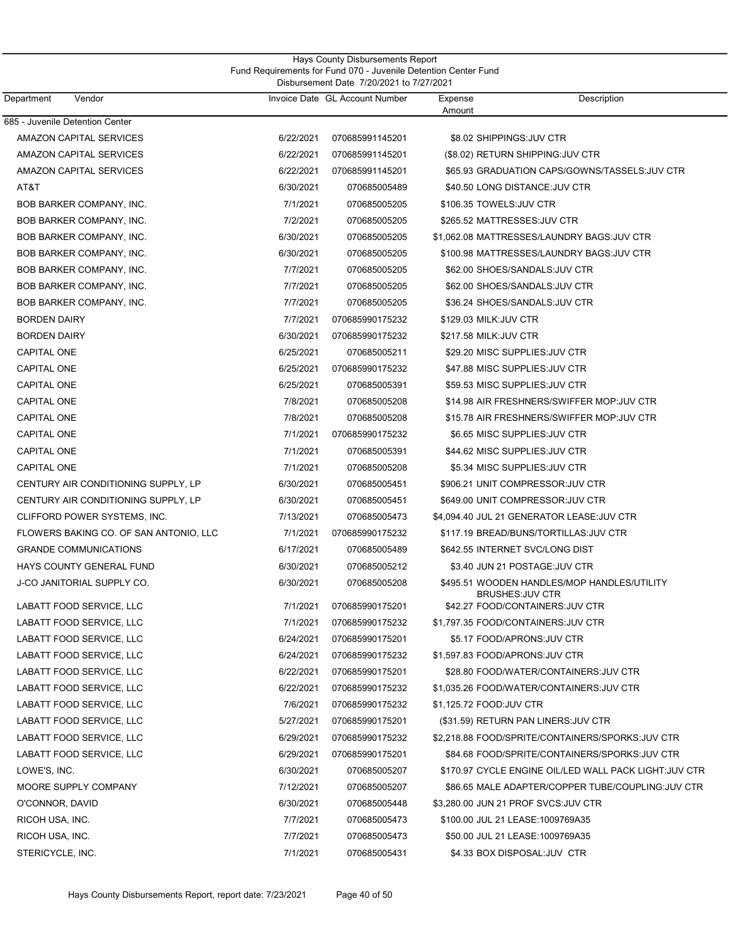| Hays County Disbursements Report                                |  |  |  |  |  |
|-----------------------------------------------------------------|--|--|--|--|--|
| Fund Requirements for Fund 070 - Juvenile Detention Center Fund |  |  |  |  |  |
| Disbursement Date 7/20/2021 to 7/27/2021                        |  |  |  |  |  |

| Department<br>Vendor                   |           | Invoice Date GL Account Number | Expense<br>Amount       | Description                                                            |
|----------------------------------------|-----------|--------------------------------|-------------------------|------------------------------------------------------------------------|
| 685 - Juvenile Detention Center        |           |                                |                         |                                                                        |
| <b>AMAZON CAPITAL SERVICES</b>         | 6/22/2021 | 070685991145201                |                         | \$8.02 SHIPPINGS: JUV CTR                                              |
| AMAZON CAPITAL SERVICES                | 6/22/2021 | 070685991145201                |                         | (\$8.02) RETURN SHIPPING: JUV CTR                                      |
| AMAZON CAPITAL SERVICES                | 6/22/2021 | 070685991145201                |                         | \$65.93 GRADUATION CAPS/GOWNS/TASSELS:JUV CTR                          |
| AT&T                                   | 6/30/2021 | 070685005489                   |                         | \$40.50 LONG DISTANCE: JUV CTR                                         |
| BOB BARKER COMPANY, INC.               | 7/1/2021  | 070685005205                   |                         | \$106.35 TOWELS:JUV CTR                                                |
| BOB BARKER COMPANY, INC.               | 7/2/2021  | 070685005205                   |                         | \$265.52 MATTRESSES: JUV CTR                                           |
| BOB BARKER COMPANY, INC.               | 6/30/2021 | 070685005205                   |                         | \$1,062.08 MATTRESSES/LAUNDRY BAGS:JUV CTR                             |
| BOB BARKER COMPANY, INC.               | 6/30/2021 | 070685005205                   |                         | \$100.98 MATTRESSES/LAUNDRY BAGS:JUV CTR                               |
| BOB BARKER COMPANY, INC.               | 7/7/2021  | 070685005205                   |                         | \$62.00 SHOES/SANDALS: JUV CTR                                         |
| BOB BARKER COMPANY, INC.               | 7/7/2021  | 070685005205                   |                         | \$62.00 SHOES/SANDALS:JUV CTR                                          |
| BOB BARKER COMPANY, INC.               | 7/7/2021  | 070685005205                   |                         | \$36.24 SHOES/SANDALS: JUV CTR                                         |
| <b>BORDEN DAIRY</b>                    | 7/7/2021  | 070685990175232                | \$129.03 MILK: JUV CTR  |                                                                        |
| <b>BORDEN DAIRY</b>                    | 6/30/2021 | 070685990175232                | \$217.58 MILK: JUV CTR  |                                                                        |
| <b>CAPITAL ONE</b>                     | 6/25/2021 | 070685005211                   |                         | \$29.20 MISC SUPPLIES: JUV CTR                                         |
| <b>CAPITAL ONE</b>                     | 6/25/2021 | 070685990175232                |                         | \$47.88 MISC SUPPLIES:JUV CTR                                          |
| <b>CAPITAL ONE</b>                     | 6/25/2021 | 070685005391                   |                         | \$59.53 MISC SUPPLIES: JUV CTR                                         |
| <b>CAPITAL ONE</b>                     | 7/8/2021  | 070685005208                   |                         | \$14.98 AIR FRESHNERS/SWIFFER MOP:JUV CTR                              |
| <b>CAPITAL ONE</b>                     | 7/8/2021  | 070685005208                   |                         | \$15.78 AIR FRESHNERS/SWIFFER MOP:JUV CTR                              |
| <b>CAPITAL ONE</b>                     | 7/1/2021  | 070685990175232                |                         | \$6.65 MISC SUPPLIES: JUV CTR                                          |
| CAPITAL ONE                            | 7/1/2021  | 070685005391                   |                         | \$44.62 MISC SUPPLIES:JUV CTR                                          |
| <b>CAPITAL ONE</b>                     | 7/1/2021  | 070685005208                   |                         | \$5.34 MISC SUPPLIES: JUV CTR                                          |
| CENTURY AIR CONDITIONING SUPPLY, LP    | 6/30/2021 | 070685005451                   |                         | \$906.21 UNIT COMPRESSOR: JUV CTR                                      |
| CENTURY AIR CONDITIONING SUPPLY, LP    | 6/30/2021 | 070685005451                   |                         | \$649.00 UNIT COMPRESSOR: JUV CTR                                      |
| CLIFFORD POWER SYSTEMS, INC.           | 7/13/2021 | 070685005473                   |                         | \$4,094.40 JUL 21 GENERATOR LEASE: JUV CTR                             |
| FLOWERS BAKING CO. OF SAN ANTONIO, LLC | 7/1/2021  | 070685990175232                |                         | \$117.19 BREAD/BUNS/TORTILLAS:JUV CTR                                  |
| <b>GRANDE COMMUNICATIONS</b>           | 6/17/2021 | 070685005489                   |                         | \$642.55 INTERNET SVC/LONG DIST                                        |
| HAYS COUNTY GENERAL FUND               | 6/30/2021 | 070685005212                   |                         | \$3.40 JUN 21 POSTAGE: JUV CTR                                         |
| <b>J-CO JANITORIAL SUPPLY CO.</b>      | 6/30/2021 | 070685005208                   |                         | \$495.51 WOODEN HANDLES/MOP HANDLES/UTILITY<br><b>BRUSHES: JUV CTR</b> |
| LABATT FOOD SERVICE, LLC               | 7/1/2021  | 070685990175201                |                         | \$42.27 FOOD/CONTAINERS: JUV CTR                                       |
| LABATT FOOD SERVICE, LLC               | 7/1/2021  | 070685990175232                |                         | \$1,797.35 FOOD/CONTAINERS: JUV CTR                                    |
| LABATT FOOD SERVICE, LLC               | 6/24/2021 | 070685990175201                |                         | \$5.17 FOOD/APRONS: JUV CTR                                            |
| <b>LABATT FOOD SERVICE. LLC</b>        | 6/24/2021 | 070685990175232                |                         | \$1.597.83 FOOD/APRONS: JUV CTR                                        |
| LABATT FOOD SERVICE, LLC               | 6/22/2021 | 070685990175201                |                         | \$28.80 FOOD/WATER/CONTAINERS:JUV CTR                                  |
| LABATT FOOD SERVICE, LLC               | 6/22/2021 | 070685990175232                |                         | \$1,035.26 FOOD/WATER/CONTAINERS:JUV CTR                               |
| LABATT FOOD SERVICE, LLC               | 7/6/2021  | 070685990175232                | \$1,125.72 FOOD:JUV CTR |                                                                        |
| LABATT FOOD SERVICE, LLC               | 5/27/2021 | 070685990175201                |                         | (\$31.59) RETURN PAN LINERS: JUV CTR                                   |
| LABATT FOOD SERVICE, LLC               | 6/29/2021 | 070685990175232                |                         | \$2,218.88 FOOD/SPRITE/CONTAINERS/SPORKS: JUV CTR                      |
| LABATT FOOD SERVICE, LLC               | 6/29/2021 | 070685990175201                |                         | \$84.68 FOOD/SPRITE/CONTAINERS/SPORKS:JUV CTR                          |
| LOWE'S, INC.                           | 6/30/2021 | 070685005207                   |                         | \$170.97 CYCLE ENGINE OIL/LED WALL PACK LIGHT:JUV CTR                  |
| MOORE SUPPLY COMPANY                   | 7/12/2021 | 070685005207                   |                         | \$86.65 MALE ADAPTER/COPPER TUBE/COUPLING:JUV CTR                      |
| O'CONNOR, DAVID                        | 6/30/2021 | 070685005448                   |                         | \$3,280.00 JUN 21 PROF SVCS:JUV CTR                                    |
| RICOH USA, INC.                        | 7/7/2021  | 070685005473                   |                         | \$100.00 JUL 21 LEASE:1009769A35                                       |
| RICOH USA, INC.                        | 7/7/2021  | 070685005473                   |                         | \$50.00 JUL 21 LEASE:1009769A35                                        |
| STERICYCLE, INC.                       | 7/1/2021  | 070685005431                   |                         | \$4.33 BOX DISPOSAL:JUV CTR                                            |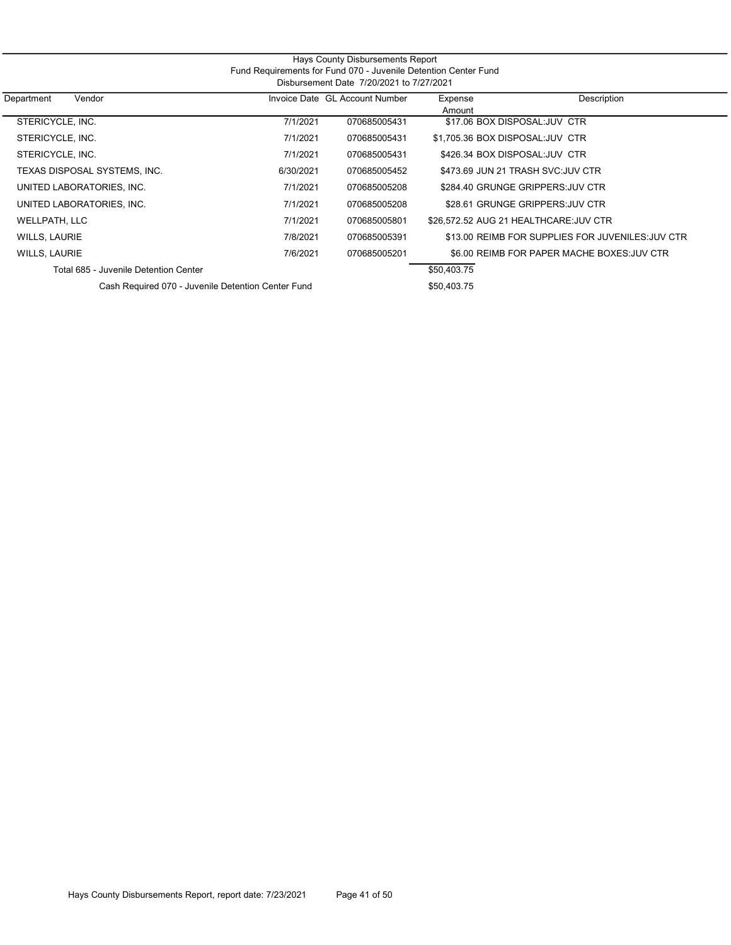| Hays County Disbursements Report                                |  |  |  |  |  |
|-----------------------------------------------------------------|--|--|--|--|--|
| Fund Requirements for Fund 070 - Juvenile Detention Center Fund |  |  |  |  |  |
| Disbursement Date 7/20/2021 to 7/27/2021                        |  |  |  |  |  |

| Vendor<br>Department                               |           | Invoice Date GL Account Number | Expense<br>Amount               | Description                                       |
|----------------------------------------------------|-----------|--------------------------------|---------------------------------|---------------------------------------------------|
| STERICYCLE. INC.                                   | 7/1/2021  | 070685005431                   |                                 | \$17.06 BOX DISPOSAL: JUV CTR                     |
| STERICYCLE, INC.                                   | 7/1/2021  | 070685005431                   | \$1.705.36 BOX DISPOSAL:JUV CTR |                                                   |
| STERICYCLE, INC.                                   | 7/1/2021  | 070685005431                   |                                 | \$426.34 BOX DISPOSAL: JUV CTR                    |
| TEXAS DISPOSAL SYSTEMS, INC.                       | 6/30/2021 | 070685005452                   |                                 | \$473.69 JUN 21 TRASH SVC: JUV CTR                |
| UNITED LABORATORIES, INC.                          | 7/1/2021  | 070685005208                   |                                 | \$284.40 GRUNGE GRIPPERS: JUV CTR                 |
| UNITED LABORATORIES, INC.                          | 7/1/2021  | 070685005208                   |                                 | \$28.61 GRUNGE GRIPPERS: JUV CTR                  |
| WELLPATH, LLC                                      | 7/1/2021  | 070685005801                   |                                 | \$26,572.52 AUG 21 HEALTHCARE: JUV CTR            |
| WILLS, LAURIE                                      | 7/8/2021  | 070685005391                   |                                 | \$13.00 REIMB FOR SUPPLIES FOR JUVENILES: JUV CTR |
| WILLS, LAURIE                                      | 7/6/2021  | 070685005201                   |                                 | \$6.00 REIMB FOR PAPER MACHE BOXES: JUV CTR       |
| Total 685 - Juvenile Detention Center              |           |                                | \$50,403.75                     |                                                   |
| Cash Required 070 - Juvenile Detention Center Fund |           |                                | \$50.403.75                     |                                                   |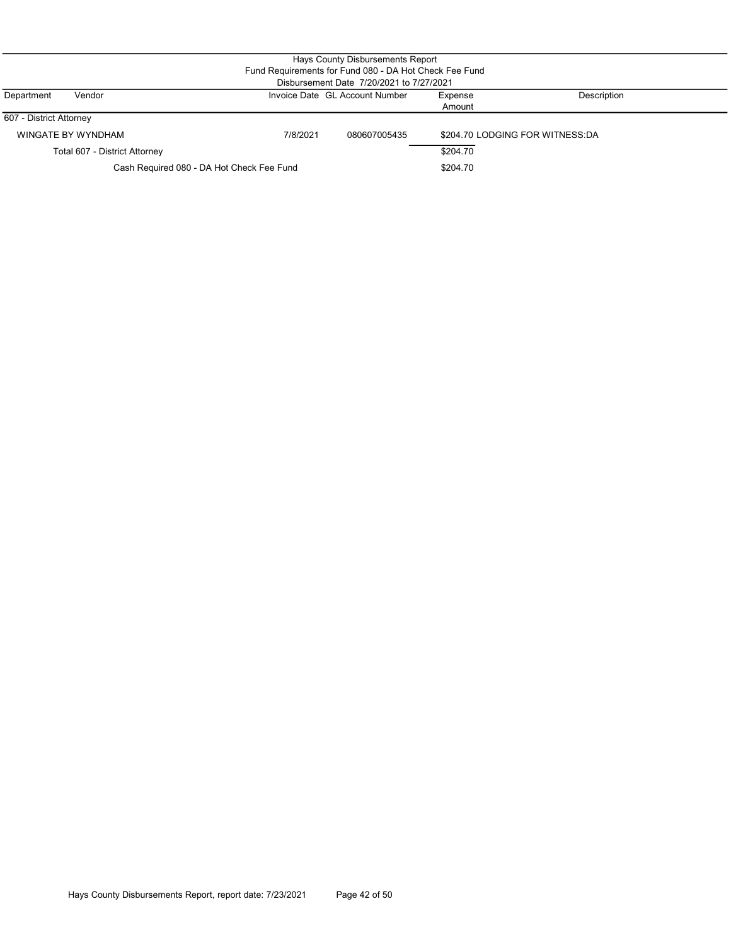|                                                                                  |                                                       |          | Hays County Disbursements Report                       |        |                                 |  |  |
|----------------------------------------------------------------------------------|-------------------------------------------------------|----------|--------------------------------------------------------|--------|---------------------------------|--|--|
|                                                                                  |                                                       |          | Fund Requirements for Fund 080 - DA Hot Check Fee Fund |        |                                 |  |  |
|                                                                                  |                                                       |          | Disbursement Date 7/20/2021 to 7/27/2021               |        |                                 |  |  |
| Description<br>Invoice Date GL Account Number<br>Department<br>Vendor<br>Expense |                                                       |          |                                                        |        |                                 |  |  |
|                                                                                  |                                                       |          |                                                        | Amount |                                 |  |  |
| 607 - District Attorney                                                          |                                                       |          |                                                        |        |                                 |  |  |
|                                                                                  | WINGATE BY WYNDHAM                                    | 7/8/2021 | 080607005435                                           |        | \$204.70 LODGING FOR WITNESS:DA |  |  |
|                                                                                  | \$204.70<br>Total 607 - District Attorney             |          |                                                        |        |                                 |  |  |
|                                                                                  | Cash Required 080 - DA Hot Check Fee Fund<br>\$204.70 |          |                                                        |        |                                 |  |  |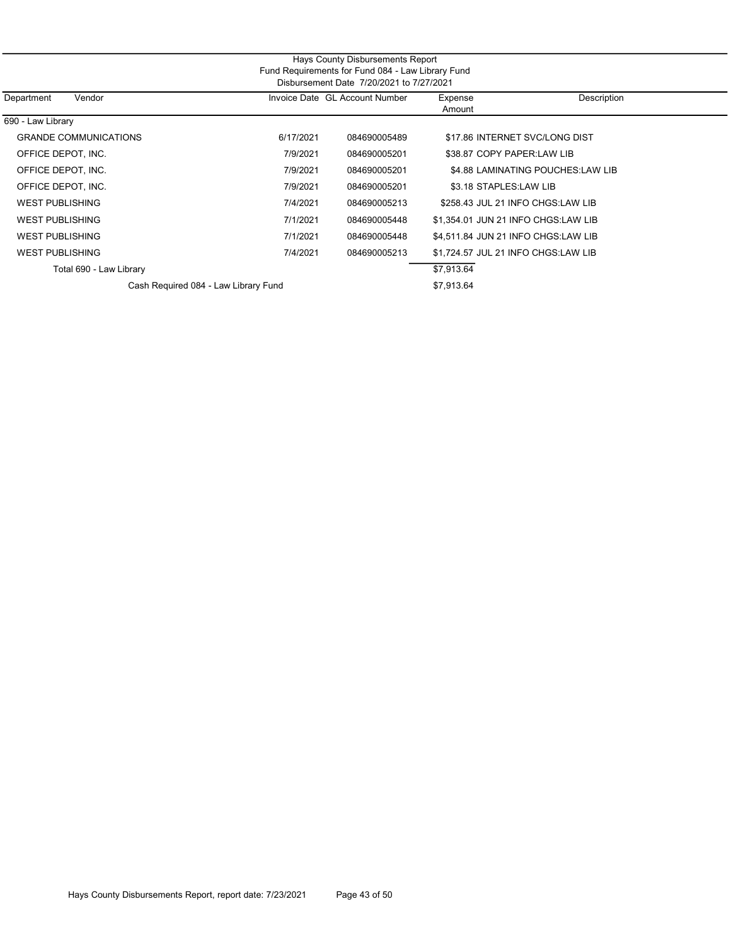| Hays County Disbursements Report                  |  |  |  |  |  |  |
|---------------------------------------------------|--|--|--|--|--|--|
| Fund Requirements for Fund 084 - Law Library Fund |  |  |  |  |  |  |
| Disbursement Date 7/20/2021 to 7/27/2021          |  |  |  |  |  |  |
|                                                   |  |  |  |  |  |  |

| Department<br>Vendor                 |           | Invoice Date GL Account Number | Expense                             | Description                       |
|--------------------------------------|-----------|--------------------------------|-------------------------------------|-----------------------------------|
|                                      |           |                                | Amount                              |                                   |
| 690 - Law Library                    |           |                                |                                     |                                   |
| <b>GRANDE COMMUNICATIONS</b>         | 6/17/2021 | 084690005489                   |                                     | \$17.86 INTERNET SVC/LONG DIST    |
| OFFICE DEPOT. INC.                   | 7/9/2021  | 084690005201                   | \$38.87 COPY PAPER:LAW LIB          |                                   |
| OFFICE DEPOT. INC.                   | 7/9/2021  | 084690005201                   |                                     | \$4.88 LAMINATING POUCHES:LAW LIB |
| OFFICE DEPOT, INC.                   | 7/9/2021  | 084690005201                   | \$3.18 STAPLES:LAW LIB              |                                   |
| <b>WEST PUBLISHING</b>               | 7/4/2021  | 084690005213                   |                                     | \$258.43 JUL 21 INFO CHGS:LAW LIB |
| <b>WEST PUBLISHING</b>               | 7/1/2021  | 084690005448                   | \$1.354.01 JUN 21 INFO CHGS:LAW LIB |                                   |
| <b>WEST PUBLISHING</b>               | 7/1/2021  | 084690005448                   | \$4.511.84 JUN 21 INFO CHGS:LAW LIB |                                   |
| <b>WEST PUBLISHING</b>               | 7/4/2021  | 084690005213                   | \$1.724.57 JUL 21 INFO CHGS:LAW LIB |                                   |
| Total 690 - Law Library              |           |                                | \$7,913.64                          |                                   |
| Cash Required 084 - Law Library Fund |           |                                | \$7.913.64                          |                                   |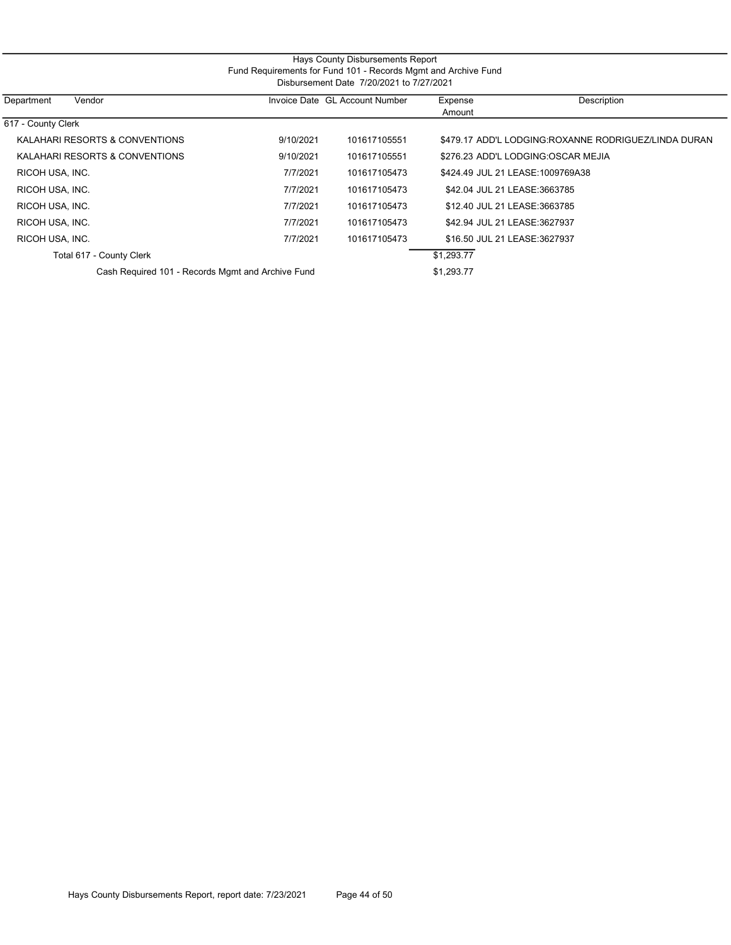| Hays County Disbursements Report<br>Fund Requirements for Fund 101 - Records Mgmt and Archive Fund<br>Disbursement Date 7/20/2021 to 7/27/2021 |           |                                |                              |                                                      |  |  |  |
|------------------------------------------------------------------------------------------------------------------------------------------------|-----------|--------------------------------|------------------------------|------------------------------------------------------|--|--|--|
| Department<br>Vendor                                                                                                                           |           | Invoice Date GL Account Number | Expense<br>Amount            | Description                                          |  |  |  |
| 617 - County Clerk                                                                                                                             |           |                                |                              |                                                      |  |  |  |
| KALAHARI RESORTS & CONVENTIONS                                                                                                                 | 9/10/2021 | 101617105551                   |                              | \$479.17 ADD'L LODGING:ROXANNE RODRIGUEZ/LINDA DURAN |  |  |  |
| KALAHARI RESORTS & CONVENTIONS                                                                                                                 | 9/10/2021 | 101617105551                   |                              | \$276.23 ADD'L LODGING:OSCAR MEJIA                   |  |  |  |
| RICOH USA, INC.                                                                                                                                | 7/7/2021  | 101617105473                   |                              | \$424.49 JUL 21 LEASE:1009769A38                     |  |  |  |
| RICOH USA, INC.                                                                                                                                | 7/7/2021  | 101617105473                   | \$42.04 JUL 21 LEASE:3663785 |                                                      |  |  |  |
| RICOH USA, INC.                                                                                                                                | 7/7/2021  | 101617105473                   | \$12.40 JUL 21 LEASE:3663785 |                                                      |  |  |  |
| RICOH USA, INC.                                                                                                                                | 7/7/2021  | 101617105473                   | \$42.94 JUL 21 LEASE:3627937 |                                                      |  |  |  |
| RICOH USA, INC.                                                                                                                                | 7/7/2021  | 101617105473                   | \$16.50 JUL 21 LEASE:3627937 |                                                      |  |  |  |
| Total 617 - County Clerk                                                                                                                       |           |                                | \$1,293.77                   |                                                      |  |  |  |
| Cash Required 101 - Records Mgmt and Archive Fund                                                                                              |           |                                | \$1,293.77                   |                                                      |  |  |  |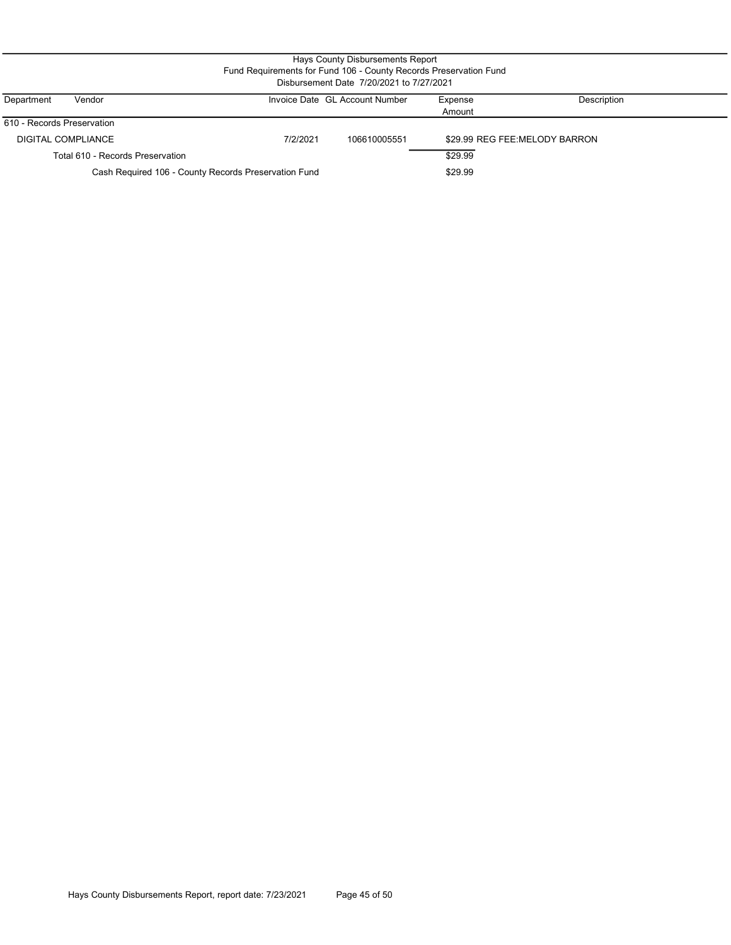| Hays County Disbursements Report<br>Fund Requirements for Fund 106 - County Records Preservation Fund<br>Disbursement Date 7/20/2021 to 7/27/2021 |          |                                |                   |                               |  |  |  |  |
|---------------------------------------------------------------------------------------------------------------------------------------------------|----------|--------------------------------|-------------------|-------------------------------|--|--|--|--|
| Vendor<br>Department                                                                                                                              |          | Invoice Date GL Account Number | Expense<br>Amount | Description                   |  |  |  |  |
| 610 - Records Preservation                                                                                                                        |          |                                |                   |                               |  |  |  |  |
| DIGITAL COMPLIANCE                                                                                                                                | 7/2/2021 | 106610005551                   |                   | \$29.99 REG FEE:MELODY BARRON |  |  |  |  |
| Total 610 - Records Preservation                                                                                                                  |          |                                | \$29.99           |                               |  |  |  |  |
| Cash Required 106 - County Records Preservation Fund                                                                                              |          |                                | \$29.99           |                               |  |  |  |  |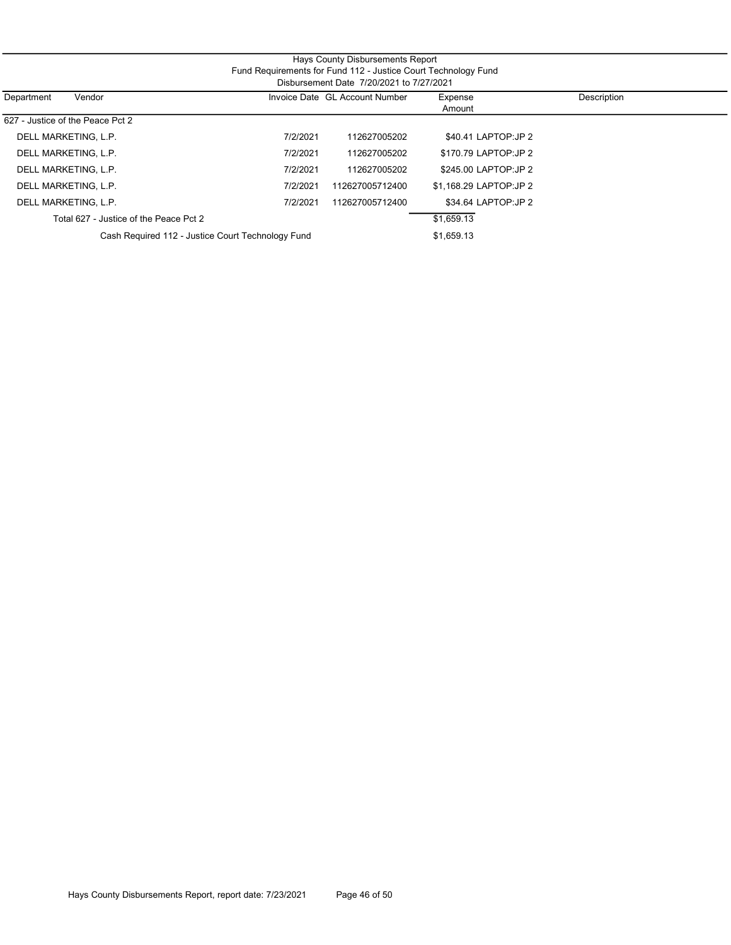| Fund Requirements for Fund 112 - Justice Court Technology Fund<br>Disbursement Date 7/20/2021 to 7/27/2021 |          |                                |                        |             |  |  |  |  |
|------------------------------------------------------------------------------------------------------------|----------|--------------------------------|------------------------|-------------|--|--|--|--|
| Vendor<br>Department                                                                                       |          | Invoice Date GL Account Number | Expense<br>Amount      | Description |  |  |  |  |
| 627 - Justice of the Peace Pct 2                                                                           |          |                                |                        |             |  |  |  |  |
| DELL MARKETING, L.P.                                                                                       | 7/2/2021 | 112627005202                   | \$40.41 LAPTOP: JP 2   |             |  |  |  |  |
| DELL MARKETING, L.P.                                                                                       | 7/2/2021 | 112627005202                   | \$170.79 LAPTOP:JP 2   |             |  |  |  |  |
| DELL MARKETING, L.P.                                                                                       | 7/2/2021 | 112627005202                   | \$245.00 LAPTOP: JP 2  |             |  |  |  |  |
| DELL MARKETING, L.P.                                                                                       | 7/2/2021 | 112627005712400                | \$1.168.29 LAPTOP:JP 2 |             |  |  |  |  |
| DELL MARKETING, L.P.                                                                                       | 7/2/2021 | 112627005712400                | \$34.64 LAPTOP: JP 2   |             |  |  |  |  |
| Total 627 - Justice of the Peace Pct 2                                                                     |          |                                | \$1,659.13             |             |  |  |  |  |
| Cash Required 112 - Justice Court Technology Fund                                                          |          |                                | \$1,659.13             |             |  |  |  |  |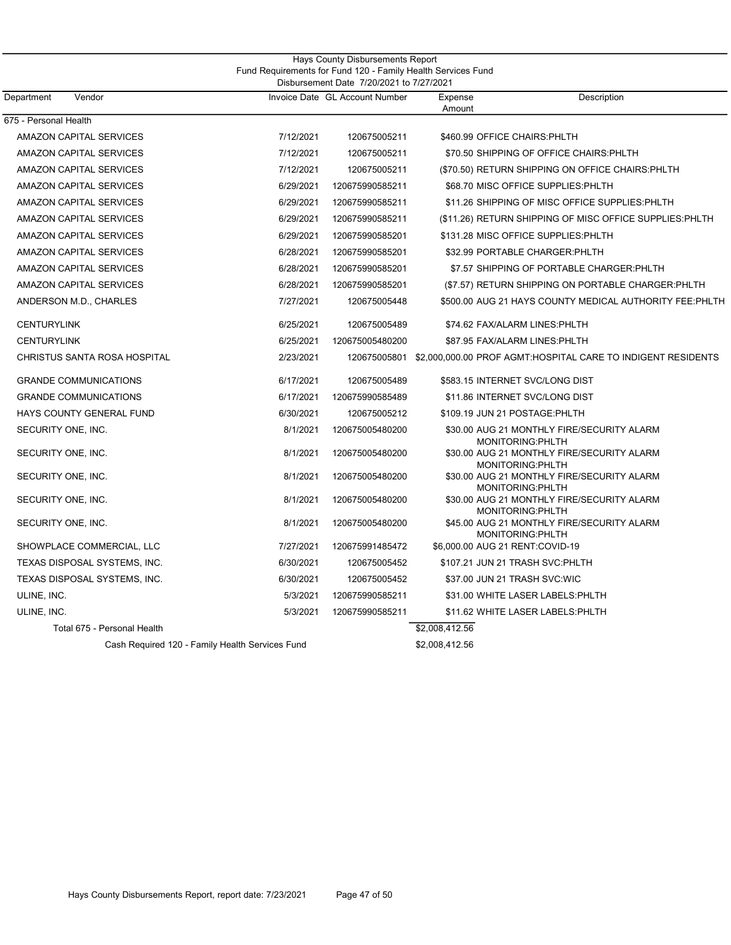|                                                 |           | Hays County Disbursements Report<br>Fund Requirements for Fund 120 - Family Health Services Fund |                   |                                                                           |
|-------------------------------------------------|-----------|--------------------------------------------------------------------------------------------------|-------------------|---------------------------------------------------------------------------|
| Department<br>Vendor                            |           | Disbursement Date 7/20/2021 to 7/27/2021<br>Invoice Date GL Account Number                       | Expense<br>Amount | Description                                                               |
| 675 - Personal Health                           |           |                                                                                                  |                   |                                                                           |
| <b>AMAZON CAPITAL SERVICES</b>                  | 7/12/2021 | 120675005211                                                                                     |                   | \$460.99 OFFICE CHAIRS: PHLTH                                             |
| AMAZON CAPITAL SERVICES                         | 7/12/2021 | 120675005211                                                                                     |                   | \$70.50 SHIPPING OF OFFICE CHAIRS: PHLTH                                  |
| <b>AMAZON CAPITAL SERVICES</b>                  | 7/12/2021 | 120675005211                                                                                     |                   | (\$70.50) RETURN SHIPPING ON OFFICE CHAIRS: PHLTH                         |
| AMAZON CAPITAL SERVICES                         | 6/29/2021 | 120675990585211                                                                                  |                   | \$68.70 MISC OFFICE SUPPLIES: PHLTH                                       |
| AMAZON CAPITAL SERVICES                         | 6/29/2021 | 120675990585211                                                                                  |                   | \$11.26 SHIPPING OF MISC OFFICE SUPPLIES: PHLTH                           |
| AMAZON CAPITAL SERVICES                         | 6/29/2021 | 120675990585211                                                                                  |                   | (\$11.26) RETURN SHIPPING OF MISC OFFICE SUPPLIES: PHLTH                  |
| <b>AMAZON CAPITAL SERVICES</b>                  | 6/29/2021 | 120675990585201                                                                                  |                   | \$131.28 MISC OFFICE SUPPLIES: PHLTH                                      |
| AMAZON CAPITAL SERVICES                         | 6/28/2021 | 120675990585201                                                                                  |                   | \$32.99 PORTABLE CHARGER: PHLTH                                           |
| AMAZON CAPITAL SERVICES                         | 6/28/2021 | 120675990585201                                                                                  |                   | \$7.57 SHIPPING OF PORTABLE CHARGER: PHLTH                                |
| AMAZON CAPITAL SERVICES                         | 6/28/2021 | 120675990585201                                                                                  |                   | (\$7.57) RETURN SHIPPING ON PORTABLE CHARGER: PHLTH                       |
| ANDERSON M.D., CHARLES                          | 7/27/2021 | 120675005448                                                                                     |                   | \$500.00 AUG 21 HAYS COUNTY MEDICAL AUTHORITY FEE: PHLTH                  |
| <b>CENTURYLINK</b>                              | 6/25/2021 | 120675005489                                                                                     |                   | \$74.62 FAX/ALARM LINES: PHLTH                                            |
| <b>CENTURYLINK</b>                              | 6/25/2021 | 120675005480200                                                                                  |                   | \$87.95 FAX/ALARM LINES: PHLTH                                            |
| CHRISTUS SANTA ROSA HOSPITAL                    | 2/23/2021 |                                                                                                  |                   | 120675005801 \$2,000,000.00 PROF AGMT:HOSPITAL CARE TO INDIGENT RESIDENTS |
| <b>GRANDE COMMUNICATIONS</b>                    | 6/17/2021 | 120675005489                                                                                     |                   | \$583.15 INTERNET SVC/LONG DIST                                           |
| <b>GRANDE COMMUNICATIONS</b>                    | 6/17/2021 | 120675990585489                                                                                  |                   | \$11.86 INTERNET SVC/LONG DIST                                            |
| HAYS COUNTY GENERAL FUND                        | 6/30/2021 | 120675005212                                                                                     |                   | \$109.19 JUN 21 POSTAGE: PHLTH                                            |
| SECURITY ONE, INC.                              | 8/1/2021  | 120675005480200                                                                                  |                   | \$30.00 AUG 21 MONTHLY FIRE/SECURITY ALARM<br>MONITORING:PHLTH            |
| SECURITY ONE, INC.                              | 8/1/2021  | 120675005480200                                                                                  |                   | \$30.00 AUG 21 MONTHLY FIRE/SECURITY ALARM<br>MONITORING: PHLTH           |
| SECURITY ONE, INC.                              | 8/1/2021  | 120675005480200                                                                                  |                   | \$30.00 AUG 21 MONTHLY FIRE/SECURITY ALARM<br>MONITORING: PHLTH           |
| SECURITY ONE, INC.                              | 8/1/2021  | 120675005480200                                                                                  |                   | \$30.00 AUG 21 MONTHLY FIRE/SECURITY ALARM<br>MONITORING: PHLTH           |
| SECURITY ONE, INC.                              | 8/1/2021  | 120675005480200                                                                                  |                   | \$45.00 AUG 21 MONTHLY FIRE/SECURITY ALARM<br>MONITORING: PHLTH           |
| SHOWPLACE COMMERCIAL, LLC                       | 7/27/2021 | 120675991485472                                                                                  |                   | \$6,000.00 AUG 21 RENT:COVID-19                                           |
| TEXAS DISPOSAL SYSTEMS, INC.                    | 6/30/2021 | 120675005452                                                                                     |                   | \$107.21 JUN 21 TRASH SVC:PHLTH                                           |
| TEXAS DISPOSAL SYSTEMS, INC.                    | 6/30/2021 | 120675005452                                                                                     |                   | \$37.00 JUN 21 TRASH SVC:WIC                                              |
| ULINE, INC.                                     | 5/3/2021  | 120675990585211                                                                                  |                   | \$31.00 WHITE LASER LABELS: PHLTH                                         |
| ULINE, INC.                                     | 5/3/2021  | 120675990585211                                                                                  |                   | \$11.62 WHITE LASER LABELS: PHLTH                                         |
| Total 675 - Personal Health                     |           |                                                                                                  | \$2,008,412.56    |                                                                           |
| Cash Required 120 - Family Health Services Fund |           |                                                                                                  | \$2,008,412.56    |                                                                           |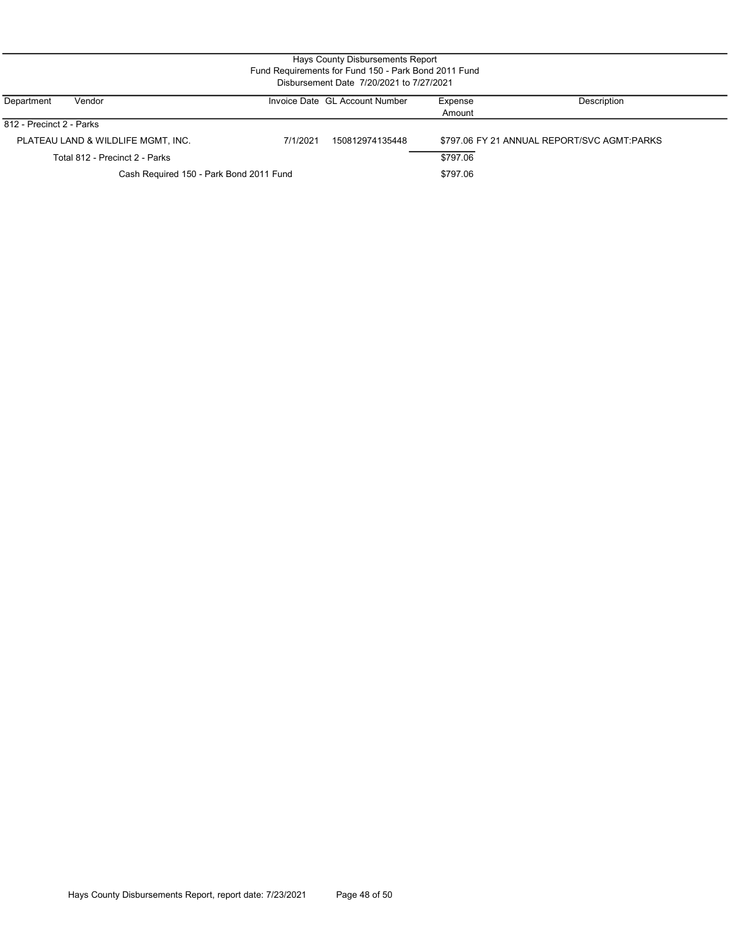| Hays County Disbursements Report<br>Fund Requirements for Fund 150 - Park Bond 2011 Fund<br>Disbursement Date 7/20/2021 to 7/27/2021 |                                         |          |                                |                   |                                             |  |  |  |
|--------------------------------------------------------------------------------------------------------------------------------------|-----------------------------------------|----------|--------------------------------|-------------------|---------------------------------------------|--|--|--|
| Department                                                                                                                           | Vendor                                  |          | Invoice Date GL Account Number | Expense<br>Amount | Description                                 |  |  |  |
| 812 - Precinct 2 - Parks                                                                                                             |                                         |          |                                |                   |                                             |  |  |  |
|                                                                                                                                      | PLATEAU LAND & WILDLIFE MGMT, INC.      | 7/1/2021 | 150812974135448                |                   | \$797.06 FY 21 ANNUAL REPORT/SVC AGMT:PARKS |  |  |  |
|                                                                                                                                      | Total 812 - Precinct 2 - Parks          |          |                                | \$797.06          |                                             |  |  |  |
|                                                                                                                                      | Cash Required 150 - Park Bond 2011 Fund |          | \$797.06                       |                   |                                             |  |  |  |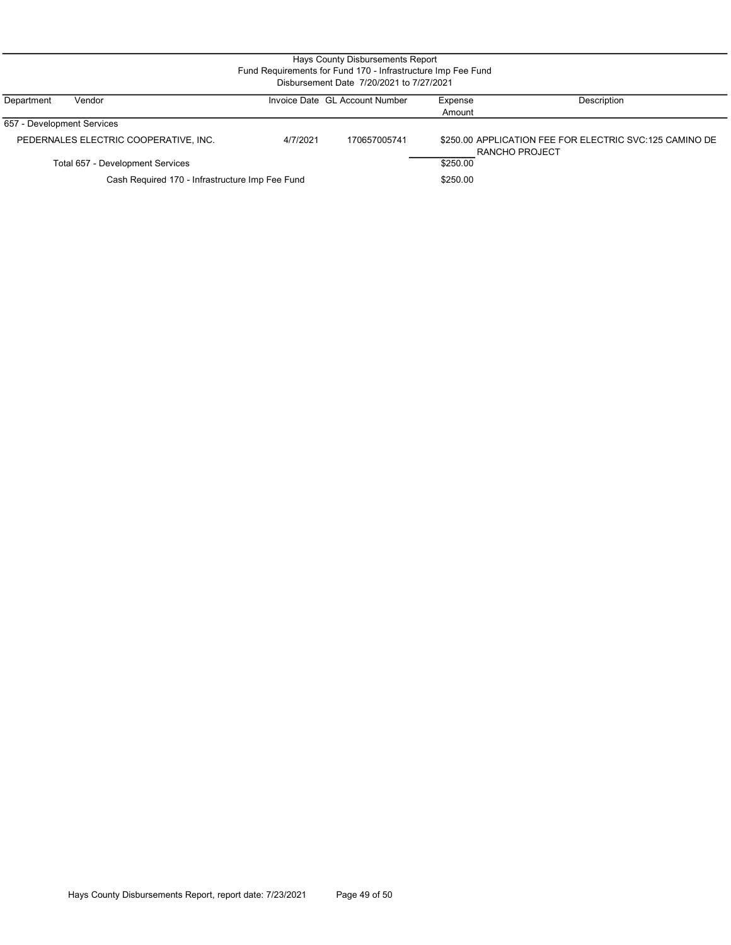| Hays County Disbursements Report<br>Fund Requirements for Fund 170 - Infrastructure Imp Fee Fund<br>Disbursement Date 7/20/2021 to 7/27/2021 |                                       |          |                                |                   |                                                                           |  |  |  |
|----------------------------------------------------------------------------------------------------------------------------------------------|---------------------------------------|----------|--------------------------------|-------------------|---------------------------------------------------------------------------|--|--|--|
| Department                                                                                                                                   | Vendor                                |          | Invoice Date GL Account Number | Expense<br>Amount | Description                                                               |  |  |  |
| 657 - Development Services                                                                                                                   |                                       |          |                                |                   |                                                                           |  |  |  |
|                                                                                                                                              | PEDERNALES ELECTRIC COOPERATIVE, INC. | 4/7/2021 | 170657005741                   |                   | \$250.00 APPLICATION FEE FOR ELECTRIC SVC:125 CAMINO DE<br>RANCHO PROJECT |  |  |  |
|                                                                                                                                              | Total 657 - Development Services      |          |                                | \$250.00          |                                                                           |  |  |  |

Total 657 - Development Services

Cash Required 170 - Infrastructure Imp Fee Fund

\$250.00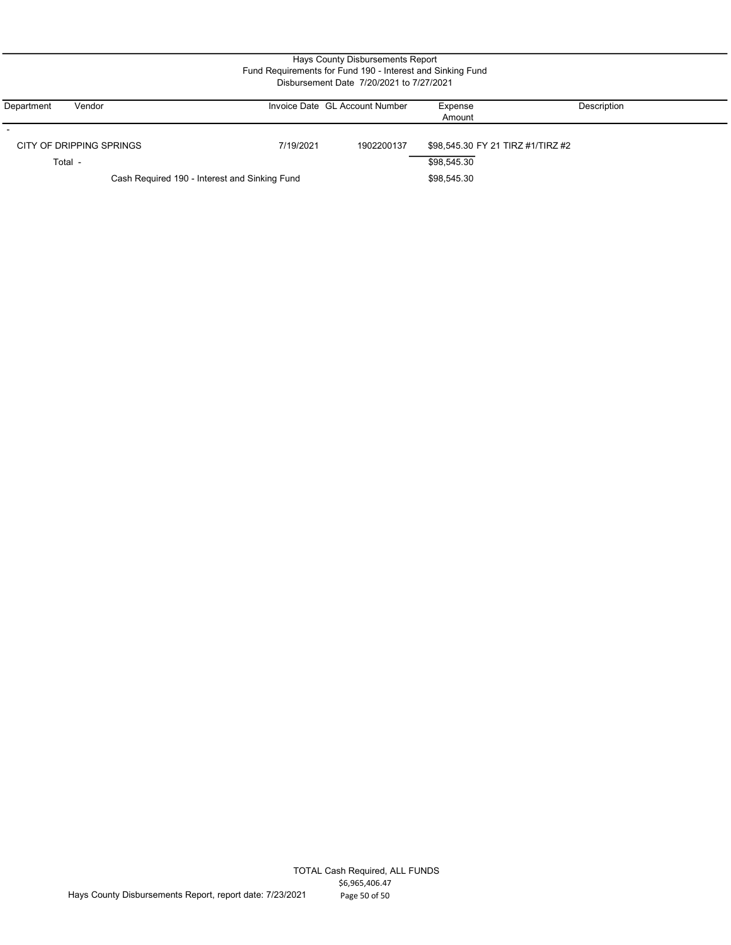| Department               | Vendor                                        |             | Invoice Date GL Account Number | Expense                           | Description |
|--------------------------|-----------------------------------------------|-------------|--------------------------------|-----------------------------------|-------------|
|                          |                                               |             |                                | Amount                            |             |
|                          |                                               |             |                                |                                   |             |
| CITY OF DRIPPING SPRINGS |                                               | 7/19/2021   | 1902200137                     | \$98,545.30 FY 21 TIRZ #1/TIRZ #2 |             |
| Total -                  |                                               |             |                                | \$98,545.30                       |             |
|                          | Cash Required 190 - Interest and Sinking Fund | \$98,545.30 |                                |                                   |             |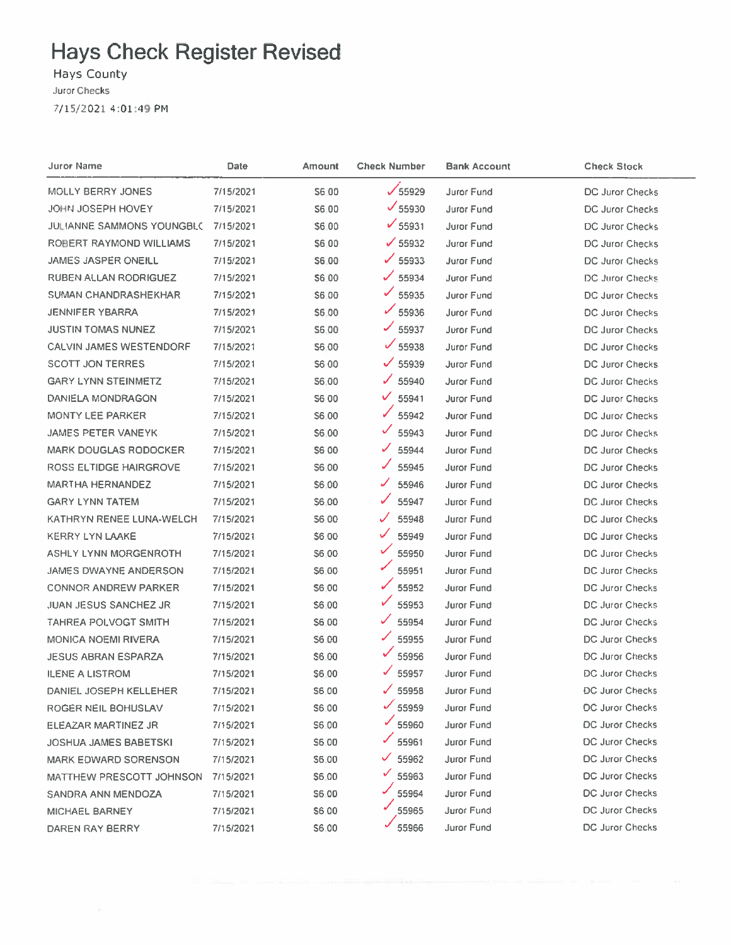Hays County

7/15/2021 4:01:49 PM

| Juror Name                     | Date      | <b>Amount</b> | <b>Check Number</b> | Bank Account      | <b>Check Stock</b>     |
|--------------------------------|-----------|---------------|---------------------|-------------------|------------------------|
| MOLLY BERRY JONES              | 7/15/2021 | S6.00         | $\sqrt{55929}$      | Juror Fund        | DC Juror Checks        |
| JOHN JOSEPH HOVEY              | 7/15/2021 | S6.00         | $\times$ 55930      | Juror Fund        | DC Juror Checks        |
| JULIANNE SAMMONS YOUNGBLC      | 7/15/2021 | <b>S6.00</b>  | $\sqrt{55931}$      | Juror Fund        | DC Juror Checks        |
| ROBERT RAYMOND WILLIAMS        | 7/15/2021 | \$6.00        | $\times$ 55932      | Juror Fund        | DC Juror Checks        |
| <b>JAMES JASPER ONEILL</b>     | 7/15/2021 | \$6.00        | $\checkmark$ 55933  | Juror Fund        | DC Juror Checks        |
| RUBEN ALLAN RODRIGUEZ          | 7/15/2021 | \$6.00        | S<br>55934          | <b>Juror Fund</b> | DC Juror Checks        |
| <b>SUMAN CHANDRASHEKHAR</b>    | 7/15/2021 | \$6.00        | ✓<br>55935          | Juror Fund        | <b>DC Juror Checks</b> |
| JENNIFER YBARRA                | 7/15/2021 | \$6.00        | $\times$ 55936      | Juror Fund        | <b>DC Juror Checks</b> |
| <b>JUSTIN TOMAS NUNEZ</b>      | 7/15/2021 | S6.00         | 55937               | Juror Fund        | DC Juror Checks        |
| <b>CALVIN JAMES WESTENDORF</b> | 7/15/2021 | S6.00         | $\checkmark$ 55938  | Juror Fund        | DC Juror Checks        |
| <b>SCOTT JON TERRES</b>        | 7/15/2021 | <b>S600</b>   | ✓<br>55939          | Juror Fund        | DC Juror Checks        |
| <b>GARY LYNN STEINMETZ</b>     | 7/15/2021 | S6.00         | ✓<br>55940          | Juror Fund        | DC Juror Checks        |
| DANIELA MONDRAGON              | 7/15/2021 | S6 00         | V<br>55941          | Juror Fund        | <b>DC Juror Checks</b> |
| <b>MONTY LEE PARKER</b>        | 7/15/2021 | S6.00         | ✓<br>55942          | Juror Fund        | DC Juror Checks        |
| <b>JAMES PETER VANEYK</b>      | 7/15/2021 | \$6,00        | ✓<br>55943          | <b>Juror Fund</b> | DC Juror Checks        |
| <b>MARK DOUGLAS RODOCKER</b>   | 7/15/2021 | S6 00         | ✓<br>55944          | <b>Juror Fund</b> | DC Juror Checks        |
| ROSS ELTIDGE HAIRGROVE         | 7/15/2021 | \$6,00        | 55945               | Juror Fund        | <b>DC Juror Checks</b> |
| <b>MARTHA HERNANDEZ</b>        | 7/15/2021 | \$6.00        | ✓<br>55946          | <b>Juror Fund</b> | <b>DC Juror Checks</b> |
| <b>GARY LYNN TATEM</b>         | 7/15/2021 | \$6.00        | ✓<br>55947          | <b>Juror Fund</b> | DC Juror Checks        |
| KATHRYN RENEE LUNA-WELCH       | 7/15/2021 | <b>S600</b>   | 55948               | Juror Fund        | DC Juror Checks        |
| <b>KERRY LYN LAAKE</b>         | 7/15/2021 | <b>S6.00</b>  | ✓<br>55949          | Juror Fund        | DC Juror Checks        |
| ASHLY LYNN MORGENROTH          | 7/15/2021 | <b>S6.00</b>  | ✓<br>55950          | Juror Fund        | DC Juror Checks        |
| <b>JAMES DWAYNE ANDERSON</b>   | 7/15/2021 | <b>S6.00</b>  | 55951               | <b>Juror Fund</b> | DC Juror Checks        |
| <b>CONNOR ANDREW PARKER</b>    | 7/15/2021 | \$6.00        | 55952               | <b>Juror Fund</b> | DC Juror Checks        |
| <b>JUAN JESUS SANCHEZ JR</b>   | 7/15/2021 | \$6.00        | 55953               | <b>Juror Fund</b> | DC Juror Checks        |
| TAHREA POLVOGT SMITH           | 7/15/2021 | S6 00         | ✓<br>55954          | <b>Juror Fund</b> | DC Juror Checks        |
| <b>MONICA NOEMI RIVERA</b>     | 7/15/2021 | \$6.00        | 55955               | Juror Fund        | DC Juror Checks        |
| <b>JESUS ABRAN ESPARZA</b>     | 7/15/2021 | \$6.00        | 55956               | Juror Fund        | DC Juror Checks        |
| <b>ILENE A LISTROM</b>         | 7/15/2021 | \$6.00        | ✓<br>55957          | Juror Fund        | <b>DC Juror Checks</b> |
| DANIEL JOSEPH KELLEHER         | 7/15/2021 | \$6.00        | 55958               | Juror Fund        | <b>DC Juror Checks</b> |
| ROGER NEIL BOHUSLAV            | 7/15/2021 | S6.00         | $\frac{1}{55959}$   | Juror Fund        | DC Juror Checks        |
| ELEAZAR MARTINEZ JR            | 7/15/2021 | S6.00         | ✓<br>55960          | Juror Fund        | <b>DC Juror Checks</b> |
| <b>JOSHUA JAMES BABETSKI</b>   | 7/15/2021 | \$6.00        | 55961               | Juror Fund        | <b>DC Juror Checks</b> |
| <b>MARK EDWARD SORENSON</b>    | 7/15/2021 | \$6.00        | 55962               | Juror Fund        | DC Juror Checks        |
| MATTHEW PRESCOTT JOHNSON       | 7/15/2021 | \$6.00        | 55963               | <b>Juror Fund</b> | DC Juror Checks        |
| SANDRA ANN MENDOZA             | 7/15/2021 | \$6.00        | 55964               | Juror Fund        | DC Juror Checks        |
| MICHAEL BARNEY                 | 7/15/2021 | <b>\$6.00</b> | 55965               | Juror Fund        | DC Juror Checks        |
| DAREN RAY BERRY                | 7/15/2021 | \$6.00        | 55966               | Juror Fund        | DC Juror Checks        |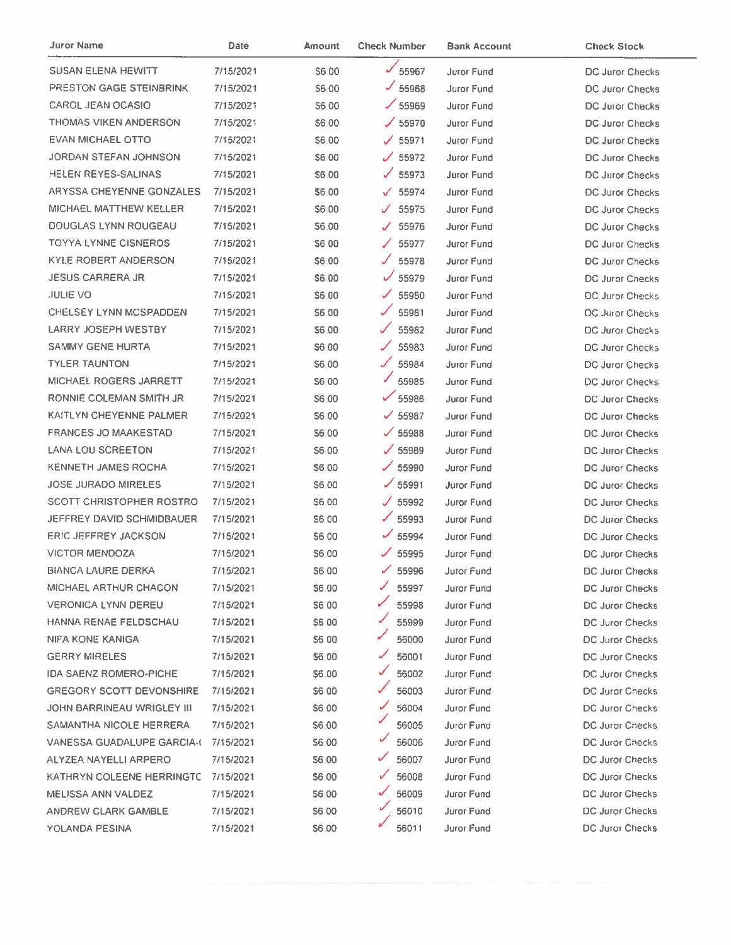| <b>Juror Name</b>                 | Date      | Amount       | <b>Check Number</b>            | <b>Bank Account</b> | <b>Check Stock</b>     |
|-----------------------------------|-----------|--------------|--------------------------------|---------------------|------------------------|
| <b>SUSAN ELENA HEWITT</b>         | 7/15/2021 | S6.00        | 55967                          | <b>Juror Fund</b>   | DC Juror Checks        |
| <b>PRESTON GAGE STEINBRINK</b>    | 7/15/2021 | S6 00        | $J$ 55968                      | Juror Fund          | DC Juror Checks        |
| CAROL JEAN OCASIO                 | 7/15/2021 | <b>S6.00</b> | $\times$ 55969                 | Juror Fund          | DC Juror Checks        |
| THOMAS VIKEN ANDERSON             | 7/15/2021 | \$6.00       | $\angle$ 55970                 | Juror Fund          | DC Juror Checks        |
| EVAN MICHAEL OTTO                 | 7/15/2021 | \$6.00       | $\times$ 55971                 | Juror Fund          | DC Juror Checks        |
| JORDAN STEFAN JOHNSON             | 7/15/2021 | \$6 00       | $\times$ 55972                 | <b>Juror Fund</b>   | <b>DC Juror Checks</b> |
| HELEN REYES-SALINAS               | 7/15/2021 | \$6,00       | $\times$ 55973                 | <b>Juror Fund</b>   | DC Juror Checks        |
| ARYSSA CHEYENNE GONZALES          | 7/15/2021 | S6.00        | 55974<br>V.                    | Juror Fund          | <b>DC Juror Checks</b> |
| MICHAEL MATTHEW KELLER            | 7/15/2021 | S6.00        | 55975<br>$\mathcal{J}^{\circ}$ | Juror Fund          | DC Juror Checks        |
| DOUGLAS LYNN ROUGEAU              | 7/15/2021 | S6.00        | J 55976                        | <b>Juror Fund</b>   | DC Juror Checks        |
| <b>TOYYA LYNNE CISNEROS</b>       | 7/15/2021 | S6 00        | 55977<br>╱                     | Juror Fund          | DC Juror Checks        |
| <b>KYLE ROBERT ANDERSON</b>       | 7/15/2021 | \$6.00       | J 55978                        | Juror Fund          | DC Juror Checks        |
| <b>JESUS CARRERA JR</b>           | 7/15/2021 | \$6.00       | $\sqrt{55979}$                 | <b>Juror Fund</b>   | DC Juror Checks        |
| <b>JULIE VO</b>                   | 7/15/2021 | \$6.00       | L<br>55980                     | Juror Fund          | DC Juror Checks        |
| CHELSEY LYNN MCSPADDEN            | 7/15/2021 | \$6.00       | 55981                          | <b>Juror Fund</b>   | <b>DC Juror Checks</b> |
| LARRY JOSEPH WESTBY               | 7/15/2021 | S6.00        | ✓<br>55982                     | Juror Fund          | DC Juror Checks        |
| SAMMY GENE HURTA                  | 7/15/2021 | S6.00        | ╱<br>55983                     | Juror Fund          | DC Juror Checks        |
| <b>TYLER TAUNTON</b>              | 7/15/2021 | S6.00        | L<br>55984                     | Juror Fund          | DC Juror Checks        |
| MICHAEL ROGERS JARRETT            | 7/15/2021 | <b>S6.00</b> | 55985                          | Juror Fund          | DC Juror Checks        |
| RONNIE COLEMAN SMITH JR           | 7/15/2021 | S6.00        | $\checkmark$ 55986             | <b>Juror Fund</b>   | DC Juror Checks        |
| KAITLYN CHEYENNE PALMER           | 7/15/2021 | S6.00        | $\times$ 55987                 | <b>Juror Fund</b>   | DC Juror Checks        |
| <b>FRANCES JO MAAKESTAD</b>       | 7/15/2021 | S6.00        | $\times$ 55988                 | Juror Fund          | DC Juror Checks        |
| <b>LANA LOU SCREETON</b>          | 7/15/2021 | \$6.00       | $\times$ 55989                 | Juror Fund          | DC Juror Checks        |
| <b>KENNETH JAMES ROCHA</b>        | 7/15/2021 | \$6,00       | $\times$ 55990                 | Juror Fund          | <b>DC Juror Checks</b> |
| <b>JOSE JURADO MIRELES</b>        | 7/15/2021 | \$6.00       | $\times$ 55991                 | Juror Fund          | <b>DC Juror Checks</b> |
| <b>SCOTT CHRISTOPHER ROSTRO</b>   | 7/15/2021 | \$6,00       | J 55992                        | Juror Fund          | <b>DC Juror Checks</b> |
| JEFFREY DAVID SCHMIDBAUER         | 7/15/2021 | \$6.00       | $\frac{1}{55993}$              | Juror Fund          | <b>DC Juror Checks</b> |
| ERIC JEFFREY JACKSON              | 7/15/2021 | S6 00        | $\frac{3}{55994}$              | Juror Fund          | DC Juror Checks        |
| <b>VICTOR MENDOZA</b>             | 7/15/2021 | \$6.00       | $\times$ 55995                 | Juror Fund          | <b>DC Juror Checks</b> |
| <b>BIANCA LAURE DERKA</b>         | 7/15/2021 | S6.00        | $\frac{1}{2}$ 55996            | Juror Fund          | DC Juror Checks        |
| MICHAEL ARTHUR CHACON             | 7/15/2021 | S6.00        | 55997                          | Juror Fund          | DC Juror Checks        |
| <b>VERONICA LYNN DEREU</b>        | 7/15/2021 | \$6.00       | 55998                          | <b>Juror Fund</b>   | <b>DC Juror Checks</b> |
| HANNA RENAE FELDSCHAU             | 7/15/2021 | \$6.00       | 55999                          | Juror Fund          | DC Juror Checks        |
| NIFA KONE KANIGA                  | 7/15/2021 | \$6,00       | 56000                          | Juror Fund          | DC Juror Checks        |
| <b>GERRY MIRELES</b>              | 7/15/2021 | \$6.00       | 56001                          | Juror Fund          | DC Juror Checks        |
| <b>IDA SAENZ ROMERO-PICHE</b>     | 7/15/2021 | \$6.00       | 56002                          | Juror Fund          | DC Juror Checks        |
| <b>GREGORY SCOTT DEVONSHIRE</b>   | 7/15/2021 | \$6.00       | 56003                          | Juror Fund          | DC Juror Checks        |
| JOHN BARRINEAU WRIGLEY III        | 7/15/2021 | S6 00        | 56004                          | Juror Fund          | DC Juror Checks        |
| SAMANTHA NICOLE HERRERA           | 7/15/2021 | S6.00        | 56005                          | Juror Fund          | DC Juror Checks        |
| <b>VANESSA GUADALUPE GARCIA-0</b> | 7/15/2021 | S6.00        | 56006                          | Juror Fund          | <b>DC Juror Checks</b> |
| ALYZEA NAYELLI ARPERO             | 7/15/2021 | S6.00        | 56007                          | Juror Fund          | DC Juror Checks        |
| KATHRYN COLEENE HERRINGTC         | 7/15/2021 | S6.00        | 56008                          | <b>Juror Fund</b>   | DC Juror Checks        |
| MELISSA ANN VALDEZ                | 7/15/2021 | S6.00        | 56009                          | Juror Fund          | DC Juror Checks        |
| ANDREW CLARK GAMBLE               | 7/15/2021 | S6.00        | 56010                          | Juror Fund          | DC Juror Checks        |
| YOLANDA PESINA                    | 7/15/2021 | S6.00        | 56011                          | Juror Fund          | DC Juror Checks        |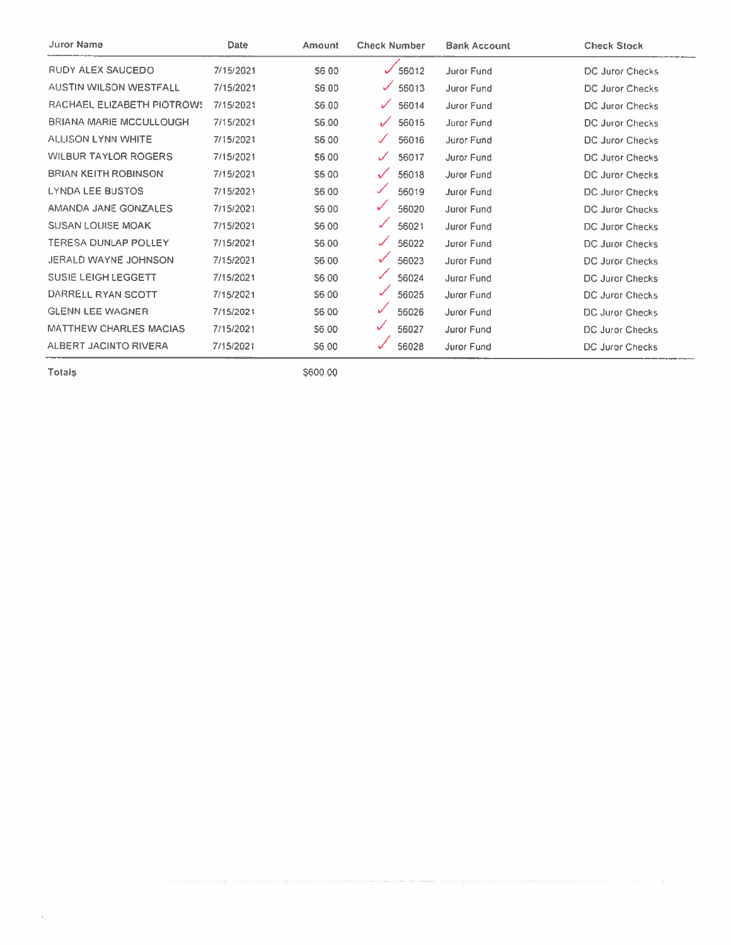| <b>Juror Name</b>              | Date      | Amount       | <b>Check Number</b> | <b>Bank Account</b> | <b>Check Stock</b>     |
|--------------------------------|-----------|--------------|---------------------|---------------------|------------------------|
| <b>RUDY ALEX SAUCEDO</b>       | 7/15/2021 | S6 00        | 56012               | <b>Juror Fund</b>   | DC Juror Checks        |
| <b>AUSTIN WILSON WESTFALL</b>  | 7/15/2021 | S6.00        | ✓<br>56013          | Juror Fund          | DC Juror Checks        |
| RACHAEL ELIZABETH PIOTROWS     | 7/15/2021 | S6.00        | ✓<br>56014          | <b>Juror Fund</b>   | DC Juror Checks        |
| <b>BRIANA MARIE MCCULLOUGH</b> | 7/15/2021 | S6.00        | 56015               | Juror Fund          | DC Juror Checks        |
| ALLISON LYNN WHITE             | 7/15/2021 | S6.00        | 56016<br>✓          | <b>Juror Fund</b>   | <b>DC Juror Checks</b> |
| <b>WILBUR TAYLOR ROGERS</b>    | 7/15/2021 | S6.00        | 56017               | Juror Fund          | <b>DC Juror Checks</b> |
| <b>BRIAN KEITH ROBINSON</b>    | 7/15/2021 | <b>S6.00</b> | 56018<br>✓          | Juror Fund          | DC Juror Checks        |
| <b>LYNDA LEE BUSTOS</b>        | 7/15/2021 | S6.00        | 56019<br>✓          | <b>Juror Fund</b>   | DC Juror Checks        |
| AMANDA JANE GONZALES           | 7/15/2021 | S6.00        | ✓<br>56020          | <b>Juror Fund</b>   | DC Juror Checks        |
| <b>SUSAN LOUISE MOAK</b>       | 7/15/2021 | S6.00        | 56021               | <b>Juror Fund</b>   | DC Juror Checks        |
| <b>TERESA DUNLAP POLLEY</b>    | 7/15/2021 | S6.00        | 56022               | <b>Juror Fund</b>   | DC Juror Checks        |
| <b>JERALD WAYNE JOHNSON</b>    | 7/15/2021 | S6.00        | 56023<br>✓          | Juror Fund          | <b>DC Juror Checks</b> |
| <b>SUSIE LEIGH LEGGETT</b>     | 7/15/2021 | S6.00        | 56024               | <b>Juror Fund</b>   | DC Juror Checks        |
| DARRELL RYAN SCOTT             | 7/15/2021 | S6 00        | 56025               | Juror Fund          | <b>DC Juror Checks</b> |
| <b>GLENN LEE WAGNER</b>        | 7/15/2021 | S6.00        | ✓<br>56026          | Juror Fund          | <b>DC Juror Checks</b> |
| <b>MATTHEW CHARLES MACIAS</b>  | 7/15/2021 | S6.00        | ✓<br>56027          | <b>Juror Fund</b>   | DC Juror Checks        |
| ALBERT JACINTO RIVERA          | 7/15/2021 | S6.00        | 56028               | Juror Fund          | DC Juror Checks        |

**Totals** 

\$600.00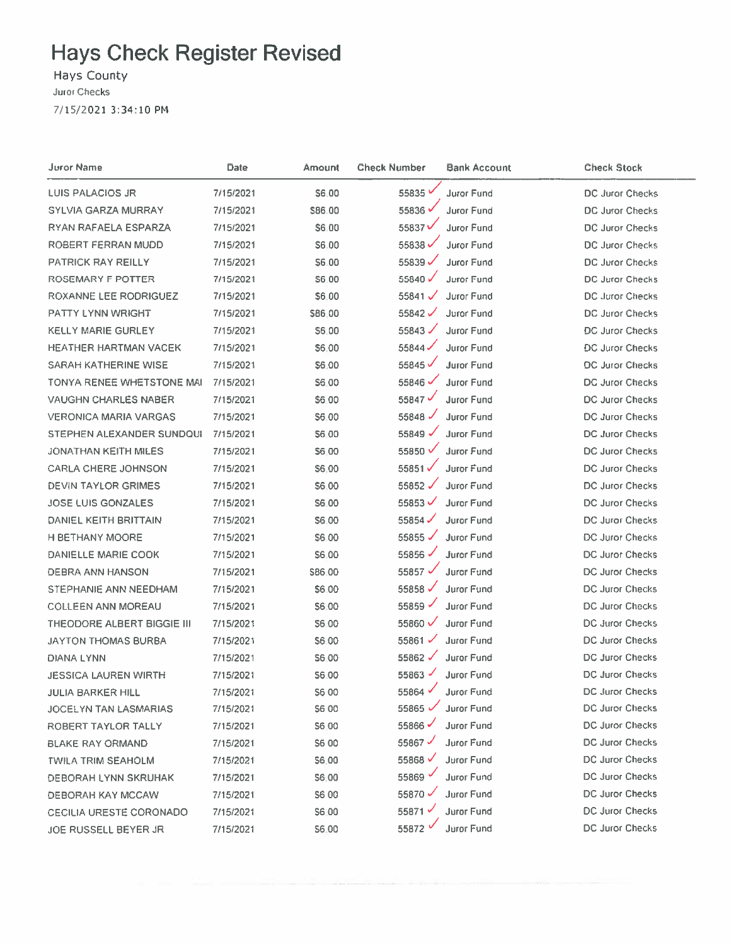#### **Havs County Juror Checks**

7/15/2021 3:34:10 PM

**Juror Name** Date Amount **Check Number Bank Account Check Stock** LUIS PALACIOS JR 7/15/2021 \$6,00 55835<sup>V</sup> **Juror Fund** DC Juror Checks 55836 **Juror Fund** SYLVIA GARZA MURRAY 7/15/2021 \$86.00 **DC Juror Checks RYAN RAFAELA ESPARZA** 7/15/2021 \$6.00 55837V Juror Fund DC Juror Checks 55838 Juror Fund ROBERT FERRAN MUDD 7/15/2021 \$6.00 DC Juror Checks **PATRICK RAY REILLY** 7/15/2021 55839 $\checkmark$ **Juror Fund DC Juror Checks** 56:00 DC Juror Checks **ROSEMARY F POTTER** 55840 $\checkmark$ Juror Fund 7/15/2021 **S6.00** ROXANNE LEE RODRIGUEZ 7/15/2021 \$6,00 55841 $\checkmark$ **Juror Fund DC Juror Checks PATTY LYNN WRIGHT** 7/15/2021 55842 $\checkmark$ **Juror Fund DC Juror Checks** \$86.00 **KELLY MARIE GURLEY** 7/15/2021 S6:00 55843 $\checkmark$ Juror Fund **DC Juror Checks** HEATHER HARTMAN VACEK DC Juror Checks  $55844$ Juror Fund 7/15/2021 S6.00 55845 $\checkmark$ **SARAH KATHERINE WISE** 7/15/2021 S6.00 **Juror Fund DC Juror Checks** TONYA RENEE WHETSTONE MAI 55846 **Juror Fund** 7/15/2021 **S6.00** DC Juror Checks 55847 $\checkmark$ **Juror Fund VAUGHN CHARLES NABER** 7/15/2021 \$6.00 **DC Juror Checks VERONICA MARIA VARGAS** 7/15/2021 55848 $\overline{\phantom{0}}$ **Juror Fund** DC Juror Checks S6.00 55849 $\checkmark$ Juror Fund STEPHEN ALEXANDER SUNDOUI 7/15/2021 \$6.00 **DC Juror Checks JONATHAN KEITH MILES** 7/15/2021 \$6.00 55850 √ Juror Fund DC Juror Checks Juror Fund **CARLA CHERE JOHNSON** 7/15/2021 S6.00 55851√ DC Juror Checks 55852√ Juror Fund **DEVIN TAYLOR GRIMES** 7/15/2021 \$6.00 **DC Juror Checks** JOSE LUIS GONZALES 7/15/2021 S6.00 55853 $\checkmark$ Juror Fund DC Juror Checks 55854 $\checkmark$ Juror Fund **DANIEL KEITH BRITTAIN** 7/15/2021 \$6.00 DC Juror Checks H BETHANY MOORE 55855 $\checkmark$ **Juror Fund DC Juror Checks** 7/15/2021 \$6.00 55856 **Juror Fund DANIELLE MARIE COOK** 7/15/2021 S6.00 **DC Juror Checks** 55857 V **DEBRA ANN HANSON** 7/15/2021 \$86.00 **Juror Fund DC Juror Checks** 55858 **Juror Fund DC Juror Checks** STEPHANIE ANN NEEDHAM 7/15/2021 \$6.00 **COLLEEN ANN MOREAU** 55859 **Juror Fund DC Juror Checks** 7/15/2021 S6.00 THEODORE ALBERT BIGGIE III 7/15/2021 \$6.00 55860 $\checkmark$ **Juror Fund** DC Juror Checks 7/15/2021 55861 $\checkmark$ **Juror Fund JAYTON THOMAS BURBA** S6.00 DC Juror Checks **Juror Fund** DC Juror Checks **DIANA LYNN** 7/15/2021 S6.00 55862 $\checkmark$ **JESSICA LAUREN WIRTH** 7/15/2021 **S6.00** 55863 $\sqrt{ }$ Juror Fund **DC Juror Checks JULIA BARKER HILL** 7/15/2021 **S600** 55864 Juror Fund **DC Juror Checks** JOCELYN TAN LASMARIAS 55865 V Juror Fund DC Juror Checks 7/15/2021 **S6 00** 55866 Juror Fund **DC Juror Checks ROBERT TAYLOR TALLY** 7/15/2021 \$6.00 55867 Juror Fund DC Juror Checks **BLAKE RAY ORMAND** 7/15/2021 \$6 00 55868 Juror Fund **DC Juror Checks TWILA TRIM SEAHOLM** 7/15/2021 \$6,00 55869 Juror Fund **DC Juror Checks DEBORAH LYNN SKRUHAK** 7/15/2021 \$6.00 Juror Fund DC Juror Checks **DEBORAH KAY MCCAW** \$6 00 55870  $\sim$ 7/15/2021 \$6.00 55871 Juror Fund DC Juror Checks CECILIA URESTE CORONADO 7/15/2021 55872 Juror Fund DC Juror Checks JOE RUSSELL BEYER JR 7/15/2021 \$6.00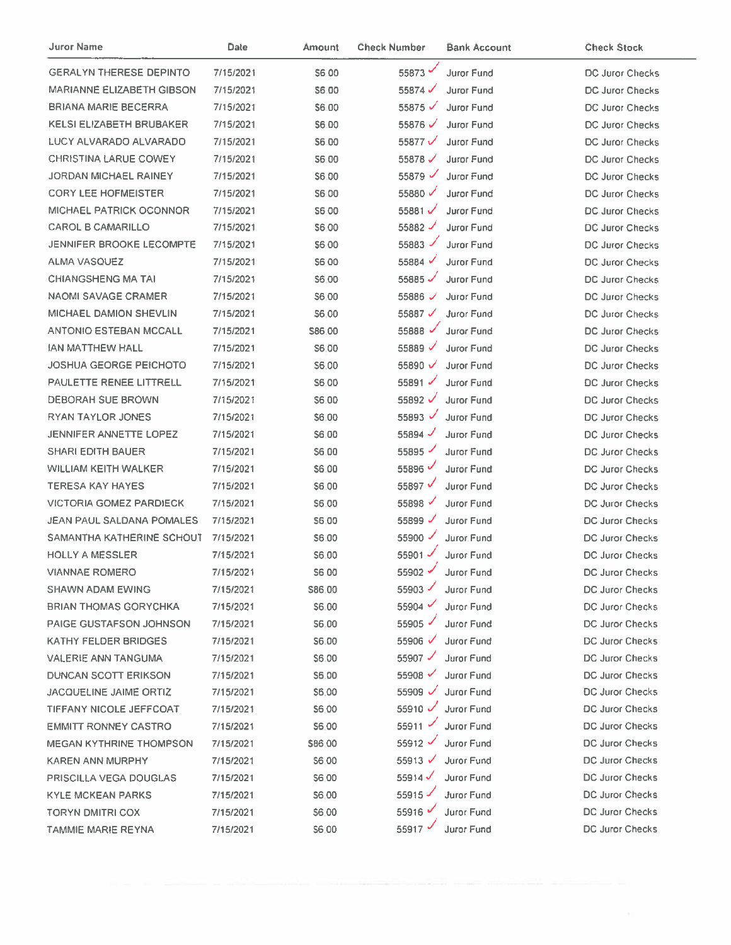| <b>Juror Name</b>              | Date      | <b>Amount</b> | <b>Check Number</b>  | <b>Bank Account</b> | <b>Check Stock</b>     |
|--------------------------------|-----------|---------------|----------------------|---------------------|------------------------|
| <b>GERALYN THERESE DEPINTO</b> | 7/15/2021 | S6.00         | 55873 $-$            | Juror Fund          | DC Juror Checks        |
| MARIANNE ELIZABETH GIBSON      | 7/15/2021 | \$6.00        | 55874 $\checkmark$   | Juror Fund          | DC Juror Checks        |
| BRIANA MARIE BECERRA           | 7/15/2021 | <b>S6.00</b>  | 55875 $\checkmark$   | <b>Juror Fund</b>   | DC Juror Checks        |
| KELSI ELIZABETH BRUBAKER       | 7/15/2021 | \$6.00        | 55876 $\checkmark$   | Juror Fund          | DC Juror Checks        |
| LUCY ALVARADO ALVARADO         | 7/15/2021 | S6.00         | 55877 $\nu$          | <b>Juror Fund</b>   | DC Juror Checks        |
| <b>CHRISTINA LARUE COWEY</b>   | 7/15/2021 | S6.00         | 55878 $\checkmark$   | Juror Fund          | DC Juror Checks        |
| JORDAN MICHAEL RAINEY          | 7/15/2021 | <b>S6.00</b>  | $55879$ $\checkmark$ | Juror Fund          | DC Juror Checks        |
| <b>CORY LEE HOFMEISTER</b>     | 7/15/2021 | S6.00         | 55880                | Juror Fund          | DC Juror Checks        |
| <b>MICHAEL PATRICK OCONNOR</b> | 7/15/2021 | S6.00         | 55881                | Juror Fund          | <b>DC Juror Checks</b> |
| <b>CAROL B CAMARILLO</b>       | 7/15/2021 | S6.00         | 55882                | Juror Fund          | DC Juror Checks        |
| JENNIFER BROOKE LECOMPTE       | 7/15/2021 | <b>\$600</b>  | 55883 $\checkmark$   | Juror Fund          | DC Juror Checks        |
| ALMA VASQUEZ                   | 7/15/2021 | S6 00         | 55884 √              | <b>Juror Fund</b>   | <b>DC Juror Checks</b> |
| <b>CHIANGSHENG MA TAI</b>      | 7/15/2021 | \$6.00        | 55885 $\checkmark$   | <b>Juror Fund</b>   | <b>DC Juror Checks</b> |
| <b>NAOMI SAVAGE CRAMER</b>     | 7/15/2021 | S6.00         | 55886                | <b>Juror Fund</b>   | DC Juror Checks        |
| <b>MICHAEL DAMION SHEVLIN</b>  | 7/15/2021 | \$6,00        | 55887 √              | <b>Juror Fund</b>   | DC Juror Checks        |
| <b>ANTONIO ESTEBAN MCCALL</b>  | 7/15/2021 | \$86,00       | 55888 $\checkmark$   | Juror Fund          | DC Juror Checks        |
| <b>JAN MATTHEW HALL</b>        | 7/15/2021 | S6.00         | 55889                | Juror Fund          | DC Juror Checks        |
| <b>JOSHUA GEORGE PEICHOTO</b>  | 7/15/2021 | S6.00         | 55890 ✓              | Juror Fund          | <b>DC Juror Checks</b> |
| PAULETTE RENEE LITTRELL        | 7/15/2021 | S6.00         | 55891 $\checkmark$   | Juror Fund          | <b>DC Juror Checks</b> |
| DEBORAH SUE BROWN              | 7/15/2021 | S6.00         | 55892 √              | Juror Fund          | <b>DC Juror Checks</b> |
| RYAN TAYLOR JONES              | 7/15/2021 | \$6.00        | 55893 $\checkmark$   | Juror Fund          | DC Juror Checks        |
| JENNIFER ANNETTE LOPEZ         | 7/15/2021 | \$6.00        | 55894                | Juror Fund          | DC Juror Checks        |
| <b>SHARI EDITH BAUER</b>       | 7/15/2021 | \$6.00        | 55895                | <b>Juror Fund</b>   | DC Juror Checks        |
| <b>WILLIAM KEITH WALKER</b>    | 7/15/2021 | \$6.00        | 55896                | Juror Fund          | DC Juror Checks        |
| <b>TERESA KAY HAYES</b>        | 7/15/2021 | \$6.00        | 55897 V              | <b>Juror Fund</b>   | DC Juror Checks        |
| <b>VICTORIA GOMEZ PARDIECK</b> | 7/15/2021 | S6.00         | 55898                | Juror Fund          | DC Juror Checks        |
| JEAN PAUL SALDANA POMALES      | 7/15/2021 | S6.00         | 55899 $\overline{v}$ | Juror Fund          | <b>DC Juror Checks</b> |
| SAMANTHA KATHERINE SCHOUT      | 7/15/2021 | S6.00         | 55900                | Juror Fund          | DC Juror Checks        |
| <b>HOLLY A MESSLER</b>         | 7/15/2021 | S6.00         | 55901 -              | Juror Fund          | DC Juror Checks        |
| <b>VIANNAE ROMERO</b>          | 7/15/2021 | S6 00         | 55902 -              | Juror Fund          | DC Juror Checks        |
| <b>SHAWN ADAM EWING</b>        | 7/15/2021 | \$86.00       | $55903$ $\checkmark$ | Juror Fund          | DC Juror Checks        |
| <b>BRIAN THOMAS GORYCHKA</b>   | 7/15/2021 | \$6.00        | 55904 $\sim$         | <b>Juror Fund</b>   | DC Juror Checks        |
| PAIGE GUSTAFSON JOHNSON        | 7/15/2021 | <b>S6.00</b>  | 55905                | <b>Juror Fund</b>   | <b>DC Juror Checks</b> |
| <b>KATHY FELDER BRIDGES</b>    | 7/15/2021 | S6.00         | 55906 V              | Juror Fund          | DC Juror Checks        |
| <b>VALERIE ANN TANGUMA</b>     | 7/15/2021 | S6.00         | 55907 -              | Juror Fund          | <b>DC Juror Checks</b> |
| DUNCAN SCOTT ERIKSON           | 7/15/2021 | \$6.00        | 55908 V              | Juror Fund          | <b>DC Juror Checks</b> |
| JACQUELINE JAIME ORTIZ         | 7/15/2021 | \$6.00        | 55909 $\checkmark$   | Juror Fund          | <b>DC Juror Checks</b> |
| TIFFANY NICOLE JEFFCOAT        | 7/15/2021 | \$6.00        | 55910 $\checkmark$   | Juror Fund          | DC Juror Checks        |
| <b>EMMITT RONNEY CASTRO</b>    | 7/15/2021 | \$6.00        | 55911 *              | Juror Fund          | DC Juror Checks        |
| <b>MEGAN KYTHRINE THOMPSON</b> | 7/15/2021 | \$86.00       | 55912 -              | Juror Fund          | <b>DC Juror Checks</b> |
| KAREN ANN MURPHY               | 7/15/2021 | <b>S6.00</b>  | 55913 $V$            | Juror Fund          | <b>DC Juror Checks</b> |
| PRISCILLA VEGA DOUGLAS         | 7/15/2021 | \$6.00        | 55914 $\checkmark$   | Juror Fund          | DC Juror Checks        |
| <b>KYLE MCKEAN PARKS</b>       | 7/15/2021 | 56.00         | 55915                | <b>Juror Fund</b>   | DC Juror Checks        |
| TORYN DMITRI COX               | 7/15/2021 | \$6.00        | 55916                | <b>Juror Fund</b>   | DC Juror Checks        |
| TAMMIE MARIE REYNA             | 7/15/2021 | \$6.00        | 55917 *              | Juror Fund          | DC Juror Checks        |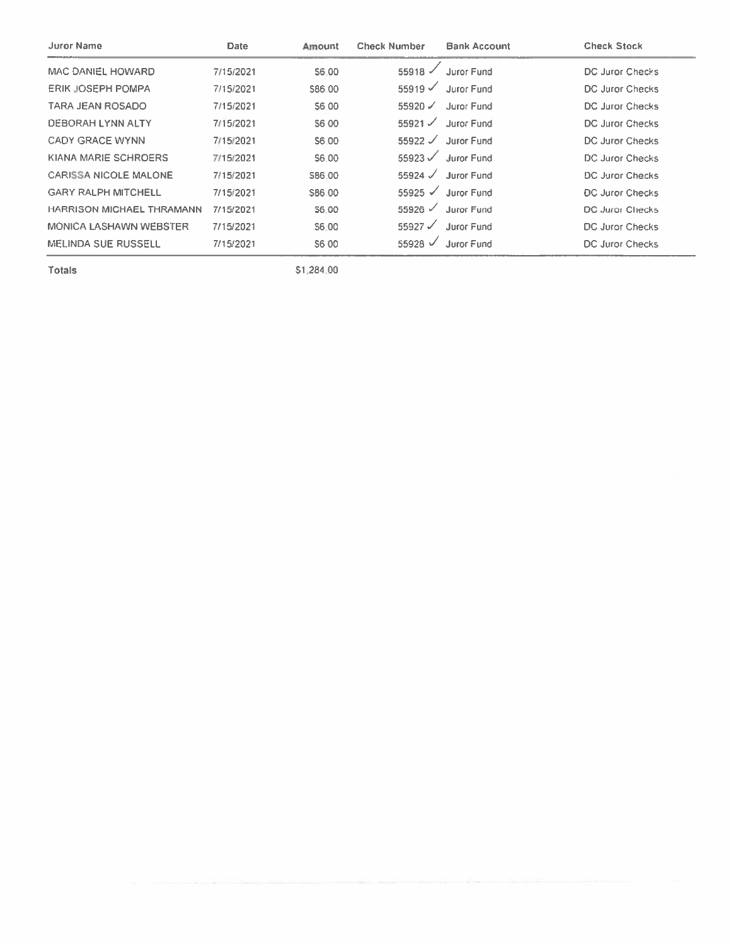| <b>Juror Name</b>                | <b>Date</b> | Amount | <b>Check Number</b>  | <b>Bank Account</b> | <b>Check Stock</b>     |
|----------------------------------|-------------|--------|----------------------|---------------------|------------------------|
| MAC DANIEL HOWARD                | 7/15/2021   | S6.00  | 55918                | Juror Fund          | DC Juror Checks        |
| <b>ERIK JOSEPH POMPA</b>         | 7/15/2021   | S86 00 | $55919$ $\checkmark$ | Juror Fund          | DC Juror Checks        |
| TARA JEAN ROSADO                 | 7/15/2021   | S6.00  | $55920 \checkmark$   | Juror Fund          | DC Juror Checks        |
| DEBORAH LYNN ALTY                | 7/15/2021   | S6 00  | 55921 $\checkmark$   | Juror Fund          | DC Juror Checks        |
| <b>CADY GRACE WYNN</b>           | 7/15/2021   | S6.00  | 55922 $\mathcal{S}$  | <b>Juror Fund</b>   | DC Juror Checks        |
| KIANA MARIE SCHROERS             | 7/15/2021   | S6.00  | $55923$ $\checkmark$ | <b>Juror Fund</b>   | DC Juror Checks        |
| CARISSA NICOLE MALONE            | 7/15/2021   | S86.00 | $55924$ $\checkmark$ | <b>Juror Fund</b>   | DC Juror Checks        |
| <b>GARY RALPH MITCHELL</b>       | 7/15/2021   | S86.00 | $55925 \checkmark$   | Juror Eund          | <b>DC Juror Checks</b> |
| <b>HARRISON MICHAEL THRAMANN</b> | 7/15/2021   | S6.00  | $55926$ $\checkmark$ | Juror Fund          | DC Juror Checks        |
| MONICA LASHAWN WEBSTER           | 7/15/2021   | S6.00  | 55927 $\mathcal{S}$  | Juror Fund          | DC Juror Checks        |
| <b>MELINDA SUE RUSSELL</b>       | 7/15/2021   | S6 00  | $55928$ $\checkmark$ | Juror Fund          | <b>DC Juror Checks</b> |

Totals

\$1,284,00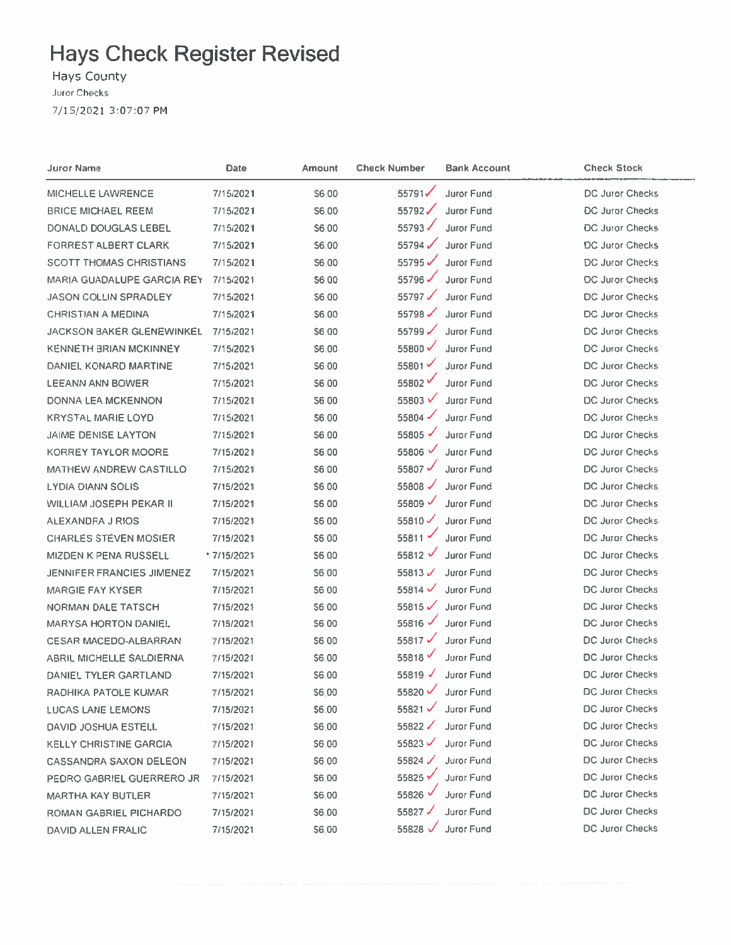Hays County Juror Checks 7/15/2021 3:07:07 PM

| Juror Name                        | Date        | Amount       | <b>Check Number</b>  | <b>Bank Account</b> | <b>Check Stock</b>     |
|-----------------------------------|-------------|--------------|----------------------|---------------------|------------------------|
| MICHELLE LAWRENCE                 | 7/15/2021   | S6.00        | 55791                | Juror Fund          | DC Juror Checks        |
| <b>BRICE MICHAEL REEM</b>         | 7/15/2021   | S6.00        | 55792 $\checkmark$   | <b>Juror Fund</b>   | <b>DC Juror Checks</b> |
| DONALD DOUGLAS LEBEL              | 7/15/2021   | S6.00        | 55793√               | <b>Juror Fund</b>   | <b>DC Juror Checks</b> |
| <b>FORREST ALBERT CLARK</b>       | 7/15/2021   | \$6.00       | 55794 $\checkmark$   | Juror Fund          | <b>DC Juror Checks</b> |
| <b>SCOTT THOMAS CHRISTIANS</b>    | 7/15/2021   | S6.00        | 55795                | Juror Fund          | <b>DC Juror Checks</b> |
| <b>MARIA GUADALUPE GARCIA REY</b> | 7/15/2021   | <b>S600</b>  | 55796√               | Juror Fund          | DC Juror Checks        |
| <b>JASON COLLIN SPRADLEY</b>      | 7/15/2021   | \$6.00       | 55797 $\checkmark$   | Juror Fund          | DC Juror Checks        |
| <b>CHRISTIAN A MEDINA</b>         | 7/15/2021   | \$6.00       | 55798 $\checkmark$   | Juror Fund          | DC Juror Checks        |
| <b>JACKSON BAKER GLENEWINKEL</b>  | 7/15/2021   | \$6.00       | 55799                | Juror Fund          | DC Juror Checks        |
| <b>KENNETH BRIAN MCKINNEY</b>     | 7/15/2021   | \$6.00       | 55800 √              | <b>Juror Fund</b>   | DC Juror Checks        |
| DANIEL KONARD MARTINE             | 7/15/2021   | S6.00        | 55801                | Juror Fund          | DC Juror Checks        |
| <b>LEEANN ANN BOWER</b>           | 7/15/2021   | <b>S6.00</b> | 55802                | Juror Fund          | <b>DC Juror Checks</b> |
| <b>DONNA LEA MCKENNON</b>         | 7/15/2021   | S6.00        | 55803 ₩              | Juror Fund          | DC Juror Checks        |
| <b>KRYSTAL MARIE LOYD</b>         | 7/15/2021   | \$6,00       | 55804 $\checkmark$   | Juror Fund          | DC Juror Checks        |
| <b>JAIME DENISE LAYTON</b>        | 7/15/2021   | \$6.00       | 55805 √              | Juror Fund          | DC Juror Checks        |
| <b>KORREY TAYLOR MOORE</b>        | 7/15/2021   | S6.00        | 55806                | Juror Fund          | DC Juror Checks        |
| <b>MATHEW ANDREW CASTILLO</b>     | 7/15/2021   | \$6.00       | 55807                | Juror Fund          | DC Juror Checks        |
| <b>LYDIA DIANN SOLIS</b>          | 7/15/2021   | <b>S600</b>  | 55808 $\checkmark$   | Juror Fund          | <b>DC Juror Checks</b> |
| <b>WILLIAM JOSEPH PEKAR II</b>    | 7/15/2021   | S6.00        | 55809 $\checkmark$   | <b>Juror Fund</b>   | DC Juror Checks        |
| ALEXANDRA J RIOS                  | 7/15/2021   | \$6.00       | 55810 $\checkmark$   | <b>Juror Fund</b>   | DC Juror Checks        |
| <b>CHARLES STEVEN MOSIER</b>      | 7/15/2021   | S6.00        | 55811                | <b>Juror Fund</b>   | DC Juror Checks        |
| <b>MIZDEN K PENA RUSSELL</b>      | * 7/15/2021 | <b>\$600</b> | 55812 $\checkmark$   | Juror Fund          | DC Juror Checks        |
| JENNIFER FRANCIES JIMENEZ         | 7/15/2021   | \$6.00       | 55813 $V$            | Juror Fund          | <b>DC Juror Checks</b> |
| <b>MARGIE FAY KYSER</b>           | 7/15/2021   | \$6 00       | 55814 $\checkmark$   | Juror Fund          | DC Juror Checks        |
| <b>NORMAN DALE TATSCH</b>         | 7/15/2021   | \$6.00       | 55815 $\checkmark$   | Juror Fund          | <b>DC Juror Checks</b> |
| <b>MARYSA HORTON DANIEL</b>       | 7/15/2021   | <b>S6.00</b> | 55816 $\sqrt{}$      | Juror Fund          | DC Juror Checks        |
| <b>CESAR MACEDO-ALBARRAN</b>      | 7/15/2021   | \$6.00       | 55817 $\checkmark$   | Juror Fund          | DC Juror Checks        |
| ABRIL MICHELLE SALDIERNA          | 7/15/2021   | \$6,00       | 55818                | Juror Fund          | DC Juror Checks        |
| DANIEL TYLER GARTLAND             | 7/15/2021   | S6.00        | 55819 $\sqrt{ }$     | Juror Fund          | <b>DC Juror Checks</b> |
| RADHIKA PATOLE KUMAR              | 7/15/2021   | \$6,00       | 55820 V              | Juror Fund          | <b>DC Juror Checks</b> |
| <b>LUCAS LANE LEMONS</b>          | 7/15/2021   | \$6.00       | $55821$ $\checkmark$ | Juror Fund          | DC Juror Checks        |
| DAVID JOSHUA ESTELL               | 7/15/2021   | S6.00        | 55822√               | Juror Fund          | DC Juror Checks        |
| <b>KELLY CHRISTINE GARCIA</b>     | 7/15/2021   | <b>S6.00</b> | 55823 $\checkmark$   | Juror Fund          | DC Juror Checks        |
| <b>CASSANDRA SAXON DELEON</b>     | 7/15/2021   | \$6.00       | 55824 $\checkmark$   | Juror Fund          | DC Juror Checks        |
| PEDRO GABRIEL GUERRERO JR         | 7/15/2021   | \$6.00       | 55825 Y              | Juror Fund          | DC Juror Checks        |
| <b>MARTHA KAY BUTLER</b>          | 7/15/2021   | \$6.00       | 55826                | Juror Fund          | <b>DC Juror Checks</b> |
| ROMAN GABRIEL PICHARDO            | 7/15/2021   | \$6.00       | 55827√               | Juror Fund          | DC Juror Checks        |
| DAVID ALLEN FRALIC                | 7/15/2021   | \$6.00       | 55828                | Juror Fund          | DC Juror Checks        |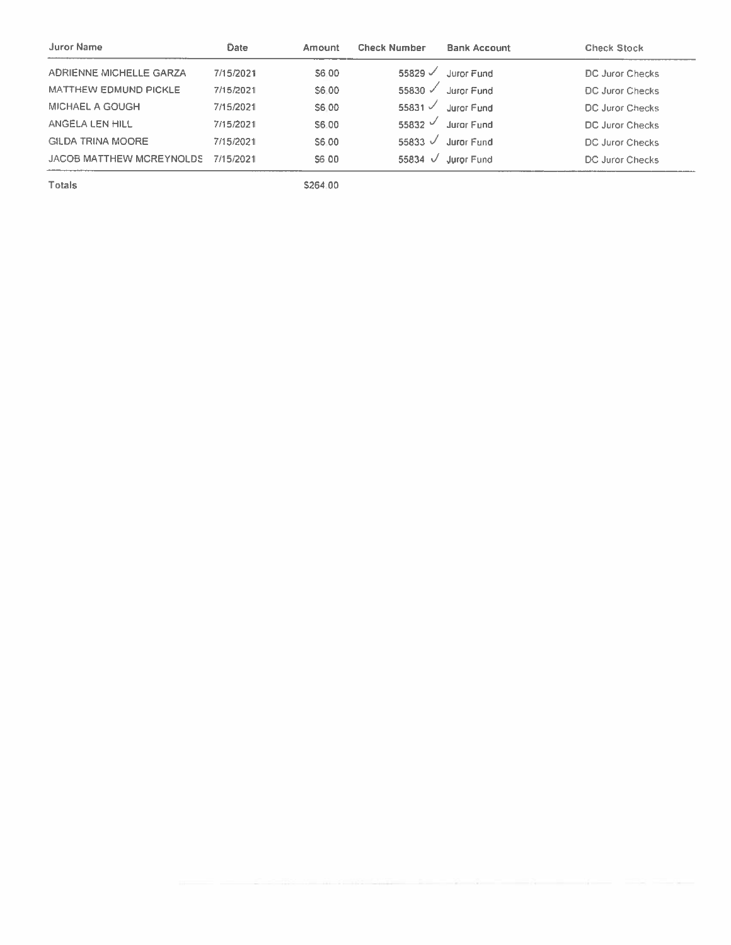| <b>Juror Name</b>              | Date      | Amount | <b>Check Number</b> | <b>Bank Account</b> | <b>Check Stock</b>     |
|--------------------------------|-----------|--------|---------------------|---------------------|------------------------|
| <b>ADRIENNE MICHELLE GARZA</b> | 7/15/2021 | S6.00  | 55829 $\checkmark$  | Juror Fund          | DC Juror Checks        |
| <b>MATTHEW EDMUND PICKLE</b>   | 7/15/2021 | S6.00  | 55830 $\checkmark$  | Juror Fund          | DC Juror Checks        |
| MICHAEL A GOUGH                | 7/15/2021 | S6.00  | 55831 $\sqrt$       | Juror Fund          | DC Juror Checks        |
| ANGELA LEN HILL                | 7/15/2021 | S6.00  | 55832 $\vee$        | Juror Fund          | <b>DC Juror Checks</b> |
| <b>GILDA TRINA MOORE</b>       | 7/15/2021 | S6.00  | 55833 $\sqrt$       | Juror Fund          | <b>DC Juror Checks</b> |
| JACOB MATTHEW MCREYNOLDS       | 7/15/2021 | S6 00  | 55834 $\sqrt{ }$    | Juror Fund          | DC Juror Checks        |

Totals

\$264.00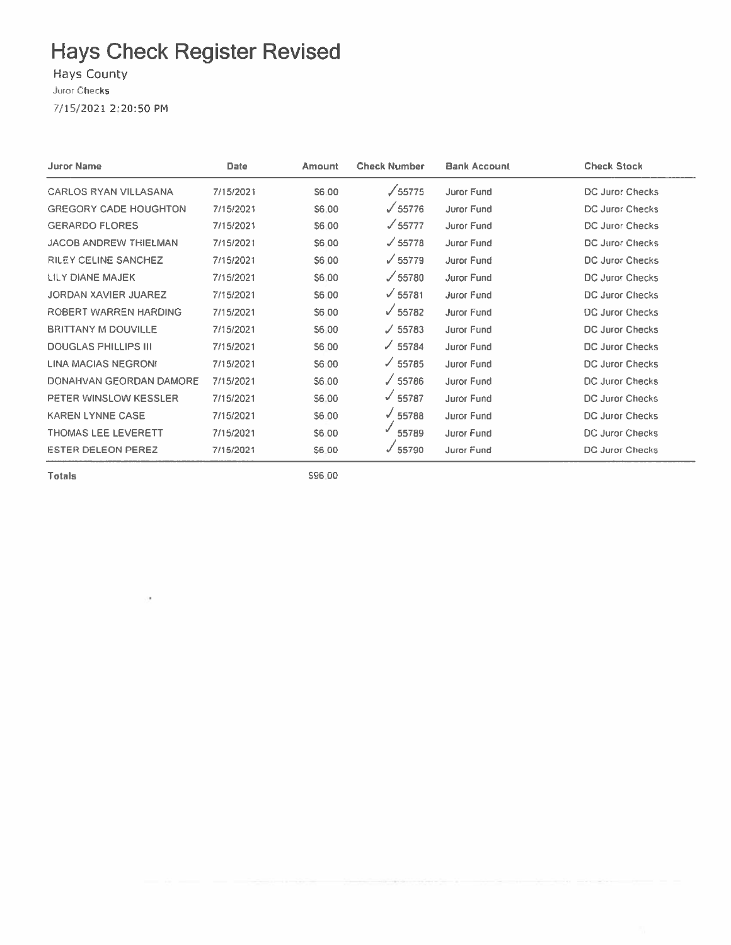**Hays County** 

Juror Checks

7/15/2021 2:20:50 PM

| Juror Name                   | Date      | Amount | <b>Check Number</b> | <b>Bank Account</b> | <b>Check Stock</b>     |
|------------------------------|-----------|--------|---------------------|---------------------|------------------------|
| <b>CARLOS RYAN VILLASANA</b> | 7/15/2021 | S6.00  | $\sqrt{55775}$      | Juror Fund          | DC Juror Checks        |
| <b>GREGORY CADE HOUGHTON</b> | 7/15/2021 | S6.00  | $\sqrt{55776}$      | Juror Fund          | DC Juror Checks        |
| <b>GERARDO FLORES</b>        | 7/15/2021 | S6:00  | $\sqrt{55777}$      | Juror Fund          | <b>DC Juror Checks</b> |
| <b>JACOB ANDREW THIELMAN</b> | 7/15/2021 | \$6.00 | $\sqrt{55778}$      | Juror Fund          | <b>DC Juror Checks</b> |
| <b>RILEY CELINE SANCHEZ</b>  | 7/15/2021 | S6:00  | $\sqrt{55779}$      | Juror Fund          | <b>DC Juror Checks</b> |
| LILY DIANE MAJEK             | 7/15/2021 | S6.00  | /55780              | <b>Juror Fund</b>   | DC Juror Checks        |
| <b>JORDAN XAVIER JUAREZ</b>  | 7/15/2021 | \$6.00 | $\sqrt{55781}$      | Juror Fund          | DC Juror Checks        |
| ROBERT WARREN HARDING        | 7/15/2021 | S6.00  | $\sqrt{55782}$      | Juror Fund          | <b>DC Juror Checks</b> |
| <b>BRITTANY M DOUVILLE</b>   | 7/15/2021 | S6.00  | J 55783             | Juror Fund          | DC Juror Checks        |
| <b>DOUGLAS PHILLIPS III</b>  | 7/15/2021 | S6 00  | $\times$ 55784      | <b>Juror Fund</b>   | DC Juror Checks        |
| <b>LINA MACIAS NEGRONI</b>   | 7/15/2021 | S6 00  | $\times$ 55785      | Juror Fund          | DC Juror Checks        |
| DONAHVAN GEORDAN DAMORE      | 7/15/2021 | S6.00  | $\sqrt{55786}$      | Juror Fund          | DC Juror Checks        |
| PETER WINSLOW KESSLER        | 7/15/2021 | \$6.00 | $\sqrt{55787}$      | Juror Fund          | <b>DC Juror Checks</b> |
| <b>KAREN LYNNE CASE</b>      | 7/15/2021 | \$6.00 | √ 55788             | Juror Fund          | <b>DC Juror Checks</b> |
| <b>THOMAS LEE LEVERETT</b>   | 7/15/2021 | S6.00  | 55789               | Juror Fund          | <b>DC Juror Checks</b> |
| <b>ESTER DELEON PEREZ</b>    | 7/15/2021 | S6.00  | $\times$ 55790      | Juror Fund          | <b>DC Juror Checks</b> |

**Totals** 

ł.

\$96.00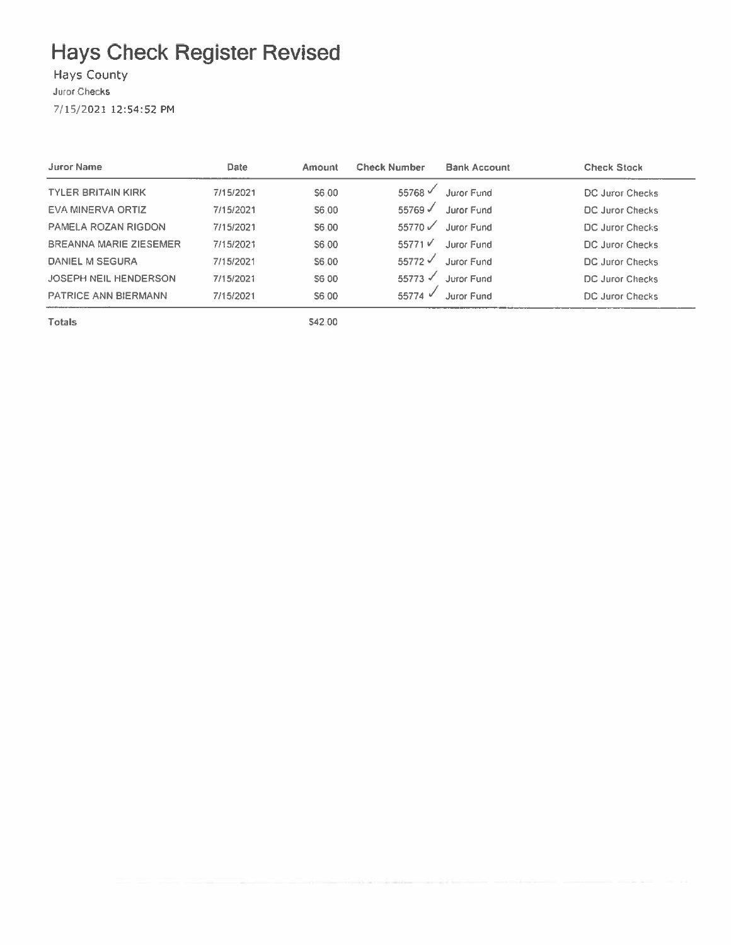### Hays County

Juror Checks

7/15/2021 12:54:52 PM

| <b>Juror Name</b>             | Date      | Amount | <b>Check Number</b>  | <b>Bank Account</b> | <b>Check Stock</b> |
|-------------------------------|-----------|--------|----------------------|---------------------|--------------------|
| <b>TYLER BRITAIN KIRK</b>     | 7/15/2021 | S6.00  | 55768 $\sqrt$        | <b>Juror Fund</b>   | DC Juror Checks    |
| <b>EVA MINERVA ORTIZ</b>      | 7/15/2021 | S6.00  | 55769√               | Juror Fund          | DC Juror Checks    |
| PAMELA ROZAN RIGDON           | 7/15/2021 | S6.00  | 55770                | Juror Fund          | DC Juror Checks    |
| <b>BREANNA MARIE ZIESEMER</b> | 7/15/2021 | S6.00  | 55771V               | Juror Fund          | DC Juror Checks    |
| <b>DANIEL M SEGURA</b>        | 7/15/2021 | S6.00  | $55772$ $\checkmark$ | Juror Fund          | DC Juror Checks    |
| <b>JOSEPH NEIL HENDERSON</b>  | 7/15/2021 | S6 00  | $55773 \checkmark$   | Juror Fund          | DC Juror Checks    |
| <b>PATRICE ANN BIERMANN</b>   | 7/15/2021 | S6.00  | 55774 $\sqrt{ }$     | Joror Eund          | DC Juror Checks    |

**Totals** 

\$42.00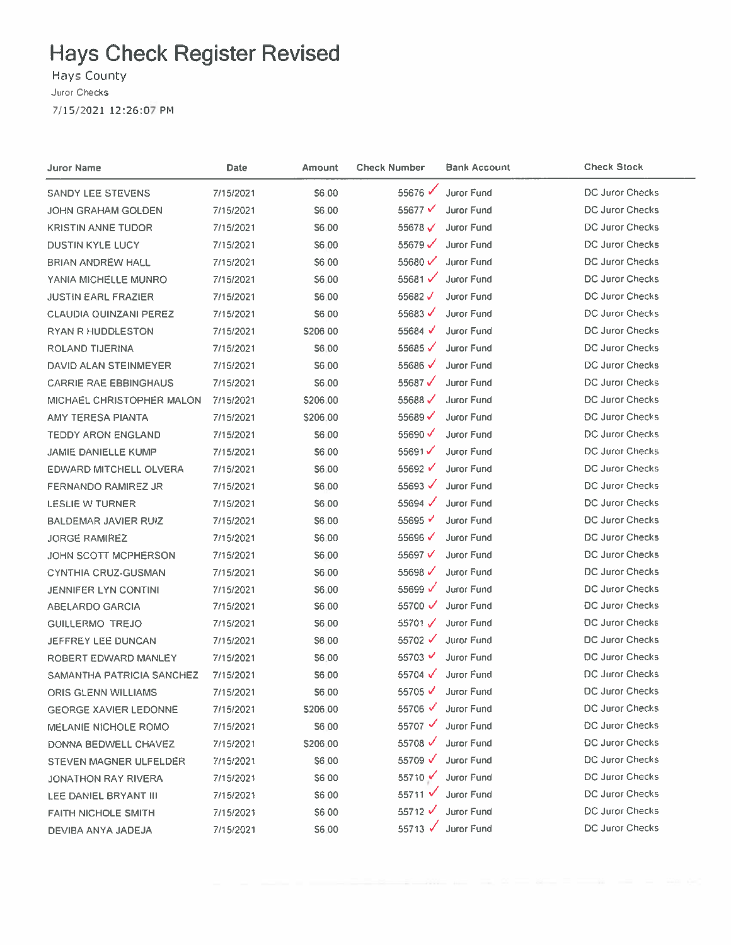Hays County Juror Checks 7/15/2021 12:26:07 PM

| Juror Name                    | Date      | Amount        | <b>Check Number</b>  | <b>Bank Account</b> | <b>Check Stock</b>     |
|-------------------------------|-----------|---------------|----------------------|---------------------|------------------------|
| SANDY LEE STEVENS             | 7/15/2021 | \$6.00        | 55676                | Juror Fund          | DC Juror Checks        |
| JOHN GRAHAM GOLDEN            | 7/15/2021 | \$6.00        | 55677 $\checkmark$   | Juror Fund          | <b>DC Juror Checks</b> |
| <b>KRISTIN ANNE TUDOR</b>     | 7/15/2021 | S6.00         | 55678 $V$            | <b>Juror Fund</b>   | <b>DC Juror Checks</b> |
| <b>DUSTIN KYLE LUCY</b>       | 7/15/2021 | S6.00         | $55679$ $\checkmark$ | <b>Juror Fund</b>   | DC Juror Checks        |
| BRIAN ANDREW HALL             | 7/15/2021 | \$6,00        | 55680 $V$            | <b>Juror Fund</b>   | DC Juror Checks        |
| YANIA MICHELLE MUNRO          | 7/15/2021 | \$6,00        | 55681√               | Juror Fund          | <b>DC Juror Checks</b> |
| <b>JUSTIN EARL FRAZIER</b>    | 7/15/2021 | \$6,00        | 55682 $V$            | Juror Fund          | <b>DC Juror Checks</b> |
| <b>CLAUDIA QUINZANI PEREZ</b> | 7/15/2021 | \$6,00        | 55683 $\checkmark$   | Juror Fund          | DC Juror Checks        |
| <b>RYAN R HUDDLESTON</b>      | 7/15/2021 | 5206 00       | 55684 $\checkmark$   | Juror Fund          | <b>DC Juror Checks</b> |
| ROLAND TIJERINA               | 7/15/2021 | S6,00         | 55685 $\checkmark$   | Juror Fund          | <b>DC Juror Checks</b> |
| DAVID ALAN STEINMEYER         | 7/15/2021 | \$6.00        | 55686√               | Juror Fund          | DC Juror Checks        |
| <b>CARRIE RAE EBBINGHAUS</b>  | 7/15/2021 | S6.00         | 55687 $\checkmark$   | Juror Fund          | DC Juror Checks        |
| MICHAEL CHRISTOPHER MALON     | 7/15/2021 | \$206.00      | 55688 $\checkmark$   | <b>Juror Fund</b>   | DC Juror Checks        |
| AMY TERESA PIANTA             | 7/15/2021 | \$206.00      | 55689 $\checkmark$   | Juror Fund          | <b>DC Juror Checks</b> |
| <b>TEDDY ARON ENGLAND</b>     | 7/15/2021 | \$6.00        | 55690 $\checkmark$   | Juror Fund          | DC Juror Checks        |
| <b>JAMIE DANIELLE KUMP</b>    | 7/15/2021 | S6.00         | 55691 $\checkmark$   | Juror Fund          | DC Juror Checks        |
| <b>EDWARD MITCHELL OLVERA</b> | 7/15/2021 | \$6.00        | 55692 $\checkmark$   | Juror Fund          | DC Juror Checks        |
| FERNANDO RAMIREZ JR           | 7/15/2021 | \$6.00        | 55693 $\checkmark$   | Juror Fund          | <b>DC Juror Checks</b> |
| LESLIE W TURNER               | 7/15/2021 | 56.00         | 55694 $\checkmark$   | <b>Juror Fund</b>   | DC Juror Checks        |
| BALDEMAR JAVIER RUIZ          | 7/15/2021 | \$6.00        | 55695 $\checkmark$   | Juror Fund          | <b>DC Juror Checks</b> |
| <b>JORGE RAMIREZ</b>          | 7/15/2021 | S6.00         | 55696 $\checkmark$   | Juror Fund          | DC Juror Checks        |
| JOHN SCOTT MCPHERSON          | 7/15/2021 | S6,00         | 55697 $V$            | Juror Fund          | DC Juror Checks        |
| <b>CYNTHIA CRUZ-GUSMAN</b>    | 7/15/2021 | S6.00         | 55698 $\checkmark$   | Juror Fund          | DC Juror Checks        |
| <b>JENNIFER LYN CONTINI</b>   | 7/15/2021 | S6.00         | 55699 $V$            | Juror Fund          | <b>DC Juror Checks</b> |
| ABELARDO GARCIA               | 7/15/2021 | S6.00         | $55700$ $\checkmark$ | Juror Fund          | <b>DC Juror Checks</b> |
| GUILLERMO TREJO               | 7/15/2021 | <b>S6.00</b>  | 55701 $\checkmark$   | Juror Fund          | DC Juror Checks        |
| <b>JEFFREY LEE DUNCAN</b>     | 7/15/2021 | S6.00         | $55702$ $\checkmark$ | Juror Fund          | DC Juror Checks        |
| ROBERT EDWARD MANLEY          | 7/15/2021 | 56.00         | 55703 $V$            | Juror Fund          | DC Juror Checks        |
| SAMANTHA PATRICIA SANCHEZ     | 7/15/2021 | \$6.00        | 55704 √              | Juror Fund          | <b>DC Juror Checks</b> |
| ORIS GLENN WILLIAMS           | 7/15/2021 | \$6.00        | 55705 √              | Juror Fund          | <b>DC Juror Checks</b> |
| <b>GEORGE XAVIER LEDONNE</b>  | 7/15/2021 | \$206.00      | 55706 $\checkmark$   | Juror Fund          | DC Juror Checks        |
| MELANIE NICHOLE ROMO          | 7/15/2021 | <b>S6 00</b>  | $55707$ $\checkmark$ | Juror Fund          | <b>DC Juror Checks</b> |
| DONNA BEDWELL CHAVEZ          | 7/15/2021 | \$206.00      | 55708 $\sqrt{ }$     | Juror Fund          | <b>DC Juror Checks</b> |
| STEVEN MAGNER ULFELDER        | 7/15/2021 | \$6.00        | 55709 $\checkmark$   | Juror Fund          | DC Juror Checks        |
| JONATHON RAY RIVERA           | 7/15/2021 | <b>S600</b>   | 55710 ✔              | Juror Fund          | DC Juror Checks        |
| LEE DANIEL BRYANT III         | 7/15/2021 | S6 00         | 55711 V              | Juror Fund          | DC Juror Checks        |
| <b>FAITH NICHOLE SMITH</b>    | 7/15/2021 | <b>\$6.00</b> | 55712 $V$            | Juror Fund          | DC Juror Checks        |
| DEVIBA ANYA JADEJA            | 7/15/2021 | S6.00         | 55713 √              | Juror Fund          | <b>DC Juror Checks</b> |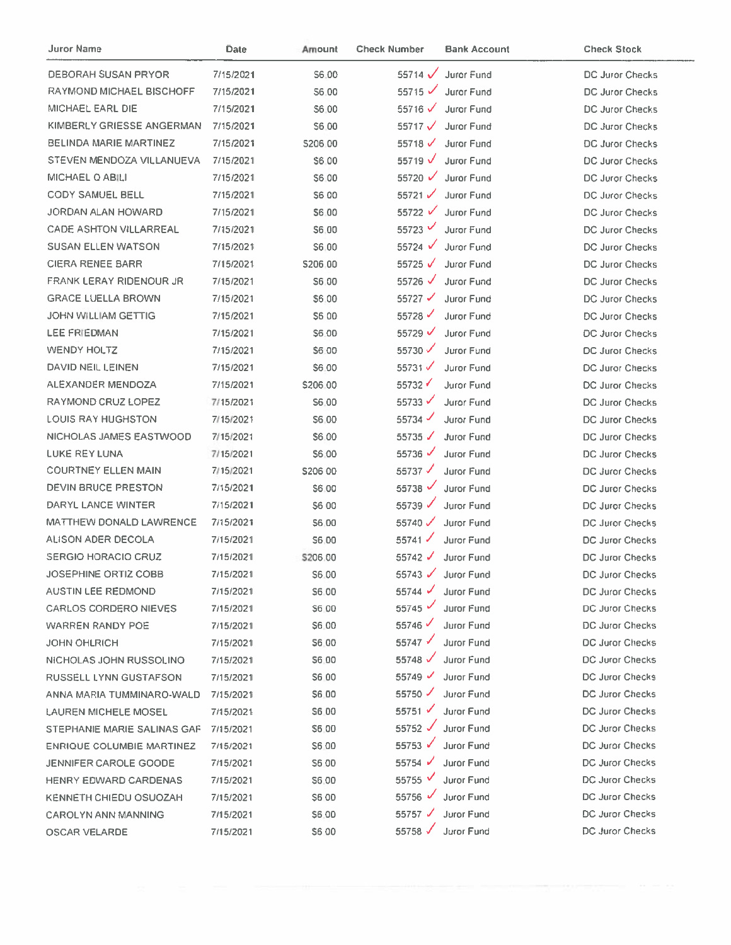| Juror Name                       | Date      | Amount       | <b>Check Number</b>  | <b>Bank Account</b> | <b>Check Stock</b>     |
|----------------------------------|-----------|--------------|----------------------|---------------------|------------------------|
| <b>DEBORAH SUSAN PRYOR</b>       | 7/15/2021 | S6.00        | 55714 $\checkmark$   | Juror Fund          | <b>DC Juror Checks</b> |
| <b>RAYMOND MICHAEL BISCHOFF</b>  | 7/15/2021 | S6.00        | $55715$ $\checkmark$ | Juror Fund          | DC Juror Checks        |
| MICHAEL EARL DIE                 | 7/15/2021 | S6.00        | 55716 $\checkmark$   | <b>Juror Fund</b>   | <b>DC Juror Checks</b> |
| KIMBERLY GRIESSE ANGERMAN        | 7/15/2021 | S6.00        | 55717 $V$            | Juror Fund          | DC Juror Checks        |
| <b>BELINDA MARIE MARTINEZ</b>    | 7/15/2021 | S206.00      | 55718 $\checkmark$   | <b>Juror Fund</b>   | <b>DC Juror Checks</b> |
| STEVEN MENDOZA VILLANUEVA        | 7/15/2021 | \$6.00       | $55719$ $\checkmark$ | Juror Fund          | DC Juror Checks        |
| MICHAEL Q ABILI                  | 7/15/2021 | S6.00        | 55720 $\checkmark$   | <b>Juror Fund</b>   | DC Juror Checks        |
| CODY SAMUEL BELL                 | 7/15/2021 | S6 00        | $55721$ $\checkmark$ | <b>Juror Fund</b>   | DC Juror Checks        |
| JORDAN ALAN HOWARD               | 7/15/2021 | \$6.00       | 55722 <del>√</del>   | Juror Fund          | DC Juror Checks        |
| <b>CADE ASHTON VILLARREAL</b>    | 7/15/2021 | 56.00        | 55723 $V$            | Juror Fund          | DC Juror Checks        |
| <b>SUSAN ELLEN WATSON</b>        | 7/15/2021 | S6.00        | 55724 $\sqrt{ }$     | Juror Fund          | DC Juror Checks        |
| <b>CIERA RENEE BARR</b>          | 7/15/2021 | \$206.00     | 55725 $\sqrt{ }$     | <b>Juror Fund</b>   | <b>DC Juror Checks</b> |
| <b>FRANK LERAY RIDENOUR JR</b>   | 7/15/2021 | S6 00        | 55726 $\checkmark$   | <b>Juror Fund</b>   | DC Juror Checks        |
| <b>GRACE LUELLA BROWN</b>        | 7/15/2021 | \$6.00       | 55727 $\checkmark$   | Juror Fund          | DC Juror Checks        |
| <b>JOHN WILLIAM GETTIG</b>       | 7/15/2021 | <b>\$600</b> | 55728 $\checkmark$   | Juror Fund          | <b>DC Juror Checks</b> |
| LEE FRIEDMAN                     | 7/15/2021 | \$6.00       | 55729 $\checkmark$   | Juror Fund          | DC Juror Checks        |
| <b>WENDY HOLTZ</b>               | 7/15/2021 | <b>S6.00</b> | 55730 $\checkmark$   | Juror Fund          | <b>DC Juror Checks</b> |
| DAVID NEIL LEINEN                | 7/15/2021 | \$6.00       | 55731                | Juror Fund          | DC Juror Checks        |
| ALEXANDER MENDOZA                | 7/15/2021 | \$206.00     | 55732                | Juror Fund          | DC Juror Checks        |
| RAYMOND CRUZ LOPEZ               | 7/15/2021 | S6.00        | $55733 \checkmark$   | Juror Fund          | DC Juror Checks        |
| <b>LOUIS RAY HUGHSTON</b>        | 7/15/2021 | S6.00        | 55734 $\checkmark$   | Juror Fund          | <b>DC Juror Checks</b> |
| NICHOLAS JAMES EASTWOOD          | 7/15/2021 | \$6.00       | 55735 $\sqrt$        | <b>Juror Fund</b>   | DC Juror Checks        |
| LUKE REY LUNA                    | 7/15/2021 | S6.00        | 55736 $\checkmark$   | Juror Fund          | DC Juror Checks        |
| <b>COURTNEY ELLEN MAIN</b>       | 7/15/2021 | \$206 00     | 55737 $\sqrt$        | Juror Fund          | DC Juror Checks        |
| DEVIN BRUCE PRESTON              | 7/15/2021 | \$6.00       | 55738                | Juror Fund          | DC Juror Checks        |
| DARYL LANCE WINTER               | 7/15/2021 | \$6.00       | 55739 $\sqrt{ }$     | Juror Fund          | DC Juror Checks        |
| <b>MATTHEW DONALD LAWRENCE</b>   | 7/15/2021 | \$6.00       | 55740 $\checkmark$   | <b>Juror Fund</b>   | DC Juror Checks        |
| ALISON ADER DECOLA               | 7/15/2021 | S6.00        | $55741$ $\checkmark$ | Juror Fund          | <b>DC Juror Checks</b> |
| <b>SERGIO HORACIO CRUZ</b>       | 7/15/2021 | \$206.00     | 55742 $\checkmark$   | <b>Juror Fund</b>   | DC Juror Checks        |
| JOSEPHINE ORTIZ COBB             | 7/15/2021 | S6.00        |                      | 55743 V Juror Fund  | <b>DC Juror Checks</b> |
| <b>AUSTIN LEE REDMOND</b>        | 7/15/2021 | S6.00        | $55744$ $\checkmark$ | Juror Fund          | DC Juror Checks        |
| <b>CARLOS CORDERO NIEVES</b>     | 7/15/2021 | S6 00        | $55745$ $\checkmark$ | Juror Fund          | <b>DC Juror Checks</b> |
| WARREN RANDY POE                 | 7/15/2021 | \$6.00       | 55746                | Juror Fund          | DC Juror Checks        |
| JOHN OHLRICH                     | 7/15/2021 | \$6.00       | $55747 \checkmark$   | Juror Fund          | DC Juror Checks        |
| NICHOLAS JOHN RUSSOLINO          | 7/15/2021 | \$6.00       | 55748 $\checkmark$   | <b>Juror Fund</b>   | DC Juror Checks        |
| RUSSELL LYNN GUSTAFSON           | 7/15/2021 | \$6.00       | $55749$ $\checkmark$ | Juror Fund          | DC Juror Checks        |
| ANNA MARIA TUMMINARO-WALD        | 7/15/2021 | \$6.00       | $55750$ $\checkmark$ | Juror Fund          | DC Juror Checks        |
| LAUREN MICHELE MOSEL             | 7/15/2021 | S6.00        | $55751$ $\checkmark$ | <b>Juror Fund</b>   | DC Juror Checks        |
| STEPHANIE MARIE SALINAS GAF      | 7/15/2021 | \$6.00       | 55752 $\checkmark$   | <b>Juror Fund</b>   | DC Juror Checks        |
| <b>ENRIQUE COLUMBIE MARTINEZ</b> | 7/15/2021 | S6.00        | 55753 √              | Juror Fund          | DC Juror Checks        |
| JENNIFER CAROLE GOODE            | 7/15/2021 | S6.00        | 55754 $\sqrt$        | Juror Fund          | DC Juror Checks        |
| HENRY EDWARD CARDENAS            | 7/15/2021 | <b>S6.00</b> | 55755 V              | Juror Fund          | DC Juror Checks        |
| KENNETH CHIEDU OSUOZAH           | 7/15/2021 | <b>\$600</b> | 55756 $\checkmark$   | Juror Fund          | DC Juror Checks        |
| <b>CAROLYN ANN MANNING</b>       | 7/15/2021 | \$6.00       | 55757 $\checkmark$   | Juror Fund          | <b>DC Juror Checks</b> |
| <b>OSCAR VELARDE</b>             | 7/15/2021 | <b>S600</b>  | 55758 √              | Juror Fund          | DC Juror Checks        |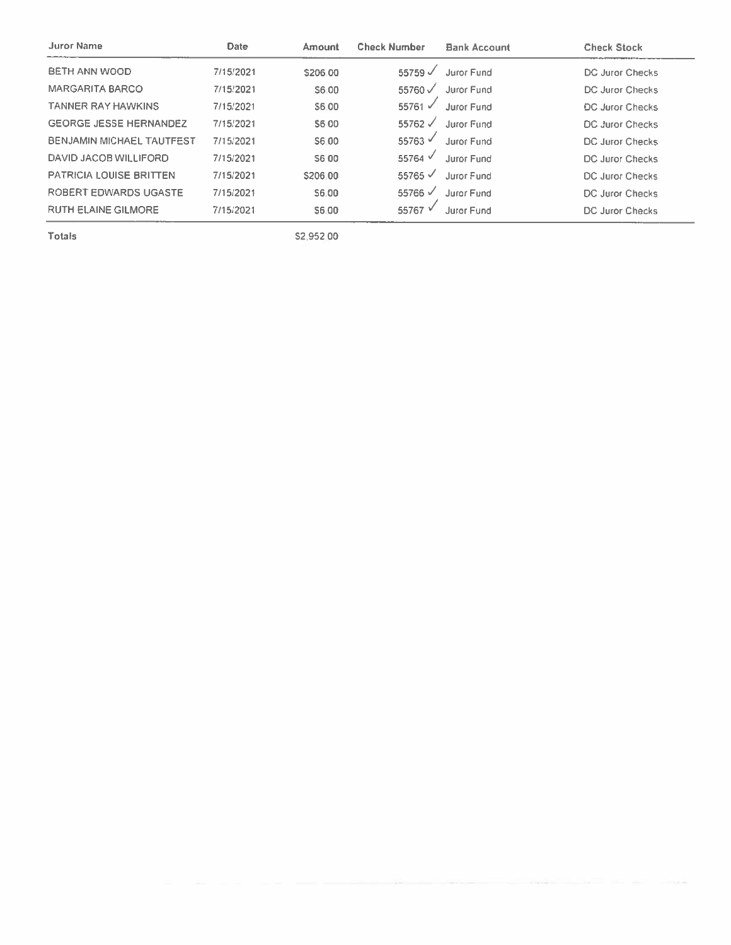| Date      | Amount   | <b>Check Number</b> | <b>Bank Account</b> | <b>Check Stock</b>     |
|-----------|----------|---------------------|---------------------|------------------------|
| 7/15/2021 | \$206.00 | 55759 $\sqrt$       | Juror Fund          | <b>DC Juror Checks</b> |
| 7/15/2021 | S6.00    | 55760 J             | Juror Fund          | <b>DC Juror Checks</b> |
| 7/15/2021 | S6.00    | 55761 $\checkmark$  | <b>Juror Fund</b>   | <b>DC Juror Checks</b> |
| 7/15/2021 | S6 00    | 55762 √             | Juror Fund          | DC Juror Checks        |
| 7/15/2021 | S6.00    | 55763 V             | Juror Fund          | <b>DC Juror Checks</b> |
| 7/15/2021 | S6 00    | 55764 $\sqrt$       | Juror Fund          | DC Juror Checks        |
| 7/15/2021 | \$206.00 | $55765 \checkmark$  | Juror Fund          | <b>DC Juror Checks</b> |
| 7/15/2021 | S6.00    | 55766 $\sqrt$       | Juror Fund          | DC Juror Checks        |
| 7/15/2021 | S6.00    | 55767 V             | Juror Fund          | DC Juror Checks        |
|           |          |                     |                     |                        |

Totals

\$2,952.00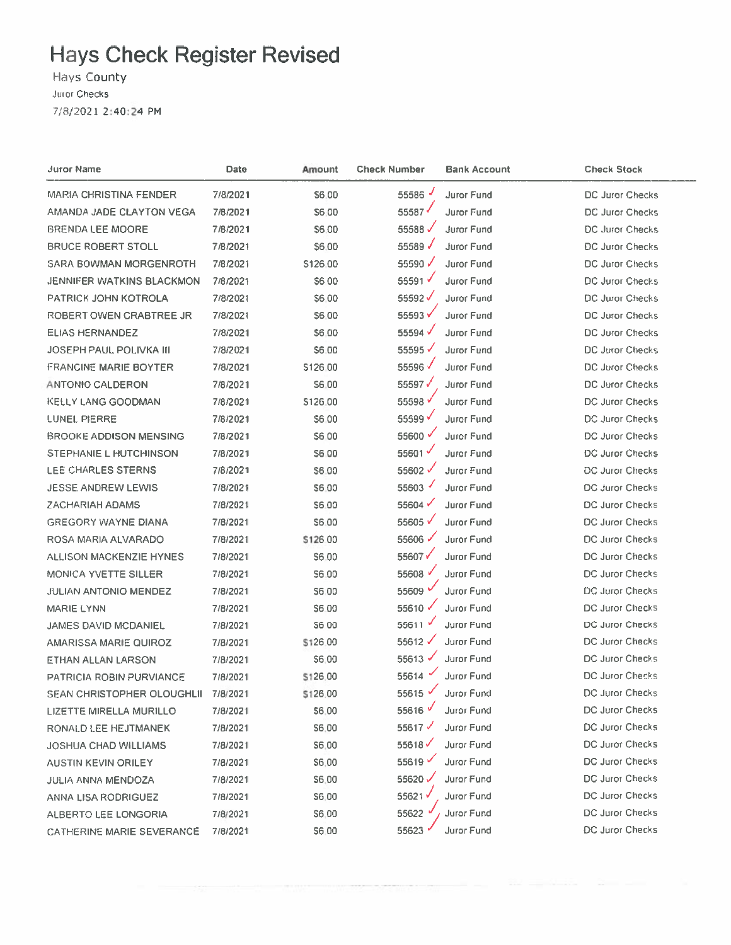Hays County Juror Checks 7/8/2021 2:40:24 PM

| <b>Juror Name</b>                | Date     | Amount       | <b>Check Number</b> | <b>Bank Account</b> | <b>Check Stock</b>     |
|----------------------------------|----------|--------------|---------------------|---------------------|------------------------|
| MARIA CHRISTINA FENDER           | 7/8/2021 | \$6.00       | 55586               | <b>Juror Fund</b>   | DC Juror Checks        |
| AMANDA JADE CLAYTON VEGA         | 7/8/2021 | S6.00        | 55587               | Juror Fund          | DC Juror Checks        |
| BRENDA LEE MOORE                 | 7/8/2021 | \$6.00       | 55588√              | <b>Juror Fund</b>   | DC Juror Checks        |
| <b>BRUCE ROBERT STOLL</b>        | 7/8/2021 | \$6.00       | 55589√              | <b>Juror Fund</b>   | <b>DC Juror Checks</b> |
| SARA BOWMAN MORGENROTH           | 7/8/2021 | \$126.00     | 55590 √             | <b>Juror Fund</b>   | DC Juror Checks        |
| JENNIFER WATKINS BLACKMON        | 7/8/2021 | \$6 00       | 55591√              | Juror Fund          | DC Juror Checks        |
| PATRICK JOHN KOTROLA             | 7/8/2021 | \$6.00       | 55592√              | <b>Juror Fund</b>   | DC Juror Checks        |
| ROBERT OWEN CRABTREE JR          | 7/8/2021 | \$6.00       | 55593√              | Juror Fund          | DC Juror Checks        |
| <b>ELIAS HERNANDEZ</b>           | 7/8/2021 | <b>S6.00</b> | 55594√              | Juror Fund          | DC Juror Checks        |
| JOSEPH PAUL POLIVKA III          | 7/8/2021 | S6.00        | 55595√              | Juror Fund          | DC Juror Checks        |
| <b>FRANCINE MARIE BOYTER</b>     | 7/8/2021 | \$126.00     | 55596√              | Juror Fund          | <b>DC Juror Checks</b> |
| <b>ANTONIO CALDERON</b>          | 7/8/2021 | S6.00        | 55597√              | Juror Fund          | DC Juror Checks        |
| KELLY LANG GOODMAN               | 7/8/2021 | \$126.00     | 55598               | <b>Juror Fund</b>   | DC Juror Checks        |
| <b>LUNEL PIERRE</b>              | 7/8/2021 | \$6.00       | 55599√              | <b>Juror Fund</b>   | DC Juror Checks        |
| <b>BROOKE ADDISON MENSING</b>    | 7/8/2021 | \$6.00       | 55600 √             | Juror Fund          | DC Juror Checks        |
| STEPHANIE L HUTCHINSON           | 7/8/2021 | S6 00        | 55601 $\checkmark$  | Juror Fund          | DC Juror Checks        |
| LEE CHARLES STERNS               | 7/8/2021 | \$6.00       | 55602 √             | Juror Fund          | DC Juror Checks        |
| <b>JESSE ANDREW LEWIS</b>        | 7/8/2021 | \$6.00       | 55603               | <b>Juror Fund</b>   | DC Juror Checks        |
| ZACHARIAH ADAMS                  | 7/8/2021 | \$6.00       | 55604               | <b>Juror Fund</b>   | DC Juror Checks        |
| GREGORY WAYNE DIANA              | 7/8/2021 | S6.00        | 55605√              | Juror Fund          | <b>DC Juror Checks</b> |
| ROSA MARIA ALVARADO              | 7/8/2021 | \$126.00     | 55606 V             | Juror Fund          | <b>DC Juror Checks</b> |
| <b>ALLISON MACKENZIE HYNES</b>   | 7/8/2021 | \$6.00       | 55607√              | Juror Fund          | <b>DC Juror Checks</b> |
| <b>MONICA YVETTE SILLER</b>      | 7/8/2021 | <b>S6.00</b> | 55608 √             | Juror Fund          | <b>DC Juror Checks</b> |
| <b>JULIAN ANTONIO MENDEZ</b>     | 7/8/2021 | <b>S600</b>  | 55609 $V$           | Juror Fund          | DC Juror Checks        |
| <b>MARIE LYNN</b>                | 7/8/2021 | \$6.00       | 55610 √             | Juror Fund          | DC Juror Checks        |
| JAMES DAVID MCDANIEL             | 7/8/2021 | \$6 00       | 55611 $V$           | <b>Juror Fund</b>   | <b>DC Juror Checks</b> |
| AMARISSA MARIE QUIROZ            | 7/8/2021 | \$126.00     | 55612 √             | Juror Fund          | DC Juror Checks        |
| ETHAN ALLAN LARSON               | 7/8/2021 | \$6.00       | 55613               | <b>Juror Fund</b>   | DC Juror Checks        |
| PATRICIA ROBIN PURVIANCE         | 7/8/2021 | \$126.00     | 55614               | Juror Fund          | DC Juror Checks        |
| SEAN CHRISTOPHER OLOUGHLII       | 7/8/2021 | \$126.00     | 55615               | <b>Juror Fund</b>   | DC Juror Checks        |
| LIZETTE MIRELLA MURILLO          | 7/8/2021 | \$6,00       | 55616 $V$           | Juror Fund          | DC Juror Checks        |
| RONALD LEE HEJTMANEK             | 7/8/2021 | S6.00        | 55617√              | <b>Juror Fund</b>   | DC Juror Checks        |
| <b>JOSHUA CHAD WILLIAMS</b>      | 7/8/2021 | \$6,00       | 55618               | Juror Fund          | DC Juror Checks        |
| <b>AUSTIN KEVIN ORILEY</b>       | 7/8/2021 | S6.00        | 55619               | Juror Fund          | DC Juror Checks        |
| JULIA ANNA MENDOZA               | 7/8/2021 | S6.00        | 55620 v             | Juror Fund          | DC Juror Checks        |
| ANNA LISA RODRIGUEZ              | 7/8/2021 | S6.00        | 55621               | Juror Fund          | DC Juror Checks        |
| ALBERTO LEE LONGORIA             | 7/8/2021 | <b>S6,00</b> | 55622               | Juror Fund          | <b>DC Juror Checks</b> |
| <b>CATHERINE MARIE SEVERANCE</b> | 7/8/2021 | \$6.00       | 55623               | Juror Fund          | <b>DC Juror Checks</b> |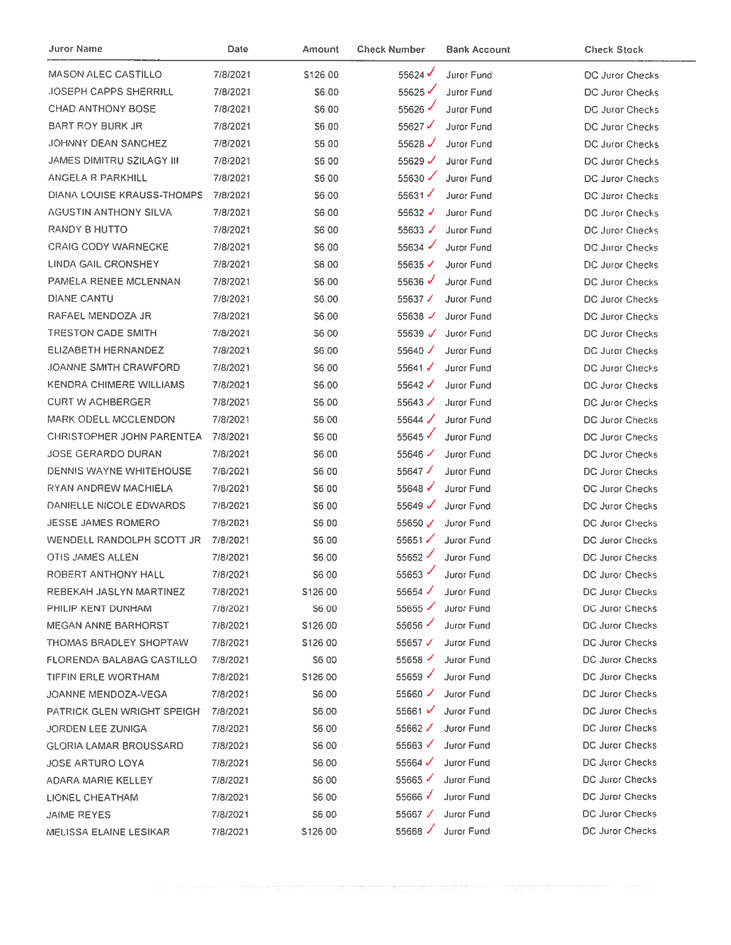| Juror Name                       | Date     | Amount       | <b>Check Number</b>  | <b>Bank Account</b> | <b>Check Stock</b>     |
|----------------------------------|----------|--------------|----------------------|---------------------|------------------------|
| MASON ALEC CASTILLO              | 7/8/2021 | \$126.00     | 55624                | Juror Fund          | <b>DC Juror Checks</b> |
| <b>JOSEPH CAPPS SHERRILL</b>     | 7/8/2021 | S6.00        | 55625                | Juror Fund          | DC Juror Checks        |
| <b>CHAD ANTHONY BOSE</b>         | 7/8/2021 | S6.00        | 55626                | Juror Fund          | <b>DC Juror Checks</b> |
| BART ROY BURK JR                 | 7/8/2021 | \$6,00       | 55627                | Juror Fund          | DC Juror Checks        |
| <b>JOHNNY DEAN SANCHEZ</b>       | 7/8/2021 | S6 00        | 55628 $\checkmark$   | Juror Fund          | DC Juror Checks        |
| <b>JAMES DIMITRU SZILAGY III</b> | 7/8/2021 | S6 00        | 55629 $\checkmark$   | Juror Fund          | DC Juror Checks        |
| ANGELA R PARKHILL                | 7/8/2021 | S6.00        | 55630                | Juror Fund          | DC Juror Checks        |
| DIANA LOUISE KRAUSS-THOMPS       | 7/8/2021 | S6.00        | 55631                | Juror Fund          | DC Juror Checks        |
| <b>AGUSTIN ANTHONY SILVA</b>     | 7/8/2021 | <b>S600</b>  | 55632 $\sqrt$        | Juror Fund          | <b>DC Juror Checks</b> |
| RANDY B HUTTO                    | 7/8/2021 | <b>S6.00</b> | 55633 $\sqrt$        | <b>Juror Fund</b>   | <b>DC Juror Checks</b> |
| <b>CRAIG CODY WARNECKE</b>       | 7/8/2021 | \$6.00       | 55634                | Juror Fund          | DC Juror Checks        |
| LINDA GAIL CRONSHEY              | 7/8/2021 | \$6.00       | 55635√               | Juror Fund          | DC Juror Checks        |
| PAMELA RENEE MCLENNAN            | 7/8/2021 | \$6.00       | 55636 $\checkmark$   | <b>Juror Fund</b>   | DC Juror Checks        |
| <b>DIANE CANTU</b>               | 7/8/2021 | \$6,00       | 55637 $\checkmark$   | <b>Juror Fund</b>   | <b>DC Juror Checks</b> |
| RAFAEL MENDOZA JR                | 7/8/2021 | <b>S6.00</b> | 55638 $\sqrt{ }$     | Juror Fund          | DC Juror Checks        |
| <b>TRESTON CADE SMITH</b>        | 7/8/2021 | \$6.00       | 55639 $\sqrt$        | Juror Fund          | DC Juror Checks        |
| <b>ELIZABETH HERNANDEZ</b>       | 7/8/2021 | S6.00        | 55640 $\checkmark$   | Juror Fund          | <b>DC Juror Checks</b> |
| <b>JOANNE SMITH CRAWFORD</b>     | 7/8/2021 | S6.00        | 55641 $\checkmark$   | Juror Fund          | DC Juror Checks        |
| <b>KENDRA CHIMERE WILLIAMS</b>   | 7/8/2021 | S6.00        | 55642 $\checkmark$   | Juror Fund          | <b>DC Juror Checks</b> |
| <b>CURT W ACHBERGER</b>          | 7/8/2021 | S6.00        | $55643 \checkmark$   | Juror Fund          | DC Juror Checks        |
| <b>MARK ODELL MCCLENDON</b>      | 7/8/2021 | \$6.00       | 55644 $\checkmark$   | <b>Juror Fund</b>   | DC Juror Checks        |
| <b>CHRISTOPHER JOHN PARENTEA</b> | 7/8/2021 | \$6 00       | 55645                | <b>Juror Fund</b>   | <b>DC Juror Checks</b> |
| <b>JOSE GERARDO DURAN</b>        | 7/8/2021 | \$6.00       | 55646                | <b>Juror Fund</b>   | DC Juror Checks        |
| DENNIS WAYNE WHITEHOUSE          | 7/8/2021 | \$6.00       | 55647 $\checkmark$   | Juror Fund          | <b>DC Juror Checks</b> |
| <b>RYAN ANDREW MACHIELA</b>      | 7/8/2021 | \$6.00       | 55648                | Juror Fund          | <b>DC Juror Checks</b> |
| DANIELLE NICOLE EDWARDS          | 7/8/2021 | S6.00        | 55649 $\checkmark$   | Juror Fund          | DC Juror Checks        |
| <b>JESSE JAMES ROMERO</b>        | 7/8/2021 | S6.00        | 55650 $V$            | Juror Fund          | DC Juror Checks        |
| WENDELL RANDOLPH SCOTT JR        | 7/8/2021 | S6.00        | 55651                | <b>Juror Fund</b>   | <b>DC Juror Checks</b> |
| OTIS JAMES ALLEN                 | 7/8/2021 | S6.00        | $55652$ $\checkmark$ | <b>Juror Fund</b>   | DC Juror Checks        |
| ROBERT ANTHONY HALL              | 7/8/2021 | <b>S600</b>  | 55653 $\checkmark$   | Juror Fund          | DC Juror Checks        |
| REBEKAH JASLYN MARTINEZ          | 7/8/2021 | \$126.00     | 55654 $\checkmark$   | Juror Fund          | <b>DC Juror Checks</b> |
| PHILIP KENT DUNHAM               | 7/8/2021 | S6.00        | $55655 \checkmark$   | <b>Juror Fund</b>   | <b>DC Juror Checks</b> |
| <b>MEGAN ANNE BARHORST</b>       | 7/8/2021 | \$126.00     | 55656                | <b>Juror Fund</b>   | DC Juror Checks        |
| <b>THOMAS BRADLEY SHOPTAW</b>    | 7/8/2021 | \$126.00     | 55657 $\nu$          | Juror Fund          | <b>DC Juror Checks</b> |
| FLORENDA BALABAG CASTILLO        | 7/8/2021 | S6 00        | 55658                | <b>Juror Fund</b>   | DC Juror Checks        |
| TIFFIN ERLE WORTHAM              | 7/8/2021 | \$126.00     | 55659                | Juror Fund          | DC Juror Checks        |
| JOANNE MENDOZA-VEGA              | 7/8/2021 | \$6.00       | 55660                | <b>Juror Fund</b>   | DC Juror Checks        |
| PATRICK GLEN WRIGHT SPEIGH       | 7/8/2021 | \$6.00       | 55661 $V$            | <b>Juror Fund</b>   | DC Juror Checks        |
| JORDEN LEE ZUNIGA                | 7/8/2021 | \$6.00       | 55662 $\checkmark$   | <b>Juror Fund</b>   | DC Juror Checks        |
| <b>GLORIA LAMAR BROUSSARD</b>    | 7/8/2021 | S6.00        | 55663 $\checkmark$   | Juror Fund          | DC Juror Checks        |
| <b>JOSE ARTURO LOYA</b>          | 7/8/2021 | \$6.00       | 55664 $\checkmark$   | <b>Juror Fund</b>   | <b>DC Juror Checks</b> |
| ADARA MARIE KELLEY               | 7/8/2021 | \$6.00       | 55665                | Juror Fund          | DC Juror Checks        |
| <b>LIONEL CHEATHAM</b>           | 7/8/2021 | \$6,00       | 55666√               | Juror Fund          | <b>DC Juror Checks</b> |
| <b>JAIME REYES</b>               | 7/8/2021 | \$6.00       | 55667 $\checkmark$   | Juror Fund          | <b>DC Juror Checks</b> |
| MELISSA ELAINE LESIKAR           | 7/8/2021 | \$126:00     | 55668 $\checkmark$   | Juror Fund          | DC Juror Checks        |